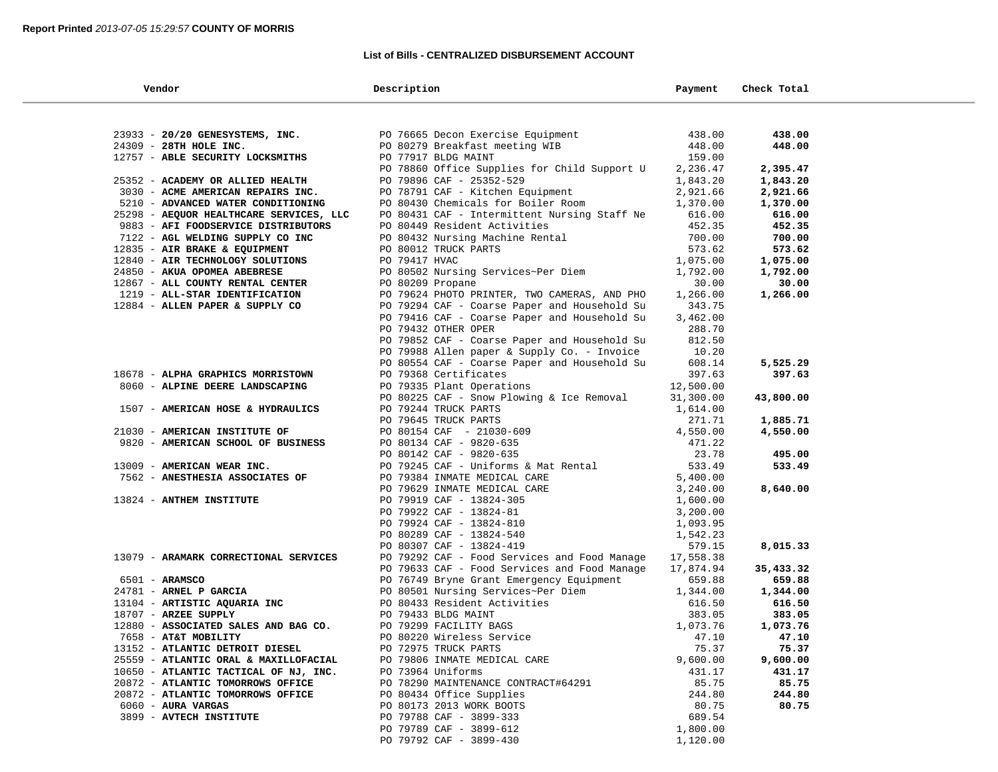### **List of Bills - CENTRALIZED DISBURSEMENT ACCOUNT**

| Vendor                                                                         | Description                                          | Payment        | Check Total    |  |
|--------------------------------------------------------------------------------|------------------------------------------------------|----------------|----------------|--|
|                                                                                |                                                      |                |                |  |
| 23933 - 20/20 GENESYSTEMS, INC.                                                | PO 76665 Decon Exercise Equipment                    | 438.00         | 438.00         |  |
| 24309 - 28TH HOLE INC.                                                         | PO 80279 Breakfast meeting WIB                       | 448.00         | 448.00         |  |
| 12757 - ABLE SECURITY LOCKSMITHS                                               | PO 77917 BLDG MAINT                                  | 159.00         |                |  |
|                                                                                | PO 78860 Office Supplies for Child Support U         | 2,236.47       | 2,395.47       |  |
| 25352 - ACADEMY OR ALLIED HEALTH                                               | PO 79896 CAF - 25352-529                             | 1,843.20       | 1,843.20       |  |
| 3030 - ACME AMERICAN REPAIRS INC.                                              | PO 78791 CAF - Kitchen Equipment                     | 2,921.66       | 2,921.66       |  |
| 5210 - ADVANCED WATER CONDITIONING                                             | PO 80430 Chemicals for Boiler Room                   | 1,370.00       | 1,370.00       |  |
| 25298 - AEQUOR HEALTHCARE SERVICES, LLC                                        | PO 80431 CAF - Intermittent Nursing Staff Ne         | 616.00         | 616.00         |  |
| 9883 - AFI FOODSERVICE DISTRIBUTORS                                            | PO 80449 Resident Activities                         | 452.35         | 452.35         |  |
| 7122 - AGL WELDING SUPPLY CO INC                                               | PO 80432 Nursing Machine Rental                      | 700.00         | 700.00         |  |
| 12835 - AIR BRAKE & EQUIPMENT                                                  | PO 80012 TRUCK PARTS                                 | 573.62         | 573.62         |  |
| 12840 - AIR TECHNOLOGY SOLUTIONS                                               | PO 79417 HVAC                                        | 1,075.00       | 1,075.00       |  |
| 24850 - AKUA OPOMEA ABEBRESE                                                   | PO 80502 Nursing Services~Per Diem                   | 1,792.00       | 1,792.00       |  |
| 12867 - ALL COUNTY RENTAL CENTER                                               | PO 80209 Propane                                     | 30.00          | 30.00          |  |
| 1219 - ALL-STAR IDENTIFICATION                                                 | PO 79624 PHOTO PRINTER, TWO CAMERAS, AND PHO         | 1,266.00       | 1,266.00       |  |
| 12884 - ALLEN PAPER & SUPPLY CO                                                | PO 79294 CAF - Coarse Paper and Household Su         | 343.75         |                |  |
|                                                                                | PO 79416 CAF - Coarse Paper and Household Su         | 3,462.00       |                |  |
|                                                                                | PO 79432 OTHER OPER                                  | 288.70         |                |  |
|                                                                                | PO 79852 CAF - Coarse Paper and Household Su         | 812.50         |                |  |
|                                                                                | PO 79988 Allen paper & Supply Co. - Invoice          | 10.20          |                |  |
|                                                                                | PO 80554 CAF - Coarse Paper and Household Su         | 608.14         | 5,525.29       |  |
| 18678 - ALPHA GRAPHICS MORRISTOWN                                              | PO 79368 Certificates                                | 397.63         | 397.63         |  |
| 8060 - ALPINE DEERE LANDSCAPING                                                | PO 79335 Plant Operations                            | 12,500.00      |                |  |
|                                                                                | PO 80225 CAF - Snow Plowing & Ice Removal            | 31,300.00      | 43,800.00      |  |
| 1507 - AMERICAN HOSE & HYDRAULICS                                              | PO 79244 TRUCK PARTS                                 | 1,614.00       |                |  |
|                                                                                | PO 79645 TRUCK PARTS                                 | 271.71         | 1,885.71       |  |
| 21030 - AMERICAN INSTITUTE OF                                                  | PO 80154 CAF - 21030-609                             | 4,550.00       | 4,550.00       |  |
| 9820 - AMERICAN SCHOOL OF BUSINESS                                             | PO 80134 CAF - 9820-635                              | 471.22         |                |  |
|                                                                                | PO 80142 CAF - 9820-635                              | 23.78          | 495.00         |  |
| 13009 - AMERICAN WEAR INC.                                                     | PO 79245 CAF - Uniforms & Mat Rental                 | 533.49         | 533.49         |  |
| 7562 - ANESTHESIA ASSOCIATES OF                                                | PO 79384 INMATE MEDICAL CARE                         | 5,400.00       |                |  |
|                                                                                | PO 79629 INMATE MEDICAL CARE                         | 3,240.00       | 8,640.00       |  |
| 13824 - ANTHEM INSTITUTE                                                       | PO 79919 CAF - 13824-305                             | 1,600.00       |                |  |
|                                                                                | PO 79922 CAF - 13824-81                              | 3,200.00       |                |  |
|                                                                                | PO 79924 CAF - 13824-810                             | 1,093.95       |                |  |
|                                                                                | PO 80289 CAF - 13824-540                             | 1,542.23       |                |  |
|                                                                                | PO 80307 CAF - 13824-419                             | 579.15         | 8,015.33       |  |
| 13079 - ARAMARK CORRECTIONAL SERVICES                                          | PO 79292 CAF - Food Services and Food Manage         | 17,558.38      |                |  |
|                                                                                | PO 79633 CAF - Food Services and Food Manage         | 17,874.94      | 35,433.32      |  |
| $6501 - ARAMSCO$                                                               | PO 76749 Bryne Grant Emergency Equipment             | 659.88         | 659.88         |  |
| 24781 - ARNEL P GARCIA                                                         | PO 80501 Nursing Services~Per Diem                   | 1,344.00       | 1,344.00       |  |
| 13104 - ARTISTIC AQUARIA INC                                                   | PO 80433 Resident Activities                         | 616.50         | 616.50         |  |
| 18707 - ARZEE SUPPLY                                                           | PO 79433 BLDG MAINT                                  | 383.05         | 383.05         |  |
| 12880 - ASSOCIATED SALES AND BAG CO.                                           | PO 79299 FACILITY BAGS                               | 1,073.76       | 1,073.76       |  |
| 7658 - AT&T MOBILITY                                                           | PO 80220 Wireless Service                            | 47.10<br>75.37 | 47.10<br>75.37 |  |
| 13152 - ATLANTIC DETROIT DIESEL                                                | PO 72975 TRUCK PARTS<br>PO 79806 INMATE MEDICAL CARE | 9,600.00       | 9,600.00       |  |
| 25559 - ATLANTIC ORAL & MAXILLOFACIAL<br>10650 - ATLANTIC TACTICAL OF NJ, INC. | PO 73964 Uniforms                                    | 431.17         | 431.17         |  |
| 20872 - ATLANTIC TOMORROWS OFFICE                                              | PO 78290 MAINTENANCE CONTRACT#64291                  | 85.75          | 85.75          |  |
| 20872 - ATLANTIC TOMORROWS OFFICE                                              | PO 80434 Office Supplies                             | 244.80         | 244.80         |  |
| $6060$ - AURA VARGAS                                                           | PO 80173 2013 WORK BOOTS                             | 80.75          | 80.75          |  |
| 3899 - AVTECH INSTITUTE                                                        | PO 79788 CAF - 3899-333                              | 689.54         |                |  |
|                                                                                | PO 79789 CAF - 3899-612                              | 1,800.00       |                |  |
|                                                                                | PO 79792 CAF - 3899-430                              | 1,120.00       |                |  |
|                                                                                |                                                      |                |                |  |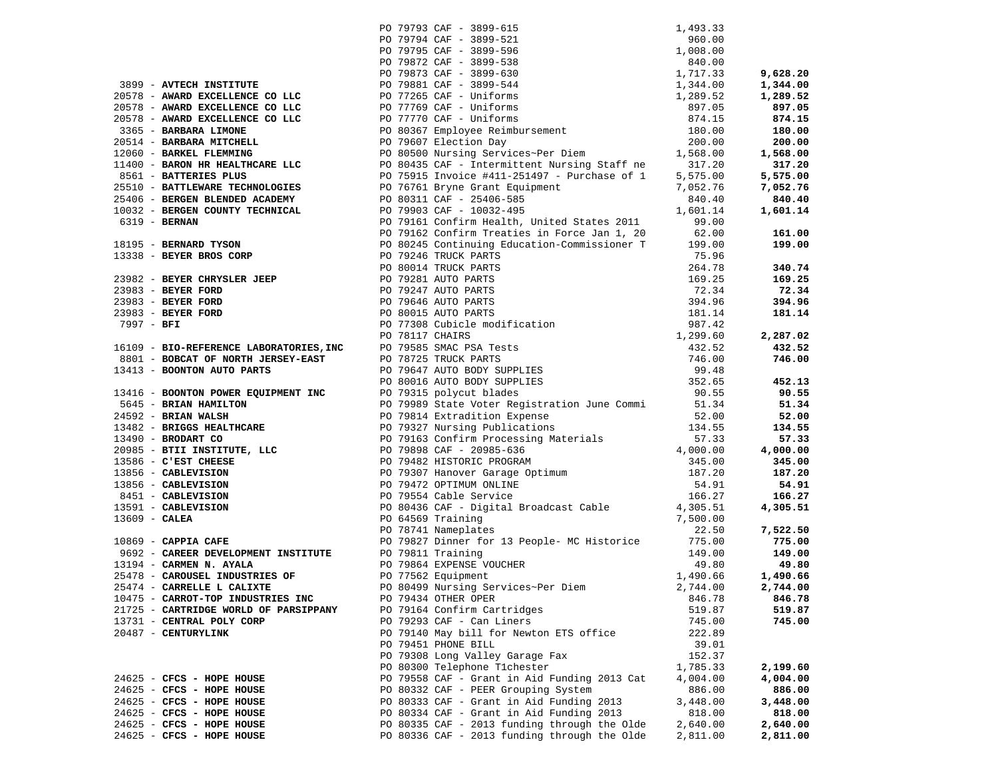|                                                       |                                                                                                                                                                                                                                                                                                                                                                        |                     | 9,628.20 |
|-------------------------------------------------------|------------------------------------------------------------------------------------------------------------------------------------------------------------------------------------------------------------------------------------------------------------------------------------------------------------------------------------------------------------------------|---------------------|----------|
| 3899 - AVTECH INSTITUTE                               |                                                                                                                                                                                                                                                                                                                                                                        |                     | 1,344.00 |
| 20578 - AWARD EXCELLENCE CO LLC                       |                                                                                                                                                                                                                                                                                                                                                                        |                     | 1,289.52 |
| 20578 - AWARD EXCELLENCE CO LLC                       |                                                                                                                                                                                                                                                                                                                                                                        |                     | 897.05   |
| 20578 - AWARD EXCELLENCE CO LLC                       | 1,493.3<br>PO 79794 CAF - 3899-521<br>PO 79795 CAF - 3899-521<br>PO 79795 CAF - 3899-538<br>PO 79872 CAF - 3899-538<br>PO 79873 CAF - 3899-538<br>PO 79881 CAF - 3899-544<br>PO 77265 CAF - Uniforms<br>PO 77769 CAF - Uniforms<br>PO 77770 CAF                                                                                                                        |                     | 874.15   |
| 3365 - BARBARA LIMONE                                 |                                                                                                                                                                                                                                                                                                                                                                        |                     | 180.00   |
| 20514 - BARBARA MITCHELL                              |                                                                                                                                                                                                                                                                                                                                                                        |                     | 200.00   |
| 12060 - BARKEL FLEMMING                               |                                                                                                                                                                                                                                                                                                                                                                        |                     | 1,568.00 |
| 11400 - BARON HR HEALTHCARE LLC                       |                                                                                                                                                                                                                                                                                                                                                                        |                     | 317.20   |
| 8561 - BATTERIES PLUS                                 | PO 80435 CAF - Intermittent Nursing Staff ne 317.20<br>PO 75915 Invoice #411-251497 - Purchase of 1 5,575.00                                                                                                                                                                                                                                                           | 5,575.00            | 5,575.00 |
| 25510 - BATTLEWARE TECHNOLOGIES                       |                                                                                                                                                                                                                                                                                                                                                                        | 7,052.76            | 7,052.76 |
|                                                       | PO 76761 Bryne Grant Equipment                                                                                                                                                                                                                                                                                                                                         |                     | 840.40   |
| 25406 - BERGEN BLENDED ACADEMY                        | PO 80311 CAF - 25406-585                                                                                                                                                                                                                                                                                                                                               | 840.40              |          |
| 10032 - BERGEN COUNTY TECHNICAL                       | PO 79903 CAF - 10032-495                                                                                                                                                                                                                                                                                                                                               | 1,601.14            | 1,601.14 |
|                                                       | PO 79161 Confirm Health, United States 2011<br>6319 - BERNAN FORD PO 79162 Confirm Treaties in Force Can 1, 1998 - 18195 - BERNARD TYSON PO 80245 Confining Education-Commissioner T<br>13338 - BEYER BROS CORP PO 79246 TRUCK PARTS<br>PO 80014 TRUCK PARTS<br>TO 79291 AUTO PARTS                                                                                    | 99.00               |          |
|                                                       |                                                                                                                                                                                                                                                                                                                                                                        | $62.00$<br>$199.00$ | 161.00   |
|                                                       |                                                                                                                                                                                                                                                                                                                                                                        |                     | 199.00   |
|                                                       |                                                                                                                                                                                                                                                                                                                                                                        |                     |          |
|                                                       |                                                                                                                                                                                                                                                                                                                                                                        |                     | 340.74   |
|                                                       |                                                                                                                                                                                                                                                                                                                                                                        |                     | 169.25   |
|                                                       |                                                                                                                                                                                                                                                                                                                                                                        |                     | 72.34    |
|                                                       |                                                                                                                                                                                                                                                                                                                                                                        |                     | 394.96   |
|                                                       |                                                                                                                                                                                                                                                                                                                                                                        |                     | 181.14   |
|                                                       |                                                                                                                                                                                                                                                                                                                                                                        |                     |          |
|                                                       |                                                                                                                                                                                                                                                                                                                                                                        |                     | 2,287.02 |
|                                                       | 18195 - BERNARD TYSON<br>18338 - BEYER BROS CORP<br>23982 - BEYER CHRYSLER JEEP<br>23982 - BEYER CHRYSLER JEEP<br>23983 - BEYER FORD<br>23983 - BEYER FORD<br>23983 - BEYER FORD<br>23983 - BEYER FORD<br>23983 - BEYER FORD<br>23983 - BEYER FO                                                                                                                       |                     | 432.52   |
|                                                       |                                                                                                                                                                                                                                                                                                                                                                        |                     | 746.00   |
|                                                       |                                                                                                                                                                                                                                                                                                                                                                        |                     |          |
|                                                       |                                                                                                                                                                                                                                                                                                                                                                        |                     |          |
|                                                       |                                                                                                                                                                                                                                                                                                                                                                        |                     | 452.13   |
|                                                       |                                                                                                                                                                                                                                                                                                                                                                        |                     | 90.55    |
|                                                       |                                                                                                                                                                                                                                                                                                                                                                        |                     | 51.34    |
|                                                       |                                                                                                                                                                                                                                                                                                                                                                        |                     | 52.00    |
|                                                       |                                                                                                                                                                                                                                                                                                                                                                        |                     | 134.55   |
|                                                       |                                                                                                                                                                                                                                                                                                                                                                        |                     | 57.33    |
|                                                       |                                                                                                                                                                                                                                                                                                                                                                        |                     | 4,000.00 |
|                                                       |                                                                                                                                                                                                                                                                                                                                                                        |                     | 345.00   |
|                                                       |                                                                                                                                                                                                                                                                                                                                                                        |                     | 187.20   |
|                                                       |                                                                                                                                                                                                                                                                                                                                                                        |                     | 54.91    |
|                                                       |                                                                                                                                                                                                                                                                                                                                                                        |                     | 166.27   |
|                                                       |                                                                                                                                                                                                                                                                                                                                                                        |                     | 4,305.51 |
|                                                       |                                                                                                                                                                                                                                                                                                                                                                        |                     |          |
|                                                       | 1346 <b>- BONTON POWER EQUIPMENT INC</b><br>13465 <b>- BRIAN WALLER</b><br>24592 <b>- BRIAN WALLER</b><br>24592 <b>- BRIAN WALLER</b><br>24592 <b>- BRIAN WALLER</b><br>2645 <b>- BRIAN WALER</b><br>2079834 State Vote (200985 State Vote (200985 CAFF - 20985 - 636<br><br>PO 78741 Nameplates<br>PO 78741 Nameplates<br>PO 79827 Dinner for 13 People- MC Historice |                     | 7,522.50 |
|                                                       |                                                                                                                                                                                                                                                                                                                                                                        |                     | 775.00   |
| 9692 - CAREER DEVELOPMENT INSTITUTE PO 79811 Training |                                                                                                                                                                                                                                                                                                                                                                        | 149.00              | 149.00   |
|                                                       | PO 79864 EXPENSE VOUCHER                                                                                                                                                                                                                                                                                                                                               |                     |          |
| 13194 - CARMEN N. AYALA                               |                                                                                                                                                                                                                                                                                                                                                                        | 49.80               | 49.80    |
| 25478 - CAROUSEL INDUSTRIES OF                        | PO 77562 Equipment                                                                                                                                                                                                                                                                                                                                                     | 1,490.66            | 1,490.66 |
| 25474 - CARRELLE L CALIXTE                            | PO 80499 Nursing Services~Per Diem                                                                                                                                                                                                                                                                                                                                     | 2,744.00            | 2,744.00 |
| 10475 - CARROT-TOP INDUSTRIES INC                     | PO 79434 OTHER OPER                                                                                                                                                                                                                                                                                                                                                    | 846.78              | 846.78   |
| 21725 - CARTRIDGE WORLD OF PARSIPPANY                 | PO 79164 Confirm Cartridges                                                                                                                                                                                                                                                                                                                                            | 519.87              | 519.87   |
| 13731 - CENTRAL POLY CORP                             | PO 79293 CAF - Can Liners                                                                                                                                                                                                                                                                                                                                              | 745.00              | 745.00   |
| 20487 - CENTURYLINK                                   | PO 79140 May bill for Newton ETS office                                                                                                                                                                                                                                                                                                                                | 222.89              |          |
|                                                       | PO 79451 PHONE BILL                                                                                                                                                                                                                                                                                                                                                    | 39.01               |          |
|                                                       | PO 79308 Long Valley Garage Fax                                                                                                                                                                                                                                                                                                                                        | 152.37              |          |
|                                                       | PO 80300 Telephone Tichester                                                                                                                                                                                                                                                                                                                                           | 1,785.33            | 2,199.60 |
| 24625 - CFCS - HOPE HOUSE                             | PO 79558 CAF - Grant in Aid Funding 2013 Cat                                                                                                                                                                                                                                                                                                                           | 4,004.00            | 4,004.00 |
| 24625 - CFCS - HOPE HOUSE                             | PO 80332 CAF - PEER Grouping System                                                                                                                                                                                                                                                                                                                                    | 886.00              | 886.00   |
| 24625 - CFCS - HOPE HOUSE                             | PO 80333 CAF - Grant in Aid Funding 2013                                                                                                                                                                                                                                                                                                                               | 3,448.00            | 3,448.00 |
| 24625 - CFCS - HOPE HOUSE                             | PO 80334 CAF - Grant in Aid Funding 2013                                                                                                                                                                                                                                                                                                                               | 818.00              | 818.00   |
| 24625 - CFCS - HOPE HOUSE                             | PO 80335 CAF - 2013 funding through the Olde                                                                                                                                                                                                                                                                                                                           | 2,640.00            | 2,640.00 |
| 24625 - CFCS - HOPE HOUSE                             | PO 80336 CAF - 2013 funding through the Olde                                                                                                                                                                                                                                                                                                                           | 2,811.00            | 2,811.00 |
|                                                       |                                                                                                                                                                                                                                                                                                                                                                        |                     |          |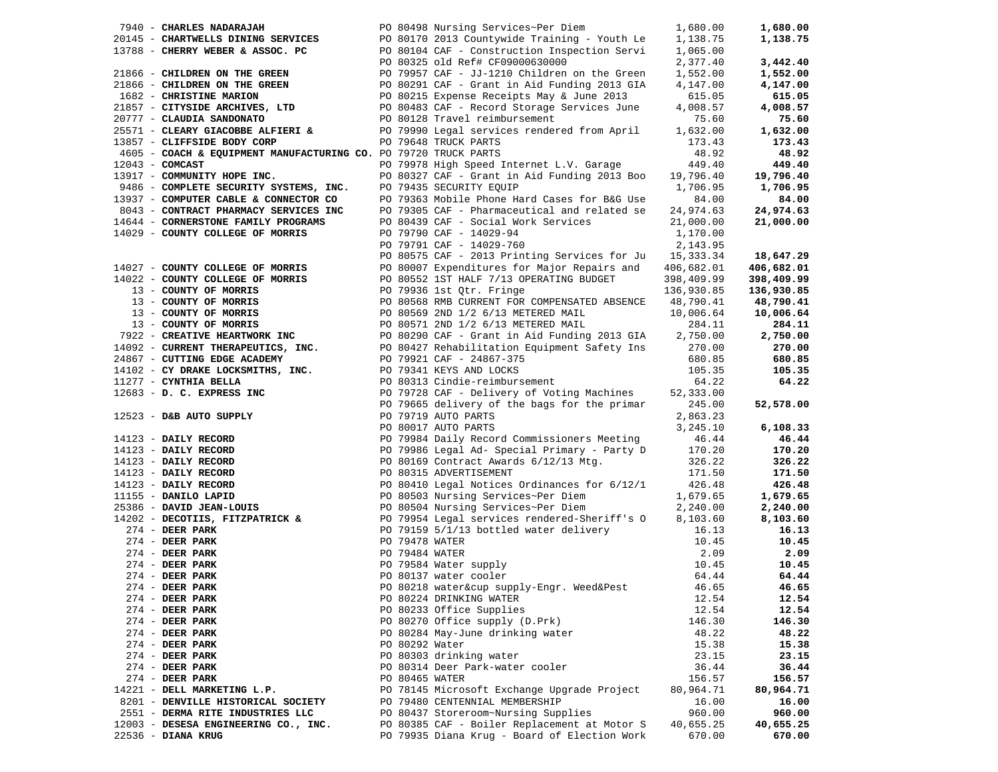| 7940 - CHARLES NADARAJAH                                                       |  | PO 80498 Nursing Services~Per Diem                                                                                                                                                                                                                                                                      | 1,680.00   | 1,680.00   |
|--------------------------------------------------------------------------------|--|---------------------------------------------------------------------------------------------------------------------------------------------------------------------------------------------------------------------------------------------------------------------------------------------------------|------------|------------|
| 20145 - CHARTWELLS DINING SERVICES                                             |  | PO 80170 2013 Countywide Training - Youth Le                                                                                                                                                                                                                                                            | 1,138.75   | 1,138.75   |
|                                                                                |  | 13788 - CHERRY WEBER & ASSOC. PC $PQ = 80104$ CAF - Construction Inspection Servi<br>PO 80325 old Ref# CF09000630000                                                                                                                                                                                    | 1,065.00   |            |
|                                                                                |  |                                                                                                                                                                                                                                                                                                         | 2,377.40   | 3,442.40   |
| 21866 - CHILDREN ON THE GREEN                                                  |  | PO 79957 CAF - JJ-1210 Children on the Green                                                                                                                                                                                                                                                            | 1,552.00   | 1,552.00   |
|                                                                                |  |                                                                                                                                                                                                                                                                                                         |            |            |
| 21866 - CHILDREN ON THE GREEN                                                  |  | PO 80291 CAF - Grant in Aid Funding 2013 GIA<br>PO 80215 Expense Receipts May & June 2013<br>PO 80483 CAF - Record Storage Services June<br>PO 80128 Travel reimbursement                                                                                                                               | 4,147.00   | 4,147.00   |
| 1682 - CHRISTINE MARION                                                        |  |                                                                                                                                                                                                                                                                                                         | 615.05     | 615.05     |
| 21857 - CITYSIDE ARCHIVES, LTD                                                 |  |                                                                                                                                                                                                                                                                                                         | 4,008.57   | 4,008.57   |
| 20777 - CLAUDIA SANDONATO                                                      |  |                                                                                                                                                                                                                                                                                                         | 75.60      | 75.60      |
| 25571 - CLEARY GIACOBBE ALFIERI &                                              |  |                                                                                                                                                                                                                                                                                                         | 1,632.00   | 1,632.00   |
| 13857 - CLIFFSIDE BODY CORP                                                    |  | PO 79990 Legal services rendered from April<br>PO 79648 TRICE PARTS CERTIFY<br>PO 79648 TRUCK PARTS                                                                                                                                                                                                     | 173.43     | 173.43     |
| 4605 - COACH & EQUIPMENT MANUFACTURING CO. PO 79720 TRUCK PARTS                |  |                                                                                                                                                                                                                                                                                                         | 48.92      | 48.92      |
|                                                                                |  |                                                                                                                                                                                                                                                                                                         |            |            |
| $12043$ - COMCAST                                                              |  | PO 79978 High Speed Internet L.V. Garage                                                                                                                                                                                                                                                                | 449.40     | 449.40     |
| 13917 - COMMUNITY HOPE INC.                                                    |  | PO 80327 CAF - Grant in Aid Funding 2013 Boo                                                                                                                                                                                                                                                            | 19,796.40  | 19,796.40  |
| 9486 - COMPLETE SECURITY SYSTEMS, INC.                                         |  | PO 79435 SECURITY EQUIP                                                                                                                                                                                                                                                                                 | 1,706.95   | 1,706.95   |
| 13937 - COMPUTER CABLE & CONNECTOR CO<br>8043 - CONTRACT PHARMACY SERVICES INC |  | PO 79363 Mobile Phone Hard Cases for B&G Use                                                                                                                                                                                                                                                            | 84.00      | 84.00      |
|                                                                                |  | PO 79305 CAF - Pharmaceutical and related se                                                                                                                                                                                                                                                            | 24,974.63  | 24,974.63  |
| 14644 - CORNERSTONE FAMILY PROGRAMS                                            |  | PO 80439 CAF - Social Work Services                                                                                                                                                                                                                                                                     | 21,000.00  | 21,000.00  |
| 14029 - COUNTY COLLEGE OF MORRIS                                               |  | PO 79790 CAF - 14029-94                                                                                                                                                                                                                                                                                 | 1,170.00   |            |
|                                                                                |  |                                                                                                                                                                                                                                                                                                         |            |            |
|                                                                                |  | PO 79791 CAF - 14029-760                                                                                                                                                                                                                                                                                | 2,143.95   |            |
|                                                                                |  | PO 80575 CAF - 2013 Printing Services for Ju 15,333.34                                                                                                                                                                                                                                                  |            | 18,647.29  |
| 14027 - COUNTY COLLEGE OF MORRIS                                               |  | PO 80007 Expenditures for Major Repairs and                                                                                                                                                                                                                                                             | 406,682.01 | 406,682.01 |
| 14022 - COUNTY COLLEGE OF MORRIS                                               |  | PO 80552 1ST HALF 7/13 OPERATING BUDGET                                                                                                                                                                                                                                                                 | 398,409.99 | 398,409.99 |
| 13 - COUNTY OF MORRIS                                                          |  | PO 79936 1st Qtr. Fringe                                                                                                                                                                                                                                                                                | 136,930.85 | 136,930.85 |
| 13 - COUNTY OF MORRIS                                                          |  | PO 80568 RMB CURRENT FOR COMPENSATED ABSENCE                                                                                                                                                                                                                                                            | 48,790.41  | 48,790.41  |
| $13 -$ COUNTY OF MORRIS<br>$13 -$ COUNTY OF MORRIS                             |  | PO 80569 2ND 1/2 6/13 METERED MAIL                                                                                                                                                                                                                                                                      | 10,006.64  | 10,006.64  |
|                                                                                |  |                                                                                                                                                                                                                                                                                                         |            |            |
| 13 - COUNTY OF MORRIS                                                          |  | PO 80571 2ND 1/2 6/13 METERED MAIL                                                                                                                                                                                                                                                                      | 284.11     | 284.11     |
| 7922 - CREATIVE HEARTWORK INC                                                  |  |                                                                                                                                                                                                                                                                                                         | 2,750.00   | 2,750.00   |
| 14092 - CURRENT THERAPEUTICS, INC.                                             |  |                                                                                                                                                                                                                                                                                                         | 270.00     | 270.00     |
| 24867 - CUTTING EDGE ACADEMY                                                   |  | PO 80290 CAF - Grant in Aid Funding 2013 GIA<br>PO 80427 Rehabilitation Equipment Safety Ins<br>PO 79921 CAF - 24867-375<br>PO 79341 KEYS AND LOCKS<br>PO 80313 Cindie-reimbursement                                                                                                                    | 680.85     | 680.85     |
| 14102 - CY DRAKE LOCKSMITHS, INC.                                              |  |                                                                                                                                                                                                                                                                                                         | 105.35     | 105.35     |
| 11277 - CYNTHIA BELLA                                                          |  |                                                                                                                                                                                                                                                                                                         | 64.22      | 64.22      |
| 12683 - D. C. EXPRESS INC                                                      |  | PO 79728 CAF - Delivery of Voting Machines                                                                                                                                                                                                                                                              | 52,333.00  |            |
|                                                                                |  |                                                                                                                                                                                                                                                                                                         |            |            |
|                                                                                |  | PO 79665 delivery of the bags for the primar<br>12523 - <b>D&amp;B AUTO SUPPLY</b><br>PO 79665 delivery of the bags for the primar<br>PO 79719 AUTO PARTS<br>PO 79719 AUTO PARTS<br>PO 79986 Legal Ad-Special Primary - Party D<br>14123 - <b>DAILY RECORD</b><br>PO 79986 Legal Ad-Special Primary - P | 245.00     | 52,578.00  |
|                                                                                |  |                                                                                                                                                                                                                                                                                                         | 2,863.23   |            |
|                                                                                |  |                                                                                                                                                                                                                                                                                                         | 3,245.10   | 6,108.33   |
|                                                                                |  |                                                                                                                                                                                                                                                                                                         | 46.44      | 46.44      |
|                                                                                |  |                                                                                                                                                                                                                                                                                                         | 170.20     | 170.20     |
|                                                                                |  |                                                                                                                                                                                                                                                                                                         | 326.22     | 326.22     |
|                                                                                |  |                                                                                                                                                                                                                                                                                                         | 171.50     | 171.50     |
|                                                                                |  |                                                                                                                                                                                                                                                                                                         | 426.48     | 426.48     |
|                                                                                |  |                                                                                                                                                                                                                                                                                                         |            |            |
|                                                                                |  |                                                                                                                                                                                                                                                                                                         | 1,679.65   | 1,679.65   |
|                                                                                |  |                                                                                                                                                                                                                                                                                                         | 2,240.00   | 2,240.00   |
|                                                                                |  | 14202 - DECOTIIS, FITZPATRICK & PO 79954 Legal services rendered-Sheriff's O                                                                                                                                                                                                                            | 8,103.60   | 8,103.60   |
| $274$ - DEER PARK                                                              |  | PO 79159 5/1/13 bottled water delivery                                                                                                                                                                                                                                                                  | 16.13      | 16.13      |
| $274$ - DEER PARK                                                              |  |                                                                                                                                                                                                                                                                                                         | 10.45      | 10.45      |
| $274$ - DEER PARK                                                              |  | PO 79478 WATER<br>PO 79484 WATER                                                                                                                                                                                                                                                                        | 2.09       | 2.09       |
| 274 - DEER PARK                                                                |  | ро 79584 Water supply<br>PO 79584 Water supply<br>PO 80137 water cooler                                                                                                                                                                                                                                 | 10.45      | 10.45      |
| $274$ - DEER PARK                                                              |  |                                                                                                                                                                                                                                                                                                         | 64.44      | 64.44      |
|                                                                                |  |                                                                                                                                                                                                                                                                                                         |            |            |
| 274 - DEER PARK                                                                |  | PO 80218 water∪ supply-Engr. Weed&Pest                                                                                                                                                                                                                                                                  | 46.65      | 46.65      |
| $274$ - DEER PARK                                                              |  | PO 80224 DRINKING WATER                                                                                                                                                                                                                                                                                 | 12.54      | 12.54      |
| 274 - DEER PARK                                                                |  | PO 80233 Office Supplies                                                                                                                                                                                                                                                                                | 12.54      | 12.54      |
| $274$ - DEER PARK                                                              |  | PO 80270 Office supply (D.Prk)                                                                                                                                                                                                                                                                          | 146.30     | 146.30     |
| 274 - DEER PARK                                                                |  | PO 80284 May-June drinking water                                                                                                                                                                                                                                                                        | 48.22      | 48.22      |
| $274$ - DEER PARK                                                              |  | PO 80292 Water                                                                                                                                                                                                                                                                                          | 15.38      | 15.38      |
| 274 - DEER PARK                                                                |  | PO 80303 drinking water                                                                                                                                                                                                                                                                                 | 23.15      | 23.15      |
|                                                                                |  |                                                                                                                                                                                                                                                                                                         |            |            |
| $274$ - DEER PARK                                                              |  | PO 80314 Deer Park-water cooler                                                                                                                                                                                                                                                                         | 36.44      | 36.44      |
| $274$ - DEER PARK                                                              |  | PO 80465 WATER                                                                                                                                                                                                                                                                                          | 156.57     | 156.57     |
| 14221 - DELL MARKETING L.P.                                                    |  | PO 78145 Microsoft Exchange Upgrade Project                                                                                                                                                                                                                                                             | 80,964.71  | 80,964.71  |
| 8201 - DENVILLE HISTORICAL SOCIETY                                             |  | PO 79480 CENTENNIAL MEMBERSHIP                                                                                                                                                                                                                                                                          | 16.00      | 16.00      |
| 2551 - DERMA RITE INDUSTRIES LLC                                               |  | PO 80437 Storeroom~Nursing Supplies                                                                                                                                                                                                                                                                     | 960.00     | 960.00     |
| 12003 - DESESA ENGINEERING CO., INC.                                           |  | PO 80385 CAF - Boiler Replacement at Motor S                                                                                                                                                                                                                                                            | 40,655.25  | 40,655.25  |
| 22536 - DIANA KRUG                                                             |  | PO 79935 Diana Krug - Board of Election Work                                                                                                                                                                                                                                                            | 670.00     | 670.00     |
|                                                                                |  |                                                                                                                                                                                                                                                                                                         |            |            |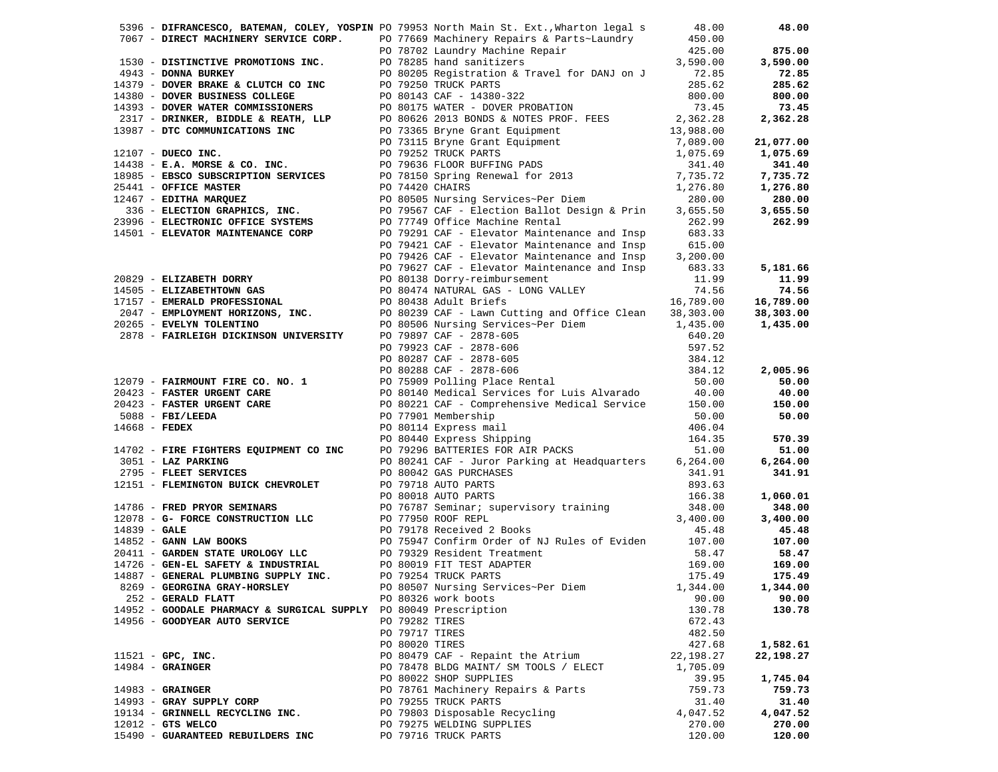|                                                                  |  | 5396 - DIFRANCESCO, BATEMAN, COLEY, YOSPIN PO 79953 North Main St. Ext., Wharton legal s 48.00                                                                                                                                                                                                                                                  |           | 48.00     |
|------------------------------------------------------------------|--|-------------------------------------------------------------------------------------------------------------------------------------------------------------------------------------------------------------------------------------------------------------------------------------------------------------------------------------------------|-----------|-----------|
|                                                                  |  |                                                                                                                                                                                                                                                                                                                                                 |           |           |
|                                                                  |  |                                                                                                                                                                                                                                                                                                                                                 |           |           |
|                                                                  |  |                                                                                                                                                                                                                                                                                                                                                 |           |           |
|                                                                  |  |                                                                                                                                                                                                                                                                                                                                                 |           |           |
|                                                                  |  |                                                                                                                                                                                                                                                                                                                                                 |           |           |
|                                                                  |  |                                                                                                                                                                                                                                                                                                                                                 |           |           |
|                                                                  |  |                                                                                                                                                                                                                                                                                                                                                 |           |           |
|                                                                  |  |                                                                                                                                                                                                                                                                                                                                                 |           |           |
|                                                                  |  |                                                                                                                                                                                                                                                                                                                                                 |           |           |
|                                                                  |  |                                                                                                                                                                                                                                                                                                                                                 |           |           |
|                                                                  |  |                                                                                                                                                                                                                                                                                                                                                 |           |           |
|                                                                  |  |                                                                                                                                                                                                                                                                                                                                                 |           |           |
|                                                                  |  |                                                                                                                                                                                                                                                                                                                                                 |           |           |
|                                                                  |  |                                                                                                                                                                                                                                                                                                                                                 |           |           |
|                                                                  |  |                                                                                                                                                                                                                                                                                                                                                 |           |           |
|                                                                  |  |                                                                                                                                                                                                                                                                                                                                                 |           | 1,276.80  |
|                                                                  |  |                                                                                                                                                                                                                                                                                                                                                 |           |           |
|                                                                  |  |                                                                                                                                                                                                                                                                                                                                                 |           |           |
|                                                                  |  |                                                                                                                                                                                                                                                                                                                                                 |           |           |
|                                                                  |  |                                                                                                                                                                                                                                                                                                                                                 |           |           |
|                                                                  |  |                                                                                                                                                                                                                                                                                                                                                 |           |           |
|                                                                  |  | 5396 - DIFRANCESCO, BATEMAN, COLEY, VOSPIN 079553 North Nain St. Ext., What to Detail and 18.00 0<br>1530 - DISTINCTIVE PROMOTIONS INC. DO 79702 Laurary Mechine Repair<br>16530 - DISTINCTIVE PROMOTIONS INC. DO 79702 Laurary<br>PO 79421 CAF - Elevator Maintenance and Insp 615.00<br>PO 79426 CAF - Elevator Maintenance and Insp 3,200.00 |           |           |
|                                                                  |  |                                                                                                                                                                                                                                                                                                                                                 |           | 5,181.66  |
|                                                                  |  |                                                                                                                                                                                                                                                                                                                                                 |           | 11.99     |
|                                                                  |  |                                                                                                                                                                                                                                                                                                                                                 |           |           |
|                                                                  |  |                                                                                                                                                                                                                                                                                                                                                 |           | 74.56     |
|                                                                  |  |                                                                                                                                                                                                                                                                                                                                                 |           | 16,789.00 |
|                                                                  |  |                                                                                                                                                                                                                                                                                                                                                 |           | 38,303.00 |
|                                                                  |  |                                                                                                                                                                                                                                                                                                                                                 |           | 1,435.00  |
|                                                                  |  |                                                                                                                                                                                                                                                                                                                                                 |           |           |
|                                                                  |  |                                                                                                                                                                                                                                                                                                                                                 |           |           |
|                                                                  |  |                                                                                                                                                                                                                                                                                                                                                 |           |           |
|                                                                  |  |                                                                                                                                                                                                                                                                                                                                                 |           | 2,005.96  |
|                                                                  |  |                                                                                                                                                                                                                                                                                                                                                 |           | 50.00     |
|                                                                  |  |                                                                                                                                                                                                                                                                                                                                                 |           | 40.00     |
|                                                                  |  |                                                                                                                                                                                                                                                                                                                                                 |           |           |
|                                                                  |  |                                                                                                                                                                                                                                                                                                                                                 |           | 150.00    |
|                                                                  |  | PO 77901 Membership 50.00<br>PO 80114 Express mail 406.04<br>PO 80440 Express Shipping 164.35<br>PO 79296 BATTERIES FOR AIR PACKS 51.00<br>PO 80241 CAF - Juror Parking at Headquarters 6,264.00                                                                                                                                                |           | 50.00     |
|                                                                  |  |                                                                                                                                                                                                                                                                                                                                                 |           |           |
|                                                                  |  |                                                                                                                                                                                                                                                                                                                                                 |           | 570.39    |
| 14702 - FIRE FIGHTERS EQUIPMENT CO INC                           |  |                                                                                                                                                                                                                                                                                                                                                 |           | 51.00     |
| 3051 - LAZ PARKING                                               |  |                                                                                                                                                                                                                                                                                                                                                 |           | 6,264.00  |
|                                                                  |  |                                                                                                                                                                                                                                                                                                                                                 |           | 341.91    |
|                                                                  |  |                                                                                                                                                                                                                                                                                                                                                 |           |           |
|                                                                  |  |                                                                                                                                                                                                                                                                                                                                                 |           | 1,060.01  |
|                                                                  |  | 3051 – <b>ELET SERVICES</b><br>2795 – <b>FLEET SERVICES</b><br>2795 – <b>FLEET SERVICES</b><br>2795 – <b>FLEET SERVICES</b><br>283.63<br>2975 – <b>FLEMINGTON BUICK CHEVROLET</b><br>2975 – <b>FLEMINGTON BUICK CHEVROLET</b><br>2975 – <b>FLEMINGTON BUICK CHEVROLET</b><br>2979                                                               |           | 348.00    |
|                                                                  |  |                                                                                                                                                                                                                                                                                                                                                 |           |           |
|                                                                  |  |                                                                                                                                                                                                                                                                                                                                                 |           | 3,400.00  |
|                                                                  |  |                                                                                                                                                                                                                                                                                                                                                 |           | 45.48     |
|                                                                  |  |                                                                                                                                                                                                                                                                                                                                                 |           | 107.00    |
|                                                                  |  |                                                                                                                                                                                                                                                                                                                                                 |           | 58.47     |
|                                                                  |  |                                                                                                                                                                                                                                                                                                                                                 |           | 169.00    |
|                                                                  |  |                                                                                                                                                                                                                                                                                                                                                 |           | 175.49    |
| 8269 - GEORGINA GRAY-HORSLEY                                     |  | PO 80507 Nursing Services~Per Diem 1,344.00                                                                                                                                                                                                                                                                                                     |           | 1,344.00  |
| 252 - GERALD FLATT                                               |  | PO 80326 work boots                                                                                                                                                                                                                                                                                                                             | 90.00     | 90.00     |
| 14952 - GOODALE PHARMACY & SURGICAL SUPPLY PO 80049 Prescription |  |                                                                                                                                                                                                                                                                                                                                                 | 130.78    | 130.78    |
| 14956 - GOODYEAR AUTO SERVICE                                    |  | PO 79282 TIRES                                                                                                                                                                                                                                                                                                                                  | 672.43    |           |
|                                                                  |  | PO 79717 TIRES                                                                                                                                                                                                                                                                                                                                  | 482.50    |           |
|                                                                  |  | PO 80020 TIRES                                                                                                                                                                                                                                                                                                                                  | 427.68    | 1,582.61  |
|                                                                  |  |                                                                                                                                                                                                                                                                                                                                                 |           |           |
| $11521$ - GPC, INC.                                              |  | PO 80479 CAF - Repaint the Atrium                                                                                                                                                                                                                                                                                                               | 22,198.27 | 22,198.27 |
| $14984$ - GRAINGER                                               |  | PO 78478 BLDG MAINT/ SM TOOLS / ELECT                                                                                                                                                                                                                                                                                                           | 1,705.09  |           |
|                                                                  |  | PO 80022 SHOP SUPPLIES                                                                                                                                                                                                                                                                                                                          | 39.95     | 1,745.04  |
| $14983 -$ GRAINGER                                               |  | PO 78761 Machinery Repairs & Parts                                                                                                                                                                                                                                                                                                              | 759.73    | 759.73    |
| 14993 - GRAY SUPPLY CORP                                         |  | PO 79255 TRUCK PARTS                                                                                                                                                                                                                                                                                                                            | 31.40     | 31.40     |
| 19134 - GRINNELL RECYCLING INC.                                  |  | PO 79803 Disposable Recycling                                                                                                                                                                                                                                                                                                                   | 4,047.52  | 4,047.52  |
| $12012$ - GTS WELCO                                              |  | PO 79275 WELDING SUPPLIES                                                                                                                                                                                                                                                                                                                       | 270.00    | 270.00    |
| 15490 - GUARANTEED REBUILDERS INC                                |  | PO 79716 TRUCK PARTS                                                                                                                                                                                                                                                                                                                            | 120.00    | 120.00    |
|                                                                  |  |                                                                                                                                                                                                                                                                                                                                                 |           |           |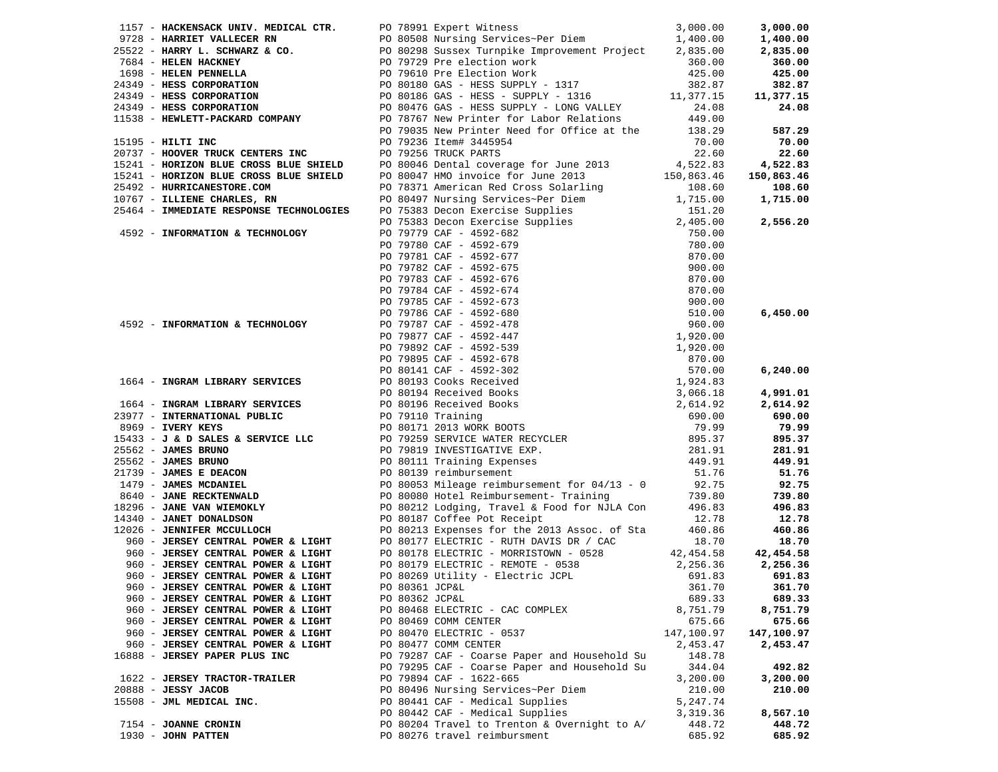|                                                                                                                |                |                                                                                                                                                                                                                                       |            | 3,000.00              |
|----------------------------------------------------------------------------------------------------------------|----------------|---------------------------------------------------------------------------------------------------------------------------------------------------------------------------------------------------------------------------------------|------------|-----------------------|
|                                                                                                                |                |                                                                                                                                                                                                                                       |            | 1,400.00              |
|                                                                                                                |                |                                                                                                                                                                                                                                       |            | 2,835.00              |
|                                                                                                                |                |                                                                                                                                                                                                                                       |            | 360.00                |
|                                                                                                                |                |                                                                                                                                                                                                                                       |            | 425.00                |
|                                                                                                                |                | 1157 – HARRISACK UNIV. MEDICAL CTR. PO 78991 Expert Witnes:<br>2728 – HARRIST VALLECER RN<br>2732 – HARRIST VALLECER RN<br>2732 – HARRY L. SCHWARZ & CO. PO 80508 Sursex Turnpike Improvement Project 2,835.00<br>278522 – HARRY L. S |            | 382.87                |
|                                                                                                                |                |                                                                                                                                                                                                                                       |            | 11,377.15             |
|                                                                                                                |                |                                                                                                                                                                                                                                       |            | 24.08                 |
|                                                                                                                |                |                                                                                                                                                                                                                                       |            |                       |
|                                                                                                                |                |                                                                                                                                                                                                                                       |            | 587.29                |
|                                                                                                                |                |                                                                                                                                                                                                                                       |            | 70.00                 |
|                                                                                                                |                |                                                                                                                                                                                                                                       |            | 22.60                 |
|                                                                                                                |                |                                                                                                                                                                                                                                       |            | 4,522.83              |
|                                                                                                                |                |                                                                                                                                                                                                                                       |            | 150,863.46            |
|                                                                                                                |                |                                                                                                                                                                                                                                       |            | 108.60                |
|                                                                                                                |                |                                                                                                                                                                                                                                       |            |                       |
|                                                                                                                |                |                                                                                                                                                                                                                                       |            | 1,715.00              |
|                                                                                                                |                |                                                                                                                                                                                                                                       |            |                       |
|                                                                                                                |                |                                                                                                                                                                                                                                       |            | 2,556.20              |
|                                                                                                                |                |                                                                                                                                                                                                                                       |            |                       |
|                                                                                                                |                |                                                                                                                                                                                                                                       |            |                       |
|                                                                                                                |                |                                                                                                                                                                                                                                       |            |                       |
|                                                                                                                |                |                                                                                                                                                                                                                                       |            |                       |
|                                                                                                                |                |                                                                                                                                                                                                                                       |            |                       |
|                                                                                                                |                |                                                                                                                                                                                                                                       |            |                       |
|                                                                                                                |                |                                                                                                                                                                                                                                       |            |                       |
|                                                                                                                |                |                                                                                                                                                                                                                                       |            | 6,450.00              |
|                                                                                                                |                |                                                                                                                                                                                                                                       |            |                       |
|                                                                                                                |                |                                                                                                                                                                                                                                       |            |                       |
|                                                                                                                |                |                                                                                                                                                                                                                                       |            |                       |
|                                                                                                                |                |                                                                                                                                                                                                                                       |            |                       |
|                                                                                                                |                |                                                                                                                                                                                                                                       |            | 6,240.00              |
|                                                                                                                |                | 15241 - NORIZON MAUS CROSS MAUS 2013 15341 - NORIZON MAUS CROSS MAUS 2013 15.0 2013<br>25441 - NORIZON MAUS CROSS BAUS SITELD PO 80046 Pethal coverage for June 2013<br>2546 - NORMAL CROSS PART AND CROSS PART ASSEMBLY TO 2013      |            |                       |
|                                                                                                                |                |                                                                                                                                                                                                                                       |            | 4,991.01              |
|                                                                                                                |                |                                                                                                                                                                                                                                       |            | 2,614.92              |
|                                                                                                                |                |                                                                                                                                                                                                                                       |            | 690.00                |
|                                                                                                                |                |                                                                                                                                                                                                                                       |            | 79.99                 |
|                                                                                                                |                |                                                                                                                                                                                                                                       |            | 895.37                |
|                                                                                                                |                |                                                                                                                                                                                                                                       |            | 281.91                |
|                                                                                                                |                |                                                                                                                                                                                                                                       |            | 449.91                |
|                                                                                                                |                |                                                                                                                                                                                                                                       |            | 51.76                 |
|                                                                                                                |                |                                                                                                                                                                                                                                       |            | 92.75                 |
|                                                                                                                |                |                                                                                                                                                                                                                                       |            | 739.80                |
|                                                                                                                |                |                                                                                                                                                                                                                                       |            | 496.83                |
|                                                                                                                |                |                                                                                                                                                                                                                                       |            | 12.78                 |
|                                                                                                                |                |                                                                                                                                                                                                                                       |            | 460.86                |
|                                                                                                                |                |                                                                                                                                                                                                                                       |            |                       |
|                                                                                                                |                | PO 80177 ELECTRIC - RUTH DAVIS DR / CAC                                                                                                                                                                                               | 18.70      | 18.70                 |
| 960 - JERSEY CENTRAL POWER & LIGHT<br>960 - JERSEY CENTRAL POWER & LIGHT<br>960 - JERSEY CENTRAL POWER & LIGHT |                | PO 80178 ELECTRIC - MORRISTOWN - 0528 42,454.58                                                                                                                                                                                       |            | 42,454.58<br>2,256.36 |
|                                                                                                                |                | PO 80179 ELECTRIC - REMOTE - 0538                                                                                                                                                                                                     | 2,256.36   |                       |
| 960 - JERSEY CENTRAL POWER & LIGHT                                                                             |                | PO 80269 Utility - Electric JCPL<br>PO 80361 JCP6I                                                                                                                                                                                    | 691.83     | 691.83                |
| 960 - JERSEY CENTRAL POWER & LIGHT                                                                             |                | PO 80361 JCP&L                                                                                                                                                                                                                        |            | 361.70 361.70         |
| 960 - JERSEY CENTRAL POWER & LIGHT                                                                             | PO 80362 JCP&L |                                                                                                                                                                                                                                       | 689.33     | 689.33                |
| 960 - JERSEY CENTRAL POWER & LIGHT                                                                             |                | PO 80468 ELECTRIC - CAC COMPLEX                                                                                                                                                                                                       | 8,751.79   | 8,751.79              |
| 960 - JERSEY CENTRAL POWER & LIGHT                                                                             |                | PO 80469 COMM CENTER                                                                                                                                                                                                                  | 675.66     | 675.66                |
| 960 - JERSEY CENTRAL POWER & LIGHT                                                                             |                | PO 80470 ELECTRIC - 0537                                                                                                                                                                                                              | 147,100.97 | 147,100.97            |
| 960 - JERSEY CENTRAL POWER & LIGHT                                                                             |                | PO 80477 COMM CENTER                                                                                                                                                                                                                  | 2,453.47   | 2,453.47              |
| 16888 - JERSEY PAPER PLUS INC                                                                                  |                | PO 79287 CAF - Coarse Paper and Household Su                                                                                                                                                                                          | 148.78     |                       |
|                                                                                                                |                | PO 79295 CAF - Coarse Paper and Household Su                                                                                                                                                                                          | 344.04     | 492.82                |
| 1622 - JERSEY TRACTOR-TRAILER                                                                                  |                | PO 79894 CAF - 1622-665                                                                                                                                                                                                               | 3,200.00   | 3,200.00              |
| 20888 - JESSY JACOB                                                                                            |                | PO 80496 Nursing Services~Per Diem                                                                                                                                                                                                    | 210.00     | 210.00                |
| 15508 - JML MEDICAL INC.                                                                                       |                | PO 80441 CAF - Medical Supplies                                                                                                                                                                                                       | 5,247.74   |                       |
|                                                                                                                |                | PO 80442 CAF - Medical Supplies                                                                                                                                                                                                       | 3,319.36   | 8,567.10              |
| 7154 - JOANNE CRONIN                                                                                           |                | PO 80204 Travel to Trenton & Overnight to A/                                                                                                                                                                                          | 448.72     | 448.72                |
| 1930 - JOHN PATTEN                                                                                             |                | PO 80276 travel reimbursment                                                                                                                                                                                                          | 685.92     | 685.92                |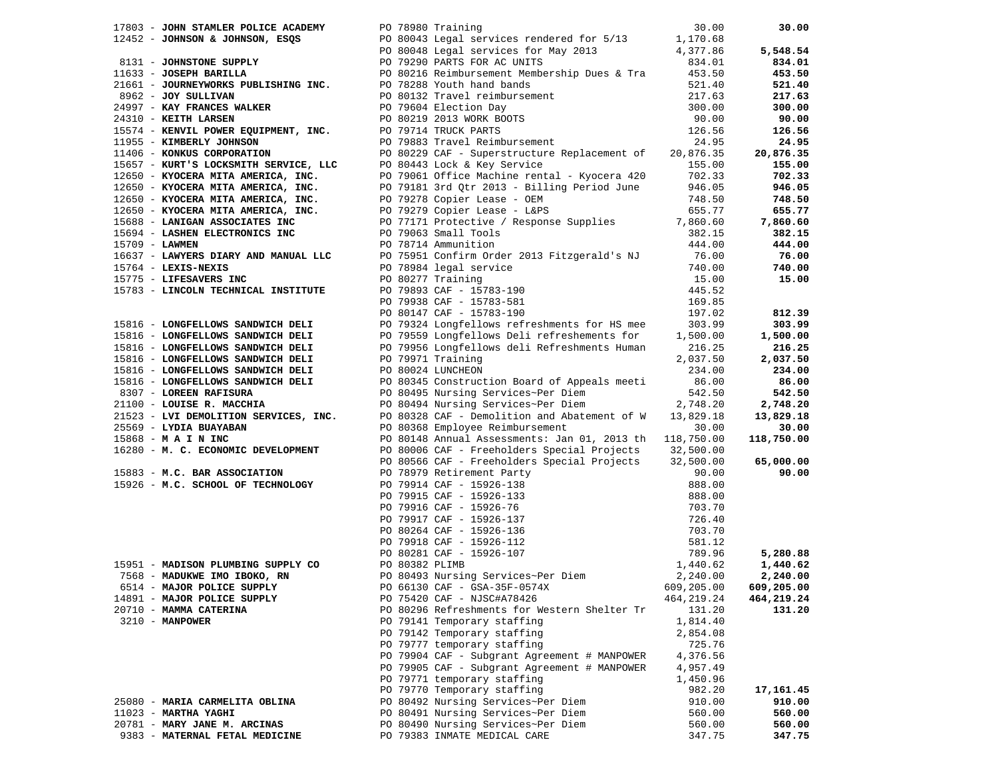|                | 17803 - JOHN STAMLER POLICE ACADEMY PO 78980 Training                                                                 |                   |                                                                                                                                                                                                                                                                          | 30.00      | 30.00                 |
|----------------|-----------------------------------------------------------------------------------------------------------------------|-------------------|--------------------------------------------------------------------------------------------------------------------------------------------------------------------------------------------------------------------------------------------------------------------------|------------|-----------------------|
|                |                                                                                                                       |                   |                                                                                                                                                                                                                                                                          |            |                       |
|                |                                                                                                                       |                   | 12452 - JOHNSON & JOHNSON, ESQS<br>8131 - JOHNSON SUPPLY<br>8131 - JOHNSTONE SUPPLY<br>834.01<br>834.01<br>834.01<br>834.01<br>834.01<br>834.01<br>835.50<br>8080216 Reimbursement Membership Dues & Tra<br>453.50                                                       |            | 5,548.54              |
|                |                                                                                                                       |                   |                                                                                                                                                                                                                                                                          |            | 834.01                |
|                |                                                                                                                       |                   |                                                                                                                                                                                                                                                                          |            | 453.50                |
|                | 21661 - JOURNEYWORKS PUBLISHING INC. PO 78288 Youth hand bands                                                        |                   | PO 78288 Youth hand bands<br>PO 80132 Travel reimbursement<br>PO 79604 Election Day<br>PO 80219 2013 WORK BOOTS<br>PO 79714 TRUCK PARTS<br>PO 79883 Travel Reimbursement                                                                                                 | 521.40     | 521.40                |
|                | 8962 - JOY SULLIVAN                                                                                                   |                   |                                                                                                                                                                                                                                                                          | 217.63     | 217.63                |
|                |                                                                                                                       |                   |                                                                                                                                                                                                                                                                          | 300.00     | 300.00                |
|                |                                                                                                                       |                   |                                                                                                                                                                                                                                                                          | 90.00      | 90.00                 |
|                |                                                                                                                       |                   |                                                                                                                                                                                                                                                                          | 126.56     | 126.56                |
|                |                                                                                                                       |                   |                                                                                                                                                                                                                                                                          | 24.95      | 24.95                 |
|                | 24997 - KAY FRANCES WALL.<br>24310 - KEITH LARSEN<br>15574 - KENVIL POWER EQUIPMENT, INC.<br>15574 - WIMBERLY JOHNSON |                   | PO 80229 CAF - Superstructure Replacement of 20,876.35                                                                                                                                                                                                                   |            |                       |
|                |                                                                                                                       |                   | 1406 - KONKUS CORPORATION<br>15657 - KURT'S LOCKSMITH SERVICE, LLC<br>12650 - KVOCERA MITA AMERICA, INC. PO 79061 Office Machine rental - Kyocera 420 702.33<br>12650 - KYOCERA MITA AMERICA, INC. PO 79181 3rd Qtr 2013 - Billing Peri                                  |            | 20,876.35             |
|                |                                                                                                                       |                   |                                                                                                                                                                                                                                                                          |            | 155.00                |
|                |                                                                                                                       |                   |                                                                                                                                                                                                                                                                          |            | 702.33                |
|                |                                                                                                                       |                   |                                                                                                                                                                                                                                                                          |            | 946.05                |
|                | 12650 - KYOCERA MITA AMERICA, INC.                                                                                    |                   |                                                                                                                                                                                                                                                                          | 748.50     | 748.50                |
|                | $12650$ - KYOCERA MITA AMERICA, INC.                                                                                  |                   | PO 79278 Copier Lease - OEM<br>PO 79279 Copier Lease - L&PS                                                                                                                                                                                                              | 655.77     | 655.77                |
|                | 15688 - LANIGAN ASSOCIATES INC                                                                                        |                   | PO 77171 Protective / Response Supplies 7,860.60                                                                                                                                                                                                                         |            | 7,860.60              |
|                | 15694 - LASHEN ELECTRONICS INC                                                                                        |                   | PO 79063 Small Tools                                                                                                                                                                                                                                                     | 382.15     | 382.15                |
| 15709 - LAWMEN |                                                                                                                       |                   | PO 78714 Ammunition                                                                                                                                                                                                                                                      | 444.00     | 444.00                |
|                | 16637 - LAWYERS DIARY AND MANUAL LLC                                                                                  |                   | PO 75951 Confirm Order 2013 Fitzgerald's NJ 76.00                                                                                                                                                                                                                        |            | 76.00                 |
|                | $15764$ - LEXIS-NEXIS                                                                                                 |                   |                                                                                                                                                                                                                                                                          | 740.00     | 740.00                |
|                | 15775 - LIFESAVERS INC                                                                                                |                   |                                                                                                                                                                                                                                                                          | 15.00      | 15.00                 |
|                | 15783 - LINCOLN TECHNICAL INSTITUTE                                                                                   |                   | PO 78984 legal service<br>PO 78984 legal service<br>PO 79893 CAF - 15783-190<br>PO 79938 CAF - 15783-581<br>PO 80147 CAF - 15783-190                                                                                                                                     | 445.52     |                       |
|                |                                                                                                                       |                   |                                                                                                                                                                                                                                                                          | 169.85     |                       |
|                |                                                                                                                       |                   |                                                                                                                                                                                                                                                                          | 197.02     | 812.39                |
|                | 15816 - LONGFELLOWS SANDWICH DELI                                                                                     |                   | PO 79324 Longfellows refreshments for HS mee 303.99                                                                                                                                                                                                                      |            | 303.99                |
|                |                                                                                                                       |                   |                                                                                                                                                                                                                                                                          |            |                       |
|                | 15816 - LONGFELLOWS SANDWICH DELI                                                                                     |                   | PO 79559 Longfellows Deli refreshements for 1,500.00<br>PO 79956 Longfellows deli Refreshments Human 216.25                                                                                                                                                              |            | 1,500.00              |
|                | 15816 - LONGFELLOWS SANDWICH DELI                                                                                     |                   |                                                                                                                                                                                                                                                                          |            | 216.25                |
|                | 15816 - LONGFELLOWS SANDWICH DELI                                                                                     | PO 79971 Training |                                                                                                                                                                                                                                                                          | 2,037.50   | 2,037.50              |
|                | 15816 - LONGFELLOWS SANDWICH DELI                                                                                     | PO 80024 LUNCHEON |                                                                                                                                                                                                                                                                          | 234.00     | 234.00                |
|                |                                                                                                                       |                   | 15816 - LONGFELLOWS SANDWICH DELI PO 80345 Construction Board of Appeals meeti 86.00<br>8307 - LOREEN RAFISURA PO 80495 Nursing Services~Per Diem 542.50                                                                                                                 |            | 86.00                 |
|                |                                                                                                                       |                   |                                                                                                                                                                                                                                                                          |            | 542.50                |
|                | 21100 - LOUISE R. MACCHIA                                                                                             |                   | PO 80494 Nursing Services~Per Diem 2,748.20                                                                                                                                                                                                                              |            | 2,748.20<br>13,829.18 |
|                | 21100 - LOUISE R. MACCHIA<br>21523 - LVI DEMOLITION SERVICES, INC.                                                    |                   | PO 80328 CAF - Demolition and Abatement of $W = 13,829.18$                                                                                                                                                                                                               |            | 13,829.18             |
|                | 25569 - LYDIA BUAYABAN                                                                                                |                   | PO 80368 Employee Reimbursement                                                                                                                                                                                                                                          | 30.00      | 30.00                 |
|                | 15868 - M A I N INC                                                                                                   |                   | PO 80148 Annual Assessments: Jan 01, 2013 th 118,750.00                                                                                                                                                                                                                  |            | 118,750.00            |
|                |                                                                                                                       |                   | 16280 - M. C. ECONOMIC DEVELOPMENT PO 80006 CAF - Freeholders Special Projects 32,500.00                                                                                                                                                                                 |            |                       |
|                |                                                                                                                       |                   | PO 80566 CAF - Freeholders Special Projects 32,500.00                                                                                                                                                                                                                    |            | 65,000.00             |
|                | 15883 - M.C. BAR ASSOCIATION                                                                                          |                   |                                                                                                                                                                                                                                                                          | 90.00      | 90.00                 |
|                |                                                                                                                       |                   |                                                                                                                                                                                                                                                                          | 888.00     |                       |
|                |                                                                                                                       |                   |                                                                                                                                                                                                                                                                          | 888.00     |                       |
|                |                                                                                                                       |                   |                                                                                                                                                                                                                                                                          | 703.70     |                       |
|                |                                                                                                                       |                   |                                                                                                                                                                                                                                                                          | 726.40     |                       |
|                |                                                                                                                       |                   |                                                                                                                                                                                                                                                                          | 703.70     |                       |
|                |                                                                                                                       |                   |                                                                                                                                                                                                                                                                          | 581.12     |                       |
|                |                                                                                                                       |                   |                                                                                                                                                                                                                                                                          | 789.96     | 5,280.88              |
|                |                                                                                                                       |                   | 15883 - <b>M.C. BAR ASSOCIATION</b><br>15926 - <b>M.C. SCHOOL OF TECHNOLOGY</b><br>15926 - <b>M.C. SCHOOL OF TECHNOLOGY</b><br>22<br>15926 - <b>M.C. SCHOOL OF TECHNOLOGY</b><br>22<br>24<br>25951 - <b>MADISON PLUMBING SUPPLY CO</b><br>279914 CAF - 15926-133<br>2799 | 1,440.62   | 1,440.62              |
|                |                                                                                                                       |                   |                                                                                                                                                                                                                                                                          |            | 2,240.00              |
|                |                                                                                                                       |                   |                                                                                                                                                                                                                                                                          | 2,240.00   | 609,205.00            |
|                |                                                                                                                       |                   |                                                                                                                                                                                                                                                                          | 609,205.00 |                       |
|                | 14891 - MAJOR POLICE SUPPLY                                                                                           |                   | PO 75420 CAF - NJSC#A78426                                                                                                                                                                                                                                               | 464,219.24 | 464,219.24            |
|                | 20710 - MAMMA CATERINA                                                                                                |                   | PO 80296 Refreshments for Western Shelter Tr                                                                                                                                                                                                                             | 131.20     | 131.20                |
|                | $3210 - MANPOWER$                                                                                                     |                   | PO 79141 Temporary staffing                                                                                                                                                                                                                                              | 1,814.40   |                       |
|                |                                                                                                                       |                   | PO 79142 Temporary staffing                                                                                                                                                                                                                                              | 2,854.08   |                       |
|                |                                                                                                                       |                   | PO 79777 temporary staffing                                                                                                                                                                                                                                              | 725.76     |                       |
|                |                                                                                                                       |                   | PO 79904 CAF - Subgrant Agreement # MANPOWER                                                                                                                                                                                                                             | 4,376.56   |                       |
|                |                                                                                                                       |                   | PO 79905 CAF - Subgrant Agreement # MANPOWER                                                                                                                                                                                                                             | 4,957.49   |                       |
|                |                                                                                                                       |                   | PO 79771 temporary staffing                                                                                                                                                                                                                                              | 1,450.96   |                       |
|                |                                                                                                                       |                   | PO 79770 Temporary staffing                                                                                                                                                                                                                                              | 982.20     | 17,161.45             |
|                | 25080 - MARIA CARMELITA OBLINA                                                                                        |                   | PO 80492 Nursing Services~Per Diem                                                                                                                                                                                                                                       | 910.00     | 910.00                |
|                | $11023$ - MARTHA YAGHI                                                                                                |                   | PO 80491 Nursing Services~Per Diem                                                                                                                                                                                                                                       | 560.00     | 560.00                |
|                | 20781 - MARY JANE M. ARCINAS                                                                                          |                   | PO 80490 Nursing Services~Per Diem                                                                                                                                                                                                                                       | 560.00     | 560.00                |
|                | 9383 - MATERNAL FETAL MEDICINE                                                                                        |                   | PO 79383 INMATE MEDICAL CARE                                                                                                                                                                                                                                             | 347.75     | 347.75                |
|                |                                                                                                                       |                   |                                                                                                                                                                                                                                                                          |            |                       |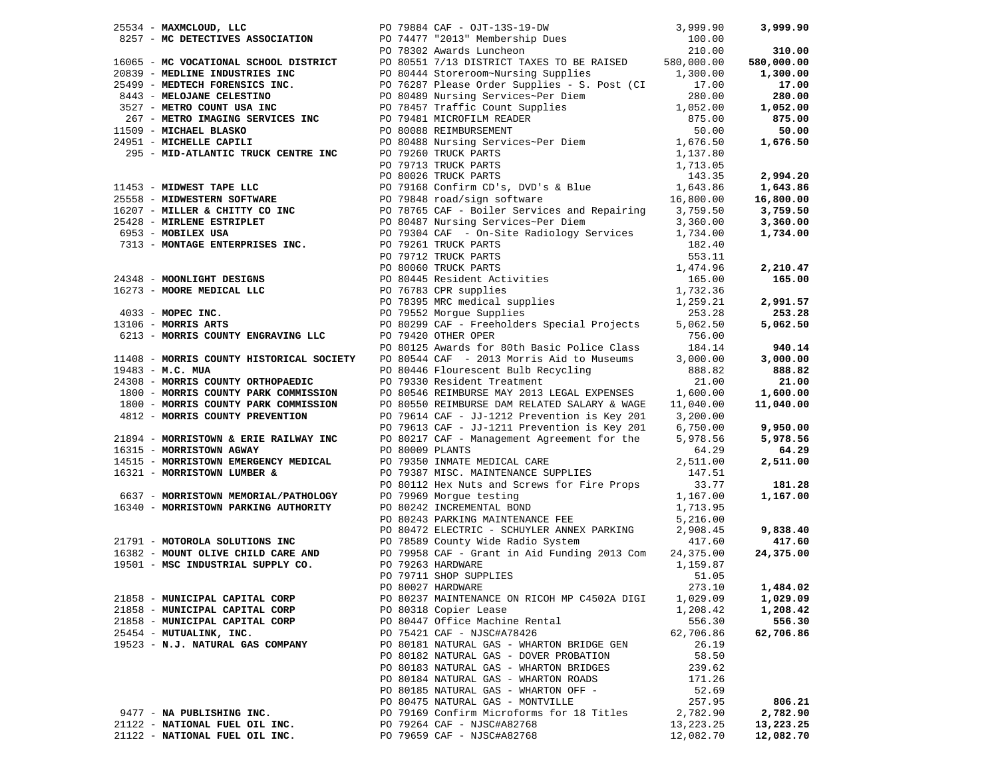| 25534 - MAXMCLOUD, LLC                                                                                                                                     |                 |                                                                                                                                                                                                                                                          |                    | 3,999.90   |
|------------------------------------------------------------------------------------------------------------------------------------------------------------|-----------------|----------------------------------------------------------------------------------------------------------------------------------------------------------------------------------------------------------------------------------------------------------|--------------------|------------|
|                                                                                                                                                            |                 |                                                                                                                                                                                                                                                          |                    |            |
|                                                                                                                                                            |                 |                                                                                                                                                                                                                                                          |                    | 310.00     |
|                                                                                                                                                            |                 |                                                                                                                                                                                                                                                          |                    | 580,000.00 |
|                                                                                                                                                            |                 |                                                                                                                                                                                                                                                          |                    | 1,300.00   |
|                                                                                                                                                            |                 |                                                                                                                                                                                                                                                          |                    | 17.00      |
|                                                                                                                                                            |                 |                                                                                                                                                                                                                                                          |                    | 280.00     |
|                                                                                                                                                            |                 |                                                                                                                                                                                                                                                          |                    | 1,052.00   |
|                                                                                                                                                            |                 |                                                                                                                                                                                                                                                          |                    | 875.00     |
|                                                                                                                                                            |                 |                                                                                                                                                                                                                                                          |                    | 50.00      |
|                                                                                                                                                            |                 |                                                                                                                                                                                                                                                          |                    | 1,676.50   |
|                                                                                                                                                            |                 |                                                                                                                                                                                                                                                          |                    |            |
|                                                                                                                                                            |                 |                                                                                                                                                                                                                                                          |                    |            |
|                                                                                                                                                            |                 |                                                                                                                                                                                                                                                          |                    | 2,994.20   |
|                                                                                                                                                            |                 |                                                                                                                                                                                                                                                          |                    |            |
|                                                                                                                                                            |                 |                                                                                                                                                                                                                                                          |                    | 1,643.86   |
|                                                                                                                                                            |                 |                                                                                                                                                                                                                                                          |                    | 16,800.00  |
|                                                                                                                                                            |                 |                                                                                                                                                                                                                                                          |                    | 3,759.50   |
|                                                                                                                                                            |                 |                                                                                                                                                                                                                                                          |                    | 3,360.00   |
|                                                                                                                                                            |                 |                                                                                                                                                                                                                                                          |                    | 1,734.00   |
|                                                                                                                                                            |                 |                                                                                                                                                                                                                                                          |                    |            |
| 99128 - MIRLENE BOINNIEL<br>6953 - MOBILEX USA BOY PO 79261 TRUCK PARTS<br>7313 - MONTAGE ENTERPRISES INC.<br>PO 79712 TRUCK PARTS<br>PO 79712 TRUCK PARTS |                 |                                                                                                                                                                                                                                                          |                    |            |
|                                                                                                                                                            |                 | 24348 - MOONLIGHT DESIGNS<br>24348 - MOONLIGHT DESIGNS<br>24348 - MOONLIGHT DESIGNS<br>26.11<br>255.11<br>255.11<br>26.00<br>267835 MCC PO 79739 SMC medical supplies<br>259.21<br>259.21<br>253.28<br>253.28<br>26213 - MORRIS GOUNTY ENGRAVING LLC<br> |                    | 2,210.47   |
|                                                                                                                                                            |                 |                                                                                                                                                                                                                                                          |                    | 165.00     |
|                                                                                                                                                            |                 |                                                                                                                                                                                                                                                          |                    |            |
|                                                                                                                                                            |                 |                                                                                                                                                                                                                                                          | 1, 259.21          | 2,991.57   |
|                                                                                                                                                            |                 |                                                                                                                                                                                                                                                          |                    | 253.28     |
|                                                                                                                                                            |                 |                                                                                                                                                                                                                                                          |                    | 5,062.50   |
| 6213 - MORRIS COUNTY ENGRAVING LLC PO 79420 OTHER OPER                                                                                                     |                 |                                                                                                                                                                                                                                                          |                    |            |
|                                                                                                                                                            |                 | PO 80125 Awards for 80th Basic Police Class                                                                                                                                                                                                              | 184.14             | 940.14     |
| 11408 - MORRIS COUNTY HISTORICAL SOCIETY                                                                                                                   |                 | PO 80544 CAF - 2013 Morris Aid to Museums                                                                                                                                                                                                                | 3,000.00           | 3,000.00   |
| $19483 - M.C. MUA$                                                                                                                                         |                 | PO 80446 Flourescent Bulb Recycling                                                                                                                                                                                                                      | 888.82             | 888.82     |
| 24308 - MORRIS COUNTY ORTHOPAEDIC                                                                                                                          |                 | PO 79330 Resident Treatment                                                                                                                                                                                                                              | 21.00              | 21.00      |
| 1800 - MORRIS COUNTY PARK COMMISSION                                                                                                                       |                 | PO 80546 REIMBURSE MAY 2013 LEGAL EXPENSES 1,600.00                                                                                                                                                                                                      |                    | 1,600.00   |
| 1800 - MORRIS COUNTY PARK COMMISSION                                                                                                                       |                 | PO 80550 REIMBURSE DAM RELATED SALARY & WAGE                                                                                                                                                                                                             | 11,040.00          | 11,040.00  |
| 4812 - MORRIS COUNTY PREVENTION                                                                                                                            |                 | PO 79614 CAF - JJ-1212 Prevention is Key 201                                                                                                                                                                                                             | 3,200.00           |            |
|                                                                                                                                                            |                 | PO 79613 CAF - JJ-1211 Prevention is Key 201 6,750.00                                                                                                                                                                                                    |                    | 9,950.00   |
|                                                                                                                                                            |                 | PO 80217 CAF - Management Agreement for the                                                                                                                                                                                                              | 5,978.56           | 5,978.56   |
| $21894$ - MORRISTOWN & ERIE RAILWAY INC<br>16315 - MORRISTOWN AGWAY                                                                                        | PO 80009 PLANTS |                                                                                                                                                                                                                                                          | 64.29              | 64.29      |
| 14515 - MORRISTOWN EMERGENCY MEDICAL                                                                                                                       |                 | PO 79350 INMATE MEDICAL CARE                                                                                                                                                                                                                             | 2,511.00           | 2,511.00   |
| 16321 - MORRISTOWN LUMBER &                                                                                                                                |                 | PO 79387 MISC. MAINTENANCE SUPPLIES                                                                                                                                                                                                                      | 147.51             |            |
|                                                                                                                                                            |                 | PO 80112 Hex Nuts and Screws for Fire Props                                                                                                                                                                                                              | 33.77              | 181.28     |
| 6637 - MORRISTOWN MEMORIAL/PATHOLOGY                                                                                                                       |                 |                                                                                                                                                                                                                                                          | 1,167.00           | 1,167.00   |
| 16340 - MORRISTOWN PARKING AUTHORITY                                                                                                                       |                 | FO 19909 MOrgue testing<br>PO 80242 INCREMENTAL BOND                                                                                                                                                                                                     |                    |            |
|                                                                                                                                                            |                 | PO 80243 PARKING MAINTENANCE FEE                                                                                                                                                                                                                         | 1,713.95           |            |
|                                                                                                                                                            |                 |                                                                                                                                                                                                                                                          | 5,216.00           |            |
|                                                                                                                                                            |                 | PO 80472 ELECTRIC - SCHUYLER ANNEX PARKING<br>21791 - MOTOROLA SOLUTIONS INC PO 78589 County Wide Radio System                                                                                                                                           | 2,908.45<br>417.60 | 9,838.40   |
|                                                                                                                                                            |                 |                                                                                                                                                                                                                                                          |                    | 417.60     |
| 16382 - MOUNT OLIVE CHILD CARE AND<br>19501 - MSC INDUSTRIAL SUPPLY CO.                                                                                    |                 | PO 79958 CAF - Grant in Aid Funding 2013 Com 24,375.00                                                                                                                                                                                                   |                    | 24,375.00  |
|                                                                                                                                                            |                 | PO 79263 HARDWARE                                                                                                                                                                                                                                        | 1,159.87           |            |
|                                                                                                                                                            |                 | PO 79711 SHOP SUPPLIES                                                                                                                                                                                                                                   | 51.05              |            |
|                                                                                                                                                            |                 | PO 80027 HARDWARE                                                                                                                                                                                                                                        | 273.10             | 1,484.02   |
| 21858 - MUNICIPAL CAPITAL CORP                                                                                                                             |                 | PO 80237 MAINTENANCE ON RICOH MP C4502A DIGI                                                                                                                                                                                                             | 1,029.09           | 1,029.09   |
| 21858 - MUNICIPAL CAPITAL CORP                                                                                                                             |                 | PO 80318 Copier Lease                                                                                                                                                                                                                                    | 1,208.42           | 1,208.42   |
| 21858 - MUNICIPAL CAPITAL CORP                                                                                                                             |                 | PO 80447 Office Machine Rental                                                                                                                                                                                                                           | 556.30             | 556.30     |
| 25454 - MUTUALINK, INC.                                                                                                                                    |                 | PO 75421 CAF - NJSC#A78426                                                                                                                                                                                                                               | 62,706.86          | 62,706.86  |
| 19523 - N.J. NATURAL GAS COMPANY                                                                                                                           |                 | PO 80181 NATURAL GAS - WHARTON BRIDGE GEN                                                                                                                                                                                                                | 26.19              |            |
|                                                                                                                                                            |                 | PO 80182 NATURAL GAS - DOVER PROBATION                                                                                                                                                                                                                   | 58.50              |            |
|                                                                                                                                                            |                 | PO 80183 NATURAL GAS - WHARTON BRIDGES                                                                                                                                                                                                                   | 239.62             |            |
|                                                                                                                                                            |                 | PO 80184 NATURAL GAS - WHARTON ROADS                                                                                                                                                                                                                     | 171.26             |            |
|                                                                                                                                                            |                 | PO 80185 NATURAL GAS - WHARTON OFF -                                                                                                                                                                                                                     | 52.69              |            |
|                                                                                                                                                            |                 | PO 80475 NATURAL GAS - MONTVILLE                                                                                                                                                                                                                         | 257.95             | 806.21     |
| 9477 - NA PUBLISHING INC.                                                                                                                                  |                 | PO 79169 Confirm Microforms for 18 Titles                                                                                                                                                                                                                | 2,782.90           | 2,782.90   |
| 21122 - NATIONAL FUEL OIL INC.                                                                                                                             |                 | PO 79264 CAF - NJSC#A82768                                                                                                                                                                                                                               | 13,223.25          | 13,223.25  |
| 21122 - NATIONAL FUEL OIL INC.                                                                                                                             |                 | PO 79659 CAF - NJSC#A82768                                                                                                                                                                                                                               | 12,082.70          | 12,082.70  |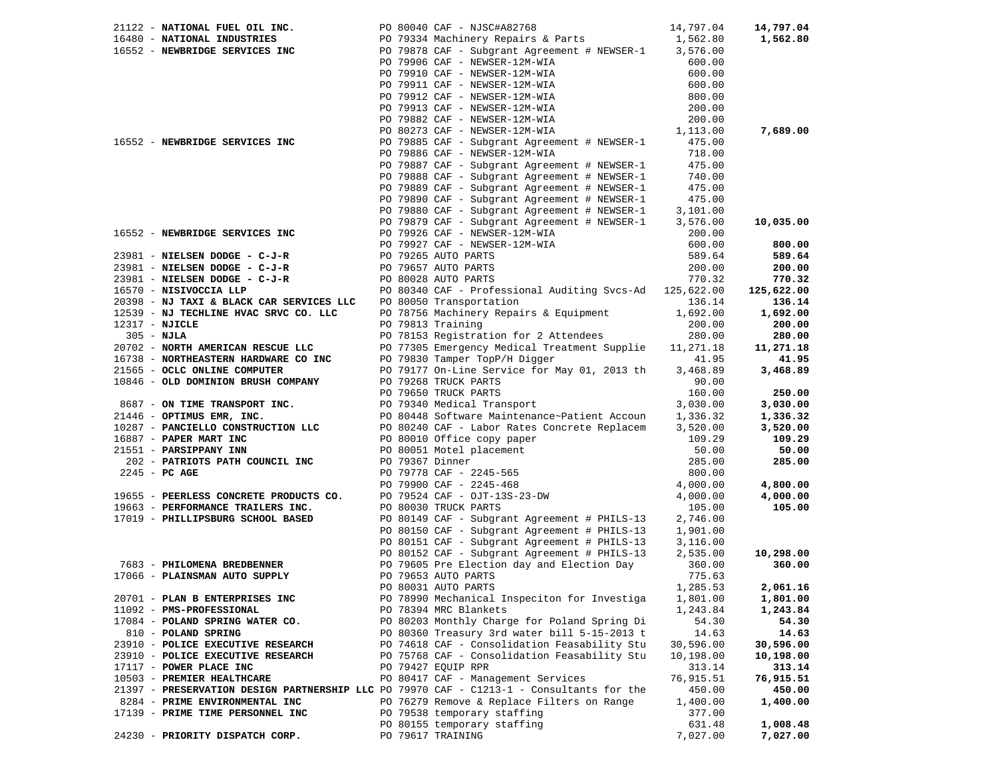|                | 21122 - NATIONAL FUEL OIL INC.                                                           |  | 14,797.04<br>PO 80040 CAF - NJSC#A82768                                                                                         |           | 14,797.04  |
|----------------|------------------------------------------------------------------------------------------|--|---------------------------------------------------------------------------------------------------------------------------------|-----------|------------|
|                | 16480 - NATIONAL INDUSTRIES                                                              |  | PO 79334 Machinery Repairs & Parts                                                                                              |           | 1,562.80   |
|                | 16552 - NEWBRIDGE SERVICES INC                                                           |  |                                                                                                                                 |           |            |
|                |                                                                                          |  | PO 79906 CAF - NEWSER-12M-WIA                                                                                                   | 600.00    |            |
|                |                                                                                          |  | PO 79910 CAF - NEWSER-12M-WIA                                                                                                   | 600.00    |            |
|                |                                                                                          |  | PO 79911 CAF - NEWSER-12M-WIA                                                                                                   | 600.00    |            |
|                |                                                                                          |  | PO 79912 CAF - NEWSER-12M-WIA                                                                                                   | 800.00    |            |
|                |                                                                                          |  | PO 79913 CAF - NEWSER-12M-WIA                                                                                                   | 200.00    |            |
|                |                                                                                          |  | PO 79882 CAF - NEWSER-12M-WIA                                                                                                   | 200.00    |            |
|                |                                                                                          |  | PO 80273 CAF - NEWSER-12M-WIA                                                                                                   | 1,113.00  | 7,689.00   |
|                | 16552 - NEWBRIDGE SERVICES INC                                                           |  | PO 79885 CAF - Subgrant Agreement # NEWSER-1                                                                                    | 475.00    |            |
|                |                                                                                          |  | PO 79886 CAF - NEWSER-12M-WIA                                                                                                   | 718.00    |            |
|                |                                                                                          |  | PO 79887 CAF - Subgrant Agreement # NEWSER-1                                                                                    | 475.00    |            |
|                |                                                                                          |  | PO 79888 CAF - Subgrant Agreement # NEWSER-1                                                                                    | 740.00    |            |
|                |                                                                                          |  | PO 79889 CAF - Subgrant Agreement # NEWSER-1                                                                                    | 475.00    |            |
|                |                                                                                          |  | PO 79890 CAF - Subgrant Agreement # NEWSER-1                                                                                    | 475.00    |            |
|                |                                                                                          |  | PO 79890 CAF - Subgrant Agreement # NEWSER-1<br>PO 79880 CAF - Subgrant Agreement # NEWSER-1                                    | 3,101.00  |            |
|                |                                                                                          |  | PO 79879 CAF - Subgrant Agreement # NEWSER-1                                                                                    | 3,576.00  | 10,035.00  |
|                | 16552 - NEWBRIDGE SERVICES INC                                                           |  | PO 79926 CAF - NEWSER-12M-WIA                                                                                                   | 200.00    |            |
|                |                                                                                          |  | PO 79927 CAF - NEWSER-12M-WIA                                                                                                   | 600.00    | 800.00     |
|                | 23981 - NIELSEN DODGE - C-J-R                                                            |  | PO 79265 AUTO PARTS                                                                                                             | 589.64    | 589.64     |
|                | 23981 - NIELSEN DODGE - C-J-R                                                            |  | PO 79657 AUTO PARTS                                                                                                             | 200.00    | 200.00     |
|                | 23981 - NIELSEN DODGE - C-J-R                                                            |  | PO 80028 AUTO PARTS                                                                                                             | 770.32    | 770.32     |
|                | 16570 - NISIVOCCIA LLP                                                                   |  | PO 80340 CAF - Professional Auditing Svcs-Ad 125,622.00                                                                         |           | 125,622.00 |
|                | 20398 - NJ TAXI & BLACK CAR SERVICES LLC                                                 |  | PO 80050 Transportation                                                                                                         | 136.14    | 136.14     |
|                | 12539 - NJ TECHLINE HVAC SRVC CO. LLC                                                    |  | PO 78756 Machinery Repairs & Equipment                                                                                          | 1,692.00  | 1,692.00   |
| 12317 - NJICLE |                                                                                          |  | PO 79813 Training                                                                                                               | 200.00    | 200.00     |
| $305 - NJLA$   |                                                                                          |  | PO 78153 Registration for 2 Attendees                                                                                           | 280.00    | 280.00     |
|                | 20702 - NORTH AMERICAN RESCUE LLC                                                        |  | PO 77305 Emergency Medical Treatment Supplie 11,271.18                                                                          |           | 11,271.18  |
|                | 16738 - NORTHEASTERN HARDWARE CO INC                                                     |  | PO 79830 Tamper TopP/H Digger                                                                                                   | 41.95     | 41.95      |
|                | 21565 - OCLC ONLINE COMPUTER                                                             |  | PO 79177 On-Line Service for May 01, 2013 th                                                                                    | 3,468.89  | 3,468.89   |
|                | 10846 - OLD DOMINION BRUSH COMPANY                                                       |  | PO 79268 TRUCK PARTS                                                                                                            | 90.00     |            |
|                |                                                                                          |  | PO 79650 TRUCK PARTS                                                                                                            | 160.00    | 250.00     |
|                | 8687 - ON TIME TRANSPORT INC.                                                            |  | PO 79340 Medical Transport                                                                                                      | 3,030.00  | 3,030.00   |
|                | 21446 - OPTIMUS EMR, INC.                                                                |  | PO 80448 Software Maintenance~Patient Accoun                                                                                    | 1,336.32  | 1,336.32   |
|                | 10287 - PANCIELLO CONSTRUCTION LLC                                                       |  | PO 80240 CAF - Labor Rates Concrete Replacem                                                                                    | 3,520.00  | 3,520.00   |
|                | 16887 - PAPER MART INC                                                                   |  |                                                                                                                                 | 109.29    | 109.29     |
|                | 21551 - PARSIPPANY INN                                                                   |  | PO 80010 Office copy paper<br>PO 80051 Motel placement<br>PO 79367 Dinner<br>PO 79778 CAF - 2245-565<br>PO 79900 CAF - 2245-468 | 50.00     | 50.00      |
|                | 202 - PATRIOTS PATH COUNCIL INC                                                          |  |                                                                                                                                 | 285.00    | 285.00     |
|                | $2245$ - PC AGE                                                                          |  |                                                                                                                                 | 800.00    |            |
|                |                                                                                          |  |                                                                                                                                 | 4,000.00  | 4,800.00   |
|                | 19655 - PEERLESS CONCRETE PRODUCTS CO.                                                   |  | PO 79524 CAF - OJT-13S-23-DW                                                                                                    | 4,000.00  | 4,000.00   |
|                | 19663 - PERFORMANCE TRAILERS INC.                                                        |  | PO 80030 TRUCK PARTS                                                                                                            | 105.00    | 105.00     |
|                | 17019 - PHILLIPSBURG SCHOOL BASED                                                        |  | PO 80149 CAF - Subgrant Agreement # PHILS-13                                                                                    | 2,746.00  |            |
|                |                                                                                          |  | PO 80150 CAF - Subgrant Agreement # PHILS-13                                                                                    | 1,901.00  |            |
|                |                                                                                          |  | PO 80151 CAF - Subgrant Agreement # PHILS-13                                                                                    | 3,116.00  |            |
|                |                                                                                          |  | PO 80152 CAF - Subgrant Agreement # PHILS-13                                                                                    | 2,535.00  | 10,298.00  |
|                | 7683 - PHILOMENA BREDBENNER                                                              |  | PO 79605 Pre Election day and Election Day                                                                                      | 360.00    | 360.00     |
|                | 17066 - PLAINSMAN AUTO SUPPLY                                                            |  | PO 79653 AUTO PARTS                                                                                                             | 775.63    |            |
|                |                                                                                          |  | PO 80031 AUTO PARTS                                                                                                             | 1,285.53  | 2,061.16   |
|                | 20701 - PLAN B ENTERPRISES INC                                                           |  | PO 78990 Mechanical Inspeciton for Investiga                                                                                    | 1,801.00  | 1,801.00   |
|                | 11092 - PMS-PROFESSIONAL                                                                 |  | PO 78394 MRC Blankets                                                                                                           | 1,243.84  | 1,243.84   |
|                | 17084 - POLAND SPRING WATER CO.                                                          |  | PO 80203 Monthly Charge for Poland Spring Di                                                                                    | 54.30     | 54.30      |
|                | 810 - POLAND SPRING                                                                      |  | PO 80360 Treasury 3rd water bill 5-15-2013 t                                                                                    | 14.63     | 14.63      |
|                | 23910 - POLICE EXECUTIVE RESEARCH                                                        |  | PO 74618 CAF - Consolidation Feasability Stu                                                                                    | 30,596.00 | 30,596.00  |
|                | 23910 - POLICE EXECUTIVE RESEARCH                                                        |  | PO 75768 CAF - Consolidation Feasability Stu                                                                                    | 10,198.00 | 10,198.00  |
|                | 17117 - POWER PLACE INC                                                                  |  | PO 79427 EQUIP RPR                                                                                                              | 313.14    | 313.14     |
|                | 10503 - PREMIER HEALTHCARE                                                               |  | PO 80417 CAF - Management Services                                                                                              | 76,915.51 | 76,915.51  |
|                | 21397 - PRESERVATION DESIGN PARTNERSHIP LLC PO 79970 CAF - C1213-1 - Consultants for the |  |                                                                                                                                 | 450.00    | 450.00     |
|                | 8284 - PRIME ENVIRONMENTAL INC                                                           |  | PO 76279 Remove & Replace Filters on Range                                                                                      | 1,400.00  | 1,400.00   |
|                | 17139 - PRIME TIME PERSONNEL INC                                                         |  | PO 79538 temporary staffing                                                                                                     | 377.00    |            |
|                |                                                                                          |  | PO 80155 temporary staffing                                                                                                     | 631.48    | 1,008.48   |
|                | 24230 - PRIORITY DISPATCH CORP.                                                          |  | PO 79617 TRAINING                                                                                                               | 7,027.00  | 7,027.00   |
|                |                                                                                          |  |                                                                                                                                 |           |            |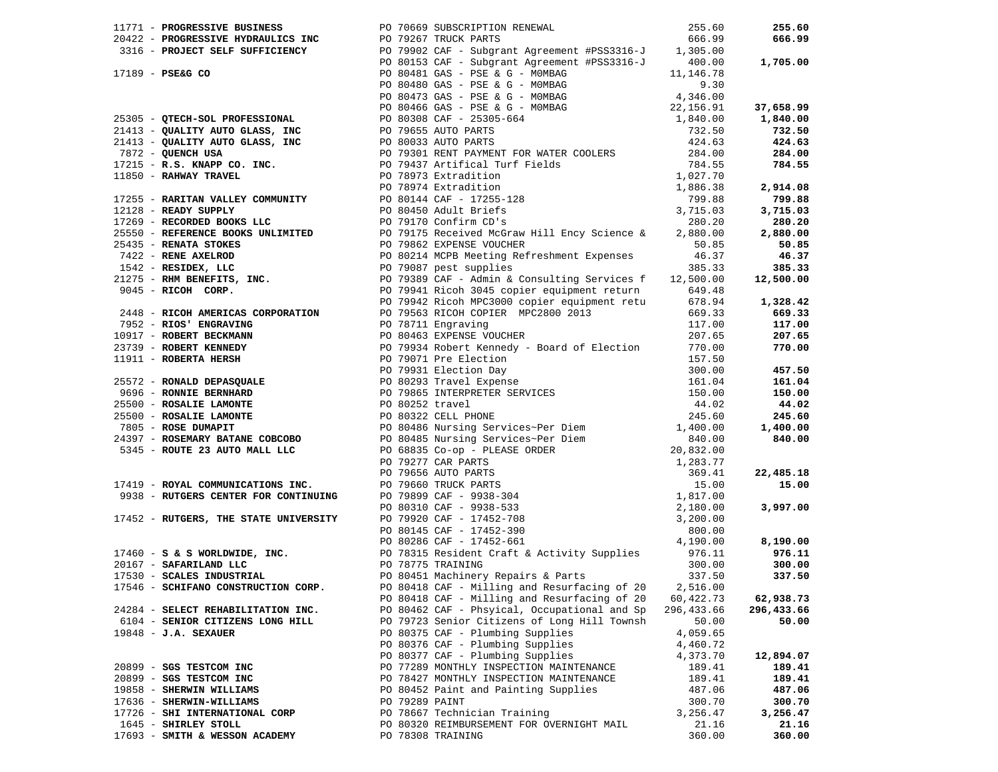|  |                                    |                | 1771 PROGRAMS AND MUNICIPAL AND 1975 CONTROL COMPANY (1975) 2015, 2013<br>2013 - FRONT FRA PROPERTING CONTROL COMPANY (1975) 2013 - AND THE COMPANY (1975) 2013 - 2013 - 2014 2013<br>2013 - PRODUCT FRA PROPERTING CONTROL COMPA |           |            |
|--|------------------------------------|----------------|-----------------------------------------------------------------------------------------------------------------------------------------------------------------------------------------------------------------------------------|-----------|------------|
|  |                                    |                |                                                                                                                                                                                                                                   |           |            |
|  |                                    |                |                                                                                                                                                                                                                                   |           |            |
|  |                                    |                |                                                                                                                                                                                                                                   |           |            |
|  |                                    |                | PO 80418 CAF - Milling and Resurfacing of 20                                                                                                                                                                                      | 60,422.73 | 62,938.73  |
|  | 24284 - SELECT REHABILITATION INC. |                | PO 80462 CAF - Phsyical, Occupational and Sp 296,433.66                                                                                                                                                                           |           | 296,433.66 |
|  | 6104 - SENIOR CITIZENS LONG HILL   |                | PO 79723 Senior Citizens of Long Hill Townsh                                                                                                                                                                                      | 50.00     | 50.00      |
|  | $19848 - J.A.$ SEXAUER             |                | PO 80375 CAF - Plumbing Supplies                                                                                                                                                                                                  | 4,059.65  |            |
|  |                                    |                | PO 80376 CAF - Plumbing Supplies                                                                                                                                                                                                  | 4,460.72  |            |
|  |                                    |                | PO 80377 CAF - Plumbing Supplies                                                                                                                                                                                                  | 4,373.70  | 12,894.07  |
|  | 20899 - SGS TESTCOM INC            |                | PO 77289 MONTHLY INSPECTION MAINTENANCE                                                                                                                                                                                           | 189.41    | 189.41     |
|  | 20899 - SGS TESTCOM INC            |                | PO 78427 MONTHLY INSPECTION MAINTENANCE                                                                                                                                                                                           | 189.41    | 189.41     |
|  | 19858 - SHERWIN WILLIAMS           |                | PO 80452 Paint and Painting Supplies                                                                                                                                                                                              | 487.06    | 487.06     |
|  | 17636 - SHERWIN-WILLIAMS           | PO 79289 PAINT |                                                                                                                                                                                                                                   | 300.70    | 300.70     |
|  | 17726 - SHI INTERNATIONAL CORP     |                | PO 78667 Technician Training                                                                                                                                                                                                      | 3,256.47  | 3,256.47   |
|  | 1645 - SHIRLEY STOLL               |                | PO 80320 REIMBURSEMENT FOR OVERNIGHT MAIL                                                                                                                                                                                         | 21.16     | 21.16      |
|  | 17693 - SMITH & WESSON ACADEMY     |                | PO 78308 TRAINING                                                                                                                                                                                                                 | 360.00    | 360.00     |
|  |                                    |                |                                                                                                                                                                                                                                   |           |            |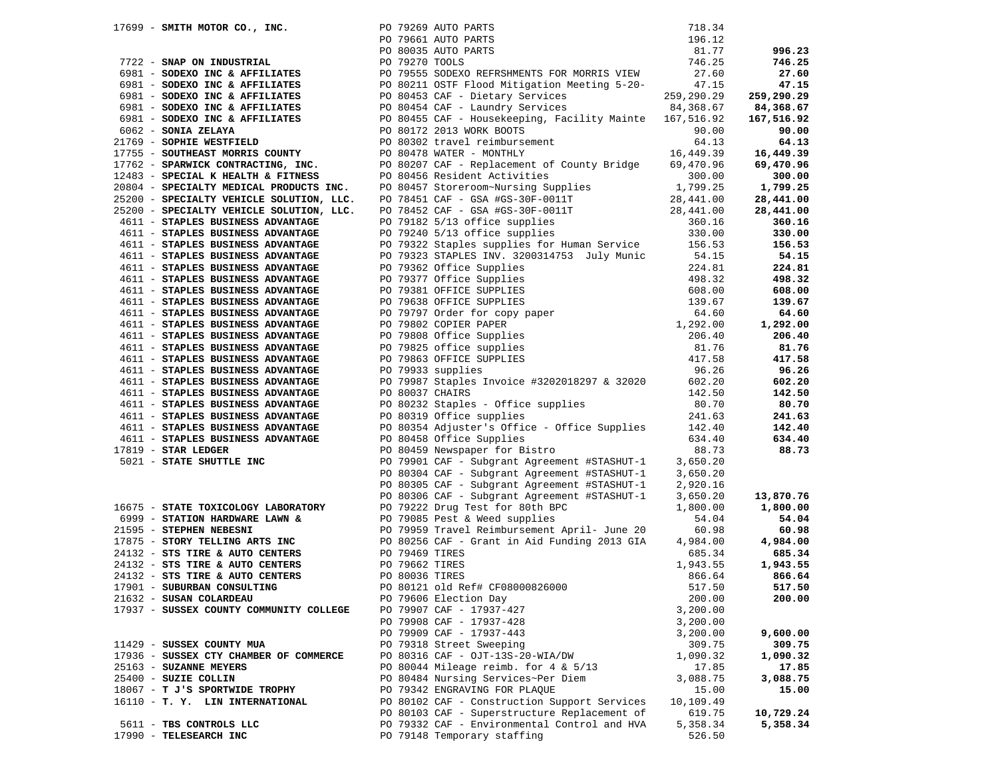|                                        |                                                                                                                              |  | 17699 - SMITH MOTOR CO., INC.<br>PO 79269 AUTO PARTS<br>PO 79269 AUTO PARTS<br>PO 79661 AUTO PARTS<br>PO 80035 AUTO PARTS<br>PO 80035 AUTO PARTS<br>PO 79270 TOOLS<br>27.60<br>981 - SODEXO INC & AFFILIATES<br>6981 - SODEXO INC & AFFILIATES<br>                                                                                                                                                                                                                          |           |            |
|----------------------------------------|------------------------------------------------------------------------------------------------------------------------------|--|-----------------------------------------------------------------------------------------------------------------------------------------------------------------------------------------------------------------------------------------------------------------------------------------------------------------------------------------------------------------------------------------------------------------------------------------------------------------------------|-----------|------------|
|                                        |                                                                                                                              |  |                                                                                                                                                                                                                                                                                                                                                                                                                                                                             |           | 996.23     |
|                                        |                                                                                                                              |  |                                                                                                                                                                                                                                                                                                                                                                                                                                                                             |           | 746.25     |
|                                        |                                                                                                                              |  |                                                                                                                                                                                                                                                                                                                                                                                                                                                                             |           | 27.60      |
|                                        |                                                                                                                              |  |                                                                                                                                                                                                                                                                                                                                                                                                                                                                             |           | 47.15      |
|                                        |                                                                                                                              |  |                                                                                                                                                                                                                                                                                                                                                                                                                                                                             |           | 259,290.29 |
|                                        |                                                                                                                              |  |                                                                                                                                                                                                                                                                                                                                                                                                                                                                             |           | 84,368.67  |
|                                        |                                                                                                                              |  |                                                                                                                                                                                                                                                                                                                                                                                                                                                                             |           | 167,516.92 |
|                                        |                                                                                                                              |  |                                                                                                                                                                                                                                                                                                                                                                                                                                                                             |           | 90.00      |
|                                        |                                                                                                                              |  |                                                                                                                                                                                                                                                                                                                                                                                                                                                                             |           | 64.13      |
|                                        |                                                                                                                              |  |                                                                                                                                                                                                                                                                                                                                                                                                                                                                             |           | 16,449.39  |
|                                        |                                                                                                                              |  |                                                                                                                                                                                                                                                                                                                                                                                                                                                                             |           | 69,470.96  |
|                                        | 12483 - SPECIAL K HEALTH & FITNESS                                                                                           |  |                                                                                                                                                                                                                                                                                                                                                                                                                                                                             |           | 300.00     |
|                                        | 20804 - SPECIALTY MEDICAL PRODUCTS INC.                                                                                      |  |                                                                                                                                                                                                                                                                                                                                                                                                                                                                             |           | 1,799.25   |
|                                        | 25200 - SPECIALTY VEHICLE SOLUTION, LLC.                                                                                     |  | PO 80497 CAF - Replacement of County Diruge<br>PO 80456 Resident Activities<br>PO 80457 Storeroom-Nursing Supplies<br>PO 78451 CAF - GSA #GS-30F-0011T<br>PO 78452 CAF - GSA #GS-30F-0011T<br>PO 79182 5/13 office supplies<br>PO 79182 5/                                                                                                                                                                                                                                  |           | 28,441.00  |
|                                        | 25200 - SPECIALTY VEHICLE SOLUTION, LLC.                                                                                     |  |                                                                                                                                                                                                                                                                                                                                                                                                                                                                             |           | 28,441.00  |
| 4611 - STAPLES BUSINESS ADVANTAGE      |                                                                                                                              |  |                                                                                                                                                                                                                                                                                                                                                                                                                                                                             |           | 360.16     |
|                                        | 4611 - STAPLES BUSINESS ADVANTAGE                                                                                            |  |                                                                                                                                                                                                                                                                                                                                                                                                                                                                             |           | 330.00     |
|                                        | 4611 - STAPLES BUSINESS ADVANTAGE                                                                                            |  |                                                                                                                                                                                                                                                                                                                                                                                                                                                                             |           | 156.53     |
|                                        | 4611 - STAPLES BUSINESS ADVANTAGE                                                                                            |  |                                                                                                                                                                                                                                                                                                                                                                                                                                                                             |           | 54.15      |
|                                        | 4611 - STAPLES BUSINESS ADVANTAGE                                                                                            |  |                                                                                                                                                                                                                                                                                                                                                                                                                                                                             |           | 224.81     |
|                                        | 4611 - STAPLES BUSINESS ADVANTAGE                                                                                            |  | PO 79240 5/13 office supplies<br>PO 79322 Staples supplies for Human Service<br>PO 79323 STAPLES INV. 3200314753 July Munic 54.15<br>PO 79362 Office Supplies<br>224.81<br>PO 79362 Office Supplies<br>224.81<br>224.81<br>PO 79362 STATELES<br>PO 79362 STATELES<br>PO 79362 Office Supplies<br>PO 79377 Office Supplies<br>PO 79377 Office Supplies<br>PO 79381 OFFICE SUPPLIES<br>PO 79638 OFFICE SUPPLIES<br>PO 79802 COPIER PAPER<br>PO 79802 COPIER PAPER<br>PO 79803 |           | 498.32     |
|                                        | 4611 - STAPLES BUSINESS ADVANTAGE                                                                                            |  |                                                                                                                                                                                                                                                                                                                                                                                                                                                                             |           | 608.00     |
|                                        | 4611 - STAPLES BUSINESS ADVANTAGE                                                                                            |  |                                                                                                                                                                                                                                                                                                                                                                                                                                                                             |           | 139.67     |
|                                        | 4611 - STAPLES BUSINESS ADVANTAGE                                                                                            |  |                                                                                                                                                                                                                                                                                                                                                                                                                                                                             |           | 64.60      |
|                                        | 4611 - STAPLES BUSINESS ADVANTAGE                                                                                            |  |                                                                                                                                                                                                                                                                                                                                                                                                                                                                             |           | 1,292.00   |
|                                        | 4611 - STAPLES BUSINESS ADVANTAGE                                                                                            |  |                                                                                                                                                                                                                                                                                                                                                                                                                                                                             |           | 206.40     |
|                                        | 4611 - STAPLES BUSINESS ADVANTAGE                                                                                            |  |                                                                                                                                                                                                                                                                                                                                                                                                                                                                             |           | 81.76      |
| 4611 - STAPLES BUSINESS ADVANTAGE      |                                                                                                                              |  |                                                                                                                                                                                                                                                                                                                                                                                                                                                                             |           | 417.58     |
|                                        | 4611 - STAPLES BUSINESS ADVANTAGE                                                                                            |  |                                                                                                                                                                                                                                                                                                                                                                                                                                                                             |           | 96.26      |
| 4611 - STAPLES BUSINESS ADVANTAGE      |                                                                                                                              |  | PO 79987 Staples Invoice #3202018297 & 32020 602.20                                                                                                                                                                                                                                                                                                                                                                                                                         |           | 602.20     |
| 4611 - STAPLES BUSINESS ADVANTAGE      |                                                                                                                              |  | PO 80037 CHAIRS                                                                                                                                                                                                                                                                                                                                                                                                                                                             | 142.50    | 142.50     |
| 4611 - STAPLES BUSINESS ADVANTAGE      |                                                                                                                              |  | PO 80232 Staples - Office supplies<br>PO 80319 Office supplies                                                                                                                                                                                                                                                                                                                                                                                                              | 80.70     | 80.70      |
|                                        | 4611 - STAPLES BUSINESS ADVANTAGE                                                                                            |  | PO 80319 Office supplies                                                                                                                                                                                                                                                                                                                                                                                                                                                    | 241.63    | 241.63     |
|                                        | 4611 - STAPLES BUSINESS ADVANTAGE                                                                                            |  | PO 80354 Adjuster's Office - Office Supplies 142.40                                                                                                                                                                                                                                                                                                                                                                                                                         |           | 142.40     |
|                                        | 4611 - STAPLES BUSINESS ADVANTAGE                                                                                            |  | PO 80458 Office Supplies                                                                                                                                                                                                                                                                                                                                                                                                                                                    | 634.40    | 634.40     |
| $17819$ - STAR LEDGER                  |                                                                                                                              |  | PO 80459 Newspaper for Bistro                                                                                                                                                                                                                                                                                                                                                                                                                                               | 88.73     | 88.73      |
| 5021 - STATE SHUTTLE INC               |                                                                                                                              |  | PO 79901 CAF - Subgrant Agreement #STASHUT-1                                                                                                                                                                                                                                                                                                                                                                                                                                | 3,650.20  |            |
|                                        |                                                                                                                              |  | PO 80304 CAF - Subgrant Agreement #STASHUT-1                                                                                                                                                                                                                                                                                                                                                                                                                                | 3,650.20  |            |
|                                        |                                                                                                                              |  | PO 80305 CAF - Subgrant Agreement #STASHUT-1                                                                                                                                                                                                                                                                                                                                                                                                                                | 2,920.16  |            |
|                                        |                                                                                                                              |  | PO 80306 CAF - Subgrant Agreement #STASHUT-1                                                                                                                                                                                                                                                                                                                                                                                                                                | 3,650.20  | 13,870.76  |
|                                        |                                                                                                                              |  | PO 79222 Drug Test for 80th BPC<br>PO 79085 Pest & Weed supplies                                                                                                                                                                                                                                                                                                                                                                                                            | 1,800.00  | 1,800.00   |
|                                        | 16675 - STATE TOXICOLOGY LABORATORY<br>6999 - STATION HARDWARE LAWN &                                                        |  | PO 79085 Pest & Weed supplies                                                                                                                                                                                                                                                                                                                                                                                                                                               | 54.04     | 54.04      |
|                                        |                                                                                                                              |  |                                                                                                                                                                                                                                                                                                                                                                                                                                                                             | 60.98     | 60.98      |
|                                        |                                                                                                                              |  | 21595 - STEPHEN NEBESNI<br>17875 - STORY TELLING ARTS INC<br>2009 - PO 80256 CAF - Grant in Aid Funding 2013 GIA                                                                                                                                                                                                                                                                                                                                                            | 4,984.00  | 4,984.00   |
|                                        | 24132 - STS TIRE & AUTO CENTERS<br>24132 - STS TIRE & AUTO CENTERS<br>24132 - STS TIRE & AUTO CENTERS<br>29 - PO 79662 TIRES |  |                                                                                                                                                                                                                                                                                                                                                                                                                                                                             | 685.34    | 685.34     |
|                                        |                                                                                                                              |  |                                                                                                                                                                                                                                                                                                                                                                                                                                                                             | 1,943.55  | 1,943.55   |
|                                        | 24132 - STS TIRE & AUTO CENTERS                                                                                              |  | PO 80036 TIRES                                                                                                                                                                                                                                                                                                                                                                                                                                                              | 866.64    | 866.64     |
| 17901 - SUBURBAN CONSULTING            |                                                                                                                              |  | PO 80121 old Ref# CF08000826000                                                                                                                                                                                                                                                                                                                                                                                                                                             | 517.50    | 517.50     |
| 21632 - SUSAN COLARDEAU                |                                                                                                                              |  | PO 79606 Election Day                                                                                                                                                                                                                                                                                                                                                                                                                                                       | 200.00    | 200.00     |
|                                        | 17937 - SUSSEX COUNTY COMMUNITY COLLEGE                                                                                      |  | PO 79907 CAF - 17937-427                                                                                                                                                                                                                                                                                                                                                                                                                                                    | 3,200.00  |            |
|                                        |                                                                                                                              |  | PO 79908 CAF - 17937-428                                                                                                                                                                                                                                                                                                                                                                                                                                                    | 3,200.00  |            |
|                                        |                                                                                                                              |  | PO 79909 CAF - 17937-443                                                                                                                                                                                                                                                                                                                                                                                                                                                    | 3,200.00  | 9,600.00   |
| 11429 - SUSSEX COUNTY MUA              |                                                                                                                              |  | PO 79318 Street Sweeping                                                                                                                                                                                                                                                                                                                                                                                                                                                    | 309.75    | 309.75     |
| 17936 - SUSSEX CTY CHAMBER OF COMMERCE |                                                                                                                              |  | PO 80316 CAF - OJT-13S-20-WIA/DW                                                                                                                                                                                                                                                                                                                                                                                                                                            | 1,090.32  | 1,090.32   |
| 25163 - SUZANNE MEYERS                 |                                                                                                                              |  | PO 80044 Mileage reimb. for $4 \times 5/13$                                                                                                                                                                                                                                                                                                                                                                                                                                 | 17.85     | 17.85      |
| 25400 - SUZIE COLLIN                   |                                                                                                                              |  | PO 80484 Nursing Services~Per Diem                                                                                                                                                                                                                                                                                                                                                                                                                                          | 3,088.75  | 3,088.75   |
| 18067 - T J'S SPORTWIDE TROPHY         |                                                                                                                              |  | PO 79342 ENGRAVING FOR PLAQUE                                                                                                                                                                                                                                                                                                                                                                                                                                               | 15.00     | 15.00      |
| 16110 - T. Y. LIN INTERNATIONAL        |                                                                                                                              |  | PO 80102 CAF - Construction Support Services                                                                                                                                                                                                                                                                                                                                                                                                                                | 10,109.49 |            |
|                                        |                                                                                                                              |  | PO 80103 CAF - Superstructure Replacement of                                                                                                                                                                                                                                                                                                                                                                                                                                | 619.75    | 10,729.24  |
| 5611 - TBS CONTROLS LLC                |                                                                                                                              |  | PO 79332 CAF - Environmental Control and HVA                                                                                                                                                                                                                                                                                                                                                                                                                                | 5,358.34  | 5,358.34   |
| 17990 - TELESEARCH INC                 |                                                                                                                              |  | PO 79148 Temporary staffing                                                                                                                                                                                                                                                                                                                                                                                                                                                 | 526.50    |            |
|                                        |                                                                                                                              |  |                                                                                                                                                                                                                                                                                                                                                                                                                                                                             |           |            |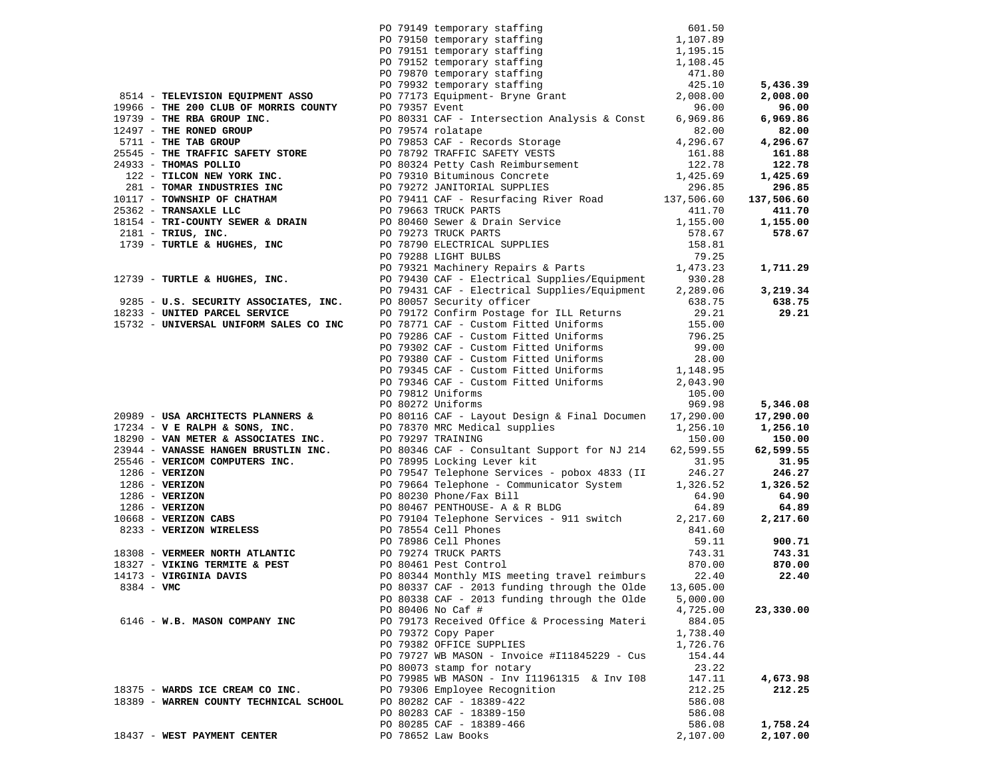|                         |                                                                                                                                                   | PO 79149 temporary staffing 601.50<br>PO 79150 temporary staffing 1,107.89<br>PO 79151 temporary staffing 1,195.15<br>PO 79152 temporary staffing 1,198.45<br>PO 79370 temporary staffing 471.80<br>PO 79932 temporary staffing 425.10<br>                                                              |                    |            |
|-------------------------|---------------------------------------------------------------------------------------------------------------------------------------------------|---------------------------------------------------------------------------------------------------------------------------------------------------------------------------------------------------------------------------------------------------------------------------------------------------------|--------------------|------------|
|                         |                                                                                                                                                   |                                                                                                                                                                                                                                                                                                         |                    |            |
|                         |                                                                                                                                                   |                                                                                                                                                                                                                                                                                                         |                    |            |
|                         |                                                                                                                                                   |                                                                                                                                                                                                                                                                                                         |                    | 5,436.39   |
|                         | 8514 - TELEVISION EQUIPMENT ASSO                                                                                                                  |                                                                                                                                                                                                                                                                                                         |                    | 2,008.00   |
|                         |                                                                                                                                                   |                                                                                                                                                                                                                                                                                                         | 96.00              | 96.00      |
|                         | 19966 - THE 200 CLUB OF MORRIS COUNTY PO 79357 Event<br>19739 - THE RBA GROUP INC.                                                                | PO 80331 CAF - Intersection Analysis & Const                                                                                                                                                                                                                                                            | 6,969.86           | 6,969.86   |
| 12497 - THE RONED GROUP |                                                                                                                                                   |                                                                                                                                                                                                                                                                                                         |                    | 82.00      |
|                         | 19739 - THE RBA GROUP INC.<br>12497 - THE RONED GROUP 12497 - THE RONED GROUP<br>12497 - THE TAB GROUP 1250 1250 1250 1251 2017 - Records Storage |                                                                                                                                                                                                                                                                                                         | 82.00<br>4,296.67  |            |
|                         |                                                                                                                                                   |                                                                                                                                                                                                                                                                                                         |                    | 4,296.67   |
|                         |                                                                                                                                                   |                                                                                                                                                                                                                                                                                                         |                    | 161.88     |
|                         |                                                                                                                                                   |                                                                                                                                                                                                                                                                                                         |                    | 122.78     |
|                         |                                                                                                                                                   |                                                                                                                                                                                                                                                                                                         |                    | 1,425.69   |
|                         |                                                                                                                                                   | 2511 - THE TRAFFIT SAVETY STORE<br>26.07 11 - THE TRAFFIT SAFETY STORE<br>26.88<br>26.88<br>26.88<br>26.88<br>27.78<br>27.78<br>27.78<br>281 - TOMAR INDUSTRIES INC<br>281 - TOMAR INDUSTRIES INC<br>281 - TOMAR INDUSTRIES INC<br>296.85<br>296.85<br>296                                              |                    | 296.85     |
|                         |                                                                                                                                                   |                                                                                                                                                                                                                                                                                                         |                    | 137,506.60 |
|                         |                                                                                                                                                   |                                                                                                                                                                                                                                                                                                         |                    | 411.70     |
|                         |                                                                                                                                                   |                                                                                                                                                                                                                                                                                                         |                    | 1,155.00   |
|                         |                                                                                                                                                   |                                                                                                                                                                                                                                                                                                         |                    | 578.67     |
|                         |                                                                                                                                                   |                                                                                                                                                                                                                                                                                                         |                    |            |
|                         |                                                                                                                                                   |                                                                                                                                                                                                                                                                                                         |                    |            |
|                         |                                                                                                                                                   | 25362 - <b>TRANSAXLE LLC</b><br>218154 - <b>TRI-COUNTY SEWER &amp; DRAIN</b><br>2181 - <b>TRIUS, INC.</b><br>2181 - <b>TRIUS, INC.</b><br>2181 - <b>TRIUS, INC.</b><br>2181 - <b>TRIUS, INC.</b><br>2181 - <b>TRIUS EXECUTED PO 78790 ELECTRICAL SUPPLIES</b><br>2578.67<br>2578.67<br>                 |                    | 1,711.29   |
|                         |                                                                                                                                                   |                                                                                                                                                                                                                                                                                                         |                    |            |
|                         | 9285 - U.S. SECURITY ASSOCIATES, INC.                                                                                                             | PO 79431 CAF - Electrical Supplies/Equipment                                                                                                                                                                                                                                                            | 2,289.06           | 3,219.34   |
|                         |                                                                                                                                                   | PO 80057 Security officer                                                                                                                                                                                                                                                                               | 638.75             | 638.75     |
|                         | 18233 - UNITED PARCEL SERVICE<br>15732 - UNITED PARCEL SERVICE<br>15732 - UNIVERSAL UNIFORM SALES CO INC                                          | PO 79172 Confirm Postage for ILL Returns                                                                                                                                                                                                                                                                | 29.21              | 29.21      |
|                         |                                                                                                                                                   | PO 78771 CAF - Custom Fitted Uniforms                                                                                                                                                                                                                                                                   | 155.00             |            |
|                         |                                                                                                                                                   | PO 79286 CAF - Custom Fitted Uniforms                                                                                                                                                                                                                                                                   | 796.25             |            |
|                         |                                                                                                                                                   | PO 79302 CAF - Custom Fitted Uniforms<br>PO 79380 CAF - Custom Fitted Uniforms                                                                                                                                                                                                                          | 99.00              |            |
|                         |                                                                                                                                                   |                                                                                                                                                                                                                                                                                                         | $20.3$<br>1,148.95 |            |
|                         |                                                                                                                                                   | PO 79345 CAF - Custom Fitted Uniforms                                                                                                                                                                                                                                                                   |                    |            |
|                         |                                                                                                                                                   | PO 79346 CAF - Custom Fitted Uniforms                                                                                                                                                                                                                                                                   | 2,043.90           |            |
|                         |                                                                                                                                                   | PO 79812 Uniforms                                                                                                                                                                                                                                                                                       | 105.00             |            |
|                         |                                                                                                                                                   | PO 80272 Uniforms                                                                                                                                                                                                                                                                                       | 969.98             | 5,346.08   |
|                         |                                                                                                                                                   | 20989 - USA ARCHITECTS PLANNERS & PO 80116 CAF - Layout Design & Final Documen 17,290.00<br>17234 - V E RALPH & SONS, INC. PO 78370 MRC Medical supplies 1,256.10                                                                                                                                       |                    | 17,290.00  |
|                         |                                                                                                                                                   |                                                                                                                                                                                                                                                                                                         |                    | 1,256.10   |
|                         |                                                                                                                                                   | 18290 - VAN METER & ASSOCIATES INC. DO 79297 TRAINING<br>23944 - VANASSE HANGEN BRUSTLIN INC. DO 80346 CAF - Consultant Support for NJ 214                                                                                                                                                              | 150.00             | 150.00     |
|                         |                                                                                                                                                   |                                                                                                                                                                                                                                                                                                         |                    | 62,599.55  |
|                         |                                                                                                                                                   |                                                                                                                                                                                                                                                                                                         |                    | 31.95      |
|                         |                                                                                                                                                   |                                                                                                                                                                                                                                                                                                         |                    | 246.27     |
|                         |                                                                                                                                                   |                                                                                                                                                                                                                                                                                                         |                    | 1,326.52   |
|                         |                                                                                                                                                   |                                                                                                                                                                                                                                                                                                         |                    | 64.90      |
|                         |                                                                                                                                                   |                                                                                                                                                                                                                                                                                                         |                    | 64.89      |
|                         |                                                                                                                                                   |                                                                                                                                                                                                                                                                                                         |                    | 2,217.60   |
|                         |                                                                                                                                                   | 23944 - <b>VERICOM COMPUTERS INC.</b><br>23944 - <b>VERICOM COMPUTERS INC.</b><br>23944 - <b>VERICOM COMPUTERS INC.</b><br>2396 - <b>VERIZON</b><br>236 - <b>VERIZON</b><br>236 - <b>VERIZON</b><br>236 - <b>VERIZON</b><br>236 - <b>VERIZON</b><br>2386 - <b>VERIZON</b><br>2386 - <b>VERIZON<br/></b> |                    |            |
|                         |                                                                                                                                                   |                                                                                                                                                                                                                                                                                                         |                    | 900.71     |
|                         | 18308 - VERMEER NORTH ATLANTIC BO 79274 TRUCK PARTS<br>18327 - VIKING TERMITE & PEST BO 80461 Pest Control                                        |                                                                                                                                                                                                                                                                                                         |                    | 743.31     |
|                         |                                                                                                                                                   |                                                                                                                                                                                                                                                                                                         | 870.00             | 870.00     |
| 14173 - VIRGINIA DAVIS  |                                                                                                                                                   | PO 80344 Monthly MIS meeting travel reimburs                                                                                                                                                                                                                                                            | 22.40              | 22.40      |
| 8384 - VMC              |                                                                                                                                                   | PO 80337 CAF - 2013 funding through the Olde                                                                                                                                                                                                                                                            | 13,605.00          |            |
|                         |                                                                                                                                                   | PO 80338 CAF - 2013 funding through the Olde                                                                                                                                                                                                                                                            | 5,000.00           |            |
|                         |                                                                                                                                                   | PO 80406 No Caf #                                                                                                                                                                                                                                                                                       | 4,725.00           | 23,330.00  |
|                         | 6146 - W.B. MASON COMPANY INC                                                                                                                     | PO 79173 Received Office & Processing Materi                                                                                                                                                                                                                                                            | 884.05             |            |
|                         |                                                                                                                                                   | PO 79372 Copy Paper                                                                                                                                                                                                                                                                                     | 1,738.40           |            |
|                         |                                                                                                                                                   | PO 79382 OFFICE SUPPLIES                                                                                                                                                                                                                                                                                | 1,726.76           |            |
|                         |                                                                                                                                                   | PO 79727 WB MASON - Invoice #I11845229 - Cus                                                                                                                                                                                                                                                            | 154.44             |            |
|                         |                                                                                                                                                   | PO 80073 stamp for notary                                                                                                                                                                                                                                                                               | 23.22              |            |
|                         |                                                                                                                                                   | PO 79985 WB MASON - Inv I11961315 & Inv I08                                                                                                                                                                                                                                                             | 147.11             | 4,673.98   |
|                         | 18375 - WARDS ICE CREAM CO INC.                                                                                                                   | PO 79306 Employee Recognition                                                                                                                                                                                                                                                                           | 212.25             | 212.25     |
|                         | 18389 - WARREN COUNTY TECHNICAL SCHOOL                                                                                                            | PO 80282 CAF - 18389-422                                                                                                                                                                                                                                                                                | 586.08             |            |
|                         |                                                                                                                                                   | PO 80283 CAF - 18389-150                                                                                                                                                                                                                                                                                | 586.08             |            |
|                         |                                                                                                                                                   | PO 80285 CAF - 18389-466                                                                                                                                                                                                                                                                                | 586.08             | 1,758.24   |
|                         | 18437 - WEST PAYMENT CENTER                                                                                                                       | PO 78652 Law Books                                                                                                                                                                                                                                                                                      | 2,107.00           | 2,107.00   |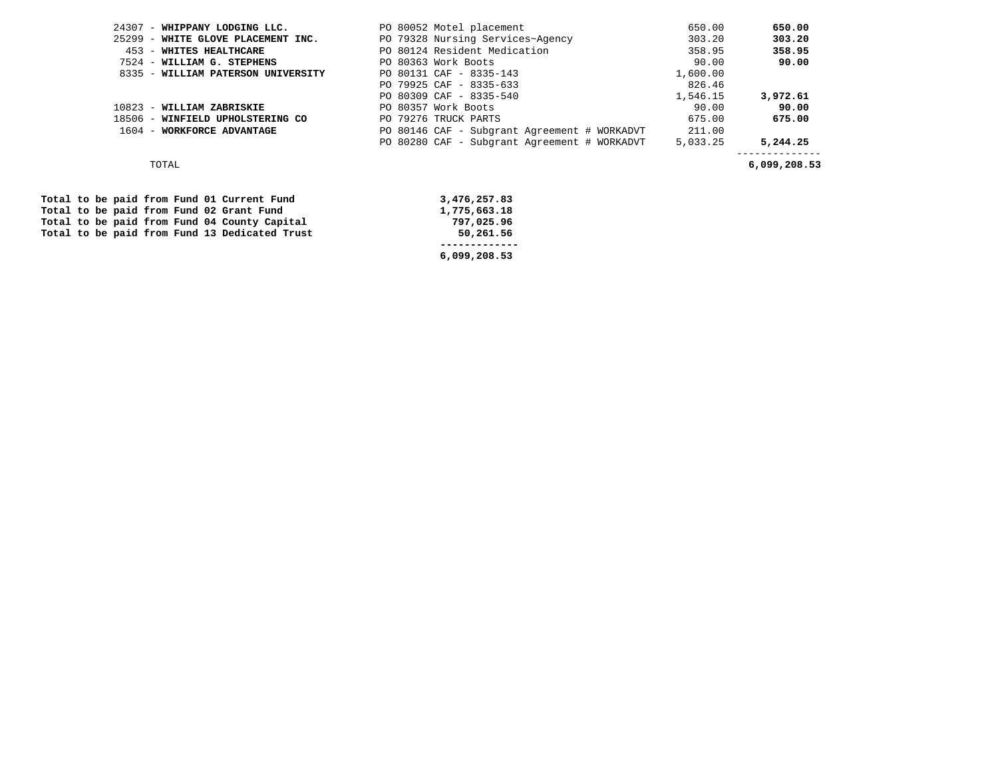|       | 24307 - WHIPPANY LODGING LLC.      |  | PO 80052 Motel placement                     | 650.00   | 650.00       |
|-------|------------------------------------|--|----------------------------------------------|----------|--------------|
|       | 25299 - WHITE GLOVE PLACEMENT INC. |  | PO 79328 Nursing Services~Agency             | 303.20   | 303.20       |
| 453   | - WHITES HEALTHCARE                |  | PO 80124 Resident Medication                 | 358.95   | 358.95       |
|       | 7524 - WILLIAM G. STEPHENS         |  | PO 80363 Work Boots                          | 90.00    | 90.00        |
|       | 8335 - WILLIAM PATERSON UNIVERSITY |  | PO 80131 CAF - 8335-143                      | 1,600.00 |              |
|       |                                    |  | PO 79925 CAF - 8335-633                      | 826.46   |              |
|       |                                    |  | PO 80309 CAF - 8335-540                      | 1,546.15 | 3,972.61     |
| 10823 | - WILLIAM ZABRISKIE                |  | PO 80357 Work Boots                          | 90.00    | 90.00        |
|       | 18506 - WINFIELD UPHOLSTERING CO   |  | PO 79276 TRUCK PARTS                         | 675.00   | 675.00       |
|       | 1604 - WORKFORCE ADVANTAGE         |  | PO 80146 CAF - Subgrant Agreement # WORKADVT | 211.00   |              |
|       |                                    |  | PO 80280 CAF - Subgrant Agreement # WORKADVT | 5,033.25 | 5,244.25     |
|       | TOTAL                              |  |                                              |          | 6,099,208.53 |

|  |  |  |  | Total to be paid from Fund 01 Current Fund    | 3,476,257.83 |
|--|--|--|--|-----------------------------------------------|--------------|
|  |  |  |  | Total to be paid from Fund 02 Grant Fund      | 1,775,663.18 |
|  |  |  |  | Total to be paid from Fund 04 County Capital  | 797,025.96   |
|  |  |  |  | Total to be paid from Fund 13 Dedicated Trust | 50,261.56    |
|  |  |  |  |                                               |              |
|  |  |  |  |                                               | 6,099,208.53 |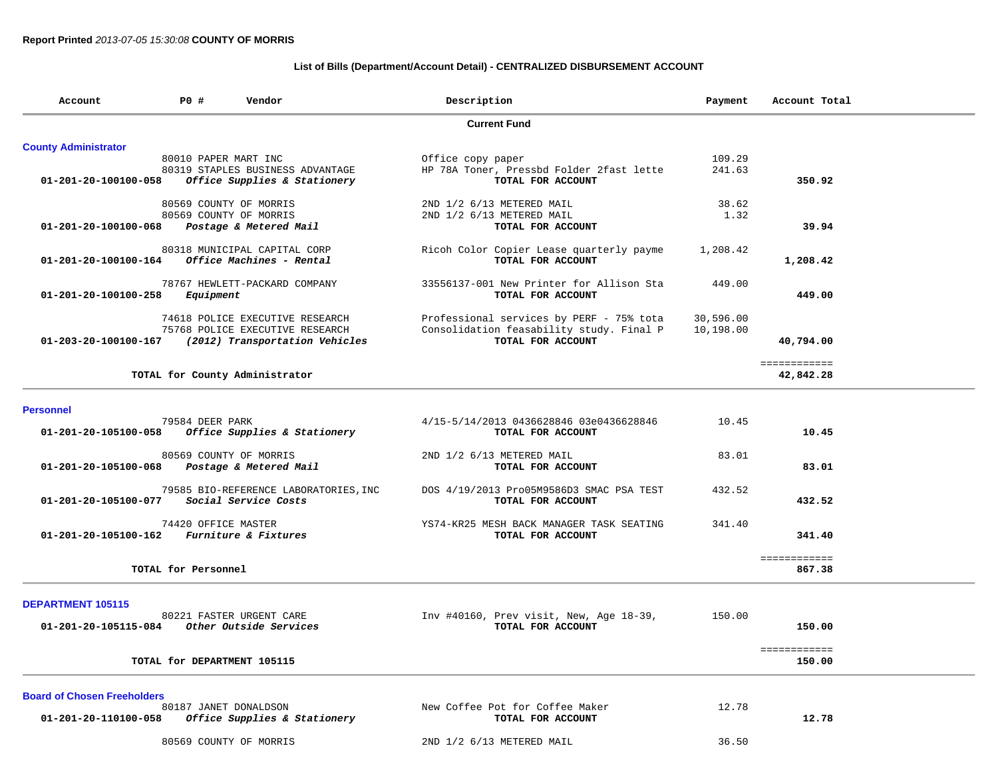## **List of Bills (Department/Account Detail) - CENTRALIZED DISBURSEMENT ACCOUNT**

| Account                                     | <b>PO #</b>          | Vendor                                              | Description                              | Payment   | Account Total |  |
|---------------------------------------------|----------------------|-----------------------------------------------------|------------------------------------------|-----------|---------------|--|
|                                             |                      |                                                     | <b>Current Fund</b>                      |           |               |  |
| <b>County Administrator</b>                 |                      |                                                     |                                          |           |               |  |
|                                             | 80010 PAPER MART INC |                                                     | Office copy paper                        | 109.29    |               |  |
|                                             |                      | 80319 STAPLES BUSINESS ADVANTAGE                    | HP 78A Toner, Pressbd Folder 2fast lette | 241.63    |               |  |
| 01-201-20-100100-058                        |                      | Office Supplies & Stationery                        | TOTAL FOR ACCOUNT                        |           | 350.92        |  |
|                                             |                      | 80569 COUNTY OF MORRIS                              | 2ND 1/2 6/13 METERED MAIL                | 38.62     |               |  |
|                                             |                      | 80569 COUNTY OF MORRIS                              | 2ND 1/2 6/13 METERED MAIL                | 1.32      |               |  |
| 01-201-20-100100-068                        |                      | Postage & Metered Mail                              | TOTAL FOR ACCOUNT                        |           | 39.94         |  |
|                                             |                      | 80318 MUNICIPAL CAPITAL CORP                        | Ricoh Color Copier Lease quarterly payme | 1,208.42  |               |  |
| 01-201-20-100100-164                        |                      | <i>Office Machines - Rental</i>                     | TOTAL FOR ACCOUNT                        |           | 1,208.42      |  |
|                                             |                      | 78767 HEWLETT-PACKARD COMPANY                       | 33556137-001 New Printer for Allison Sta | 449.00    |               |  |
| 01-201-20-100100-258                        | Equipment            |                                                     | TOTAL FOR ACCOUNT                        |           | 449.00        |  |
|                                             |                      | 74618 POLICE EXECUTIVE RESEARCH                     | Professional services by PERF - 75% tota | 30,596.00 |               |  |
|                                             |                      | 75768 POLICE EXECUTIVE RESEARCH                     | Consolidation feasability study. Final P | 10,198.00 |               |  |
|                                             |                      | 01-203-20-100100-167 (2012) Transportation Vehicles | TOTAL FOR ACCOUNT                        |           | 40,794.00     |  |
|                                             |                      |                                                     |                                          |           | ============  |  |
|                                             |                      | TOTAL for County Administrator                      |                                          |           | 42,842.28     |  |
|                                             |                      |                                                     |                                          |           |               |  |
| <b>Personnel</b>                            | 79584 DEER PARK      |                                                     | 4/15-5/14/2013 0436628846 03e0436628846  | 10.45     |               |  |
| 01-201-20-105100-058                        |                      | Office Supplies & Stationery                        | TOTAL FOR ACCOUNT                        |           | 10.45         |  |
|                                             |                      | 80569 COUNTY OF MORRIS                              | 2ND 1/2 6/13 METERED MAIL                | 83.01     |               |  |
| 01-201-20-105100-068                        |                      | Postage & Metered Mail                              | TOTAL FOR ACCOUNT                        |           | 83.01         |  |
|                                             |                      | 79585 BIO-REFERENCE LABORATORIES, INC               | DOS 4/19/2013 Pro05M9586D3 SMAC PSA TEST | 432.52    |               |  |
| 01-201-20-105100-077                        |                      | Social Service Costs                                | TOTAL FOR ACCOUNT                        |           | 432.52        |  |
|                                             | 74420 OFFICE MASTER  |                                                     | YS74-KR25 MESH BACK MANAGER TASK SEATING | 341.40    |               |  |
| 01-201-20-105100-162 Furniture & Fixtures   |                      |                                                     | TOTAL FOR ACCOUNT                        |           | 341.40        |  |
|                                             |                      |                                                     |                                          |           | ============  |  |
|                                             | TOTAL for Personnel  |                                                     |                                          |           | 867.38        |  |
|                                             |                      |                                                     |                                          |           |               |  |
| DEPARTMENT 105115                           |                      |                                                     |                                          |           |               |  |
|                                             |                      | 80221 FASTER URGENT CARE                            | Inv #40160, Prev visit, New, Age 18-39,  | 150.00    |               |  |
| 01-201-20-105115-084 Other Outside Services |                      |                                                     | TOTAL FOR ACCOUNT                        |           | 150.00        |  |
|                                             |                      |                                                     |                                          |           | ============  |  |
|                                             |                      | TOTAL for DEPARTMENT 105115                         |                                          |           | 150.00        |  |
| <b>Board of Chosen Freeholders</b>          |                      |                                                     |                                          |           |               |  |
|                                             |                      | 80187 JANET DONALDSON                               | New Coffee Pot for Coffee Maker          | 12.78     |               |  |
| 01-201-20-110100-058                        |                      | Office Supplies & Stationery                        | TOTAL FOR ACCOUNT                        |           | 12.78         |  |
|                                             |                      | 80569 COUNTY OF MORRIS                              | 2ND 1/2 6/13 METERED MAIL                | 36.50     |               |  |
|                                             |                      |                                                     |                                          |           |               |  |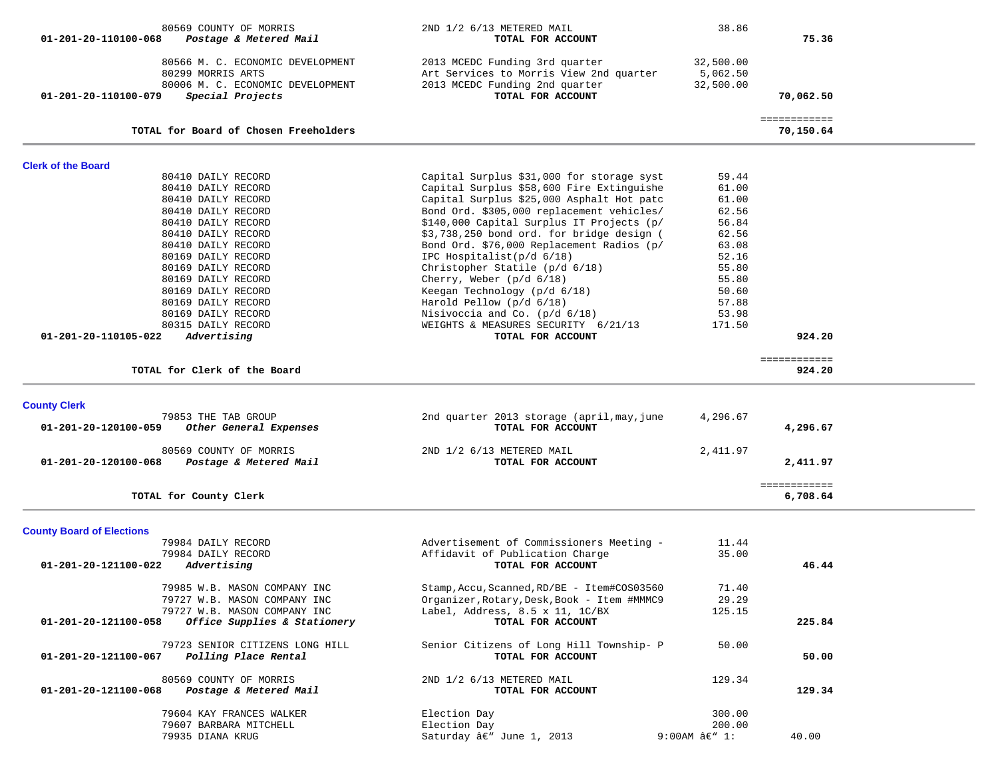| 80569 COUNTY OF MORRIS<br>$01 - 201 - 20 - 110100 - 068$<br>Postage & Metered Mail                                                                                                                                                                                                                                                                      | 2ND 1/2 6/13 METERED MAIL<br>TOTAL FOR ACCOUNT                                                                                                                                                                                                                                                                                                                                                                                                                                                                                                                                   | 38.86                                                                                                                       | 75.36                     |  |
|---------------------------------------------------------------------------------------------------------------------------------------------------------------------------------------------------------------------------------------------------------------------------------------------------------------------------------------------------------|----------------------------------------------------------------------------------------------------------------------------------------------------------------------------------------------------------------------------------------------------------------------------------------------------------------------------------------------------------------------------------------------------------------------------------------------------------------------------------------------------------------------------------------------------------------------------------|-----------------------------------------------------------------------------------------------------------------------------|---------------------------|--|
| 80566 M. C. ECONOMIC DEVELOPMENT<br>80299 MORRIS ARTS<br>80006 M. C. ECONOMIC DEVELOPMENT<br>Special Projects<br>01-201-20-110100-079                                                                                                                                                                                                                   | 2013 MCEDC Funding 3rd quarter<br>Art Services to Morris View 2nd quarter<br>2013 MCEDC Funding 2nd quarter<br>TOTAL FOR ACCOUNT                                                                                                                                                                                                                                                                                                                                                                                                                                                 | 32,500.00<br>5,062.50<br>32,500.00                                                                                          | 70,062.50                 |  |
| TOTAL for Board of Chosen Freeholders                                                                                                                                                                                                                                                                                                                   |                                                                                                                                                                                                                                                                                                                                                                                                                                                                                                                                                                                  |                                                                                                                             | ============<br>70,150.64 |  |
|                                                                                                                                                                                                                                                                                                                                                         |                                                                                                                                                                                                                                                                                                                                                                                                                                                                                                                                                                                  |                                                                                                                             |                           |  |
| <b>Clerk of the Board</b>                                                                                                                                                                                                                                                                                                                               |                                                                                                                                                                                                                                                                                                                                                                                                                                                                                                                                                                                  |                                                                                                                             |                           |  |
| 80410 DAILY RECORD<br>80410 DAILY RECORD<br>80410 DAILY RECORD<br>80410 DAILY RECORD<br>80410 DAILY RECORD<br>80410 DAILY RECORD<br>80410 DAILY RECORD<br>80169 DAILY RECORD<br>80169 DAILY RECORD<br>80169 DAILY RECORD<br>80169 DAILY RECORD<br>80169 DAILY RECORD<br>80169 DAILY RECORD<br>80315 DAILY RECORD<br>01-201-20-110105-022<br>Advertising | Capital Surplus \$31,000 for storage syst<br>Capital Surplus \$58,600 Fire Extinguishe<br>Capital Surplus \$25,000 Asphalt Hot patc<br>Bond Ord. \$305,000 replacement vehicles/<br>\$140,000 Capital Surplus IT Projects (p/<br>\$3,738,250 bond ord. for bridge design (<br>Bond Ord. \$76,000 Replacement Radios (p/<br>IPC Hospitalist( $p/d$ 6/18)<br>Christopher Statile (p/d 6/18)<br>Cherry, Weber $(p/d 6/18)$<br>Keegan Technology (p/d 6/18)<br>Harold Pellow (p/d 6/18)<br>Nisivoccia and Co. (p/d 6/18)<br>WEIGHTS & MEASURES SECURITY 6/21/13<br>TOTAL FOR ACCOUNT | 59.44<br>61.00<br>61.00<br>62.56<br>56.84<br>62.56<br>63.08<br>52.16<br>55.80<br>55.80<br>50.60<br>57.88<br>53.98<br>171.50 | 924.20                    |  |
| TOTAL for Clerk of the Board                                                                                                                                                                                                                                                                                                                            |                                                                                                                                                                                                                                                                                                                                                                                                                                                                                                                                                                                  |                                                                                                                             | ============<br>924.20    |  |
|                                                                                                                                                                                                                                                                                                                                                         |                                                                                                                                                                                                                                                                                                                                                                                                                                                                                                                                                                                  |                                                                                                                             |                           |  |
|                                                                                                                                                                                                                                                                                                                                                         |                                                                                                                                                                                                                                                                                                                                                                                                                                                                                                                                                                                  |                                                                                                                             |                           |  |
| <b>County Clerk</b><br>79853 THE TAB GROUP<br>01-201-20-120100-059<br>Other General Expenses                                                                                                                                                                                                                                                            | 2nd quarter 2013 storage (april, may, june<br>TOTAL FOR ACCOUNT                                                                                                                                                                                                                                                                                                                                                                                                                                                                                                                  | 4,296.67                                                                                                                    | 4,296.67                  |  |
| 80569 COUNTY OF MORRIS<br>Postage & Metered Mail<br>01-201-20-120100-068                                                                                                                                                                                                                                                                                | 2ND 1/2 6/13 METERED MAIL<br>TOTAL FOR ACCOUNT                                                                                                                                                                                                                                                                                                                                                                                                                                                                                                                                   | 2,411.97                                                                                                                    | 2,411.97                  |  |
| TOTAL for County Clerk                                                                                                                                                                                                                                                                                                                                  |                                                                                                                                                                                                                                                                                                                                                                                                                                                                                                                                                                                  |                                                                                                                             | ============<br>6,708.64  |  |
|                                                                                                                                                                                                                                                                                                                                                         |                                                                                                                                                                                                                                                                                                                                                                                                                                                                                                                                                                                  |                                                                                                                             |                           |  |
| <b>County Board of Elections</b><br>79984 DAILY RECORD<br>79984 DAILY RECORD<br>01-201-20-121100-022<br>Advertising                                                                                                                                                                                                                                     | Advertisement of Commissioners Meeting -<br>Affidavit of Publication Charge<br>TOTAL FOR ACCOUNT                                                                                                                                                                                                                                                                                                                                                                                                                                                                                 | 11.44<br>35.00                                                                                                              | 46.44                     |  |
| 79985 W.B. MASON COMPANY INC<br>79727 W.B. MASON COMPANY INC<br>79727 W.B. MASON COMPANY INC<br>01-201-20-121100-058<br>Office Supplies & Stationery                                                                                                                                                                                                    | Stamp, Accu, Scanned, RD/BE - Item#COS03560<br>Organizer, Rotary, Desk, Book - Item #MMMC9<br>Label, Address, 8.5 x 11, 1C/BX<br>TOTAL FOR ACCOUNT                                                                                                                                                                                                                                                                                                                                                                                                                               | 71.40<br>29.29<br>125.15                                                                                                    | 225.84                    |  |
| 79723 SENIOR CITIZENS LONG HILL<br>01-201-20-121100-067<br>Polling Place Rental                                                                                                                                                                                                                                                                         | Senior Citizens of Long Hill Township- P<br>TOTAL FOR ACCOUNT                                                                                                                                                                                                                                                                                                                                                                                                                                                                                                                    | 50.00                                                                                                                       | 50.00                     |  |
| 80569 COUNTY OF MORRIS<br>01-201-20-121100-068<br>Postage & Metered Mail                                                                                                                                                                                                                                                                                | 2ND 1/2 6/13 METERED MAIL<br>TOTAL FOR ACCOUNT                                                                                                                                                                                                                                                                                                                                                                                                                                                                                                                                   | 129.34                                                                                                                      | 129.34                    |  |
| 79604 KAY FRANCES WALKER<br>79607 BARBARA MITCHELL<br>79935 DIANA KRUG                                                                                                                                                                                                                                                                                  | Election Day<br>Election Day<br>Saturday â€" June 1, 2013                                                                                                                                                                                                                                                                                                                                                                                                                                                                                                                        | 300.00<br>200.00<br>$9:00$ AM $â$ $\varepsilon$ " 1:                                                                        | 40.00                     |  |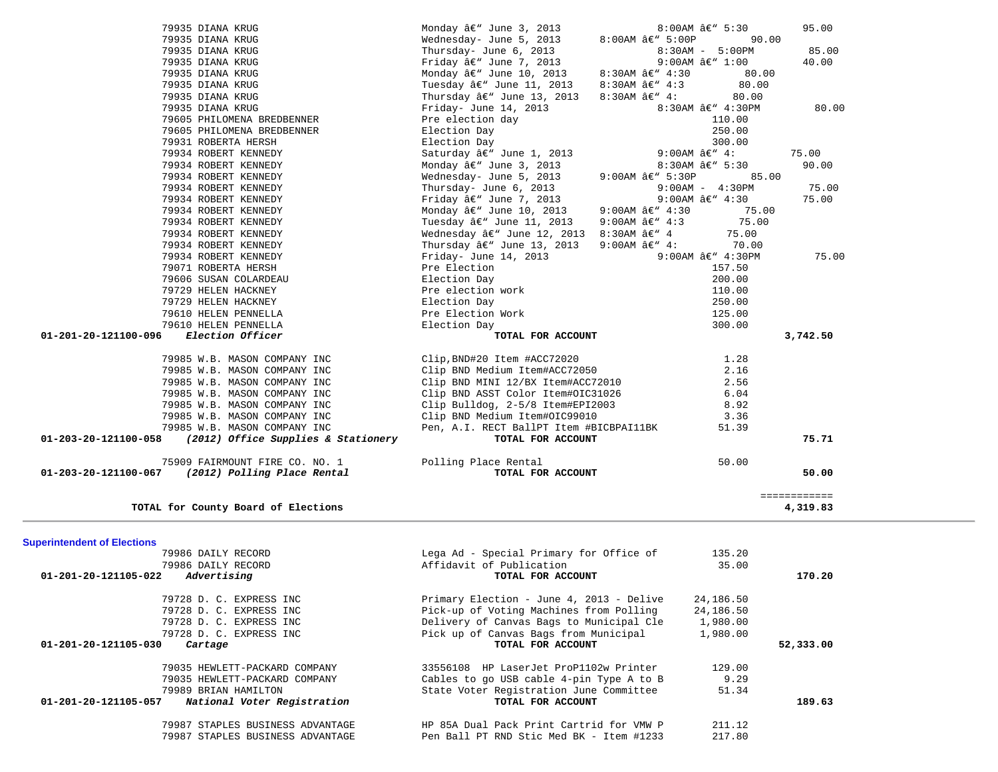| <b>Superintendent of Elections</b>                  |                                          |           |           |
|-----------------------------------------------------|------------------------------------------|-----------|-----------|
| 79986 DAILY RECORD                                  | Lega Ad - Special Primary for Office of  | 135.20    |           |
| 79986 DAILY RECORD                                  | Affidavit of Publication                 | 35.00     |           |
| 01-201-20-121105-022<br>Advertising                 | TOTAL FOR ACCOUNT                        |           | 170.20    |
| 79728 D. C. EXPRESS INC                             | Primary Election - June 4, 2013 - Delive | 24,186.50 |           |
| 79728 D. C. EXPRESS INC                             | Pick-up of Voting Machines from Polling  | 24,186.50 |           |
| 79728 D. C. EXPRESS INC.                            | Delivery of Canvas Bags to Municipal Cle | 1,980.00  |           |
| 79728 D. C. EXPRESS INC                             | Pick up of Canvas Bags from Municipal    | 1,980.00  |           |
| $01 - 201 - 20 - 121105 - 030$<br>Cartage           | TOTAL FOR ACCOUNT                        |           | 52,333.00 |
| 79035 HEWLETT-PACKARD COMPANY                       | 33556108 HP LaserJet ProP1102w Printer   | 129.00    |           |
| 79035 HEWLETT-PACKARD COMPANY                       | Cables to go USB cable 4-pin Type A to B | 9.29      |           |
| 79989 BRIAN HAMILTON                                | State Voter Registration June Committee  | 51.34     |           |
| 01-201-20-121105-057<br>National Voter Registration | TOTAL FOR ACCOUNT                        |           | 189.63    |
| 79987 STAPLES BUSINESS ADVANTAGE                    | HP 85A Dual Pack Print Cartrid for VMW P | 211.12    |           |
| 79987 STAPLES BUSINESS ADVANTAGE                    | Pen Ball PT RND Stic Med BK - Item #1233 | 217.80    |           |

|                                       | 79985 W.B. MASON COMPANY INC<br>$01-203-20-121100-058$ (2012) Office Supplies & Stationery | Pen, A.I. RECT BallPT Item #BICBPAI11BK<br>TOTAL FOR ACCOUNT                                                                                              |                    | 51.39                 | 75.71    |
|---------------------------------------|--------------------------------------------------------------------------------------------|-----------------------------------------------------------------------------------------------------------------------------------------------------------|--------------------|-----------------------|----------|
|                                       | 79985 W.B. MASON COMPANY INC<br>79985 W.B. MASON COMPANY INC                               | Clip Bulldog, 2-5/8 Item#EPI2003<br>Clip BND Medium Item#OIC99010                                                                                         |                    | 8.92<br>3.36          |          |
|                                       | 79985 W.B. MASON COMPANY INC                                                               | Clip BND ASST Color Item#0IC31026                                                                                                                         |                    | 6.04                  |          |
|                                       | 79985 W.B. MASON COMPANY INC<br>79985 W.B. MASON COMPANY INC                               | Clip BND Medium Item#ACC72050<br>Clip BND MINI 12/BX Item#ACC72010                                                                                        |                    | 2.56                  |          |
|                                       | 79985 W.B. MASON COMPANY INC                                                               | Clip, BND#20 Item #ACC72020                                                                                                                               |                    | 1.28<br>2.16          |          |
| 01-201-20-121100-096 Election Officer |                                                                                            | Friday<br>Pre Election<br>Election Day<br>Pre election Work<br>Election Day<br>Pre Election Work<br>Theritan Day<br>Pre Election Work<br>Pre Election Day |                    |                       | 3,742.50 |
|                                       | 79610 HELEN PENNELLA                                                                       |                                                                                                                                                           |                    | 300.00                |          |
|                                       | 79610 HELEN PENNELLA                                                                       |                                                                                                                                                           |                    | 125.00                |          |
|                                       | 79729 HELEN HACKNEY                                                                        |                                                                                                                                                           |                    | 250.00                |          |
|                                       | 79606 SUSAN COLARDEAU<br>79729 HELEN HACKNEY                                               |                                                                                                                                                           |                    | 200.00<br>110.00      |          |
|                                       | 79071 ROBERTA HERSH                                                                        |                                                                                                                                                           |                    | 157.50                |          |
|                                       | 79934 ROBERT KENNEDY                                                                       | Friday- June 14, 2013 9:00AM $a \in W$ 4:30PM                                                                                                             |                    |                       | 75.00    |
|                                       | 79934 ROBERT KENNEDY                                                                       |                                                                                                                                                           |                    | 70.00                 |          |
|                                       | 79934 ROBERT KENNEDY                                                                       | rweinerday â∈" June 12, 2013 8:30AM â∈" 4<br>Thursday â∈" June 13, 2013 9:00AM â∈" 4:                                                                     |                    | 75.00                 |          |
|                                       | 79934 ROBERT KENNEDY                                                                       | Tuesday â€" June 11, 2013                                                                                                                                 | 9:00AM â€" 4:3     | 75.00                 |          |
|                                       | 79934 ROBERT KENNEDY                                                                       |                                                                                                                                                           | 9:00AM $â€$ " 4:30 | 75.00                 |          |
|                                       | 79934 ROBERT KENNEDY                                                                       | Friday â€" June 7, 2013<br>Monday â€" June 10, 2013                                                                                                       |                    | 9:00AM â€" 4:30       | 75.00    |
|                                       | 79934 ROBERT KENNEDY                                                                       | Thursday- June 6, 2013                                                                                                                                    |                    | $9:00$ AM - $4:30$ PM | 75.00    |
|                                       | 79934 ROBERT KENNEDY                                                                       | $\text{Nednesday}$ June 5, 2013 9:00AM $\hat{a} \in \mathbb{S}$ 5:30P                                                                                     |                    | 85.00                 |          |
|                                       | 79934 ROBERT KENNEDY                                                                       |                                                                                                                                                           |                    |                       | 90.00    |
|                                       | 79934 ROBERT KENNEDY                                                                       |                                                                                                                                                           |                    |                       | 75.00    |
|                                       | 79931 ROBERTA HERSH                                                                        | Election Day $300.00$<br>Saturday â $e^w$ June 1, 2013 9:00AM â $e^w$ 4:<br>Monday â $e^w$ June 3, 2013 8:30AM â $e^w$ 5:30                               |                    |                       |          |
|                                       | 79605 PHILOMENA BREDBENNER                                                                 | Election Day                                                                                                                                              |                    | 250.00                |          |
|                                       | 79605 PHILOMENA BREDBENNER                                                                 | Pre election day                                                                                                                                          |                    | 110.00                |          |
|                                       | 79935 DIANA KRUG                                                                           | Friday- June 14, 2013 $8:30AM \land \infty$ 4:30PM                                                                                                        |                    |                       | 80.00    |
|                                       | 79935 DIANA KRUG                                                                           | Thursday $\hat{a}\in$ " June 13, 2013 8:30AM $\hat{a}\in$ " 4:                                                                                            |                    | 80.00                 |          |
|                                       | 79935 DIANA KRUG                                                                           | Tuesday $\hat{a}\in$ " June 11, 2013 8:30AM $\hat{a}\in$ " 4:3                                                                                            |                    | 80.00                 |          |
|                                       | 79935 DIANA KRUG                                                                           | Monday â€" June 10, 2013                                                                                                                                  | 8:30AM â€" 4:30    | 80.00                 |          |
|                                       | 79935 DIANA KRUG                                                                           | inuisuay- June 6, 2013<br>Friday ' June 7, 2013                                                                                                           |                    | 9:00AM â€" 1:00       | 40.00    |
|                                       | 79935 DIANA KRUG                                                                           | Thursday- June 6, 2013                                                                                                                                    |                    | 8:30AM - 5:00PM       | 85.00    |
|                                       | 79935 DIANA KRUG<br>79935 DIANA KRUG                                                       | Monday â€" June 3, 2013 6:00AM â€" 5:30<br>Wednesday- June 5, 2013                                                                                        | 8:00AM $â€" 5:00P$ | 90.00                 | 95.00    |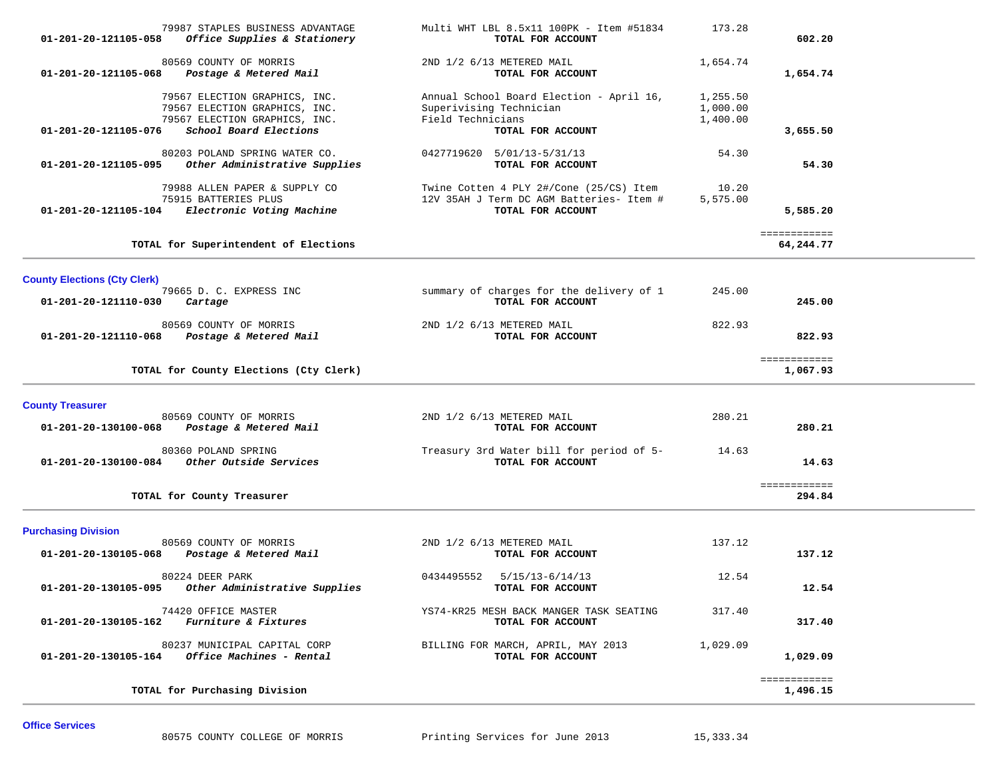| 79987 STAPLES BUSINESS ADVANTAGE<br>01-201-20-121105-058<br>Office Supplies & Stationery                                                          | Multi WHT LBL 8.5x11 100PK - Item #51834<br>TOTAL FOR ACCOUNT                                                 | 173.28                           | 602.20                    |  |
|---------------------------------------------------------------------------------------------------------------------------------------------------|---------------------------------------------------------------------------------------------------------------|----------------------------------|---------------------------|--|
| 80569 COUNTY OF MORRIS<br>01-201-20-121105-068<br>Postage & Metered Mail                                                                          | 2ND 1/2 6/13 METERED MAIL<br>TOTAL FOR ACCOUNT                                                                | 1,654.74                         | 1,654.74                  |  |
| 79567 ELECTION GRAPHICS, INC.<br>79567 ELECTION GRAPHICS, INC.<br>79567 ELECTION GRAPHICS, INC.<br>School Board Elections<br>01-201-20-121105-076 | Annual School Board Election - April 16,<br>Superivising Technician<br>Field Technicians<br>TOTAL FOR ACCOUNT | 1,255.50<br>1,000.00<br>1,400.00 | 3,655.50                  |  |
| 80203 POLAND SPRING WATER CO.<br>Other Administrative Supplies<br>01-201-20-121105-095                                                            | 0427719620 5/01/13-5/31/13<br>TOTAL FOR ACCOUNT                                                               | 54.30                            | 54.30                     |  |
| 79988 ALLEN PAPER & SUPPLY CO<br>75915 BATTERIES PLUS<br>Electronic Voting Machine<br>01-201-20-121105-104                                        | Twine Cotten 4 PLY 2#/Cone (25/CS) Item<br>12V 35AH J Term DC AGM Batteries- Item #<br>TOTAL FOR ACCOUNT      | 10.20<br>5,575.00                | 5,585.20                  |  |
| TOTAL for Superintendent of Elections                                                                                                             |                                                                                                               |                                  | ============<br>64,244.77 |  |
| <b>County Elections (Cty Clerk)</b><br>79665 D. C. EXPRESS INC<br>01-201-20-121110-030<br>Cartage                                                 | summary of charges for the delivery of 1<br>TOTAL FOR ACCOUNT                                                 | 245.00                           | 245.00                    |  |
| 80569 COUNTY OF MORRIS<br>Postage & Metered Mail<br>01-201-20-121110-068                                                                          | 2ND 1/2 6/13 METERED MAIL<br>TOTAL FOR ACCOUNT                                                                | 822.93                           | 822.93                    |  |
| TOTAL for County Elections (Cty Clerk)                                                                                                            |                                                                                                               |                                  | ============<br>1,067.93  |  |
| <b>County Treasurer</b><br>80569 COUNTY OF MORRIS<br>Postage & Metered Mail<br>01-201-20-130100-068                                               | 2ND 1/2 6/13 METERED MAIL<br>TOTAL FOR ACCOUNT                                                                | 280.21                           | 280.21                    |  |
| 80360 POLAND SPRING<br>Other Outside Services<br>01-201-20-130100-084                                                                             | Treasury 3rd Water bill for period of 5-<br>TOTAL FOR ACCOUNT                                                 | 14.63                            | 14.63                     |  |
| TOTAL for County Treasurer                                                                                                                        |                                                                                                               |                                  | ============<br>294.84    |  |
| <b>Purchasing Division</b>                                                                                                                        |                                                                                                               |                                  |                           |  |
| 80569 COUNTY OF MORRIS<br>01-201-20-130105-068<br>Postage & Metered Mail                                                                          | 2ND 1/2 6/13 METERED MAIL<br>TOTAL FOR ACCOUNT                                                                | 137.12                           | 137.12                    |  |
| 80224 DEER PARK<br>01-201-20-130105-095<br>Other Administrative Supplies                                                                          | 0434495552<br>$5/15/13-6/14/13$<br>TOTAL FOR ACCOUNT                                                          | 12.54                            | 12.54                     |  |
| 74420 OFFICE MASTER<br><i>Furniture &amp; Fixtures</i><br>01-201-20-130105-162                                                                    | YS74-KR25 MESH BACK MANGER TASK SEATING<br>TOTAL FOR ACCOUNT                                                  | 317.40                           | 317.40                    |  |
| 80237 MUNICIPAL CAPITAL CORP<br>Office Machines - Rental<br>01-201-20-130105-164                                                                  | BILLING FOR MARCH, APRIL, MAY 2013<br>TOTAL FOR ACCOUNT                                                       | 1,029.09                         | 1,029.09                  |  |
|                                                                                                                                                   |                                                                                                               |                                  |                           |  |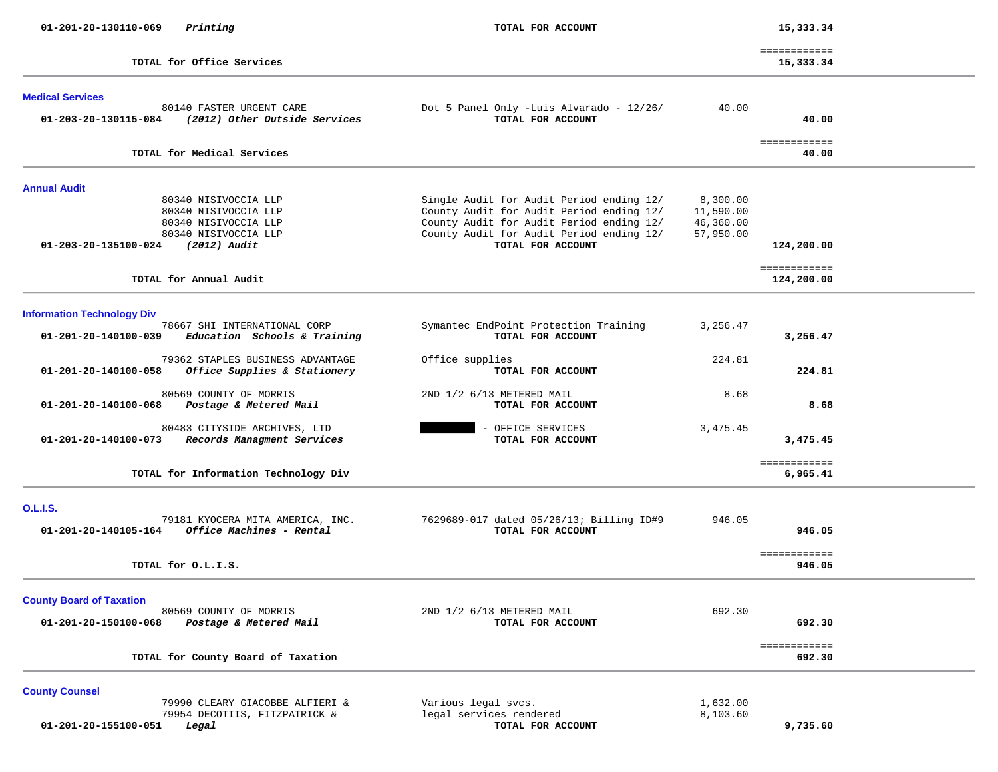| 01-201-20-130110-069<br>Printing                                                                                                                            | TOTAL FOR ACCOUNT                                                                                                                                                                                 |                                                 | 15,333.34                  |  |
|-------------------------------------------------------------------------------------------------------------------------------------------------------------|---------------------------------------------------------------------------------------------------------------------------------------------------------------------------------------------------|-------------------------------------------------|----------------------------|--|
| TOTAL for Office Services                                                                                                                                   |                                                                                                                                                                                                   |                                                 | ============<br>15,333.34  |  |
| <b>Medical Services</b><br>80140 FASTER URGENT CARE<br>(2012) Other Outside Services<br>01-203-20-130115-084                                                | Dot 5 Panel Only -Luis Alvarado - 12/26/<br>TOTAL FOR ACCOUNT                                                                                                                                     | 40.00                                           | 40.00<br>============      |  |
| TOTAL for Medical Services                                                                                                                                  |                                                                                                                                                                                                   |                                                 | 40.00                      |  |
| <b>Annual Audit</b><br>80340 NISIVOCCIA LLP<br>80340 NISIVOCCIA LLP<br>80340 NISIVOCCIA LLP<br>80340 NISIVOCCIA LLP<br>01-203-20-135100-024<br>(2012) Audit | Single Audit for Audit Period ending 12/<br>County Audit for Audit Period ending 12/<br>County Audit for Audit Period ending 12/<br>County Audit for Audit Period ending 12/<br>TOTAL FOR ACCOUNT | 8,300.00<br>11,590.00<br>46,360.00<br>57,950.00 | 124,200.00<br>============ |  |
| TOTAL for Annual Audit                                                                                                                                      |                                                                                                                                                                                                   |                                                 | 124,200.00                 |  |
| <b>Information Technology Div</b><br>78667 SHI INTERNATIONAL CORP<br>01-201-20-140100-039<br>Education Schools & Training                                   | Symantec EndPoint Protection Training<br>TOTAL FOR ACCOUNT                                                                                                                                        | 3,256.47                                        | 3,256.47                   |  |
| 79362 STAPLES BUSINESS ADVANTAGE<br>Office Supplies & Stationery<br>01-201-20-140100-058                                                                    | Office supplies<br>TOTAL FOR ACCOUNT                                                                                                                                                              | 224.81                                          | 224.81                     |  |
| 80569 COUNTY OF MORRIS<br>01-201-20-140100-068<br>Postage & Metered Mail                                                                                    | 2ND 1/2 6/13 METERED MAIL<br>TOTAL FOR ACCOUNT                                                                                                                                                    | 8.68                                            | 8.68                       |  |
| 80483 CITYSIDE ARCHIVES, LTD<br>Records Managment Services<br>01-201-20-140100-073                                                                          | OFFICE SERVICES<br>TOTAL FOR ACCOUNT                                                                                                                                                              | 3,475.45                                        | 3,475.45                   |  |
| TOTAL for Information Technology Div                                                                                                                        |                                                                                                                                                                                                   |                                                 | ============<br>6,965.41   |  |
| <b>O.L.I.S.</b><br>79181 KYOCERA MITA AMERICA, INC.<br>Office Machines - Rental<br>01-201-20-140105-164                                                     | 7629689-017 dated 05/26/13; Billing ID#9<br>TOTAL FOR ACCOUNT                                                                                                                                     | 946.05                                          | 946.05                     |  |
| TOTAL for O.L.I.S.                                                                                                                                          |                                                                                                                                                                                                   |                                                 | ============<br>946.05     |  |
| <b>County Board of Taxation</b><br>80569 COUNTY OF MORRIS<br>01-201-20-150100-068<br>Postage & Metered Mail                                                 | 2ND 1/2 6/13 METERED MAIL<br>TOTAL FOR ACCOUNT                                                                                                                                                    | 692.30                                          | 692.30<br>============     |  |
| TOTAL for County Board of Taxation                                                                                                                          |                                                                                                                                                                                                   |                                                 | 692.30                     |  |
| <b>County Counsel</b><br>79990 CLEARY GIACOBBE ALFIERI &<br>79954 DECOTIIS, FITZPATRICK &<br>01-201-20-155100-051<br>Legal                                  | Various legal svcs.<br>legal services rendered<br>TOTAL FOR ACCOUNT                                                                                                                               | 1,632.00<br>8,103.60                            | 9,735.60                   |  |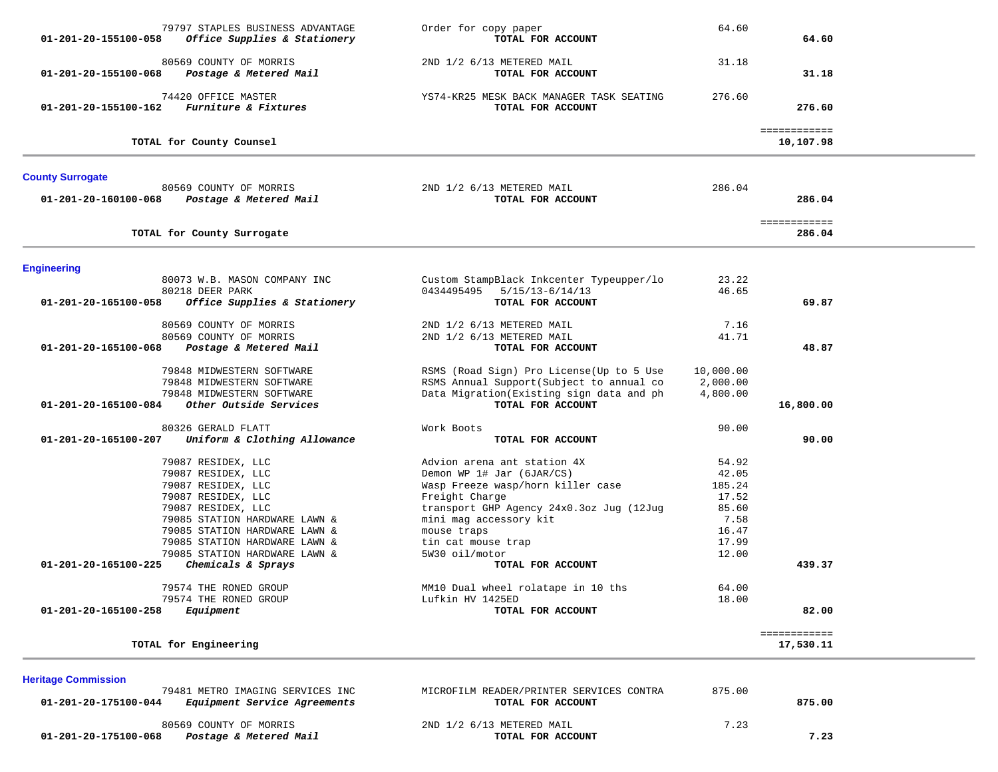| 01-201-20-155100-058                               | 79797 STAPLES BUSINESS ADVANTAGE<br>Office Supplies & Stationery                                                                                                                                                                                                     | Order for copy paper<br>TOTAL FOR ACCOUNT                                                                                                                                                                                                                         | 64.60                                                                         | 64.60                     |  |
|----------------------------------------------------|----------------------------------------------------------------------------------------------------------------------------------------------------------------------------------------------------------------------------------------------------------------------|-------------------------------------------------------------------------------------------------------------------------------------------------------------------------------------------------------------------------------------------------------------------|-------------------------------------------------------------------------------|---------------------------|--|
| 01-201-20-155100-068                               | 80569 COUNTY OF MORRIS<br>Postage & Metered Mail                                                                                                                                                                                                                     | 2ND 1/2 6/13 METERED MAIL<br>TOTAL FOR ACCOUNT                                                                                                                                                                                                                    | 31.18                                                                         | 31.18                     |  |
| 01-201-20-155100-162                               | 74420 OFFICE MASTER<br>Furniture & Fixtures                                                                                                                                                                                                                          | YS74-KR25 MESK BACK MANAGER TASK SEATING<br>TOTAL FOR ACCOUNT                                                                                                                                                                                                     | 276.60                                                                        | 276.60                    |  |
|                                                    | TOTAL for County Counsel                                                                                                                                                                                                                                             |                                                                                                                                                                                                                                                                   |                                                                               | ============<br>10,107.98 |  |
| <b>County Surrogate</b>                            |                                                                                                                                                                                                                                                                      |                                                                                                                                                                                                                                                                   |                                                                               |                           |  |
| 01-201-20-160100-068                               | 80569 COUNTY OF MORRIS<br>Postage & Metered Mail                                                                                                                                                                                                                     | 2ND 1/2 6/13 METERED MAIL<br>TOTAL FOR ACCOUNT                                                                                                                                                                                                                    | 286.04                                                                        | 286.04                    |  |
|                                                    | TOTAL for County Surrogate                                                                                                                                                                                                                                           |                                                                                                                                                                                                                                                                   |                                                                               | ============<br>286.04    |  |
| <b>Engineering</b>                                 |                                                                                                                                                                                                                                                                      |                                                                                                                                                                                                                                                                   |                                                                               |                           |  |
| 01-201-20-165100-058                               | 80073 W.B. MASON COMPANY INC<br>80218 DEER PARK<br>Office Supplies & Stationery                                                                                                                                                                                      | Custom StampBlack Inkcenter Typeupper/lo<br>0434495495  5/15/13-6/14/13<br>TOTAL FOR ACCOUNT                                                                                                                                                                      | 23.22<br>46.65                                                                | 69.87                     |  |
|                                                    | 80569 COUNTY OF MORRIS                                                                                                                                                                                                                                               | 2ND 1/2 6/13 METERED MAIL                                                                                                                                                                                                                                         | 7.16                                                                          |                           |  |
| 01-201-20-165100-068                               | 80569 COUNTY OF MORRIS<br>Postage & Metered Mail                                                                                                                                                                                                                     | 2ND 1/2 6/13 METERED MAIL<br>TOTAL FOR ACCOUNT                                                                                                                                                                                                                    | 41.71                                                                         | 48.87                     |  |
| 01-201-20-165100-084                               | 79848 MIDWESTERN SOFTWARE<br>79848 MIDWESTERN SOFTWARE<br>79848 MIDWESTERN SOFTWARE<br>Other Outside Services                                                                                                                                                        | RSMS (Road Sign) Pro License (Up to 5 Use<br>RSMS Annual Support (Subject to annual co<br>Data Migration(Existing sign data and ph<br>TOTAL FOR ACCOUNT                                                                                                           | 10,000.00<br>2,000.00<br>4,800.00                                             | 16,800.00                 |  |
| 01-201-20-165100-207                               | 80326 GERALD FLATT<br>Uniform & Clothing Allowance                                                                                                                                                                                                                   | Work Boots<br>TOTAL FOR ACCOUNT                                                                                                                                                                                                                                   | 90.00                                                                         | 90.00                     |  |
| 01-201-20-165100-225                               | 79087 RESIDEX, LLC<br>79087 RESIDEX, LLC<br>79087 RESIDEX, LLC<br>79087 RESIDEX, LLC<br>79087 RESIDEX, LLC<br>79085 STATION HARDWARE LAWN &<br>79085 STATION HARDWARE LAWN &<br>79085 STATION HARDWARE LAWN &<br>79085 STATION HARDWARE LAWN &<br>Chemicals & Sprays | Advion arena ant station 4X<br>Demon WP 1# Jar (6JAR/CS)<br>Wasp Freeze wasp/horn killer case<br>Freight Charge<br>transport GHP Agency 24x0.3oz Jug (12Jug<br>mini mag accessory kit<br>mouse traps<br>tin cat mouse trap<br>5W30 oil/motor<br>TOTAL FOR ACCOUNT | 54.92<br>42.05<br>185.24<br>17.52<br>85.60<br>7.58<br>16.47<br>17.99<br>12.00 | 439.37                    |  |
| 01-201-20-165100-258                               | 79574 THE RONED GROUP<br>79574 THE RONED GROUP<br>Equipment                                                                                                                                                                                                          | MM10 Dual wheel rolatape in 10 ths<br>Lufkin HV 1425ED<br>TOTAL FOR ACCOUNT                                                                                                                                                                                       | 64.00<br>18.00                                                                | 82.00                     |  |
|                                                    | TOTAL for Engineering                                                                                                                                                                                                                                                |                                                                                                                                                                                                                                                                   |                                                                               | ============<br>17,530.11 |  |
| <b>Heritage Commission</b><br>01-201-20-175100-044 | 79481 METRO IMAGING SERVICES INC<br>Equipment Service Agreements                                                                                                                                                                                                     | MICROFILM READER/PRINTER SERVICES CONTRA<br>TOTAL FOR ACCOUNT                                                                                                                                                                                                     | 875.00                                                                        | 875.00                    |  |

 80569 COUNTY OF MORRIS 2ND 1/2 6/13 METERED MAIL 7.23  **01-201-20-175100-068** *Postage & Metered Mail* **TOTAL FOR ACCOUNT 7.23**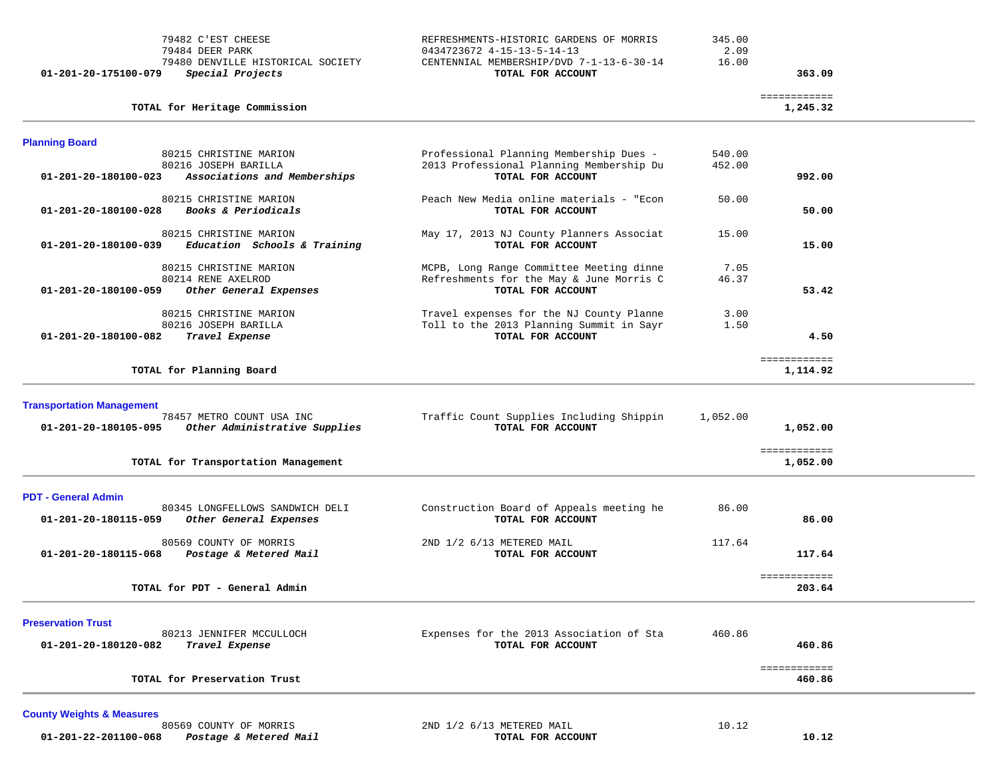**TOTAL for Heritage Commission 1,245.32**

| 01-201-20-175100-079<br>Special Projects | TOTAL FOR ACCOUNT                        |        | 363.09 |
|------------------------------------------|------------------------------------------|--------|--------|
| 79480 DENVILLE HISTORICAL SOCIETY        | CENTENNIAL MEMBERSHIP/DVD 7-1-13-6-30-14 | 16.00  |        |
| 79484 DEER PARK                          | 0434723672 4-15-13-5-14-13               | 2.09   |        |
| 79482 C'EST CHEESE                       | REFRESHMENTS-HISTORIC GARDENS OF MORRIS  | 345.00 |        |

#### ============ 1,245.32

| <b>Planning Board</b>                                                                                                  |                                                                                                           |                  |                                |  |
|------------------------------------------------------------------------------------------------------------------------|-----------------------------------------------------------------------------------------------------------|------------------|--------------------------------|--|
| 80215 CHRISTINE MARION<br>80216 JOSEPH BARILLA<br>01-201-20-180100-023<br>Associations and Memberships                 | Professional Planning Membership Dues -<br>2013 Professional Planning Membership Du<br>TOTAL FOR ACCOUNT  | 540.00<br>452.00 | 992.00                         |  |
| 80215 CHRISTINE MARION<br>Books & Periodicals<br>01-201-20-180100-028                                                  | Peach New Media online materials - "Econ<br>TOTAL FOR ACCOUNT                                             | 50.00            | 50.00                          |  |
| 80215 CHRISTINE MARION<br>01-201-20-180100-039<br>Education Schools & Training                                         | May 17, 2013 NJ County Planners Associat<br>TOTAL FOR ACCOUNT                                             | 15.00            | 15.00                          |  |
| 80215 CHRISTINE MARION<br>80214 RENE AXELROD<br>01-201-20-180100-059<br>Other General Expenses                         | MCPB, Long Range Committee Meeting dinne<br>Refreshments for the May & June Morris C<br>TOTAL FOR ACCOUNT | 7.05<br>46.37    | 53.42                          |  |
| 80215 CHRISTINE MARION<br>80216 JOSEPH BARILLA<br>01-201-20-180100-082<br>Travel Expense                               | Travel expenses for the NJ County Planne<br>Toll to the 2013 Planning Summit in Sayr<br>TOTAL FOR ACCOUNT | 3.00<br>1.50     | 4.50                           |  |
| TOTAL for Planning Board                                                                                               |                                                                                                           |                  | <b>EEEEEEEEEEE</b><br>1,114.92 |  |
| <b>Transportation Management</b><br>78457 METRO COUNT USA INC<br>01-201-20-180105-095<br>Other Administrative Supplies | Traffic Count Supplies Including Shippin<br>TOTAL FOR ACCOUNT                                             | 1,052.00         | 1,052.00                       |  |
| TOTAL for Transportation Management                                                                                    |                                                                                                           |                  | ============<br>1,052.00       |  |
| <b>PDT - General Admin</b><br>80345 LONGFELLOWS SANDWICH DELI<br>01-201-20-180115-059<br>Other General Expenses        | Construction Board of Appeals meeting he<br>TOTAL FOR ACCOUNT                                             | 86.00            | 86.00                          |  |
| 80569 COUNTY OF MORRIS<br>01-201-20-180115-068<br>Postage & Metered Mail                                               | 2ND 1/2 6/13 METERED MAIL<br>TOTAL FOR ACCOUNT                                                            | 117.64           | 117.64                         |  |
| TOTAL for PDT - General Admin                                                                                          |                                                                                                           |                  | ============<br>203.64         |  |
| <b>Preservation Trust</b><br>80213 JENNIFER MCCULLOCH<br>01-201-20-180120-082<br>Travel Expense                        | Expenses for the 2013 Association of Sta<br>TOTAL FOR ACCOUNT                                             | 460.86           | 460.86                         |  |
| TOTAL for Preservation Trust                                                                                           |                                                                                                           |                  | ============<br>460.86         |  |

## **County Weights & Measures**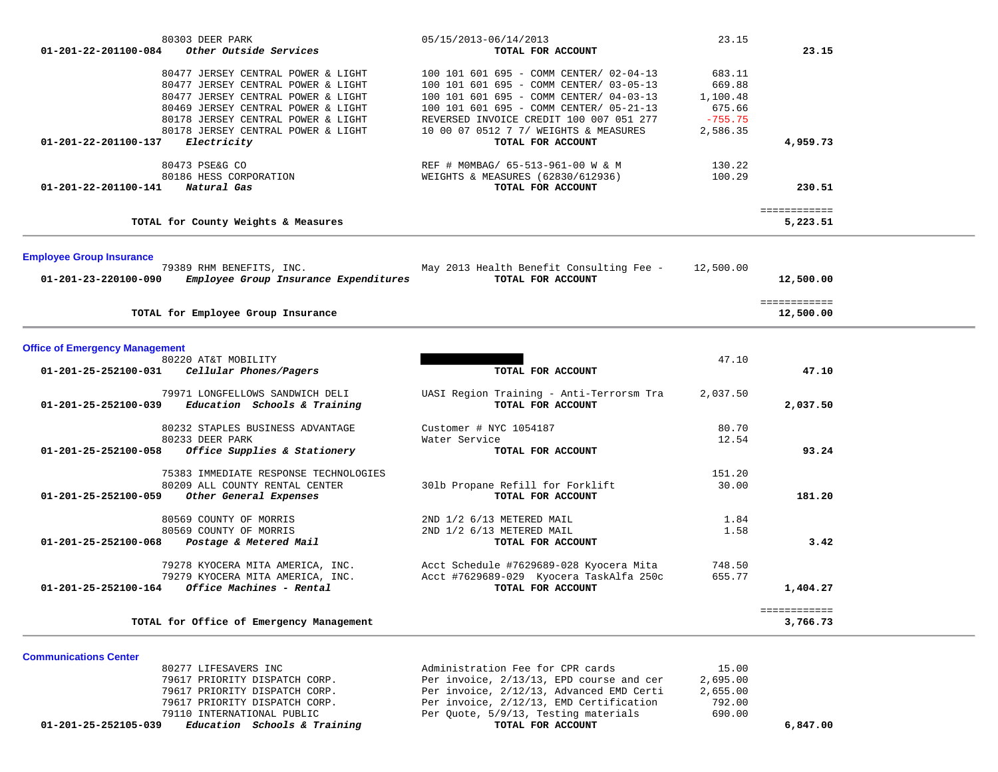| 80303 DEER PARK<br>01-201-22-201100-084<br>Other Outside Services                       | 05/15/2013-06/14/2013<br>TOTAL FOR ACCOUNT                    | 23.15     | 23.15        |  |
|-----------------------------------------------------------------------------------------|---------------------------------------------------------------|-----------|--------------|--|
| 80477 JERSEY CENTRAL POWER & LIGHT                                                      | 100 101 601 695 - COMM CENTER/ 02-04-13                       | 683.11    |              |  |
| 80477 JERSEY CENTRAL POWER & LIGHT                                                      | 100 101 601 695 - COMM CENTER/ 03-05-13                       | 669.88    |              |  |
| 80477 JERSEY CENTRAL POWER & LIGHT                                                      | 100 101 601 695 - COMM CENTER/ 04-03-13                       | 1,100.48  |              |  |
| 80469 JERSEY CENTRAL POWER & LIGHT                                                      | 100 101 601 695 - COMM CENTER/ 05-21-13                       | 675.66    |              |  |
| 80178 JERSEY CENTRAL POWER & LIGHT                                                      | REVERSED INVOICE CREDIT 100 007 051 277                       | $-755.75$ |              |  |
| 80178 JERSEY CENTRAL POWER & LIGHT<br>Electricity<br>01-201-22-201100-137               | 10 00 07 0512 7 7/ WEIGHTS & MEASURES<br>TOTAL FOR ACCOUNT    | 2,586.35  | 4,959.73     |  |
|                                                                                         |                                                               |           |              |  |
| 80473 PSE&G CO                                                                          | REF # MOMBAG/ 65-513-961-00 W & M                             | 130.22    |              |  |
| 80186 HESS CORPORATION                                                                  | WEIGHTS & MEASURES (62830/612936)                             | 100.29    |              |  |
| 01-201-22-201100-141<br>Natural Gas                                                     | TOTAL FOR ACCOUNT                                             |           | 230.51       |  |
|                                                                                         |                                                               |           |              |  |
|                                                                                         |                                                               |           | ============ |  |
| TOTAL for County Weights & Measures                                                     |                                                               |           | 5,223.51     |  |
|                                                                                         |                                                               |           |              |  |
| <b>Employee Group Insurance</b><br>79389 RHM BENEFITS, INC.                             | May 2013 Health Benefit Consulting Fee -                      | 12,500.00 |              |  |
| Employee Group Insurance Expenditures<br>01-201-23-220100-090                           | TOTAL FOR ACCOUNT                                             |           | 12,500.00    |  |
|                                                                                         |                                                               |           |              |  |
|                                                                                         |                                                               |           | ============ |  |
| TOTAL for Employee Group Insurance                                                      |                                                               |           | 12,500.00    |  |
| <b>Office of Emergency Management</b>                                                   |                                                               |           |              |  |
| 80220 AT&T MOBILITY                                                                     |                                                               | 47.10     |              |  |
| 01-201-25-252100-031<br>Cellular Phones/Pagers                                          | TOTAL FOR ACCOUNT                                             |           | 47.10        |  |
|                                                                                         |                                                               |           |              |  |
| 79971 LONGFELLOWS SANDWICH DELI<br>Education Schools & Training<br>01-201-25-252100-039 | UASI Region Training - Anti-Terrorsm Tra<br>TOTAL FOR ACCOUNT | 2,037.50  | 2,037.50     |  |
|                                                                                         |                                                               |           |              |  |
| 80232 STAPLES BUSINESS ADVANTAGE                                                        | Customer # NYC 1054187                                        | 80.70     |              |  |
| 80233 DEER PARK                                                                         | Water Service                                                 | 12.54     |              |  |
| Office Supplies & Stationery<br>01-201-25-252100-058                                    | TOTAL FOR ACCOUNT                                             |           | 93.24        |  |
|                                                                                         |                                                               |           |              |  |
| 75383 IMMEDIATE RESPONSE TECHNOLOGIES                                                   |                                                               | 151.20    |              |  |
| 80209 ALL COUNTY RENTAL CENTER<br>01-201-25-252100-059<br>Other General Expenses        | 301b Propane Refill for Forklift<br>TOTAL FOR ACCOUNT         | 30.00     | 181.20       |  |
|                                                                                         |                                                               |           |              |  |
| 80569 COUNTY OF MORRIS                                                                  | 2ND 1/2 6/13 METERED MAIL                                     | 1.84      |              |  |
| 80569 COUNTY OF MORRIS                                                                  | 2ND 1/2 6/13 METERED MAIL                                     | 1.58      |              |  |
| Postage & Metered Mail<br>01-201-25-252100-068                                          | TOTAL FOR ACCOUNT                                             |           | 3.42         |  |
|                                                                                         | Acct Schedule #7629689-028 Kyocera Mita                       | 748.50    |              |  |
| 79278 KYOCERA MITA AMERICA, INC.<br>79279 KYOCERA MITA AMERICA, INC.                    | Acct #7629689-029 Kyocera TaskAlfa 250c                       | 655.77    |              |  |
| Office Machines - Rental<br>01-201-25-252100-164                                        | TOTAL FOR ACCOUNT                                             |           | 1,404.27     |  |
|                                                                                         |                                                               |           |              |  |
|                                                                                         |                                                               |           | ============ |  |
| TOTAL for Office of Emergency Management                                                |                                                               |           | 3,766.73     |  |
|                                                                                         |                                                               |           |              |  |

**Communications Center**  80277 LIFESAVERS INC Administration Fee for CPR cards 15.00 79617 PRIORITY DISPATCH CORP. Per invoice, 2/13/13, EPD course and cer 2,695.00 79617 PRIORITY DISPATCH CORP. Per invoice, 2/12/13, Advanced EMD Certi 2,655.00 79617 PRIORITY DISPATCH CORP. Per invoice, 2/12/13, EMD Certification 792.00 79110 INTERNATIONAL PUBLIC Per Quote, 5/9/13, Testing materials 690.00  **01-201-25-252105-039** *Education Schools & Training* **TOTAL FOR ACCOUNT 6,847.00**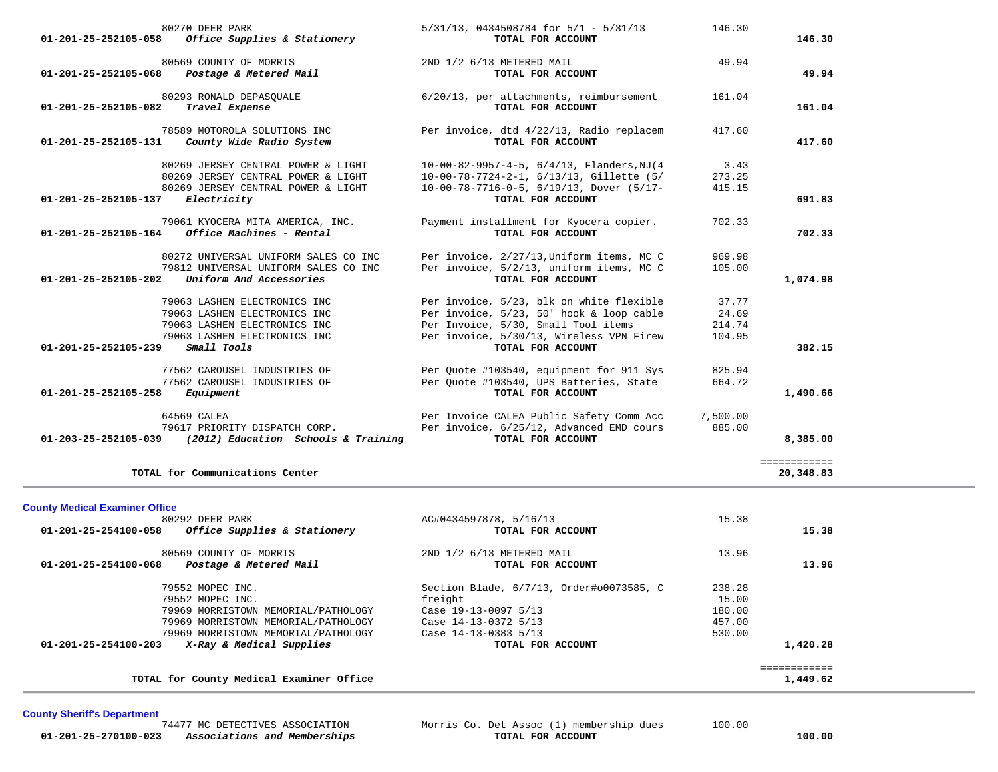| 80270 DEER PARK<br>Office Supplies & Stationery<br>01-201-25-252105-058                                                                                             | $5/31/13$ , 0434508784 for $5/1$ - $5/31/13$<br>TOTAL FOR ACCOUNT                                                                                                                            | 146.30                             | 146.30                    |
|---------------------------------------------------------------------------------------------------------------------------------------------------------------------|----------------------------------------------------------------------------------------------------------------------------------------------------------------------------------------------|------------------------------------|---------------------------|
| 80569 COUNTY OF MORRIS<br>Postage & Metered Mail<br>01-201-25-252105-068                                                                                            | 2ND 1/2 6/13 METERED MAIL<br>TOTAL FOR ACCOUNT                                                                                                                                               | 49.94                              | 49.94                     |
| 80293 RONALD DEPASOUALE<br>Travel Expense<br>$01 - 201 - 25 - 252105 - 082$                                                                                         | 6/20/13, per attachments, reimbursement<br>TOTAL FOR ACCOUNT                                                                                                                                 | 161.04                             | 161.04                    |
| 78589 MOTOROLA SOLUTIONS INC<br>01-201-25-252105-131<br>County Wide Radio System                                                                                    | Per invoice, dtd 4/22/13, Radio replacem<br>TOTAL FOR ACCOUNT                                                                                                                                | 417.60                             | 417.60                    |
| 80269 JERSEY CENTRAL POWER & LIGHT<br>80269 JERSEY CENTRAL POWER & LIGHT<br>80269 JERSEY CENTRAL POWER & LIGHT<br>01-201-25-252105-137<br>Electricity               | $10-00-82-9957-4-5, 6/4/13,$ Flanders, NJ(4<br>10-00-78-7724-2-1, 6/13/13, Gillette (5/<br>$10-00-78-7716-0-5, 6/19/13, Dover (5/17-$<br>TOTAL FOR ACCOUNT                                   | 3.43<br>273.25<br>415.15           | 691.83                    |
| 79061 KYOCERA MITA AMERICA, INC.<br>Office Machines - Rental<br>$01 - 201 - 25 - 252105 - 164$                                                                      | Payment installment for Kyocera copier.<br>TOTAL FOR ACCOUNT                                                                                                                                 | 702.33                             | 702.33                    |
| 80272 UNIVERSAL UNIFORM SALES CO INC<br>79812 UNIVERSAL UNIFORM SALES CO INC<br>01-201-25-252105-202<br>Uniform And Accessories                                     | Per invoice, 2/27/13, Uniform items, MC C<br>Per invoice, 5/2/13, uniform items, MC C<br>TOTAL FOR ACCOUNT                                                                                   | 969.98<br>105.00                   | 1,074.98                  |
| 79063 LASHEN ELECTRONICS INC<br>79063 LASHEN ELECTRONICS INC<br>79063 LASHEN ELECTRONICS INC<br>79063 LASHEN ELECTRONICS INC<br>Small Tools<br>01-201-25-252105-239 | Per invoice, 5/23, blk on white flexible<br>Per invoice, 5/23, 50' hook & loop cable<br>Per Invoice, 5/30, Small Tool items<br>Per invoice, 5/30/13, Wireless VPN Firew<br>TOTAL FOR ACCOUNT | 37.77<br>24.69<br>214.74<br>104.95 | 382.15                    |
| 77562 CAROUSEL INDUSTRIES OF<br>77562 CAROUSEL INDUSTRIES OF<br>01-201-25-252105-258<br>Equipment                                                                   | Per Quote #103540, equipment for 911 Sys<br>Per Quote #103540, UPS Batteries, State<br>TOTAL FOR ACCOUNT                                                                                     | 825.94<br>664.72                   | 1,490.66                  |
| 64569 CALEA<br>79617 PRIORITY DISPATCH CORP.<br>(2012) Education Schools & Training<br>01-203-25-252105-039                                                         | Per Invoice CALEA Public Safety Comm Acc<br>Per invoice, 6/25/12, Advanced EMD cours<br>TOTAL FOR ACCOUNT                                                                                    | 7,500.00<br>885.00                 | 8,385.00                  |
| TOTAL for Communications Center                                                                                                                                     |                                                                                                                                                                                              |                                    | ============<br>20,348.83 |

**County Medical Examiner Office**

| 80292 DEER PARK                                                | AC#0434597878, 5/16/13                   | 15.38  |          |
|----------------------------------------------------------------|------------------------------------------|--------|----------|
| Office Supplies & Stationery<br>$01 - 201 - 25 - 254100 - 058$ | TOTAL FOR ACCOUNT                        |        | 15.38    |
| 80569 COUNTY OF MORRIS                                         | 2ND 1/2 6/13 METERED MAIL                | 13.96  |          |
| $01 - 201 - 25 - 254100 - 068$<br>Postage & Metered Mail       | TOTAL FOR ACCOUNT                        |        | 13.96    |
| 79552 MOPEC INC.                                               | Section Blade, 6/7/13, Order#00073585, C | 238.28 |          |
| 79552 MOPEC INC.                                               | freight                                  | 15.00  |          |
| 79969 MORRISTOWN MEMORIAL/PATHOLOGY                            | Case 19-13-0097 5/13                     | 180.00 |          |
| 79969 MORRISTOWN MEMORIAL/PATHOLOGY                            | Case 14-13-0372 5/13                     | 457.00 |          |
| 79969 MORRISTOWN MEMORIAL/PATHOLOGY                            | Case 14-13-0383 5/13                     | 530.00 |          |
| X-Ray & Medical Supplies<br>$01 - 201 - 25 - 254100 - 203$     | TOTAL FOR ACCOUNT                        |        | 1,420.28 |
|                                                                |                                          |        |          |
| TOTAL for County Medical Examiner Office                       |                                          |        | 1,449.62 |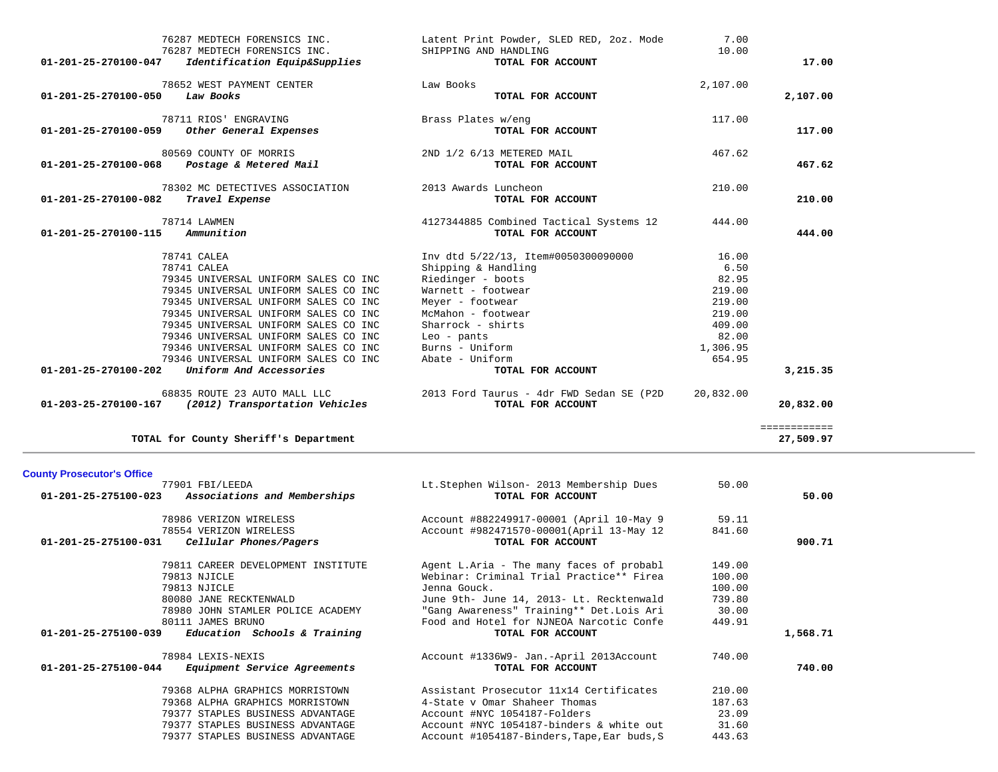|                                | 76287 MEDTECH FORENSICS INC.                                  | Latent Print Powder, SLED RED, 2oz. Mode   | 7.00      |              |
|--------------------------------|---------------------------------------------------------------|--------------------------------------------|-----------|--------------|
| 01-201-25-270100-047           | 76287 MEDTECH FORENSICS INC.<br>Identification Equip&Supplies | SHIPPING AND HANDLING<br>TOTAL FOR ACCOUNT | 10.00     | 17.00        |
|                                | 78652 WEST PAYMENT CENTER                                     | Law Books                                  | 2,107.00  |              |
| 01-201-25-270100-050           | Law Books                                                     | TOTAL FOR ACCOUNT                          |           | 2,107.00     |
|                                | 78711 RIOS' ENGRAVING                                         | Brass Plates w/eng                         | 117.00    |              |
| 01-201-25-270100-059           | Other General Expenses                                        | TOTAL FOR ACCOUNT                          |           | 117.00       |
|                                | 80569 COUNTY OF MORRIS                                        | 2ND 1/2 6/13 METERED MAIL                  | 467.62    |              |
| 01-201-25-270100-068           | Postage & Metered Mail                                        | TOTAL FOR ACCOUNT                          |           | 467.62       |
|                                | 78302 MC DETECTIVES ASSOCIATION                               | 2013 Awards Luncheon                       | 210.00    |              |
| 01-201-25-270100-082           | Travel Expense                                                | TOTAL FOR ACCOUNT                          |           | 210.00       |
|                                | 78714 LAWMEN                                                  | 4127344885 Combined Tactical Systems 12    | 444.00    |              |
| $01 - 201 - 25 - 270100 - 115$ | Ammunition                                                    | TOTAL FOR ACCOUNT                          |           | 444.00       |
|                                | 78741 CALEA                                                   | Inv dtd 5/22/13, Item#0050300090000        | 16.00     |              |
|                                | 78741 CALEA                                                   | Shipping & Handling                        | 6.50      |              |
|                                | 79345 UNIVERSAL UNIFORM SALES CO INC                          | Riedinger - boots                          | 82.95     |              |
|                                | 79345 UNIVERSAL UNIFORM SALES CO INC                          | Warnett - footwear                         | 219.00    |              |
|                                | 79345 UNIVERSAL UNIFORM SALES CO INC                          | Meyer - footwear                           | 219.00    |              |
|                                | 79345 UNIVERSAL UNIFORM SALES CO INC                          | McMahon - footwear                         | 219.00    |              |
|                                | 79345 UNIVERSAL UNIFORM SALES CO INC                          | Sharrock - shirts                          | 409.00    |              |
|                                | 79346 UNIVERSAL UNIFORM SALES CO INC                          | $Leo - pants$                              | 82.00     |              |
|                                | 79346 UNIVERSAL UNIFORM SALES CO INC                          | Burns - Uniform                            | 1,306.95  |              |
|                                | 79346 UNIVERSAL UNIFORM SALES CO INC                          | Abate - Uniform                            | 654.95    |              |
| 01-201-25-270100-202           | Uniform And Accessories                                       | TOTAL FOR ACCOUNT                          |           | 3,215.35     |
|                                | 68835 ROUTE 23 AUTO MALL LLC                                  | 2013 Ford Taurus - 4dr FWD Sedan SE (P2D   | 20,832.00 |              |
|                                | $01-203-25-270100-167$ (2012) Transportation Vehicles         | TOTAL FOR ACCOUNT                          |           | 20,832.00    |
|                                |                                                               |                                            |           | ============ |
|                                | TOTAL for County Sheriff's Department                         |                                            |           | 27,509.97    |

## **County Prosecutor's Office**

|                      | 77901 FBI/LEEDA                     | Lt.Stephen Wilson- 2013 Membership Dues     | 50.00  |          |
|----------------------|-------------------------------------|---------------------------------------------|--------|----------|
| 01-201-25-275100-023 | Associations and Memberships        | TOTAL FOR ACCOUNT                           |        | 50.00    |
|                      | 78986 VERIZON WIRELESS              | Account #882249917-00001 (April 10-May 9    | 59.11  |          |
|                      | 78554 VERIZON WIRELESS              | Account #982471570-00001(April 13-May 12    | 841.60 |          |
| 01-201-25-275100-031 | Cellular Phones/Pagers              | TOTAL FOR ACCOUNT                           |        | 900.71   |
|                      | 79811 CAREER DEVELOPMENT INSTITUTE  | Agent L.Aria - The many faces of probabl    | 149.00 |          |
|                      | 79813 NJICLE                        | Webinar: Criminal Trial Practice** Firea    | 100.00 |          |
|                      | 79813 NJICLE                        | Jenna Gouck.                                | 100.00 |          |
|                      | 80080 JANE RECKTENWALD              | June 9th- June 14, 2013- Lt. Recktenwald    | 739.80 |          |
|                      | 78980 JOHN STAMLER POLICE ACADEMY   | "Gang Awareness" Training** Det.Lois Ari    | 30.00  |          |
|                      | 80111 JAMES BRUNO                   | Food and Hotel for NJNEOA Narcotic Confe    | 449.91 |          |
| 01-201-25-275100-039 | Education Schools & Training        | TOTAL FOR ACCOUNT                           |        | 1,568.71 |
|                      | 78984 LEXIS-NEXIS                   | Account #1336W9- Jan.-April 2013Account     | 740.00 |          |
| 01-201-25-275100-044 | <i>Equipment Service Agreements</i> | TOTAL FOR ACCOUNT                           |        | 740.00   |
|                      | 79368 ALPHA GRAPHICS MORRISTOWN     | Assistant Prosecutor 11x14 Certificates     | 210.00 |          |
|                      | 79368 ALPHA GRAPHICS MORRISTOWN     | 4-State y Omar Shaheer Thomas               | 187.63 |          |
|                      | 79377 STAPLES BUSINESS ADVANTAGE    | Account #NYC 1054187-Folders                | 23.09  |          |
|                      | 79377 STAPLES BUSINESS ADVANTAGE    | Account #NYC 1054187-binders & white out    | 31.60  |          |
|                      | 79377 STAPLES BUSINESS ADVANTAGE    | Account #1054187-Binders, Tape, Ear buds, S | 443.63 |          |
|                      |                                     |                                             |        |          |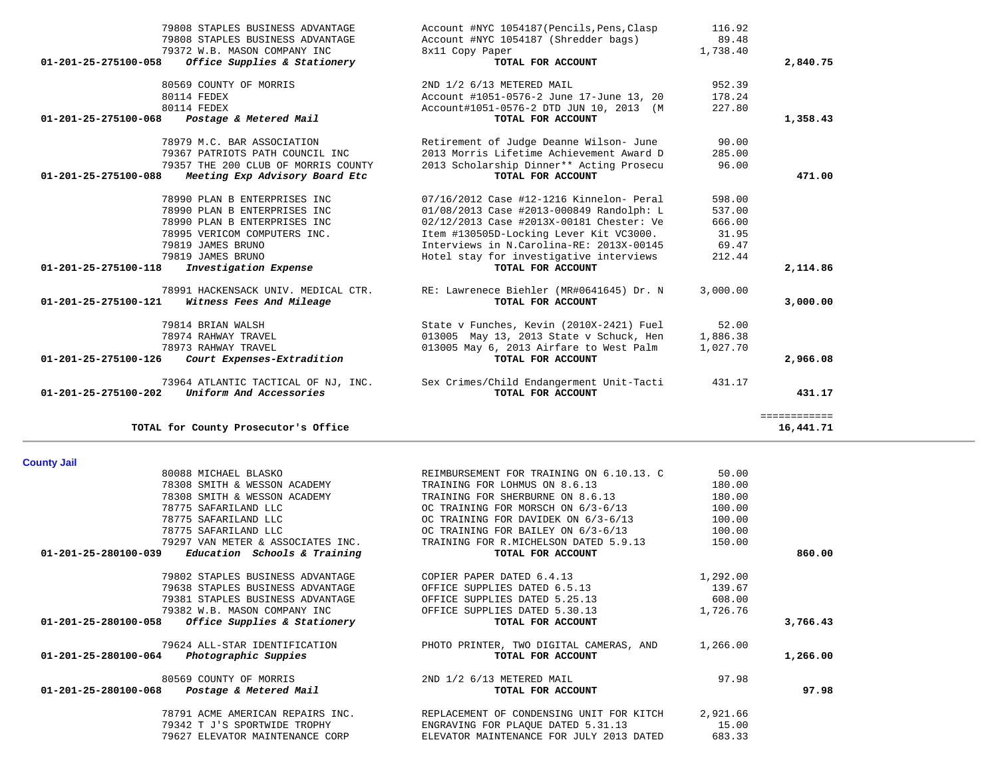| <b>County Jail</b>                                             |                                          |          |          |
|----------------------------------------------------------------|------------------------------------------|----------|----------|
| 80088 MICHAEL BLASKO                                           | REIMBURSEMENT FOR TRAINING ON 6.10.13. C | 50.00    |          |
| 78308 SMITH & WESSON ACADEMY                                   | TRAINING FOR LOHMUS ON 8.6.13            | 180.00   |          |
| 78308 SMITH & WESSON ACADEMY                                   | TRAINING FOR SHERBURNE ON 8.6.13         | 180.00   |          |
| 78775 SAFARILAND LLC                                           | OC TRAINING FOR MORSCH ON 6/3-6/13       | 100.00   |          |
| 78775 SAFARILAND LLC                                           | OC TRAINING FOR DAVIDEK ON 6/3-6/13      | 100.00   |          |
| 78775 SAFARILAND LLC                                           | OC TRAINING FOR BAILEY ON 6/3-6/13       | 100.00   |          |
| 79297 VAN METER & ASSOCIATES INC.                              | TRAINING FOR R.MICHELSON DATED 5.9.13    | 150.00   |          |
| $01 - 201 - 25 - 280100 - 039$<br>Education Schools & Training | TOTAL FOR ACCOUNT                        |          | 860.00   |
| 79802 STAPLES BUSINESS ADVANTAGE                               | COPIER PAPER DATED 6.4.13                | 1,292.00 |          |
| 79638 STAPLES BUSINESS ADVANTAGE                               | OFFICE SUPPLIES DATED 6.5.13             | 139.67   |          |
| 79381 STAPLES BUSINESS ADVANTAGE                               | OFFICE SUPPLIES DATED 5.25.13            | 608.00   |          |
| 79382 W.B. MASON COMPANY INC                                   | OFFICE SUPPLIES DATED 5.30.13            | 1,726.76 |          |
| 01-201-25-280100-058<br>Office Supplies & Stationery           | TOTAL FOR ACCOUNT                        |          | 3,766.43 |
| 79624 ALL-STAR IDENTIFICATION                                  | PHOTO PRINTER, TWO DIGITAL CAMERAS, AND  | 1,266.00 |          |
| $01 - 201 - 25 - 280100 - 064$<br>Photographic Suppies         | TOTAL FOR ACCOUNT                        |          | 1,266.00 |
| 80569 COUNTY OF MORRIS                                         | 2ND 1/2 6/13 METERED MAIL                | 97.98    |          |
| $01 - 201 - 25 - 280100 - 068$<br>Postage & Metered Mail       | TOTAL FOR ACCOUNT                        |          | 97.98    |
| 78791 ACME AMERICAN REPAIRS INC.                               | REPLACEMENT OF CONDENSING UNIT FOR KITCH | 2,921.66 |          |
| 79342 T J'S SPORTWIDE TROPHY                                   | ENGRAVING FOR PLAQUE DATED 5.31.13       | 15.00    |          |
| 79627 ELEVATOR MAINTENANCE CORP                                | ELEVATOR MAINTENANCE FOR JULY 2013 DATED | 683.33   |          |

| 79372 W.B. MASON COMPANY INC<br>Office Supplies & Stationery<br>01-201-25-275100-058 | 8x11 Copy Paper<br>TOTAL FOR ACCOUNT      | 1,738.40 | 2,840.75     |
|--------------------------------------------------------------------------------------|-------------------------------------------|----------|--------------|
| 80569 COUNTY OF MORRIS                                                               | 2ND 1/2 6/13 METERED MAIL                 | 952.39   |              |
| 80114 FEDEX                                                                          | Account #1051-0576-2 June 17-June 13, 20  | 178.24   |              |
| 80114 FEDEX                                                                          | Account#1051-0576-2 DTD JUN 10, 2013 (M   | 227.80   |              |
| 01-201-25-275100-068<br>Postage & Metered Mail                                       | TOTAL FOR ACCOUNT                         |          | 1,358.43     |
| 78979 M.C. BAR ASSOCIATION                                                           | Retirement of Judge Deanne Wilson- June   | 90.00    |              |
| 79367 PATRIOTS PATH COUNCIL INC                                                      | 2013 Morris Lifetime Achievement Award D  | 285.00   |              |
| 79357 THE 200 CLUB OF MORRIS COUNTY                                                  | 2013 Scholarship Dinner** Acting Prosecu  | 96.00    |              |
| Meeting Exp Advisory Board Etc<br>01-201-25-275100-088                               | TOTAL FOR ACCOUNT                         |          | 471.00       |
| 78990 PLAN B ENTERPRISES INC                                                         | 07/16/2012 Case #12-1216 Kinnelon- Peral  | 598.00   |              |
| 78990 PLAN B ENTERPRISES INC                                                         | 01/08/2013 Case #2013-000849 Randolph: L  | 537.00   |              |
| 78990 PLAN B ENTERPRISES INC                                                         | 02/12/2013 Case #2013X-00181 Chester: Ve  | 666.00   |              |
| 78995 VERICOM COMPUTERS INC.                                                         | Item #130505D-Locking Lever Kit VC3000.   | 31.95    |              |
| 79819 JAMES BRUNO                                                                    | Interviews in N. Carolina-RE: 2013X-00145 | 69.47    |              |
| 79819 JAMES BRUNO                                                                    | Hotel stay for investigative interviews   | 212.44   |              |
| Investigation Expense<br>01-201-25-275100-118                                        | TOTAL FOR ACCOUNT                         |          | 2,114.86     |
| 78991 HACKENSACK UNIV. MEDICAL CTR.                                                  | RE: Lawrenece Biehler (MR#0641645) Dr. N  | 3,000.00 |              |
| 01-201-25-275100-121<br>Witness Fees And Mileage                                     | TOTAL FOR ACCOUNT                         |          | 3,000.00     |
| 79814 BRIAN WALSH                                                                    | State v Funches, Kevin (2010X-2421) Fuel  | 52.00    |              |
| 78974 RAHWAY TRAVEL                                                                  | 013005 May 13, 2013 State v Schuck, Hen   | 1,886.38 |              |
| 78973 RAHWAY TRAVEL                                                                  | 013005 May 6, 2013 Airfare to West Palm   | 1,027.70 |              |
| 01-201-25-275100-126<br>Court Expenses-Extradition                                   | TOTAL FOR ACCOUNT                         |          | 2,966.08     |
| 73964 ATLANTIC TACTICAL OF NJ, INC.                                                  | Sex Crimes/Child Endangerment Unit-Tacti  | 431.17   |              |
| Uniform And Accessories<br>$01 - 201 - 25 - 275100 - 202$                            | TOTAL FOR ACCOUNT                         |          | 431.17       |
|                                                                                      |                                           |          | ============ |
| TOTAL for County Prosecutor's Office                                                 |                                           |          | 16,441.71    |

 79808 STAPLES BUSINESS ADVANTAGE Account #NYC 1054187(Pencils,Pens,Clasp 116.92 79808 STAPLES BUSINESS ADVANTAGE Account #NYC 1054187 (Shredder bags) 89.48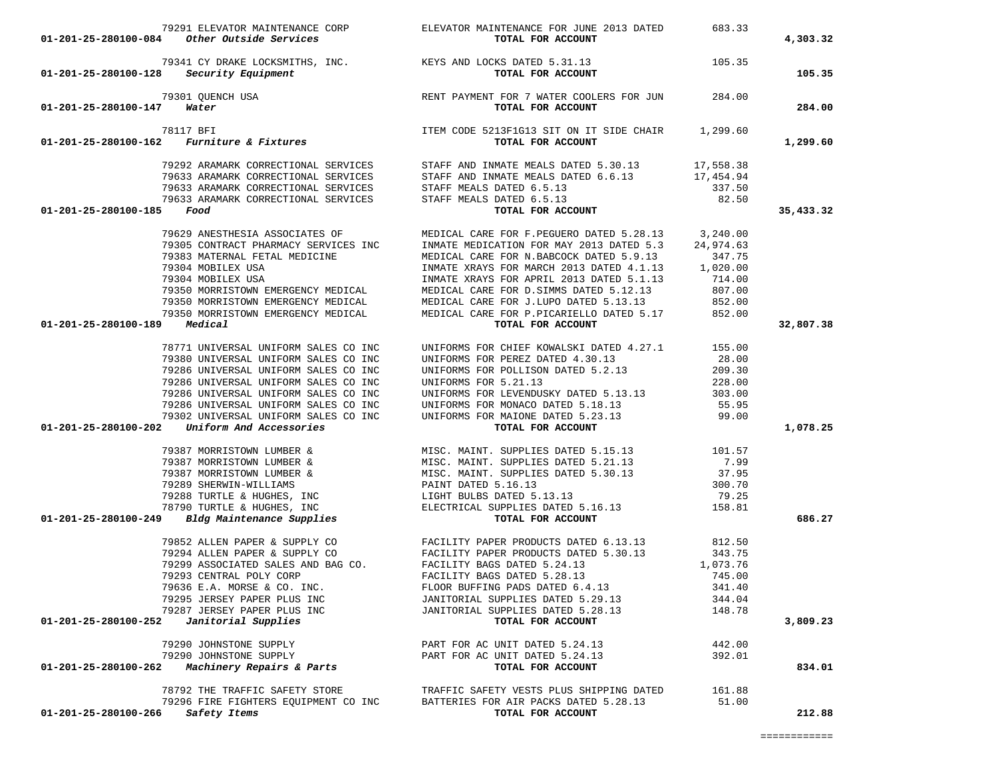| $01-201-25-280100-084$ Other Outside Services                                                                                                                                                                                                                                                                                                                                                                          | TOTAL FOR ACCOUNT                                                                                                                                                                                                                              |        | 4,303.32  |
|------------------------------------------------------------------------------------------------------------------------------------------------------------------------------------------------------------------------------------------------------------------------------------------------------------------------------------------------------------------------------------------------------------------------|------------------------------------------------------------------------------------------------------------------------------------------------------------------------------------------------------------------------------------------------|--------|-----------|
|                                                                                                                                                                                                                                                                                                                                                                                                                        |                                                                                                                                                                                                                                                |        |           |
| $01-201-25-280100-128$ Security Equipment                                                                                                                                                                                                                                                                                                                                                                              | 79341 CY DRAKE LOCKSMITHS, INC.<br>3 Security Equipment 105.35 TOTAL FOR ACCOUNT                                                                                                                                                               |        | 105.35    |
|                                                                                                                                                                                                                                                                                                                                                                                                                        |                                                                                                                                                                                                                                                |        |           |
| 79301 QUENCH USA RENT PAYMENT FOR 7 WATER COOLERS FOR JUN 284.00<br><b>RENT PAYMENT FOR 7 WATER COOLERS FOR JUN</b> 284.00<br><b>TOTAL FOR ACCOUNT</b><br>78117 BFI ITEM CODE 5213F1G13 SIT ON IT SIDE CHAIR 1,299.60<br><b>O1-201-25-280100-162</b>                                                                                                                                                                   |                                                                                                                                                                                                                                                |        | 284.00    |
|                                                                                                                                                                                                                                                                                                                                                                                                                        |                                                                                                                                                                                                                                                |        |           |
|                                                                                                                                                                                                                                                                                                                                                                                                                        |                                                                                                                                                                                                                                                |        | 1,299.60  |
|                                                                                                                                                                                                                                                                                                                                                                                                                        | 9992 ARAMARK CORRECTIONAL SERVICES<br>99633 ARAMARK CORRECTIONAL SERVICES<br>99633 ARAMARK CORRECTIONAL SERVICES<br>99633 ARAMARK CORRECTIONAL SERVICES<br>937.50<br>93.50<br>79633 ARAMARK CORRECTIONAL SERVICES<br>92.50<br>79633 ARAMARK CO |        |           |
|                                                                                                                                                                                                                                                                                                                                                                                                                        |                                                                                                                                                                                                                                                |        |           |
|                                                                                                                                                                                                                                                                                                                                                                                                                        |                                                                                                                                                                                                                                                |        |           |
|                                                                                                                                                                                                                                                                                                                                                                                                                        | DATED 6.5.13<br>TOTAL FOR ACCOUNT                                                                                                                                                                                                              |        |           |
| $01 - 201 - 25 - 280100 - 185$ Food                                                                                                                                                                                                                                                                                                                                                                                    |                                                                                                                                                                                                                                                |        | 35,433.32 |
| 79629 ANESTHESIA ASSOCIATES OF                                                                                                                                                                                                                                                                                                                                                                                         | MEDICAL CARE FOR F.PEGUERO DATED 5.28.13 3,240.00                                                                                                                                                                                              |        |           |
| 79305 CONTRACT PHARMACY SERVICES INC<br>79383 MATERNAL FETAL MEDICINE                                                                                                                                                                                                                                                                                                                                                  | INMATE MEDICATION FOR MAY 2013 DATED 5.3 24,974.63                                                                                                                                                                                             |        |           |
|                                                                                                                                                                                                                                                                                                                                                                                                                        | MEDICAL CARE FOR N.BABCOCK DATED 5.9.13 347.75                                                                                                                                                                                                 |        |           |
|                                                                                                                                                                                                                                                                                                                                                                                                                        | TRIMATE XRAYS FOR MARCH 2013 DATED 4.1.13 1,020.00<br>79304 MOBILEX USA INMATE XRAYS FOR APRIL 2013 DATED 5.1.13 714.00<br>79350 MORRISTOWN EMERGENCY MEDICAL MEDICAL CARE FOR D.SIMMS DATED 5.12.13 807.00<br>79350 MORRISTOWN EMER           |        |           |
|                                                                                                                                                                                                                                                                                                                                                                                                                        |                                                                                                                                                                                                                                                |        |           |
|                                                                                                                                                                                                                                                                                                                                                                                                                        |                                                                                                                                                                                                                                                |        |           |
|                                                                                                                                                                                                                                                                                                                                                                                                                        |                                                                                                                                                                                                                                                |        |           |
| 01-201-25-280100-189 Medical                                                                                                                                                                                                                                                                                                                                                                                           | MEDICAL CARE FOR P.PICARIELLO DATED $5.17$ 852.00<br><b>TOTAL FOR ACCOUNT</b>                                                                                                                                                                  |        | 32,807.38 |
|                                                                                                                                                                                                                                                                                                                                                                                                                        |                                                                                                                                                                                                                                                |        |           |
| 78771 UNIVERSAL UNIFORM SALES CO INC                                                                                                                                                                                                                                                                                                                                                                                   | UNIFORMS FOR CHIEF KOWALSKI DATED 4.27.1 155.00                                                                                                                                                                                                |        |           |
| 79380 UNIVERSAL UNIFORM SALES CO INC                                                                                                                                                                                                                                                                                                                                                                                   |                                                                                                                                                                                                                                                |        |           |
| 79286 UNIVERSAL UNIFORM SALES CO INC                                                                                                                                                                                                                                                                                                                                                                                   |                                                                                                                                                                                                                                                |        |           |
| 79286 UNIVERSAL UNIFORM SALES CO INC                                                                                                                                                                                                                                                                                                                                                                                   | UNIFORMS FOR PEREZ DATED 4.30.13<br>UNIFORMS FOR POLLISON DATED 5.2.13<br>UNIFORMS FOR 5.21.13<br>209.30<br>UNIFORMS FOR LEVENDUSKY DATED 5.13.13<br>303.00<br>228.00                                                                          |        |           |
| 79286 UNIVERSAL UNIFORM SALES CO INC                                                                                                                                                                                                                                                                                                                                                                                   |                                                                                                                                                                                                                                                |        |           |
| 79286 UNIVERSAL UNIFORM SALES CO INC<br>79302 UNIVERSAL UNIFORM SALES CO INC                                                                                                                                                                                                                                                                                                                                           |                                                                                                                                                                                                                                                |        |           |
|                                                                                                                                                                                                                                                                                                                                                                                                                        | UNIFORMS FOR MONACO DATED 5.18.13 55.95<br>UNIFORMS FOR MAIONE DATED 5.23.13 99.00<br>TOTAL FOR ACCOUNT                                                                                                                                        |        |           |
| 01-201-25-280100-202 Uniform And Accessories                                                                                                                                                                                                                                                                                                                                                                           |                                                                                                                                                                                                                                                |        | 1,078.25  |
|                                                                                                                                                                                                                                                                                                                                                                                                                        |                                                                                                                                                                                                                                                |        |           |
|                                                                                                                                                                                                                                                                                                                                                                                                                        |                                                                                                                                                                                                                                                |        |           |
|                                                                                                                                                                                                                                                                                                                                                                                                                        |                                                                                                                                                                                                                                                |        |           |
|                                                                                                                                                                                                                                                                                                                                                                                                                        |                                                                                                                                                                                                                                                |        |           |
|                                                                                                                                                                                                                                                                                                                                                                                                                        |                                                                                                                                                                                                                                                |        |           |
|                                                                                                                                                                                                                                                                                                                                                                                                                        |                                                                                                                                                                                                                                                |        | 686.27    |
| $\begin{array}{cccc} \texttt{79387} \text{ MORRISTOWN LUMBER} & \texttt{MISC. MANT. SUPPLIES DATED 5.15.13} & 101.57 \\ \texttt{79387} \text{ MORRISTOWN LUMBER} & \texttt{MISC. MANT. SUPPLIES DATED 5.21.13} & 7.99 \\ \texttt{79387} \text{ MORRISTOWN LUMBER} & \texttt{MISC. MANT. SUPPLIES DATED 5.21.13} & 7.99 \\ \texttt{79387} \text{MORRISTOWN LUMBER} & \texttt{MISC. MANT. SUPPLIES DATED 5.21.13} & 7.9$ |                                                                                                                                                                                                                                                |        |           |
|                                                                                                                                                                                                                                                                                                                                                                                                                        |                                                                                                                                                                                                                                                |        |           |
|                                                                                                                                                                                                                                                                                                                                                                                                                        |                                                                                                                                                                                                                                                |        |           |
|                                                                                                                                                                                                                                                                                                                                                                                                                        |                                                                                                                                                                                                                                                |        |           |
|                                                                                                                                                                                                                                                                                                                                                                                                                        |                                                                                                                                                                                                                                                |        |           |
|                                                                                                                                                                                                                                                                                                                                                                                                                        |                                                                                                                                                                                                                                                |        |           |
| 79287 JERSEY PAPER PLUS INC                                                                                                                                                                                                                                                                                                                                                                                            | 79295 JERSEY PAPER PLUS INC                     JANITORIAL SUPPLIES DATED 5.29.13                    344.04                                                                                                                                    |        |           |
| 01-201-25-280100-252 Janitorial Supplies                                                                                                                                                                                                                                                                                                                                                                               | JANITORIAL SUPPLIES DATED 5.28.13<br>TOTAL FOR ACCOUNT                                                                                                                                                                                         | 148.78 | 3,809.23  |
|                                                                                                                                                                                                                                                                                                                                                                                                                        |                                                                                                                                                                                                                                                |        |           |
| 79290 JOHNSTONE SUPPLY                                                                                                                                                                                                                                                                                                                                                                                                 | PART FOR AC UNIT DATED 5.24.13                                                                                                                                                                                                                 | 442.00 |           |
| 79290 JOHNSTONE SUPPLY                                                                                                                                                                                                                                                                                                                                                                                                 | PART FOR AC UNIT DATED 5.24.13                                                                                                                                                                                                                 | 392.01 |           |
| 01-201-25-280100-262 Machinery Repairs & Parts                                                                                                                                                                                                                                                                                                                                                                         | TOTAL FOR ACCOUNT                                                                                                                                                                                                                              |        | 834.01    |
| 78792 THE TRAFFIC SAFETY STORE                                                                                                                                                                                                                                                                                                                                                                                         | TRAFFIC SAFETY VESTS PLUS SHIPPING DATED                                                                                                                                                                                                       | 161.88 |           |
| 79296 FIRE FIGHTERS EQUIPMENT CO INC                                                                                                                                                                                                                                                                                                                                                                                   | BATTERIES FOR AIR PACKS DATED 5.28.13                                                                                                                                                                                                          | 51.00  |           |
| 01-201-25-280100-266 Safety Items                                                                                                                                                                                                                                                                                                                                                                                      | TOTAL FOR ACCOUNT                                                                                                                                                                                                                              |        | 212.88    |

79291 ELEVATOR MAINTENANCE CORP ELEVATOR MAINTENANCE FOR JUNE 2013 DATED 683.33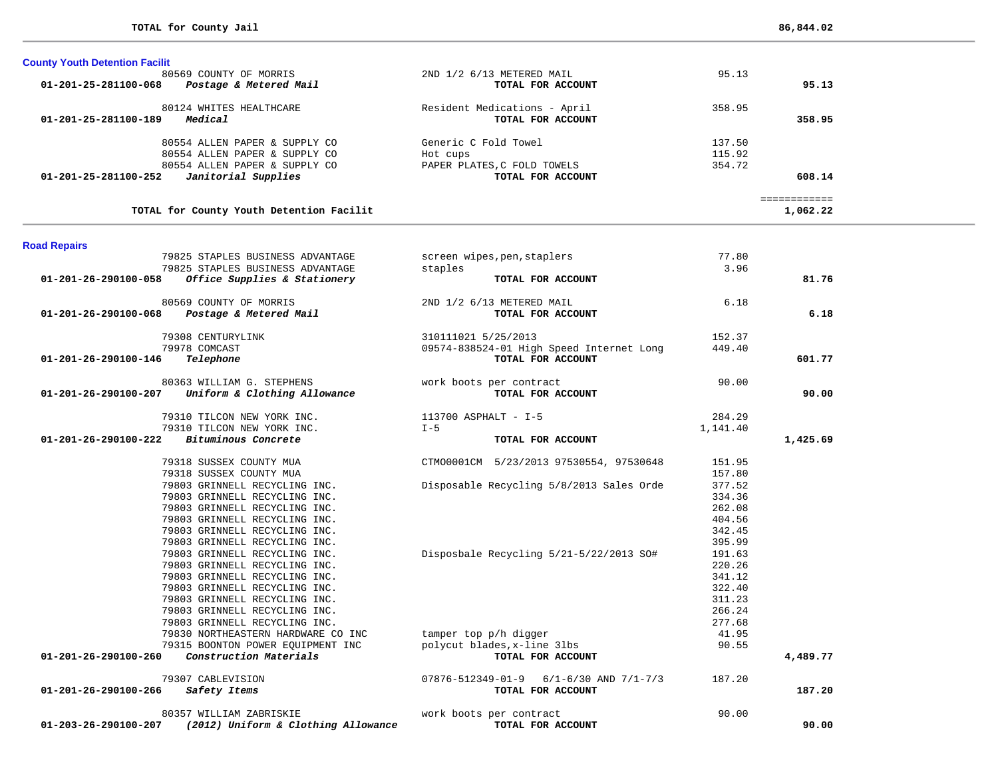| 2ND 1/2 6/13 METERED MAIL<br>95.13<br>TOTAL FOR ACCOUNT<br>95.13      |
|-----------------------------------------------------------------------|
|                                                                       |
|                                                                       |
| Resident Medications - April<br>358.95<br>TOTAL FOR ACCOUNT<br>358.95 |
| Generic C Fold Towel<br>137.50                                        |
| 115.92                                                                |
| 354.72<br>PAPER PLATES, C FOLD TOWELS                                 |
|                                                                       |
|                                                                       |

**TOTAL for County Youth Detention Facilit 1,062.22**

 ============ ============<br>1,062.22

| <b>Road Repairs</b>                                         |                                                |          |          |
|-------------------------------------------------------------|------------------------------------------------|----------|----------|
| 79825 STAPLES BUSINESS ADVANTAGE                            | screen wipes, pen, staplers                    | 77.80    |          |
| 79825 STAPLES BUSINESS ADVANTAGE                            | staples                                        | 3.96     |          |
| Office Supplies & Stationery<br>01-201-26-290100-058        | TOTAL FOR ACCOUNT                              |          | 81.76    |
| 80569 COUNTY OF MORRIS                                      | 2ND 1/2 6/13 METERED MAIL                      | 6.18     |          |
| Postage & Metered Mail<br>01-201-26-290100-068              | TOTAL FOR ACCOUNT                              |          | 6.18     |
| 79308 CENTURYLINK                                           | 310111021 5/25/2013                            | 152.37   |          |
| 79978 COMCAST                                               | 09574-838524-01 High Speed Internet Long       | 449.40   |          |
| Telephone<br>01-201-26-290100-146                           | TOTAL FOR ACCOUNT                              |          | 601.77   |
| 80363 WILLIAM G. STEPHENS                                   | work boots per contract                        | 90.00    |          |
| Uniform & Clothing Allowance<br>01-201-26-290100-207        | TOTAL FOR ACCOUNT                              |          | 90.00    |
| 79310 TILCON NEW YORK INC.                                  | 113700 ASPHALT - I-5                           | 284.29   |          |
| 79310 TILCON NEW YORK INC.                                  | $I - 5$                                        | 1,141.40 |          |
| Bituminous Concrete<br>01-201-26-290100-222                 | TOTAL FOR ACCOUNT                              |          | 1,425.69 |
| 79318 SUSSEX COUNTY MUA                                     | CTMO0001CM 5/23/2013 97530554, 97530648        | 151.95   |          |
| 79318 SUSSEX COUNTY MUA                                     |                                                | 157.80   |          |
| 79803 GRINNELL RECYCLING INC.                               | Disposable Recycling 5/8/2013 Sales Orde       | 377.52   |          |
| 79803 GRINNELL RECYCLING INC.                               |                                                | 334.36   |          |
| 79803 GRINNELL RECYCLING INC.                               |                                                | 262.08   |          |
| 79803 GRINNELL RECYCLING INC.                               |                                                | 404.56   |          |
| 79803 GRINNELL RECYCLING INC.                               |                                                | 342.45   |          |
| 79803 GRINNELL RECYCLING INC.                               |                                                | 395.99   |          |
| 79803 GRINNELL RECYCLING INC.                               | Disposbale Recycling 5/21-5/22/2013 SO#        | 191.63   |          |
| 79803 GRINNELL RECYCLING INC.                               |                                                | 220.26   |          |
| 79803 GRINNELL RECYCLING INC.                               |                                                | 341.12   |          |
| 79803 GRINNELL RECYCLING INC.                               |                                                | 322.40   |          |
| 79803 GRINNELL RECYCLING INC.                               |                                                | 311.23   |          |
| 79803 GRINNELL RECYCLING INC.                               |                                                | 266.24   |          |
| 79803 GRINNELL RECYCLING INC.                               |                                                | 277.68   |          |
| 79830 NORTHEASTERN HARDWARE CO INC                          | tamper top p/h digger                          | 41.95    |          |
| 79315 BOONTON POWER EQUIPMENT INC                           | polycut blades, x-line 3lbs                    | 90.55    |          |
| Construction Materials<br>01-201-26-290100-260              | TOTAL FOR ACCOUNT                              |          | 4,489.77 |
| 79307 CABLEVISION                                           | $07876 - 512349 - 01 - 9$ 6/1-6/30 AND 7/1-7/3 | 187.20   |          |
| $01 - 201 - 26 - 290100 - 266$<br>Safety Items              | TOTAL FOR ACCOUNT                              |          | 187.20   |
| 80357 WILLIAM ZABRISKIE                                     | work boots per contract                        | 90.00    |          |
| (2012) Uniform & Clothing Allowance<br>01-203-26-290100-207 | TOTAL FOR ACCOUNT                              |          | 90.00    |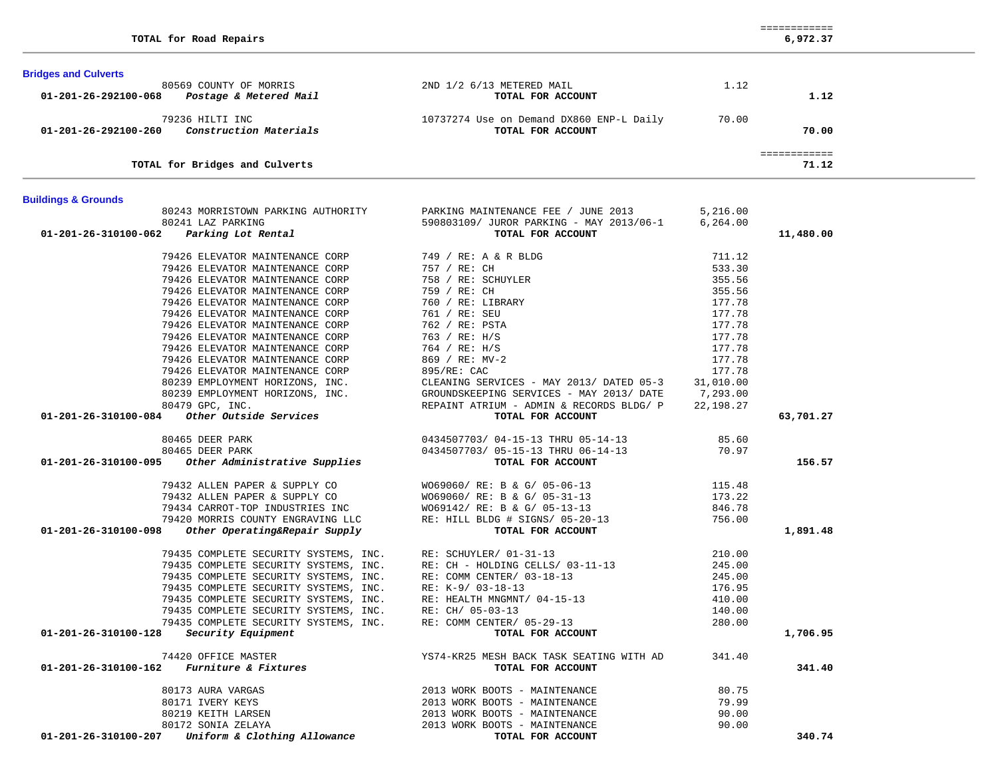| 6,972.37<br>TOTAL for Road Repairs |  |  |  |  |
|------------------------------------|--|--|--|--|
|------------------------------------|--|--|--|--|

 ============ 6,972.37

-

| <b>Bridges and Culverts</b>                 |                                                                          |                                                |           |              |  |
|---------------------------------------------|--------------------------------------------------------------------------|------------------------------------------------|-----------|--------------|--|
|                                             | 80569 COUNTY OF MORRIS<br>01-201-26-292100-068    Postage & Metered Mail | 2ND 1/2 6/13 METERED MAIL                      | 1.12      |              |  |
|                                             |                                                                          | TOTAL FOR ACCOUNT                              |           | 1.12         |  |
|                                             | 79236 HILTI INC                                                          | 10737274 Use on Demand DX860 ENP-L Daily 70.00 |           |              |  |
| 01-201-26-292100-260                        | Construction Materials                                                   | TOTAL FOR ACCOUNT                              |           | 70.00        |  |
|                                             |                                                                          |                                                |           | ============ |  |
|                                             | TOTAL for Bridges and Culverts                                           |                                                |           | 71.12        |  |
| <b>Buildings &amp; Grounds</b>              |                                                                          |                                                |           |              |  |
|                                             | 80243 MORRISTOWN PARKING AUTHORITY                                       | PARKING MAINTENANCE FEE / JUNE 2013            | 5,216.00  |              |  |
|                                             | 80241 LAZ PARKING                                                        | 590803109/ JUROR PARKING - MAY 2013/06-1       | 6,264.00  |              |  |
| 01-201-26-310100-062                        | Parking Lot Rental                                                       | TOTAL FOR ACCOUNT                              |           | 11,480.00    |  |
|                                             | 79426 ELEVATOR MAINTENANCE CORP                                          | 749 / RE: A & R BLDG                           | 711.12    |              |  |
|                                             | 79426 ELEVATOR MAINTENANCE CORP                                          | 757 / RE: CH                                   | 533.30    |              |  |
|                                             | 79426 ELEVATOR MAINTENANCE CORP                                          | 758 / RE: SCHUYLER                             | 355.56    |              |  |
|                                             | 79426 ELEVATOR MAINTENANCE CORP                                          | 759 / RE: CH                                   | 355.56    |              |  |
|                                             | 79426 ELEVATOR MAINTENANCE CORP                                          | 760 / RE: LIBRARY                              | 177.78    |              |  |
|                                             | 79426 ELEVATOR MAINTENANCE CORP                                          | 761 / RE: SEU                                  | 177.78    |              |  |
|                                             | 79426 ELEVATOR MAINTENANCE CORP                                          | 762 / RE: PSTA                                 | 177.78    |              |  |
|                                             | 79426 ELEVATOR MAINTENANCE CORP                                          | 763 / RE: H/S                                  | 177.78    |              |  |
|                                             | 79426 ELEVATOR MAINTENANCE CORP                                          | 764 / RE: H/S                                  | 177.78    |              |  |
|                                             | 79426 ELEVATOR MAINTENANCE CORP                                          | 869 / RE: MV-2                                 | 177.78    |              |  |
|                                             | 79426 ELEVATOR MAINTENANCE CORP                                          | 895/RE: CAC                                    | 177.78    |              |  |
|                                             | 80239 EMPLOYMENT HORIZONS, INC.                                          | CLEANING SERVICES - MAY 2013/ DATED 05-3       | 31,010.00 |              |  |
|                                             | 80239 EMPLOYMENT HORIZONS, INC.                                          | GROUNDSKEEPING SERVICES - MAY 2013/ DATE       | 7,293.00  |              |  |
|                                             | 80479 GPC, INC.                                                          | REPAINT ATRIUM - ADMIN & RECORDS BLDG/ P       | 22,198.27 |              |  |
| 01-201-26-310100-084                        | <i>Other Outside Services</i>                                            | TOTAL FOR ACCOUNT                              |           | 63,701.27    |  |
|                                             | 80465 DEER PARK                                                          | 0434507703/04-15-13 THRU 05-14-13              | 85.60     |              |  |
|                                             | 80465 DEER PARK                                                          | 0434507703/ 05-15-13 THRU 06-14-13             | 70.97     |              |  |
| 01-201-26-310100-095                        | Other Administrative Supplies                                            | TOTAL FOR ACCOUNT                              |           | 156.57       |  |
|                                             | 79432 ALLEN PAPER & SUPPLY CO                                            | WO69060/ RE: B & G/ 05-06-13                   | 115.48    |              |  |
|                                             | 79432 ALLEN PAPER & SUPPLY CO                                            | WO69060/ RE: B & G/ 05-31-13                   | 173.22    |              |  |
|                                             | 79434 CARROT-TOP INDUSTRIES INC                                          | WO69142/ RE: B & G/ 05-13-13                   | 846.78    |              |  |
|                                             | 79420 MORRIS COUNTY ENGRAVING LLC                                        | RE: HILL BLDG # SIGNS/ 05-20-13                | 756.00    |              |  |
| 01-201-26-310100-098                        | Other Operating&Repair Supply                                            | TOTAL FOR ACCOUNT                              |           | 1,891.48     |  |
|                                             | 79435 COMPLETE SECURITY SYSTEMS, INC.                                    | RE: SCHUYLER/ 01-31-13                         | 210.00    |              |  |
|                                             | 79435 COMPLETE SECURITY SYSTEMS, INC.                                    | RE: CH - HOLDING CELLS/ 03-11-13               | 245.00    |              |  |
|                                             | 79435 COMPLETE SECURITY SYSTEMS, INC.                                    | RE: COMM CENTER/ 03-18-13                      | 245.00    |              |  |
|                                             | 79435 COMPLETE SECURITY SYSTEMS, INC.                                    | RE: K-9/ 03-18-13                              | 176.95    |              |  |
|                                             | 79435 COMPLETE SECURITY SYSTEMS, INC.                                    | RE: HEALTH MNGMNT/ 04-15-13                    | 410.00    |              |  |
|                                             | 79435 COMPLETE SECURITY SYSTEMS, INC.                                    | RE: CH/ 05-03-13                               | 140.00    |              |  |
|                                             | 79435 COMPLETE SECURITY SYSTEMS, INC.                                    | RE: COMM CENTER/ 05-29-13                      | 280.00    |              |  |
| 01-201-26-310100-128                        | <i>Security Equipment</i>                                                | TOTAL FOR ACCOUNT                              |           | 1,706.95     |  |
|                                             | 74420 OFFICE MASTER                                                      | YS74-KR25 MESH BACK TASK SEATING WITH AD       | 341.40    |              |  |
| $01-201-26-310100-162$ Furniture & Fixtures |                                                                          | TOTAL FOR ACCOUNT                              |           | 341.40       |  |
|                                             | 80173 AURA VARGAS                                                        | 2013 WORK BOOTS - MAINTENANCE                  | 80.75     |              |  |
|                                             | 80171 IVERY KEYS                                                         | 2013 WORK BOOTS - MAINTENANCE                  | 79.99     |              |  |
|                                             | 80219 KEITH LARSEN                                                       | 2013 WORK BOOTS - MAINTENANCE                  | 90.00     |              |  |
|                                             | 80172 SONIA ZELAYA                                                       | 2013 WORK BOOTS - MAINTENANCE                  | 90.00     |              |  |

 **01-201-26-310100-207** *Uniform & Clothing Allowance* **TOTAL FOR ACCOUNT 340.74**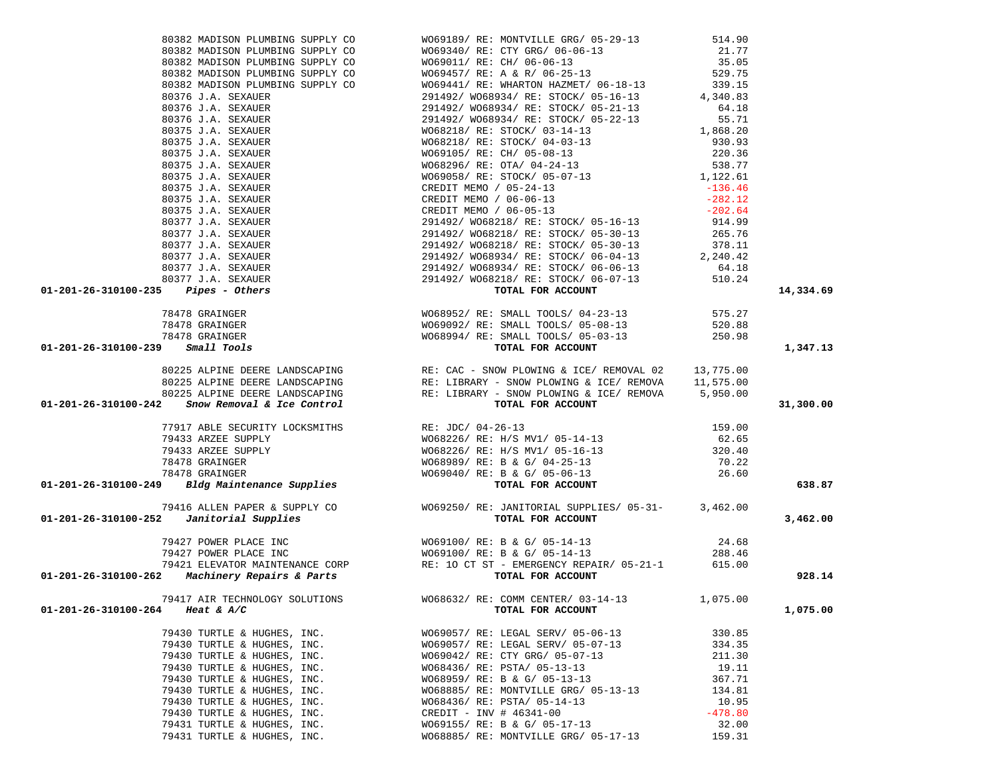|                      |                                |                                                                                                                                                                                                                                                   |           | 14,334.69 |
|----------------------|--------------------------------|---------------------------------------------------------------------------------------------------------------------------------------------------------------------------------------------------------------------------------------------------|-----------|-----------|
|                      |                                |                                                                                                                                                                                                                                                   |           |           |
|                      |                                |                                                                                                                                                                                                                                                   |           |           |
|                      |                                |                                                                                                                                                                                                                                                   |           |           |
|                      |                                |                                                                                                                                                                                                                                                   |           |           |
|                      |                                |                                                                                                                                                                                                                                                   |           | 1,347.13  |
|                      |                                |                                                                                                                                                                                                                                                   |           |           |
|                      |                                |                                                                                                                                                                                                                                                   |           |           |
|                      |                                |                                                                                                                                                                                                                                                   |           |           |
|                      |                                |                                                                                                                                                                                                                                                   |           |           |
|                      |                                | 1913 MOLEGA PRODUCES SURFAIRS (1920) MOLEGA PRODUCES PROFINABILIZED 2013 AND 1912 MOLEGA PRODUCES IN A 2010 MOLEGA PRODUCES IN A 2010 MOLEGA PRODUCES IN A 2010 MOLEGA PRODUCES IN A 2010 MOLEGA PRODUCES IN A 2010 MOLEGA PR                     |           | 31,300.00 |
|                      |                                |                                                                                                                                                                                                                                                   |           |           |
|                      |                                |                                                                                                                                                                                                                                                   |           |           |
|                      |                                |                                                                                                                                                                                                                                                   |           |           |
|                      |                                |                                                                                                                                                                                                                                                   |           |           |
|                      |                                |                                                                                                                                                                                                                                                   |           |           |
|                      |                                |                                                                                                                                                                                                                                                   |           |           |
|                      |                                |                                                                                                                                                                                                                                                   |           | 638.87    |
|                      |                                |                                                                                                                                                                                                                                                   |           |           |
|                      |                                | 79416 ALLEN PAPER & SUPPLY CO<br>01-201-26-310100-252 Janitorial Supplies<br>05-201-26-310100-252 Janitorial Supplies<br>TOTAL FOR ACCOUNT                                                                                                        |           |           |
|                      |                                |                                                                                                                                                                                                                                                   |           | 3,462.00  |
|                      |                                |                                                                                                                                                                                                                                                   |           |           |
|                      |                                |                                                                                                                                                                                                                                                   |           |           |
|                      |                                |                                                                                                                                                                                                                                                   |           |           |
|                      |                                |                                                                                                                                                                                                                                                   |           |           |
|                      |                                | 79427 POWER PLACE INC<br>79427 POWER PLACE INC<br>79427 POWER PLACE INC<br>79421 ELEVATOR MAINTENANCE CORP<br>79421 ELEVATOR MAINTENANCE CORP<br>79421 ELEVATOR MAINTENANCE CORP<br>RE: 10 CT ST - EMERGENCY REPAIR/ 05-21-1<br><b>707AL FOR </b> |           | 928.14    |
|                      |                                |                                                                                                                                                                                                                                                   |           |           |
|                      | 79417 AIR TECHNOLOGY SOLUTIONS | W068632/ RE: COMM CENTER/ 03-14-13                                                                                                                                                                                                                | 1,075.00  |           |
| 01-201-26-310100-264 | <i>Heat &amp; A/C</i>          | TOTAL FOR ACCOUNT                                                                                                                                                                                                                                 |           | 1,075.00  |
|                      |                                |                                                                                                                                                                                                                                                   |           |           |
|                      | 79430 TURTLE & HUGHES, INC.    | WO69057/ RE: LEGAL SERV/ 05-06-13                                                                                                                                                                                                                 | 330.85    |           |
|                      | 79430 TURTLE & HUGHES, INC.    | W069057/ RE: LEGAL SERV/ 05-07-13                                                                                                                                                                                                                 | 334.35    |           |
|                      | 79430 TURTLE & HUGHES, INC.    | W069042/RE: CTY GRG/05-07-13                                                                                                                                                                                                                      | 211.30    |           |
|                      | 79430 TURTLE & HUGHES, INC.    | W068436/ RE: PSTA/ 05-13-13                                                                                                                                                                                                                       | 19.11     |           |
|                      | 79430 TURTLE & HUGHES, INC.    | WO68959/ RE: B & G/ 05-13-13                                                                                                                                                                                                                      | 367.71    |           |
|                      | 79430 TURTLE & HUGHES, INC.    |                                                                                                                                                                                                                                                   |           |           |
|                      |                                | WO68885/ RE: MONTVILLE GRG/ 05-13-13                                                                                                                                                                                                              | 134.81    |           |
|                      | 79430 TURTLE & HUGHES, INC.    | W068436/ RE: PSTA/ 05-14-13                                                                                                                                                                                                                       | 10.95     |           |
|                      | 79430 TURTLE & HUGHES, INC.    | CREDIT - INV # $46341 - 00$                                                                                                                                                                                                                       | $-478.80$ |           |
|                      | 79431 TURTLE & HUGHES, INC.    | WO69155/ RE: B & G/ 05-17-13                                                                                                                                                                                                                      | 32.00     |           |

79431 TURTLE & HUGHES, INC. WO68885/ RE: MONTVILLE GRG/ 05-17-13 159.31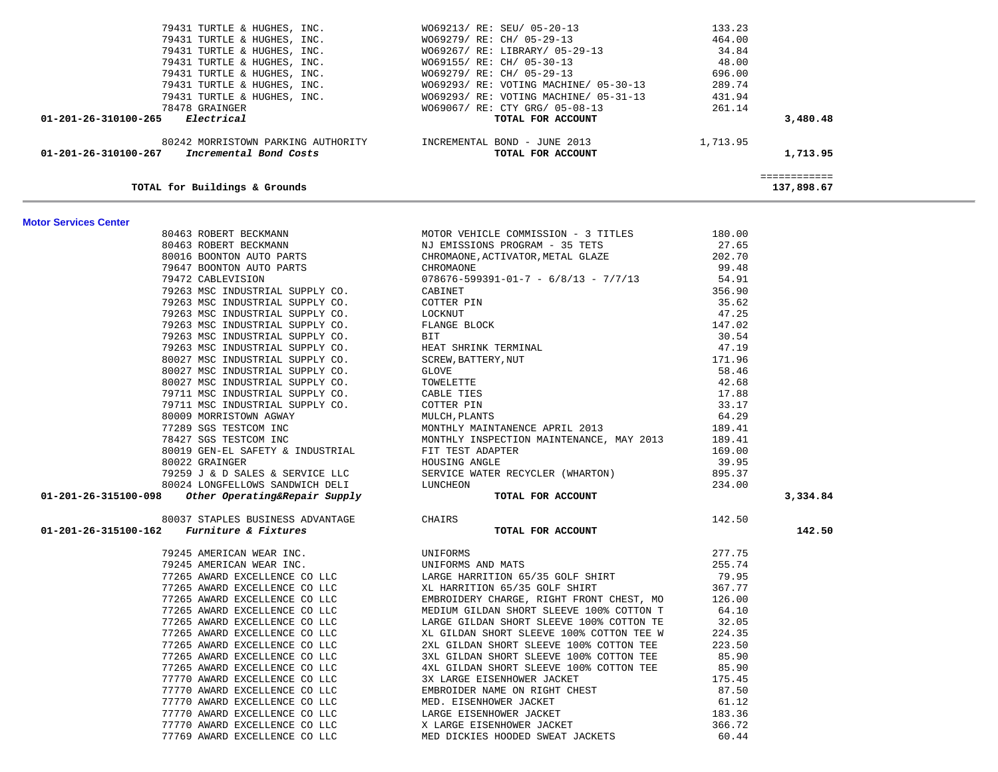| 79431 TURTLE & HUGHES, INC.                           | W069213/ RE: SEU/ 05-20-13                                      | 133.23   |              |
|-------------------------------------------------------|-----------------------------------------------------------------|----------|--------------|
| 79431 TURTLE & HUGHES, INC.                           | W069279/ RE: CH/ 05-29-13                                       | 464.00   |              |
| 79431 TURTLE & HUGHES, INC.                           | W069267/ RE: LIBRARY/ 05-29-13                                  | 34.84    |              |
| 79431 TURTLE & HUGHES, INC.                           | WO69155/ RE: CH/ 05-30-13                                       | 48.00    |              |
| 79431 TURTLE & HUGHES, INC.                           | W069279/ RE: CH/ 05-29-13                                       | 696.00   |              |
| 79431 TURTLE & HUGHES, INC.                           | WO69293/ RE: VOTING MACHINE/ 05-30-13                           | 289.74   |              |
| 79431 TURTLE & HUGHES, INC.                           | W069293/ RE: VOTING MACHINE/ 05-31-13                           | 431.94   |              |
| 78478 GRAINGER                                        | W069067/ RE: CTY GRG/ 05-08-13                                  | 261.14   |              |
| 01-201-26-310100-265 Electrical                       | TOTAL FOR ACCOUNT                                               |          | 3,480.48     |
|                                                       | 80242 MORRISTOWN PARKING AUTHORITY TNCREMENTAL BOND - JUNE 2013 | 1,713.95 |              |
| 01-201-26-310100-267 Incremental Bond Costs           | TOTAL FOR ACCOUNT                                               |          | 1,713.95     |
|                                                       |                                                                 |          | ============ |
| TOTAL for Buildings & Grounds                         |                                                                 |          | 137,898.67   |
| <b>Motor Services Center</b><br>80463 ROBERT BECKMANN | MOTOR VEHICLE COMMISSION - 3 TITLES                             | 180.00   |              |
|                                                       |                                                                 |          |              |
| 80463 ROBERT BECKMANN                                 | NJ EMISSIONS PROGRAM - 35 TETS                                  | 27.65    |              |
| 80016 BOONTON AUTO PARTS                              | CHROMAONE, ACTIVATOR, METAL GLAZE                               | 202.70   |              |
| 79647 BOONTON AUTO PARTS                              | CHROMAONE                                                       | 99.48    |              |
| 79472 CABLEVISION                                     | $078676 - 599391 - 01 - 7 - 6/8/13 - 7/7/13$ 54.91              |          |              |
| 79263 MSC INDUSTRIAL SUPPLY CO.                       | CABINET                                                         | 356.90   |              |
| 79263 MSC INDUSTRIAL SUPPLY CO.                       | COTTER PIN                                                      | 35.62    |              |
| 79263 MSC INDUSTRIAL SUPPLY CO.                       | LOCKNUT                                                         | 47.25    |              |
| 79263 MSC INDUSTRIAL SUPPLY CO.                       | FLANGE BLOCK                                                    | 147.02   |              |
| 79263 MSC INDUSTRIAL SUPPLY CO.                       | <b>BIT</b>                                                      | 30.54    |              |
| 79263 MSC INDUSTRIAL SUPPLY CO.                       | HEAT SHRINK TERMINAL                                            | 47.19    |              |
| 80027 MSC INDUSTRIAL SUPPLY CO.                       | SCREW, BATTERY, NUT                                             | 171.96   |              |
| 80027 MSC INDUSTRIAL SUPPLY CO.                       | GLOVE                                                           | 58.46    |              |
| 80027 MSC INDUSTRIAL SUPPLY CO.                       | TOWELETTE                                                       | 42.68    |              |
| 79711 MSC INDUSTRIAL SUPPLY CO.                       | CABLE TIES                                                      | 17.88    |              |
| 79711 MSC INDUSTRIAL SUPPLY CO.                       | COTTER PIN                                                      | 33.17    |              |
| 80009 MORRISTOWN AGWAY                                | MULCH, PLANTS                                                   | 64.29    |              |
| 77289 SGS TESTCOM INC                                 | MONTHLY MAINTANENCE APRIL 2013                                  | 189.41   |              |

 78427 SGS TESTCOM INC MONTHLY INSPECTION MAINTENANCE, MAY 2013 189.41 80019 GEN-EL SAFETY & INDUSTRIAL FIT TEST ADAPTER 169.00 80022 GRAINGER HOUSING ANGLE 39.95

80037 STAPLES BUSINESS ADVANTAGE CHAIRS CHAIRS 142.50  **01-201-26-315100-162** *Furniture & Fixtures* **TOTAL FOR ACCOUNT 142.50**

79245 AMERICAN WEAR INC. UNIFORMS 277.75

 **01-201-26-315100-098** *Other Operating&Repair Supply* **TOTAL FOR ACCOUNT 3,334.84**

234.00

 79259 J & D SALES & SERVICE LLC SERVICE WATER RECYCLER (WHARTON) 895.37 80024 LONGFELLOWS SANDWICH DELI LUNCHEON 234.00

 79245 AMERICAN WEAR INC. UNIFORMS AND MATS 255.74 77265 AWARD EXCELLENCE CO LLC LARGE HARRITION 65/35 GOLF SHIRT 79.95 77265 AWARD EXCELLENCE CO LLC XL HARRITION 65/35 GOLF SHIRT 367.77 77265 AWARD EXCELLENCE CO LLC EMBROIDERY CHARGE, RIGHT FRONT CHEST, MO 126.00 77265 AWARD EXCELLENCE CO LLC MEDIUM GILDAN SHORT SLEEVE 100% COTTON T 64.10 77265 AWARD EXCELLENCE CO LLC LARGE GILDAN SHORT SLEEVE 100% COTTON TE 32.05 77265 AWARD EXCELLENCE CO LLC XL GILDAN SHORT SLEEVE 100% COTTON TEE W 224.35 77265 AWARD EXCELLENCE CO LLC 2XL GILDAN SHORT SLEEVE 100% COTTON TEE 223.50 77265 AWARD EXCELLENCE CO LLC 3XL GILDAN SHORT SLEEVE 100% COTTON TEE 85.90 77265 AWARD EXCELLENCE CO LLC 4XL GILDAN SHORT SLEEVE 100% COTTON TEE 85.90 77770 AWARD EXCELLENCE CO LLC 3X LARGE EISENHOWER JACKET 175.45 77770 AWARD EXCELLENCE CO LLC EMBROIDER NAME ON RIGHT CHEST 87.50 77770 AWARD EXCELLENCE CO LLC MED. EISENHOWER JACKET 61.12 77770 AWARD EXCELLENCE CO LLC LARGE EISENHOWER JACKET 183.36 77770 AWARD EXCELLENCE CO LLC X LARGE EISENHOWER JACKET 366.72 77769 AWARD EXCELLENCE CO LLC MED DICKIES HOODED SWEAT JACKETS 60.44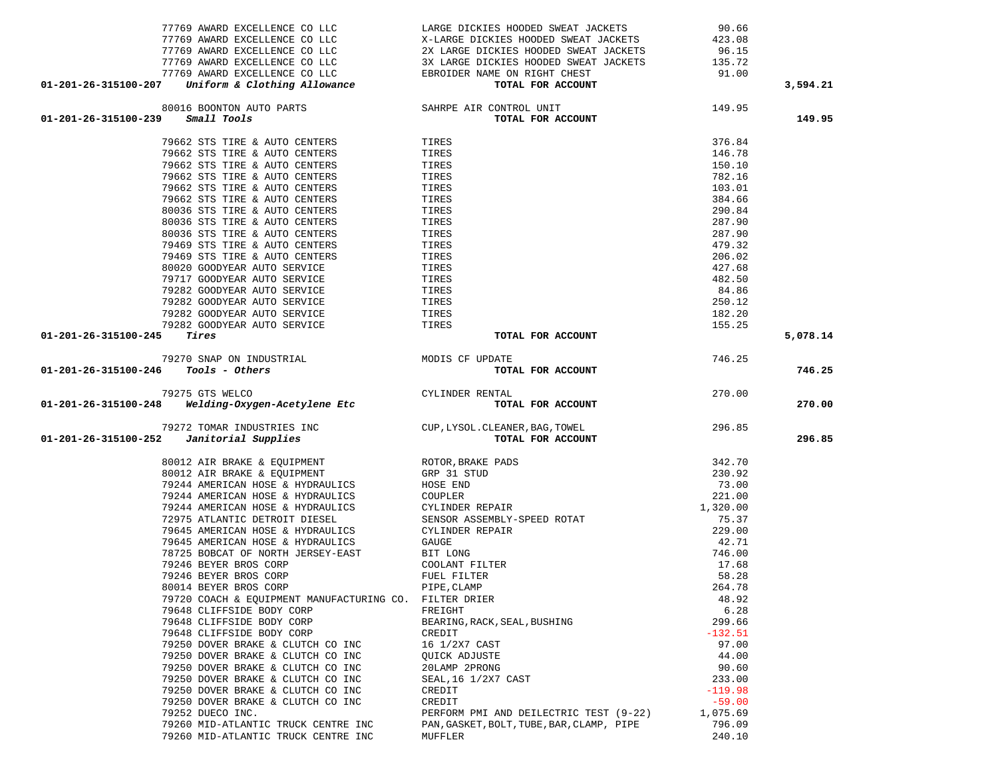| 77769 AWARD EXCELLENCE CO LLC                                                                                                                                                                   | LARGE DICKIES HOODED SWEAT JACKETS                                                                                                                                                                                                   | 90.66            |          |
|-------------------------------------------------------------------------------------------------------------------------------------------------------------------------------------------------|--------------------------------------------------------------------------------------------------------------------------------------------------------------------------------------------------------------------------------------|------------------|----------|
|                                                                                                                                                                                                 |                                                                                                                                                                                                                                      |                  |          |
|                                                                                                                                                                                                 |                                                                                                                                                                                                                                      |                  |          |
|                                                                                                                                                                                                 |                                                                                                                                                                                                                                      |                  |          |
|                                                                                                                                                                                                 |                                                                                                                                                                                                                                      |                  |          |
| 01-201-26-315100-207                                                                                                                                                                            | 77769 AWARD EXCELLENCE COLLC CONTROLL AT LARGE DICKIES HOODED SWEAT JACKETS<br>77769 AWARD EXCELLENCE COLLC 2X LARGE DICKIES HOODED SWEAT JACKETS<br>77769 AWARD EXCELLENCE COLLC 3X LARGE DICKIES HOODED SWEAT JACKETS<br>77769 AWA |                  | 3,594.21 |
|                                                                                                                                                                                                 |                                                                                                                                                                                                                                      |                  |          |
| % 80016 BOONTON AUTO PARTS SAHRPE AIR CONTROL UNIT Small Tools $$\tt{Total}$ For a<br>01-201-26-315100-239                                                                                      | 149.95<br>TOTAL FOR ACCOUNT                                                                                                                                                                                                          |                  | 149.95   |
|                                                                                                                                                                                                 |                                                                                                                                                                                                                                      |                  |          |
| 79662 STS TIRE & AUTO CENTERS                                                                                                                                                                   | TIRES                                                                                                                                                                                                                                | 376.84           |          |
| 79662 STS TIRE & AUTO CENTERS                                                                                                                                                                   | TIRES                                                                                                                                                                                                                                | 146.78           |          |
| 79662 STS TIRE & AUTO CENTERS                                                                                                                                                                   | TIRES                                                                                                                                                                                                                                | 150.10           |          |
| 79662 STS TIRE & AUTO CENTERS                                                                                                                                                                   | TIRES                                                                                                                                                                                                                                | 782.16           |          |
| 79662 STS TIRE & AUTO CENTERS                                                                                                                                                                   | TIRES                                                                                                                                                                                                                                | 103.01           |          |
| 79662 STS TIRE & AUTO CENTERS                                                                                                                                                                   | TIRES                                                                                                                                                                                                                                | 384.66           |          |
| 80036 STS TIRE & AUTO CENTERS                                                                                                                                                                   | TIRES                                                                                                                                                                                                                                | 290.84           |          |
| 80036 STS TIRE & AUTO CENTERS                                                                                                                                                                   | TIRES                                                                                                                                                                                                                                | 287.90           |          |
| 80036 STS TIRE & AUTO CENTERS                                                                                                                                                                   | TIRES                                                                                                                                                                                                                                | 287.90           |          |
| 79469 STS TIRE & AUTO CENTERS                                                                                                                                                                   | TIRES                                                                                                                                                                                                                                | 479.32           |          |
| 79469 STS TIRE & AUTO CENTERS                                                                                                                                                                   | TIRES                                                                                                                                                                                                                                | 206.02           |          |
| 80020 GOODYEAR AUTO SERVICE                                                                                                                                                                     | TIRES                                                                                                                                                                                                                                | 427.68           |          |
| 79717 GOODYEAR AUTO SERVICE                                                                                                                                                                     | TIRES                                                                                                                                                                                                                                | 482.50           |          |
| 79282 GOODYEAR AUTO SERVICE                                                                                                                                                                     | TIRES                                                                                                                                                                                                                                | 84.86            |          |
| 79282 GOODYEAR AUTO SERVICE                                                                                                                                                                     | TIRES                                                                                                                                                                                                                                | 250.12           |          |
| 79282 GOODYEAR AUTO SERVICE                                                                                                                                                                     | TIRES                                                                                                                                                                                                                                | 182.20           |          |
| 79282 GOODYEAR AUTO SERVICE                                                                                                                                                                     | TIRES                                                                                                                                                                                                                                | 155.25           |          |
| Tires<br>01-201-26-315100-245                                                                                                                                                                   | TOTAL FOR ACCOUNT                                                                                                                                                                                                                    |                  | 5,078.14 |
|                                                                                                                                                                                                 |                                                                                                                                                                                                                                      |                  |          |
|                                                                                                                                                                                                 |                                                                                                                                                                                                                                      |                  |          |
|                                                                                                                                                                                                 | TOTAL FOR ACCOUNT                                                                                                                                                                                                                    | 746.25           | 746.25   |
|                                                                                                                                                                                                 |                                                                                                                                                                                                                                      |                  |          |
|                                                                                                                                                                                                 |                                                                                                                                                                                                                                      |                  |          |
| 79270 SNAP ON INDUSTRIAL MODIS CF UPDATE<br>01-201-26-315100-246 <i>Tools - Others</i> TOTA<br>79275 GTS WELCO<br>01-201-26-315100-248 <i>Welding-Oxygen-Acetylene Etc</i> TOTA<br>TOTA<br>TOTA |                                                                                                                                                                                                                                      |                  | 270.00   |
|                                                                                                                                                                                                 |                                                                                                                                                                                                                                      |                  |          |
| 79272 TOMAR INDUSTRIES INC CUP, LYSOL.CLEANER, BAG, TOWEL                                                                                                                                       |                                                                                                                                                                                                                                      |                  |          |
| 01-201-26-315100-252<br>Janitorial Supplies                                                                                                                                                     |                                                                                                                                                                                                                                      |                  | 296.85   |
|                                                                                                                                                                                                 |                                                                                                                                                                                                                                      |                  |          |
| 80012 AIR BRAKE & EQUIPMENT $$\tt ROTOR, BRAKE\,\,PADS$$ 80012 AIR BRAKE & EQUIPMENT $$\tt GRP\,\,31\,\,STUD$$                                                                                  |                                                                                                                                                                                                                                      |                  |          |
| 79244 AMERICAN HOSE & HYDRAULICS                                                                                                                                                                |                                                                                                                                                                                                                                      |                  |          |
| 79244 AMERICAN HOSE & HYDRAULICS                                                                                                                                                                |                                                                                                                                                                                                                                      |                  |          |
| 79244 AMERICAN HOSE & HYDRAULICS                                                                                                                                                                |                                                                                                                                                                                                                                      |                  |          |
|                                                                                                                                                                                                 |                                                                                                                                                                                                                                      |                  |          |
|                                                                                                                                                                                                 |                                                                                                                                                                                                                                      |                  |          |
| 72975 ATLANTIC DETROIT DIESEL                                                                                                                                                                   |                                                                                                                                                                                                                                      |                  |          |
|                                                                                                                                                                                                 |                                                                                                                                                                                                                                      |                  |          |
| 79645 AMERICAN HOSE & HYDRAULICS<br>79645 AMERICAN HOSE & HYDRAULICS                                                                                                                            |                                                                                                                                                                                                                                      |                  |          |
|                                                                                                                                                                                                 |                                                                                                                                                                                                                                      |                  |          |
| 78725 BOBCAT OF NORTH JERSEY-EAST<br>79246 BEYER BROS CORP                                                                                                                                      |                                                                                                                                                                                                                                      |                  |          |
| 79246 BEYER BROS CORP                                                                                                                                                                           |                                                                                                                                                                                                                                      |                  |          |
| 80014 BEYER BROS CORP                                                                                                                                                                           |                                                                                                                                                                                                                                      |                  |          |
| 79720 COACH & EQUIPMENT MANUFACTURING CO. FILTER DRIER                                                                                                                                          |                                                                                                                                                                                                                                      |                  |          |
| 79648 CLIFFSIDE BODY CORP                                                                                                                                                                       |                                                                                                                                                                                                                                      |                  |          |
| 79648 CLIFFSIDE BODY CORP                                                                                                                                                                       |                                                                                                                                                                                                                                      |                  |          |
| 79648 CLIFFSIDE BODY CORP                                                                                                                                                                       | CREDIT                                                                                                                                                                                                                               | $-132.51$        |          |
| 79250 DOVER BRAKE & CLUTCH CO INC                                                                                                                                                               | 16 1/2X7 CAST                                                                                                                                                                                                                        | 97.00            |          |
| 79250 DOVER BRAKE & CLUTCH CO INC                                                                                                                                                               | QUICK ADJUSTE                                                                                                                                                                                                                        | 44.00            |          |
| 79250 DOVER BRAKE & CLUTCH CO INC                                                                                                                                                               | 20LAMP 2PRONG                                                                                                                                                                                                                        | 90.60            |          |
| 79250 DOVER BRAKE & CLUTCH CO INC                                                                                                                                                               | SEAL, 16 1/2X7 CAST                                                                                                                                                                                                                  | 233.00           |          |
| 79250 DOVER BRAKE & CLUTCH CO INC                                                                                                                                                               | CREDIT                                                                                                                                                                                                                               | $-119.98$        |          |
| 79250 DOVER BRAKE & CLUTCH CO INC                                                                                                                                                               | CREDIT                                                                                                                                                                                                                               | $-59.00$         |          |
| 79252 DUECO INC.                                                                                                                                                                                | PERFORM PMI AND DEILECTRIC TEST (9-22)                                                                                                                                                                                               | 1,075.69         |          |
| 79260 MID-ATLANTIC TRUCK CENTRE INC<br>79260 MID-ATLANTIC TRUCK CENTRE INC                                                                                                                      | PAN, GASKET, BOLT, TUBE, BAR, CLAMP, PIPE<br>MUFFLER                                                                                                                                                                                 | 796.09<br>240.10 |          |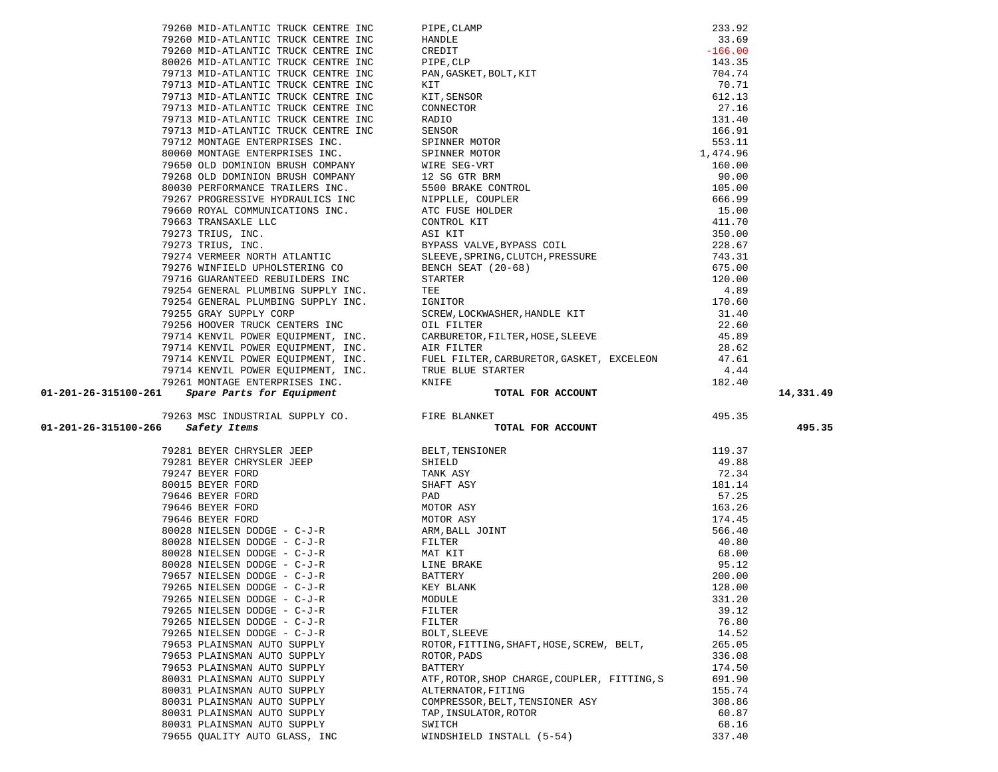|                                                                                                                                                                                                                                     |                                                                                                                                                                                                                                                                                                                                                                                                                                                    |        | 14,331.49 |
|-------------------------------------------------------------------------------------------------------------------------------------------------------------------------------------------------------------------------------------|----------------------------------------------------------------------------------------------------------------------------------------------------------------------------------------------------------------------------------------------------------------------------------------------------------------------------------------------------------------------------------------------------------------------------------------------------|--------|-----------|
|                                                                                                                                                                                                                                     |                                                                                                                                                                                                                                                                                                                                                                                                                                                    |        |           |
|                                                                                                                                                                                                                                     |                                                                                                                                                                                                                                                                                                                                                                                                                                                    |        | 495.35    |
|                                                                                                                                                                                                                                     |                                                                                                                                                                                                                                                                                                                                                                                                                                                    |        |           |
| 79200 MI-ATLANTIC TROUG CONTRE INC. (ILIPS, CLAP) (1920) MI-ATLANTIC TROUG CONTRE INC. (2015)<br>79200 MI-ATLANTIC TROUG CONTRE INC. (INDUSTRIET), 2017. (1931)<br>79213 MI-ATLANTIC TROUG CONTRE INC. (1940), 2017. (1957)<br>7931 |                                                                                                                                                                                                                                                                                                                                                                                                                                                    | 119.37 |           |
|                                                                                                                                                                                                                                     |                                                                                                                                                                                                                                                                                                                                                                                                                                                    | 49.88  |           |
|                                                                                                                                                                                                                                     |                                                                                                                                                                                                                                                                                                                                                                                                                                                    | 72.34  |           |
|                                                                                                                                                                                                                                     |                                                                                                                                                                                                                                                                                                                                                                                                                                                    | 181.14 |           |
|                                                                                                                                                                                                                                     |                                                                                                                                                                                                                                                                                                                                                                                                                                                    | 57.25  |           |
|                                                                                                                                                                                                                                     |                                                                                                                                                                                                                                                                                                                                                                                                                                                    | 163.26 |           |
|                                                                                                                                                                                                                                     |                                                                                                                                                                                                                                                                                                                                                                                                                                                    | 174.45 |           |
|                                                                                                                                                                                                                                     |                                                                                                                                                                                                                                                                                                                                                                                                                                                    | 566.40 |           |
|                                                                                                                                                                                                                                     |                                                                                                                                                                                                                                                                                                                                                                                                                                                    | 40.80  |           |
|                                                                                                                                                                                                                                     |                                                                                                                                                                                                                                                                                                                                                                                                                                                    | 68.00  |           |
|                                                                                                                                                                                                                                     |                                                                                                                                                                                                                                                                                                                                                                                                                                                    | 95.12  |           |
|                                                                                                                                                                                                                                     |                                                                                                                                                                                                                                                                                                                                                                                                                                                    | 200.00 |           |
| 79265 NIELSEN DODGE - C-J-R                                                                                                                                                                                                         | KEY BLANK                                                                                                                                                                                                                                                                                                                                                                                                                                          | 128.00 |           |
| 79265 NIELSEN DODGE - C-J-R                                                                                                                                                                                                         | $\begin{tabular}{lllllllllllllllllllllll} \textsc{79281} & \textsc{BEVER} & \textsc{HEEP} & \textsc{BELT}, \textsc{TENSTONER} \\ \textsc{79281} & \textsc{BEVER} & \textsc{CHRYSLER} & \textsc{JEEP} & \textsc{SHIELD} \\ \textsc{79247} & \textsc{BEVER} & \textsc{FORD} & \textsc{TMK} & \textsc{ASY} \\ \textsc{79646} & \textsc{BEVER} & \textsc{FORD} & \textsc{PORD} & \textsc{MOTOR} & \textsc{ASY} \\ \textsc{79646} & \textsc{$<br>MODULE | 331.20 |           |
| 79265 NIELSEN DODGE - C-J-R                                                                                                                                                                                                         | FILTER                                                                                                                                                                                                                                                                                                                                                                                                                                             | 39.12  |           |
| 79265 NIELSEN DODGE - C-J-R                                                                                                                                                                                                         | FILTER                                                                                                                                                                                                                                                                                                                                                                                                                                             | 76.80  |           |
| 79265 NIELSEN DODGE - C-J-R                                                                                                                                                                                                         | BOLT, SLEEVE                                                                                                                                                                                                                                                                                                                                                                                                                                       | 14.52  |           |
| 79653 PLAINSMAN AUTO SUPPLY                                                                                                                                                                                                         | ROTOR, FITTING, SHAFT, HOSE, SCREW, BELT,                                                                                                                                                                                                                                                                                                                                                                                                          | 265.05 |           |
| 79653 PLAINSMAN AUTO SUPPLY                                                                                                                                                                                                         | ROTOR, PADS                                                                                                                                                                                                                                                                                                                                                                                                                                        | 336.08 |           |
| 79653 PLAINSMAN AUTO SUPPLY                                                                                                                                                                                                         | <b>BATTERY</b>                                                                                                                                                                                                                                                                                                                                                                                                                                     | 174.50 |           |
| 80031 PLAINSMAN AUTO SUPPLY                                                                                                                                                                                                         | ATF, ROTOR, SHOP CHARGE, COUPLER, FITTING, S                                                                                                                                                                                                                                                                                                                                                                                                       | 691.90 |           |
| 80031 PLAINSMAN AUTO SUPPLY                                                                                                                                                                                                         | ALTERNATOR, FITING                                                                                                                                                                                                                                                                                                                                                                                                                                 | 155.74 |           |
| 80031 PLAINSMAN AUTO SUPPLY                                                                                                                                                                                                         | COMPRESSOR, BELT, TENSIONER ASY                                                                                                                                                                                                                                                                                                                                                                                                                    | 308.86 |           |
| 80031 PLAINSMAN AUTO SUPPLY                                                                                                                                                                                                         | TAP, INSULATOR, ROTOR                                                                                                                                                                                                                                                                                                                                                                                                                              | 60.87  |           |
| 80031 PLAINSMAN AUTO SUPPLY                                                                                                                                                                                                         | SWITCH                                                                                                                                                                                                                                                                                                                                                                                                                                             | 68.16  |           |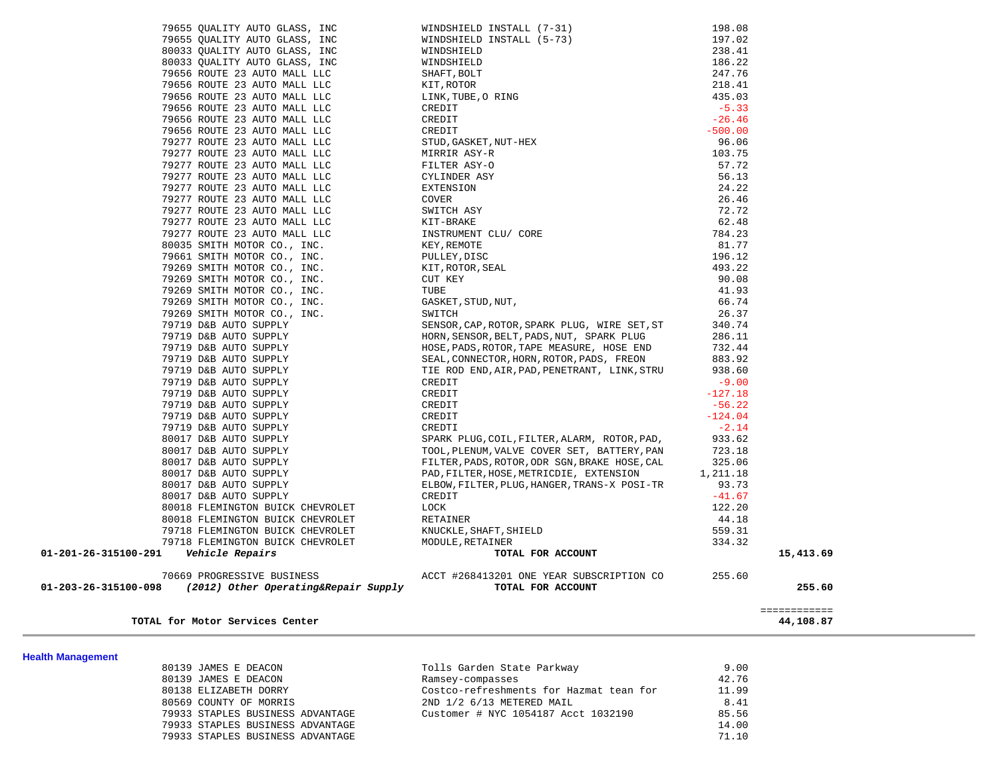| TOTAL for Motor Services Center                                                            |                                                                                                                    |           | ============<br>44,108.87 |
|--------------------------------------------------------------------------------------------|--------------------------------------------------------------------------------------------------------------------|-----------|---------------------------|
| 70669 PROGRESSIVE BUSINESS<br>01-203-26-315100-098<br>(2012) Other Operating&Repair Supply | ACCT #268413201 ONE YEAR SUBSCRIPTION CO<br>TOTAL FOR ACCOUNT                                                      | 255.60    | 255.60                    |
| 01-201-26-315100-291<br>Vehicle Repairs                                                    | TOTAL FOR ACCOUNT                                                                                                  |           | 15,413.69                 |
| 79718 FLEMINGTON BUICK CHEVROLET                                                           | MODULE, RETAINER                                                                                                   | 334.32    |                           |
| 79718 FLEMINGTON BUICK CHEVROLET                                                           | KNUCKLE, SHAFT, SHIELD                                                                                             | 559.31    |                           |
| 80018 FLEMINGTON BUICK CHEVROLET                                                           | RETAINER                                                                                                           | 44.18     |                           |
| 80018 FLEMINGTON BUICK CHEVROLET                                                           | LOCK                                                                                                               | 122.20    |                           |
| 80017 D&B AUTO SUPPLY                                                                      | CREDIT                                                                                                             | $-41.67$  |                           |
| 80017 D&B AUTO SUPPLY                                                                      | ELBOW, FILTER, PLUG, HANGER, TRANS-X POSI-TR                                                                       | 93.73     |                           |
| 80017 D&B AUTO SUPPLY                                                                      | PAD, FILTER, HOSE, METRICDIE, EXTENSION                                                                            | 1,211.18  |                           |
| 80017 D&B AUTO SUPPLY                                                                      | FILTER, PADS, ROTOR, ODR SGN, BRAKE HOSE, CAL                                                                      | 325.06    |                           |
| 80017 D&B AUTO SUPPLY                                                                      | TOOL, PLENUM, VALVE COVER SET, BATTERY, PAN                                                                        | 723.18    |                           |
| 80017 D&B AUTO SUPPLY                                                                      | SPARK PLUG, COIL, FILTER, ALARM, ROTOR, PAD,                                                                       | 933.62    |                           |
| 79719 D&B AUTO SUPPLY                                                                      | CREDTI                                                                                                             | $-2.14$   |                           |
| 79719 D&B AUTO SUPPLY                                                                      | CREDIT                                                                                                             | $-124.04$ |                           |
| 79719 D&B AUTO SUPPLY                                                                      | CREDIT                                                                                                             | $-56.22$  |                           |
| 79719 D&B AUTO SUPPLY                                                                      | CREDIT                                                                                                             | $-127.18$ |                           |
| 79719 D&B AUTO SUPPLY                                                                      | CREDIT                                                                                                             | $-9.00$   |                           |
| 79719 D&B AUTO SUPPLY                                                                      | TIE ROD END, AIR, PAD, PENETRANT, LINK, STRU                                                                       | 938.60    |                           |
| 79719 D&B AUTO SUPPLY                                                                      | SEAL, CONNECTOR, HORN, ROTOR, PADS, FREON                                                                          | 883.92    |                           |
| 79719 D&B AUTO SUPPLY                                                                      | HOSE, PADS, ROTOR, TAPE MEASURE, HOSE END                                                                          | 732.44    |                           |
| 79719 D&B AUTO SUPPLY                                                                      | HORN, SENSOR, BELT, PADS, NUT, SPARK PLUG                                                                          | 286.11    |                           |
| 79719 D&B AUTO SUPPLY                                                                      | SENSOR, CAP, ROTOR, SPARK PLUG, WIRE SET, ST                                                                       | 340.74    |                           |
| 79269 SMITH MOTOR CO., INC.                                                                | SWITCH                                                                                                             | 26.37     |                           |
| 79269 SMITH MOTOR CO., INC.                                                                | GASKET, STUD, NUT,                                                                                                 | 66.74     |                           |
| 79269 SMITH MOTOR CO., INC.                                                                | TUBE                                                                                                               | 41.93     |                           |
| 79269 SMITH MOTOR CO., INC.                                                                | CUT KEY                                                                                                            | 90.08     |                           |
| 79269 SMITH MOTOR CO., INC.                                                                | KIT, ROTOR, SEAL                                                                                                   | 493.22    |                           |
| 79661 SMITH MOTOR CO., INC.                                                                | PULLEY, DISC                                                                                                       | 196.12    |                           |
| 80035 SMITH MOTOR CO., INC.                                                                | BE, ORING<br>I<br>DIT<br>XEDIT<br>XEDIT<br>STUD, GASKET, NUT-HEX<br>MIRRIR ASY-R<br>"LITER ASY-O<br>"DER ASY<br>"N | 81.77     |                           |
| 79277 ROUTE 23 AUTO MALL LLC                                                               |                                                                                                                    | 784.23    |                           |
| 79277 ROUTE 23 AUTO MALL LLC                                                               |                                                                                                                    | 62.48     |                           |
| 79277 ROUTE 23 AUTO MALL LLC                                                               |                                                                                                                    | 72.72     |                           |
| 79277 ROUTE 23 AUTO MALL LLC                                                               |                                                                                                                    | 26.46     |                           |
| 79277 ROUTE 23 AUTO MALL LLC                                                               |                                                                                                                    | 24.22     |                           |
| 79277 ROUTE 23 AUTO MALL LLC                                                               |                                                                                                                    | 56.13     |                           |
| 79277 ROUTE 23 AUTO MALL LLC                                                               |                                                                                                                    | 57.72     |                           |
| 79277 ROUTE 23 AUTO MALL LLC                                                               |                                                                                                                    | 103.75    |                           |
| 79277 ROUTE 23 AUTO MALL LLC                                                               |                                                                                                                    | 96.06     |                           |
| 79656 ROUTE 23 AUTO MALL LLC                                                               |                                                                                                                    | $-500.00$ |                           |
| 79656 ROUTE 23 AUTO MALL LLC                                                               |                                                                                                                    | $-26.46$  |                           |
| 79656 ROUTE 23 AUTO MALL LLC                                                               |                                                                                                                    | $-5.33$   |                           |
| 79656 ROUTE 23 AUTO MALL LLC                                                               | WHAFT, BOLT<br>KIT, ROTOR<br>LINK, TUBE, O RING<br>CREDIT<br>CREDIT<br>CREDIT                                      | 435.03    |                           |
| 79656 ROUTE 23 AUTO MALL LLC                                                               |                                                                                                                    | 218.41    |                           |
| 79656 ROUTE 23 AUTO MALL LLC                                                               |                                                                                                                    | 247.76    |                           |
| 80033 QUALITY AUTO GLASS, INC                                                              | WINDSHIELD                                                                                                         | 186.22    |                           |
| 80033 QUALITY AUTO GLASS, INC                                                              | WINDSHIELD                                                                                                         | 238.41    |                           |
| 79655 QUALITY AUTO GLASS, INC                                                              | WINDSHIELD INSTALL (5-73)                                                                                          | 197.02    |                           |
| 79655 QUALITY AUTO GLASS, INC                                                              | WINDSHIELD INSTALL (7-31)                                                                                          | 198.08    |                           |
|                                                                                            |                                                                                                                    |           |                           |

**Health Management** 

| 80139 JAMES E DEACON             | Tolls Garden State Parkway              | 9.00  |
|----------------------------------|-----------------------------------------|-------|
| 80139 JAMES E DEACON             | Ramsey-compasses                        | 42.76 |
| 80138 ELIZABETH DORRY            | Costco-refreshments for Hazmat tean for | 11.99 |
| 80569 COUNTY OF MORRIS           | 2ND 1/2 6/13 METERED MAIL               | 8.41  |
| 79933 STAPLES BUSINESS ADVANTAGE | Customer # NYC 1054187 Acct 1032190     | 85.56 |
| 79933 STAPLES BUSINESS ADVANTAGE |                                         | 14.00 |
| 79933 STAPLES BUSINESS ADVANTAGE |                                         | 71.10 |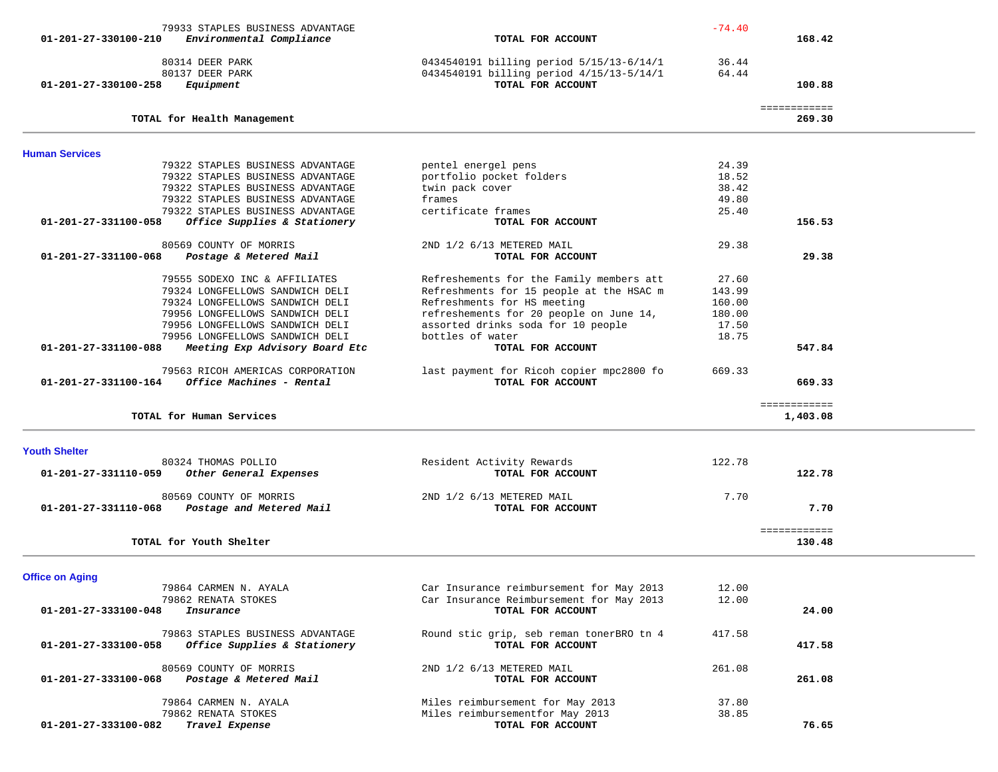| 79933 STAPLES BUSINESS ADVANTAGE                                                     |                                                                                      | $-74.40$       |                          |  |
|--------------------------------------------------------------------------------------|--------------------------------------------------------------------------------------|----------------|--------------------------|--|
| Environmental Compliance<br>01-201-27-330100-210                                     | TOTAL FOR ACCOUNT                                                                    |                | 168.42                   |  |
|                                                                                      |                                                                                      |                |                          |  |
| 80314 DEER PARK                                                                      | 0434540191 billing period 5/15/13-6/14/1                                             | 36.44          |                          |  |
| 80137 DEER PARK                                                                      | 0434540191 billing period 4/15/13-5/14/1                                             | 64.44          |                          |  |
| 01-201-27-330100-258<br>Equipment                                                    | TOTAL FOR ACCOUNT                                                                    |                | 100.88                   |  |
|                                                                                      |                                                                                      |                |                          |  |
| TOTAL for Health Management                                                          |                                                                                      |                | ============<br>269.30   |  |
|                                                                                      |                                                                                      |                |                          |  |
| <b>Human Services</b>                                                                |                                                                                      |                |                          |  |
| 79322 STAPLES BUSINESS ADVANTAGE                                                     | pentel energel pens                                                                  | 24.39          |                          |  |
| 79322 STAPLES BUSINESS ADVANTAGE                                                     | portfolio pocket folders                                                             | 18.52          |                          |  |
| 79322 STAPLES BUSINESS ADVANTAGE                                                     | twin pack cover                                                                      | 38.42          |                          |  |
| 79322 STAPLES BUSINESS ADVANTAGE                                                     | frames                                                                               | 49.80          |                          |  |
| 79322 STAPLES BUSINESS ADVANTAGE                                                     | certificate frames                                                                   | 25.40          |                          |  |
| Office Supplies & Stationery<br>01-201-27-331100-058                                 | TOTAL FOR ACCOUNT                                                                    |                | 156.53                   |  |
| 80569 COUNTY OF MORRIS                                                               | 2ND 1/2 6/13 METERED MAIL                                                            | 29.38          |                          |  |
| 01-201-27-331100-068<br>Postage & Metered Mail                                       | TOTAL FOR ACCOUNT                                                                    |                | 29.38                    |  |
|                                                                                      |                                                                                      |                |                          |  |
| 79555 SODEXO INC & AFFILIATES                                                        | Refreshements for the Family members att                                             | 27.60          |                          |  |
| 79324 LONGFELLOWS SANDWICH DELI                                                      | Refreshments for 15 people at the HSAC m                                             | 143.99         |                          |  |
| 79324 LONGFELLOWS SANDWICH DELI                                                      | Refreshments for HS meeting                                                          | 160.00         |                          |  |
| 79956 LONGFELLOWS SANDWICH DELI                                                      | refreshements for 20 people on June 14,                                              | 180.00         |                          |  |
| 79956 LONGFELLOWS SANDWICH DELI                                                      | assorted drinks soda for 10 people                                                   | 17.50          |                          |  |
| 79956 LONGFELLOWS SANDWICH DELI                                                      | bottles of water                                                                     | 18.75          |                          |  |
| 01-201-27-331100-088<br>Meeting Exp Advisory Board Etc                               | TOTAL FOR ACCOUNT                                                                    |                | 547.84                   |  |
|                                                                                      |                                                                                      |                |                          |  |
| 79563 RICOH AMERICAS CORPORATION<br>Office Machines - Rental<br>01-201-27-331100-164 | last payment for Ricoh copier mpc2800 fo<br>TOTAL FOR ACCOUNT                        | 669.33         | 669.33                   |  |
|                                                                                      |                                                                                      |                |                          |  |
| TOTAL for Human Services                                                             |                                                                                      |                | ============<br>1,403.08 |  |
|                                                                                      |                                                                                      |                |                          |  |
| <b>Youth Shelter</b>                                                                 |                                                                                      |                |                          |  |
| 80324 THOMAS POLLIO                                                                  | Resident Activity Rewards                                                            | 122.78         |                          |  |
| 01-201-27-331110-059<br>Other General Expenses                                       | TOTAL FOR ACCOUNT                                                                    |                | 122.78                   |  |
| 80569 COUNTY OF MORRIS                                                               | 2ND 1/2 6/13 METERED MAIL                                                            | 7.70           |                          |  |
|                                                                                      |                                                                                      |                |                          |  |
|                                                                                      |                                                                                      |                |                          |  |
| Postage and Metered Mail<br>01-201-27-331110-068                                     | TOTAL FOR ACCOUNT                                                                    |                | 7.70                     |  |
|                                                                                      |                                                                                      |                | ============             |  |
| TOTAL for Youth Shelter                                                              |                                                                                      |                | 130.48                   |  |
|                                                                                      |                                                                                      |                |                          |  |
| <b>Office on Aging</b>                                                               |                                                                                      |                |                          |  |
| 79864 CARMEN N. AYALA<br>79862 RENATA STOKES                                         | Car Insurance reimbursement for May 2013<br>Car Insurance Reimbursement for May 2013 | 12.00<br>12.00 |                          |  |
| 01-201-27-333100-048<br>Insurance                                                    | TOTAL FOR ACCOUNT                                                                    |                | 24.00                    |  |
|                                                                                      |                                                                                      |                |                          |  |
| 79863 STAPLES BUSINESS ADVANTAGE                                                     | Round stic grip, seb reman tonerBRO tn 4                                             | 417.58         |                          |  |
| 01-201-27-333100-058<br>Office Supplies & Stationery                                 | TOTAL FOR ACCOUNT                                                                    |                | 417.58                   |  |
|                                                                                      |                                                                                      |                |                          |  |
| 80569 COUNTY OF MORRIS                                                               | 2ND 1/2 6/13 METERED MAIL                                                            | 261.08         |                          |  |
| 01-201-27-333100-068<br>Postage & Metered Mail                                       | TOTAL FOR ACCOUNT                                                                    |                | 261.08                   |  |
|                                                                                      |                                                                                      |                |                          |  |
| 79864 CARMEN N. AYALA                                                                | Miles reimbursement for May 2013                                                     | 37.80          |                          |  |
| 79862 RENATA STOKES<br>01-201-27-333100-082<br>Travel Expense                        | Miles reimbursementfor May 2013<br>TOTAL FOR ACCOUNT                                 | 38.85          | 76.65                    |  |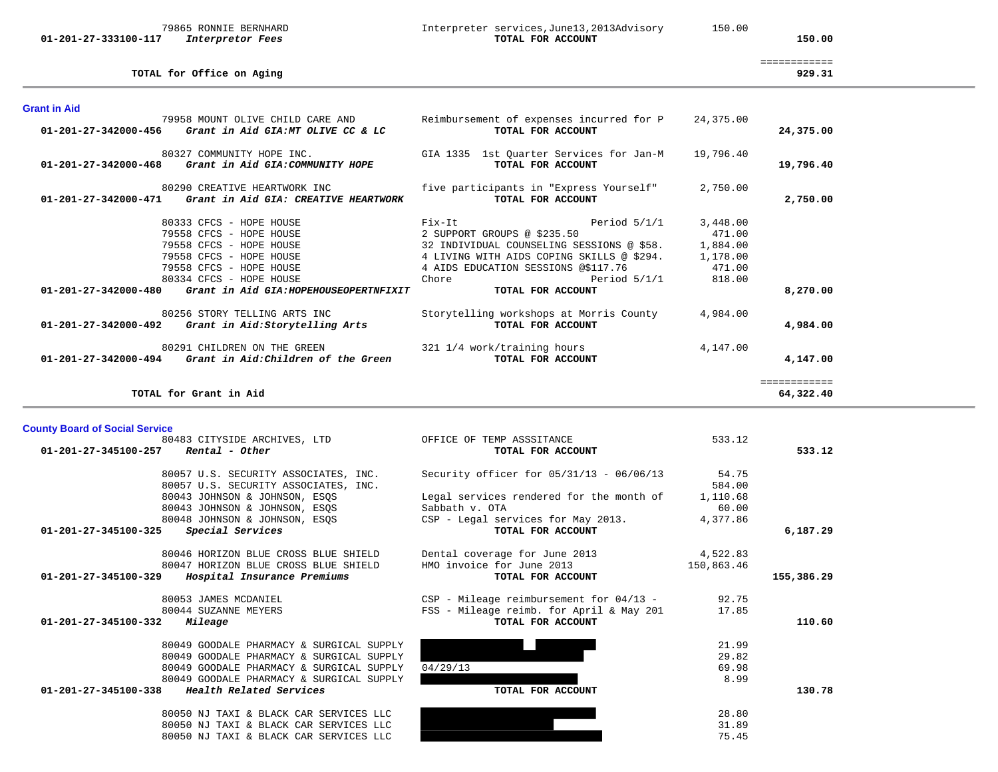### 79865 RONNIE BERNHARD Interpreter services,June13,2013Advisory 150.00  **01-201-27-333100-117** *Interpretor Fees* **TOTAL FOR ACCOUNT 150.00**

| TOTAL for Office on Aging                                                                     |                                                               |           | 929.31                   |
|-----------------------------------------------------------------------------------------------|---------------------------------------------------------------|-----------|--------------------------|
| <b>Grant in Aid</b>                                                                           |                                                               |           |                          |
| 79958 MOUNT OLIVE CHILD CARE AND<br>01-201-27-342000-456<br>Grant in Aid GIA:MT OLIVE CC & LC | Reimbursement of expenses incurred for P<br>TOTAL FOR ACCOUNT | 24,375.00 | 24,375.00                |
| 80327 COMMUNITY HOPE INC.<br>$01-201-27-342000-468$ Grant in Aid GIA:COMMUNITY HOPE           | GIA 1335 1st Ouarter Services for Jan-M<br>TOTAL FOR ACCOUNT  | 19,796.40 | 19,796.40                |
| 80290 CREATIVE HEARTWORK INC<br>01-201-27-342000-471<br>Grant in Aid GIA: CREATIVE HEARTWORK  | five participants in "Express Yourself"<br>TOTAL FOR ACCOUNT  | 2,750.00  | 2,750.00                 |
| 80333 CFCS - HOPE HOUSE                                                                       | Fix-It<br>Period $5/1/1$                                      | 3,448.00  |                          |
| 79558 CFCS - HOPE HOUSE                                                                       | 2 SUPPORT GROUPS @ \$235.50                                   | 471.00    |                          |
| 79558 CFCS - HOPE HOUSE                                                                       | 32 INDIVIDUAL COUNSELING SESSIONS @ \$58.                     | 1,884.00  |                          |
| 79558 CFCS - HOPE HOUSE                                                                       | 4 LIVING WITH AIDS COPING SKILLS @ \$294. 1,178.00            |           |                          |
| 79558 CFCS - HOPE HOUSE                                                                       | 4 AIDS EDUCATION SESSIONS @\$117.76                           | 471.00    |                          |
| 80334 CFCS - HOPE HOUSE<br>01-201-27-342000-480 Grant in Aid GIA: HOPEHOUSEOPERTNFIXIT        | Period $5/1/1$<br>Chore<br>TOTAL FOR ACCOUNT                  | 818.00    | 8,270.00                 |
| 80256 STORY TELLING ARTS INC<br>01-201-27-342000-492<br>Grant in Aid:Storytelling Arts        | Storytelling workshops at Morris County<br>TOTAL FOR ACCOUNT  | 4,984.00  | 4,984,00                 |
| 80291 CHILDREN ON THE GREEN                                                                   | 321 1/4 work/training hours                                   | 4,147.00  |                          |
| Grant in Aid: Children of the Green<br>01-201-27-342000-494                                   | TOTAL FOR ACCOUNT                                             |           | 4,147.00                 |
| TOTAL for Grant in Aid                                                                        |                                                               |           | ===========<br>64,322.40 |

**County Board of Social Service**

| 80483 CITYSIDE ARCHIVES, LTD                        | OFFICE OF TEMP ASSSITANCE                  | 533.12     |            |
|-----------------------------------------------------|--------------------------------------------|------------|------------|
| Rental - Other<br>01-201-27-345100-257              | TOTAL FOR ACCOUNT                          |            | 533.12     |
| 80057 U.S. SECURITY ASSOCIATES, INC.                | Security officer for $05/31/13 - 06/06/13$ | 54.75      |            |
| 80057 U.S. SECURITY ASSOCIATES, INC.                |                                            | 584.00     |            |
| 80043 JOHNSON & JOHNSON, ESOS                       | Legal services rendered for the month of   | 1,110.68   |            |
| 80043 JOHNSON & JOHNSON, ESQS                       | Sabbath v. OTA                             | 60.00      |            |
| 80048 JOHNSON & JOHNSON, ESQS                       | CSP - Legal services for May 2013.         | 4,377.86   |            |
| 01-201-27-345100-325<br>Special Services            | TOTAL FOR ACCOUNT                          |            | 6,187.29   |
| 80046 HORIZON BLUE CROSS BLUE SHIELD                | Dental coverage for June 2013              | 4,522.83   |            |
| 80047 HORIZON BLUE CROSS BLUE SHIELD                | HMO invoice for June 2013                  | 150,863.46 |            |
| 01-201-27-345100-329<br>Hospital Insurance Premiums | TOTAL FOR ACCOUNT                          |            | 155,386.29 |
| 80053 JAMES MCDANIEL                                | CSP - Mileage reimbursement for 04/13 -    | 92.75      |            |
| 80044 SUZANNE MEYERS                                | FSS - Mileage reimb. for April & May 201   | 17.85      |            |
| 01-201-27-345100-332<br>Mileage                     | TOTAL FOR ACCOUNT                          |            | 110.60     |
| 80049 GOODALE PHARMACY & SURGICAL SUPPLY            |                                            | 21.99      |            |
| 80049 GOODALE PHARMACY & SURGICAL SUPPLY            |                                            | 29.82      |            |
| 80049 GOODALE PHARMACY & SURGICAL SUPPLY            | 04/29/13                                   | 69.98      |            |
| 80049 GOODALE PHARMACY & SURGICAL SUPPLY            |                                            | 8.99       |            |
| 01-201-27-345100-338<br>Health Related Services     | TOTAL FOR ACCOUNT                          |            | 130.78     |
| 80050 NJ TAXI & BLACK CAR SERVICES LLC              |                                            | 28.80      |            |
| 80050 NJ TAXI & BLACK CAR SERVICES LLC              |                                            | 31.89      |            |
| 80050 NJ TAXI & BLACK CAR SERVICES LLC              |                                            | 75.45      |            |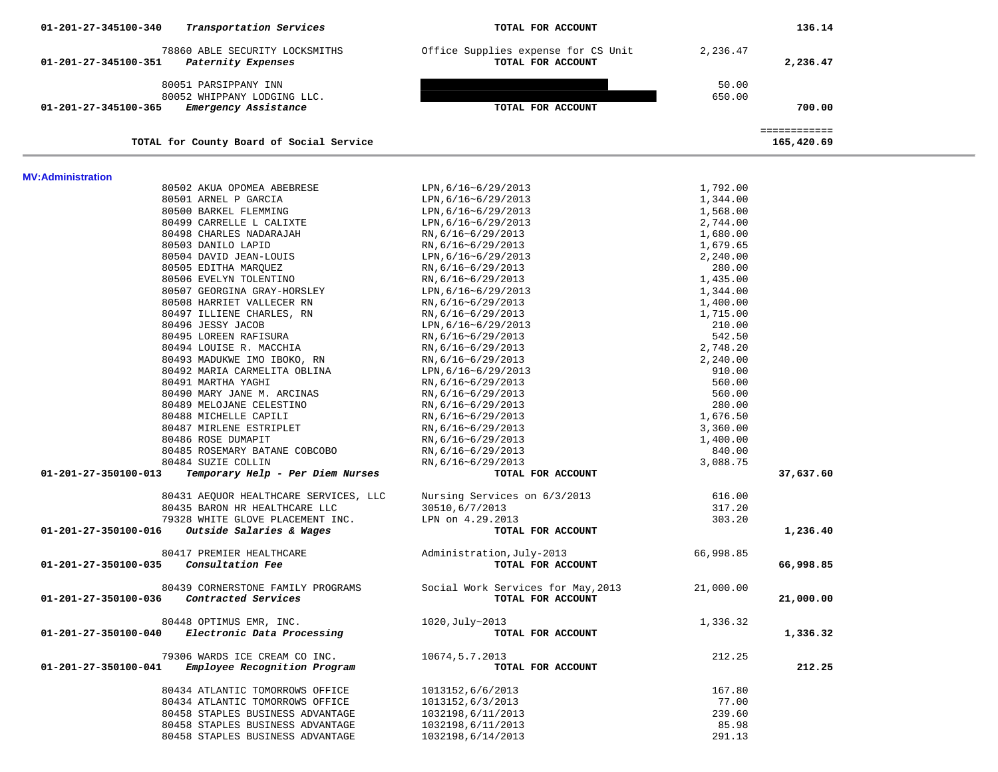| Transportation Services<br>01-201-27-345100-340                                      | TOTAL FOR ACCOUNT                                        |                      | 136.14                     |  |
|--------------------------------------------------------------------------------------|----------------------------------------------------------|----------------------|----------------------------|--|
| 78860 ABLE SECURITY LOCKSMITHS<br>Paternity Expenses<br>01-201-27-345100-351         | Office Supplies expense for CS Unit<br>TOTAL FOR ACCOUNT | 2,236.47             | 2,236.47                   |  |
| 80051 PARSIPPANY INN                                                                 |                                                          | 50.00                |                            |  |
| 80052 WHIPPANY LODGING LLC.                                                          |                                                          | 650.00               |                            |  |
| Emergency Assistance<br>01-201-27-345100-365                                         | TOTAL FOR ACCOUNT                                        |                      | 700.00                     |  |
| TOTAL for County Board of Social Service                                             |                                                          |                      | ============<br>165,420.69 |  |
|                                                                                      |                                                          |                      |                            |  |
| MV:Administration                                                                    |                                                          |                      |                            |  |
| 80502 AKUA OPOMEA ABEBRESE                                                           | LPN, 6/16~6/29/2013                                      | 1,792.00             |                            |  |
| 80501 ARNEL P GARCIA                                                                 | LPN, 6/16~6/29/2013                                      | 1,344.00             |                            |  |
| 80500 BARKEL FLEMMING                                                                | LPN, 6/16~6/29/2013                                      | 1,568.00             |                            |  |
| 80499 CARRELLE L CALIXTE                                                             | LPN, 6/16~6/29/2013                                      | 2,744.00             |                            |  |
| 80498 CHARLES NADARAJAH                                                              | RN, 6/16~6/29/2013                                       | 1,680.00             |                            |  |
| 80503 DANILO LAPID                                                                   | RN, 6/16~6/29/2013                                       | 1,679.65             |                            |  |
| 80504 DAVID JEAN-LOUIS                                                               | LPN, 6/16~6/29/2013                                      | 2,240.00             |                            |  |
| 80505 EDITHA MARQUEZ<br>80506 EVELYN TOLENTINO                                       | RN, 6/16~6/29/2013                                       | 280.00               |                            |  |
| 80507 GEORGINA GRAY-HORSLEY                                                          | RN, 6/16~6/29/2013<br>LPN, 6/16~6/29/2013                | 1,435.00             |                            |  |
| 80508 HARRIET VALLECER RN                                                            |                                                          | 1,344.00             |                            |  |
| 80497 ILLIENE CHARLES, RN                                                            | RN, 6/16~6/29/2013                                       | 1,400.00<br>1,715.00 |                            |  |
| 80496 JESSY JACOB                                                                    | RN, 6/16~6/29/2013<br>LPN, 6/16~6/29/2013                | 210.00               |                            |  |
| 80495 LOREEN RAFISURA                                                                | RN, 6/16~6/29/2013                                       | 542.50               |                            |  |
| 80494 LOUISE R. MACCHIA                                                              | RN, 6/16~6/29/2013                                       | 2,748.20             |                            |  |
| 80493 MADUKWE IMO IBOKO, RN                                                          | RN, 6/16~6/29/2013                                       | 2,240.00             |                            |  |
| 80492 MARIA CARMELITA OBLINA                                                         | LPN, 6/16~6/29/2013                                      | 910.00               |                            |  |
| 80491 MARTHA YAGHI                                                                   | RN, 6/16~6/29/2013                                       | 560.00               |                            |  |
| 80490 MARY JANE M. ARCINAS                                                           | RN, 6/16~6/29/2013                                       | 560.00               |                            |  |
| 80489 MELOJANE CELESTINO                                                             | RN, 6/16~6/29/2013                                       | 280.00               |                            |  |
| 80488 MICHELLE CAPILI                                                                | RN, 6/16~6/29/2013                                       | 1,676.50             |                            |  |
| 80487 MIRLENE ESTRIPLET                                                              | RN, 6/16~6/29/2013                                       | 3,360.00             |                            |  |
| 80486 ROSE DUMAPIT                                                                   | RN, 6/16~6/29/2013                                       | 1,400.00             |                            |  |
| 80485 ROSEMARY BATANE COBCOBO                                                        | RN, 6/16~6/29/2013                                       | 840.00               |                            |  |
| 80484 SUZIE COLLIN                                                                   | RN, 6/16~6/29/2013                                       | 3,088.75             |                            |  |
| Temporary Help - Per Diem Nurses<br>01-201-27-350100-013                             | TOTAL FOR ACCOUNT                                        |                      | 37,637.60                  |  |
|                                                                                      |                                                          |                      |                            |  |
| 80431 AEQUOR HEALTHCARE SERVICES, LLC                                                | Nursing Services on 6/3/2013                             | 616.00               |                            |  |
| 80435 BARON HR HEALTHCARE LLC                                                        | 30510,6/7/2013                                           | 317.20               |                            |  |
| 79328 WHITE GLOVE PLACEMENT INC.<br>Outside Salaries & Wages<br>01-201-27-350100-016 | LPN on 4.29.2013<br>TOTAL FOR ACCOUNT                    | 303.20               | 1,236.40                   |  |
|                                                                                      |                                                          |                      |                            |  |
| 80417 PREMIER HEALTHCARE                                                             | Administration, July-2013                                | 66,998.85            |                            |  |
| 01-201-27-350100-035<br>Consultation Fee                                             | TOTAL FOR ACCOUNT                                        |                      | 66,998.85                  |  |
| 80439 CORNERSTONE FAMILY PROGRAMS                                                    | Social Work Services for May, 2013                       | 21,000.00            |                            |  |
| Contracted Services<br>01-201-27-350100-036                                          | TOTAL FOR ACCOUNT                                        |                      | 21,000.00                  |  |
| 80448 OPTIMUS EMR, INC.                                                              | 1020, July~2013                                          | 1,336.32             |                            |  |
| Electronic Data Processing<br>01-201-27-350100-040                                   | TOTAL FOR ACCOUNT                                        |                      | 1,336.32                   |  |
| 79306 WARDS ICE CREAM CO INC.                                                        | 10674, 5.7.2013                                          | 212.25               |                            |  |
| 01-201-27-350100-041<br>Employee Recognition Program                                 | TOTAL FOR ACCOUNT                                        |                      | 212.25                     |  |
| 80434 ATLANTIC TOMORROWS OFFICE                                                      | 1013152,6/6/2013                                         | 167.80               |                            |  |
| 80434 ATLANTIC TOMORROWS OFFICE                                                      | 1013152,6/3/2013                                         | 77.00                |                            |  |
| 80458 STAPLES BUSINESS ADVANTAGE                                                     | 1032198,6/11/2013                                        | 239.60               |                            |  |
| 80458 STAPLES BUSINESS ADVANTAGE                                                     | 1032198,6/11/2013                                        | 85.98                |                            |  |
| 80458 STAPLES BUSINESS ADVANTAGE                                                     | 1032198,6/14/2013                                        | 291.13               |                            |  |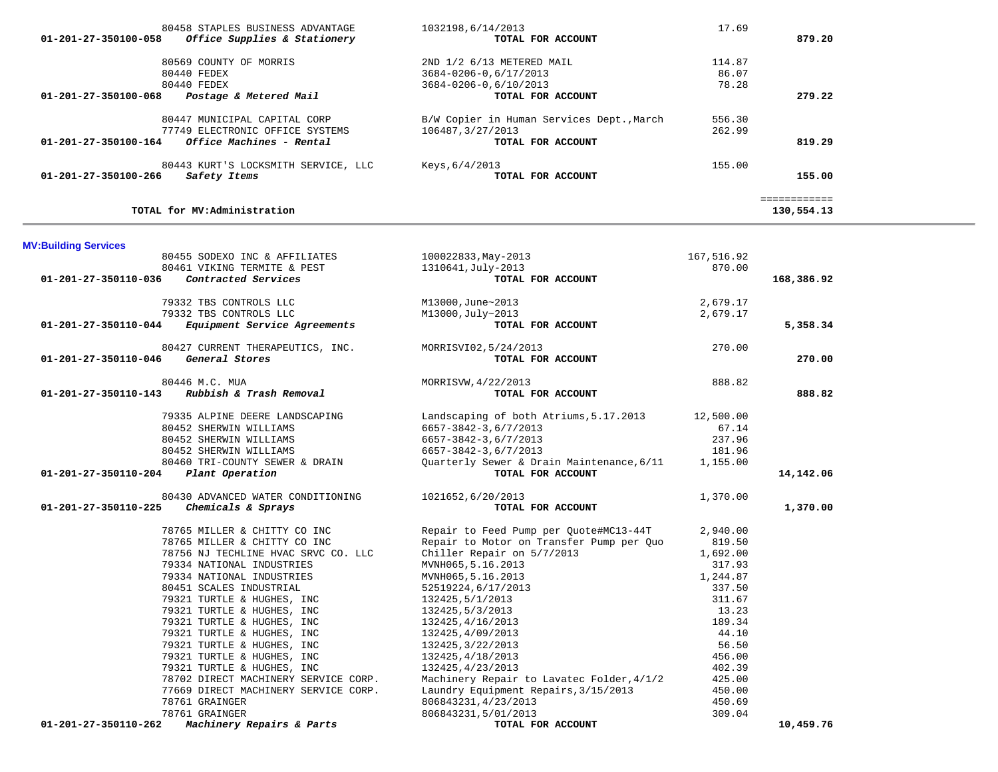|                             | 80458 STAPLES BUSINESS ADVANTAGE     | 1032198,6/14/2013                         | 17.69      |              |
|-----------------------------|--------------------------------------|-------------------------------------------|------------|--------------|
| 01-201-27-350100-058        | Office Supplies & Stationery         | TOTAL FOR ACCOUNT                         |            | 879.20       |
|                             | 80569 COUNTY OF MORRIS               | 2ND 1/2 6/13 METERED MAIL                 | 114.87     |              |
|                             | 80440 FEDEX                          | 3684-0206-0,6/17/2013                     | 86.07      |              |
|                             | 80440 FEDEX                          | 3684-0206-0,6/10/2013                     | 78.28      |              |
| 01-201-27-350100-068        | Postage & Metered Mail               | TOTAL FOR ACCOUNT                         |            | 279.22       |
|                             | 80447 MUNICIPAL CAPITAL CORP         | B/W Copier in Human Services Dept., March | 556.30     |              |
|                             | 77749 ELECTRONIC OFFICE SYSTEMS      | 106487, 3/27/2013                         | 262.99     |              |
| 01-201-27-350100-164        | Office Machines - Rental             | TOTAL FOR ACCOUNT                         |            | 819.29       |
|                             | 80443 KURT'S LOCKSMITH SERVICE, LLC  | Keys, 6/4/2013                            | 155.00     |              |
| 01-201-27-350100-266        | Safety Items                         | TOTAL FOR ACCOUNT                         |            | 155.00       |
|                             |                                      |                                           |            | ============ |
|                             | TOTAL for MV:Administration          |                                           |            | 130,554.13   |
| <b>MV:Building Services</b> |                                      |                                           |            |              |
|                             | 80455 SODEXO INC & AFFILIATES        | 100022833, May-2013                       | 167,516.92 |              |
|                             | 80461 VIKING TERMITE & PEST          | 1310641, July-2013                        | 870.00     |              |
| 01-201-27-350110-036        | Contracted Services                  | TOTAL FOR ACCOUNT                         |            | 168,386.92   |
|                             | 79332 TBS CONTROLS LLC               | M13000, June~2013                         | 2,679.17   |              |
|                             | 79332 TBS CONTROLS LLC               | M13000, July~2013                         | 2,679.17   |              |
| 01-201-27-350110-044        | Equipment Service Agreements         | TOTAL FOR ACCOUNT                         |            | 5,358.34     |
|                             | 80427 CURRENT THERAPEUTICS, INC.     | MORRISVI02,5/24/2013                      | 270.00     |              |
| 01-201-27-350110-046        | General Stores                       | TOTAL FOR ACCOUNT                         |            | 270.00       |
|                             | 80446 M.C. MUA                       | MORRISVW, 4/22/2013                       | 888.82     |              |
| 01-201-27-350110-143        | Rubbish & Trash Removal              | TOTAL FOR ACCOUNT                         |            | 888.82       |
|                             | 79335 ALPINE DEERE LANDSCAPING       | Landscaping of both Atriums, 5.17.2013    | 12,500.00  |              |
|                             | 80452 SHERWIN WILLIAMS               | 6657-3842-3,6/7/2013                      | 67.14      |              |
|                             | 80452 SHERWIN WILLIAMS               | 6657-3842-3,6/7/2013                      | 237.96     |              |
|                             | 80452 SHERWIN WILLIAMS               | 6657-3842-3,6/7/2013                      | 181.96     |              |
|                             | 80460 TRI-COUNTY SEWER & DRAIN       | Quarterly Sewer & Drain Maintenance, 6/11 | 1,155.00   |              |
| 01-201-27-350110-204        | Plant Operation                      | TOTAL FOR ACCOUNT                         |            | 14,142.06    |
|                             | 80430 ADVANCED WATER CONDITIONING    | 1021652,6/20/2013                         | 1,370.00   |              |
| 01-201-27-350110-225        | Chemicals & Sprays                   | TOTAL FOR ACCOUNT                         |            | 1,370.00     |
|                             | 78765 MILLER & CHITTY CO INC         | Repair to Feed Pump per Quote#MC13-44T    | 2,940.00   |              |
|                             | 78765 MILLER & CHITTY CO INC         | Repair to Motor on Transfer Pump per Quo  | 819.50     |              |
|                             | 78756 NJ TECHLINE HVAC SRVC CO. LLC  | Chiller Repair on 5/7/2013                | 1,692.00   |              |
|                             | 79334 NATIONAL INDUSTRIES            | MVNH065, 5.16.2013                        | 317.93     |              |
|                             | 79334 NATIONAL INDUSTRIES            | MVNH065,5.16.2013                         | 1,244.87   |              |
|                             | 80451 SCALES INDUSTRIAL              | 52519224,6/17/2013                        | 337.50     |              |
|                             | 79321 TURTLE & HUGHES, INC           | 132425, 5/1/2013                          | 311.67     |              |
|                             | 79321 TURTLE & HUGHES, INC           | 132425, 5/3/2013                          | 13.23      |              |
|                             | 79321 TURTLE & HUGHES, INC           | 132425, 4/16/2013                         | 189.34     |              |
|                             | 79321 TURTLE & HUGHES, INC           | 132425, 4/09/2013                         | 44.10      |              |
|                             | 79321 TURTLE & HUGHES, INC           | 132425, 3/22/2013                         | 56.50      |              |
|                             | 79321 TURTLE & HUGHES, INC           | 132425, 4/18/2013                         | 456.00     |              |
|                             | 79321 TURTLE & HUGHES, INC           | 132425, 4/23/2013                         | 402.39     |              |
|                             | 78702 DIRECT MACHINERY SERVICE CORP. | Machinery Repair to Lavatec Folder, 4/1/2 | 425.00     |              |
|                             | 77669 DIRECT MACHINERY SERVICE CORP. | Laundry Equipment Repairs, 3/15/2013      | 450.00     |              |
|                             | 78761 GRAINGER                       | 806843231, 4/23/2013                      | 450.69     |              |
|                             | 78761 GRAINGER                       | 806843231,5/01/2013                       | 309.04     |              |

 $\equiv$ 

78761 GRAINGER<br>2 **Machinery Repairs & Parts** 806843231,5/01/2013<br>**2** Machinery Repairs & Parts

 **01-201-27-350110-262** *Machinery Repairs & Parts* **TOTAL FOR ACCOUNT 10,459.76**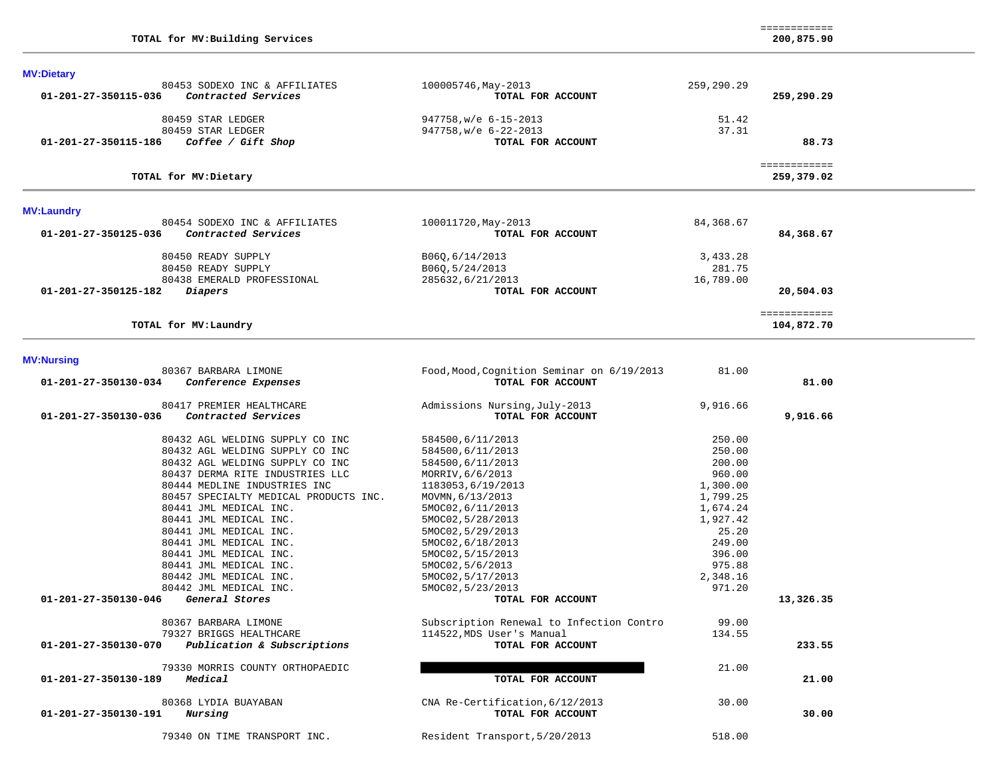**MV:Dietary** 

| <b>MV:Laundry</b><br>80454 SODEXO INC & AFFILIATES<br>01-201-27-350125-036<br>Contracted Services | 100011720, May-2013<br>TOTAL FOR ACCOUNT | 84,368.67<br>84,368.67     |  |
|---------------------------------------------------------------------------------------------------|------------------------------------------|----------------------------|--|
| TOTAL for MV: Dietary                                                                             |                                          | ============<br>259,379.02 |  |
| 01-201-27-350115-186<br>Coffee / Gift Shop                                                        | TOTAL FOR ACCOUNT                        | 88.73                      |  |
| 80459 STAR LEDGER                                                                                 | 947758, w/e 6-22-2013                    | 37.31                      |  |
| 80459 STAR LEDGER                                                                                 | 947758, w/e 6-15-2013                    | 51.42                      |  |
| 01-201-27-350115-036<br>Contracted Services                                                       | TOTAL FOR ACCOUNT                        | 259,290.29                 |  |
| 80453 SODEXO INC & AFFILIATES                                                                     | 100005746, May-2013                      | 259,290.29                 |  |

| TOTAL for MV: Laundry           |                   | 104,872.70 |  |
|---------------------------------|-------------------|------------|--|
| 01-201-27-350125-182<br>Diapers | TOTAL FOR ACCOUNT | 20,504.03  |  |
| 80438 EMERALD PROFESSIONAL      | 285632,6/21/2013  | 16,789.00  |  |
| 80450 READY SUPPLY              | B060,5/24/2013    | 281.75     |  |
| 80450 READY SUPPLY              | B060,6/14/2013    | 3,433.28   |  |

## **MV:Nursing**

|                      | 80367 BARBARA LIMONE                  | Food, Mood, Cognition Seminar on 6/19/2013 | 81.00    |           |
|----------------------|---------------------------------------|--------------------------------------------|----------|-----------|
| 01-201-27-350130-034 | Conference Expenses                   | TOTAL FOR ACCOUNT                          |          | 81.00     |
|                      | 80417 PREMIER HEALTHCARE              | Admissions Nursing, July-2013              | 9,916.66 |           |
| 01-201-27-350130-036 | Contracted Services                   | TOTAL FOR ACCOUNT                          |          | 9,916.66  |
|                      | 80432 AGL WELDING SUPPLY CO INC       | 584500,6/11/2013                           | 250.00   |           |
|                      | 80432 AGL WELDING SUPPLY CO INC       | 584500,6/11/2013                           | 250.00   |           |
|                      | 80432 AGL WELDING SUPPLY CO INC       | 584500,6/11/2013                           | 200.00   |           |
|                      | 80437 DERMA RITE INDUSTRIES LLC       | MORRIV, 6/6/2013                           | 960.00   |           |
|                      | 80444 MEDLINE INDUSTRIES INC          | 1183053,6/19/2013                          | 1,300.00 |           |
|                      | 80457 SPECIALTY MEDICAL PRODUCTS INC. | MOVMN, 6/13/2013                           | 1,799.25 |           |
|                      | 80441 JML MEDICAL INC.                | 5MOC02, 6/11/2013                          | 1,674.24 |           |
|                      | 80441 JML MEDICAL INC.                | 5MOC02, 5/28/2013                          | 1,927.42 |           |
|                      | 80441 JML MEDICAL INC.                | 5MOC02, 5/29/2013                          | 25.20    |           |
|                      | 80441 JML MEDICAL INC.                | 5MOC02, 6/18/2013                          | 249.00   |           |
|                      | 80441 JML MEDICAL INC.                | 5MOC02, 5/15/2013                          | 396.00   |           |
|                      | 80441 JML MEDICAL INC.                | 5MOC02, 5/6/2013                           | 975.88   |           |
|                      | 80442 JML MEDICAL INC.                | 5MOC02, 5/17/2013                          | 2,348.16 |           |
|                      | 80442 JML MEDICAL INC.                | 5MOC02, 5/23/2013                          | 971.20   |           |
| 01-201-27-350130-046 | General Stores                        | TOTAL FOR ACCOUNT                          |          | 13,326.35 |
|                      | 80367 BARBARA LIMONE                  | Subscription Renewal to Infection Contro   | 99.00    |           |
|                      | 79327 BRIGGS HEALTHCARE               | 114522, MDS User's Manual                  | 134.55   |           |
| 01-201-27-350130-070 | Publication & Subscriptions           | TOTAL FOR ACCOUNT                          |          | 233.55    |
|                      | 79330 MORRIS COUNTY ORTHOPAEDIC       |                                            | 21.00    |           |
| 01-201-27-350130-189 | Medical                               | TOTAL FOR ACCOUNT                          |          | 21.00     |
|                      | 80368 LYDIA BUAYABAN                  | CNA Re-Certification, 6/12/2013            | 30.00    |           |
| 01-201-27-350130-191 | Nursing                               | TOTAL FOR ACCOUNT                          |          | 30.00     |
|                      | 79340 ON TIME TRANSPORT INC.          | Resident Transport, 5/20/2013              | 518.00   |           |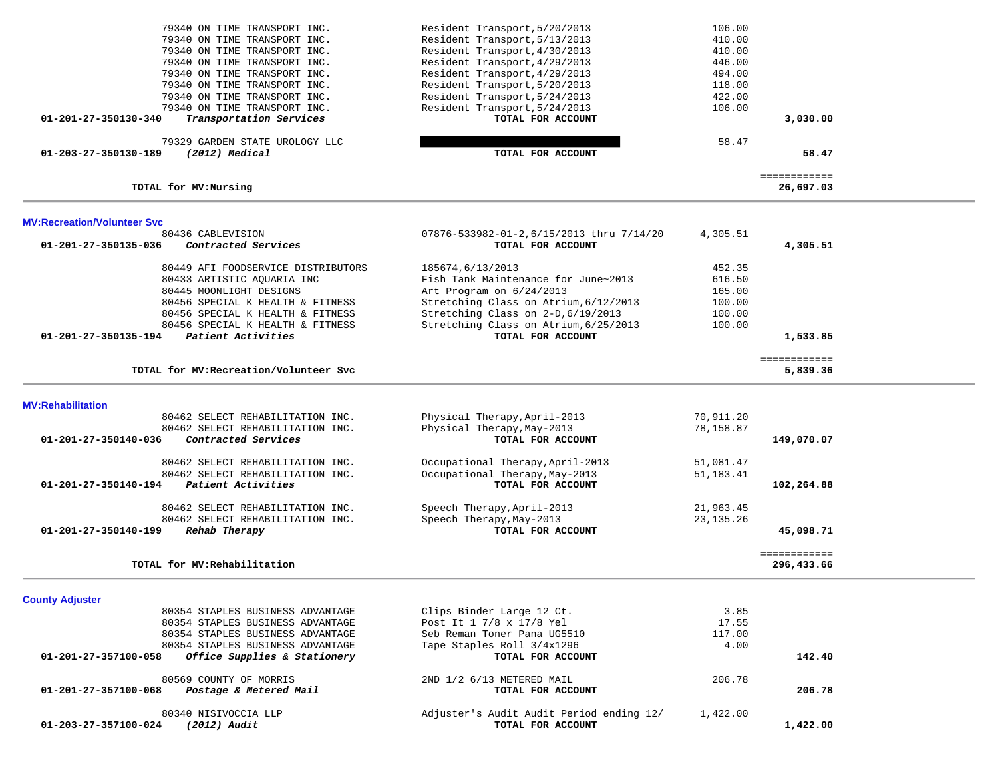| 79340 ON TIME TRANSPORT INC.                                       | Resident Transport, 5/20/2013            | 106.00      |                           |  |
|--------------------------------------------------------------------|------------------------------------------|-------------|---------------------------|--|
| 79340 ON TIME TRANSPORT INC.                                       | Resident Transport, 5/13/2013            | 410.00      |                           |  |
| 79340 ON TIME TRANSPORT INC.                                       | Resident Transport, 4/30/2013            | 410.00      |                           |  |
| 79340 ON TIME TRANSPORT INC.                                       | Resident Transport, 4/29/2013            | 446.00      |                           |  |
| 79340 ON TIME TRANSPORT INC.                                       | Resident Transport, 4/29/2013            | 494.00      |                           |  |
| 79340 ON TIME TRANSPORT INC.                                       | Resident Transport, 5/20/2013            |             |                           |  |
|                                                                    | Resident Transport, 5/24/2013            | 118.00      |                           |  |
| 79340 ON TIME TRANSPORT INC.                                       |                                          | 422.00      |                           |  |
| 79340 ON TIME TRANSPORT INC.                                       | Resident Transport, 5/24/2013            | 106.00      |                           |  |
| Transportation Services<br>01-201-27-350130-340                    | TOTAL FOR ACCOUNT                        |             | 3,030.00                  |  |
| 79329 GARDEN STATE UROLOGY LLC                                     |                                          | 58.47       |                           |  |
| 01-203-27-350130-189<br>(2012) Medical                             | TOTAL FOR ACCOUNT                        |             | 58.47                     |  |
|                                                                    |                                          |             |                           |  |
| TOTAL for MV: Nursing                                              |                                          |             | ============<br>26,697.03 |  |
|                                                                    |                                          |             |                           |  |
| <b>MV:Recreation/Volunteer Svc</b>                                 |                                          |             |                           |  |
| 80436 CABLEVISION                                                  | 07876-533982-01-2,6/15/2013 thru 7/14/20 | 4,305.51    |                           |  |
| 01-201-27-350135-036<br>Contracted Services                        | TOTAL FOR ACCOUNT                        |             | 4,305.51                  |  |
| 80449 AFI FOODSERVICE DISTRIBUTORS                                 | 185674,6/13/2013                         | 452.35      |                           |  |
| 80433 ARTISTIC AQUARIA INC                                         | Fish Tank Maintenance for June~2013      | 616.50      |                           |  |
| 80445 MOONLIGHT DESIGNS                                            | Art Program on 6/24/2013                 | 165.00      |                           |  |
| 80456 SPECIAL K HEALTH & FITNESS                                   | Stretching Class on Atrium, 6/12/2013    | 100.00      |                           |  |
| 80456 SPECIAL K HEALTH & FITNESS                                   | Stretching Class on 2-D, 6/19/2013       | 100.00      |                           |  |
| 80456 SPECIAL K HEALTH & FITNESS                                   | Stretching Class on Atrium, 6/25/2013    | 100.00      |                           |  |
| Patient Activities<br>01-201-27-350135-194                         | TOTAL FOR ACCOUNT                        |             | 1,533.85                  |  |
|                                                                    |                                          |             |                           |  |
|                                                                    |                                          |             | ============              |  |
| TOTAL for MV: Recreation/Volunteer Svc                             |                                          |             | 5,839.36                  |  |
|                                                                    |                                          |             |                           |  |
| <b>MV:Rehabilitation</b>                                           |                                          |             |                           |  |
| 80462 SELECT REHABILITATION INC.                                   | Physical Therapy, April-2013             | 70,911.20   |                           |  |
| 80462 SELECT REHABILITATION INC.                                   | Physical Therapy, May-2013               | 78,158.87   |                           |  |
| 01-201-27-350140-036<br>Contracted Services                        | TOTAL FOR ACCOUNT                        |             | 149,070.07                |  |
|                                                                    |                                          |             |                           |  |
| 80462 SELECT REHABILITATION INC.                                   | Occupational Therapy, April-2013         | 51,081.47   |                           |  |
| 80462 SELECT REHABILITATION INC.                                   | Occupational Therapy, May-2013           | 51,183.41   |                           |  |
| 01-201-27-350140-194<br>Patient Activities                         | TOTAL FOR ACCOUNT                        |             | 102,264.88                |  |
| 80462 SELECT REHABILITATION INC.                                   |                                          | 21,963.45   |                           |  |
|                                                                    | Speech Therapy, April-2013               |             |                           |  |
| 80462 SELECT REHABILITATION INC.<br>$01 - 201 - 27 - 350140 - 199$ | Speech Therapy, May-2013                 | 23, 135. 26 |                           |  |
| Rehab Therapy                                                      | TOTAL FOR ACCOUNT                        |             | 45,098.71                 |  |
|                                                                    |                                          |             | ============              |  |
| TOTAL for MV: Rehabilitation                                       |                                          |             | 296,433.66                |  |
|                                                                    |                                          |             |                           |  |
| <b>County Adjuster</b><br>80354 STAPLES BUSINESS ADVANTAGE         | Clips Binder Large 12 Ct.                | 3.85        |                           |  |
|                                                                    | Post It 1 7/8 x 17/8 Yel                 | 17.55       |                           |  |
| 80354 STAPLES BUSINESS ADVANTAGE                                   |                                          |             |                           |  |
| 80354 STAPLES BUSINESS ADVANTAGE                                   | Seb Reman Toner Pana UG5510              | 117.00      |                           |  |
| 80354 STAPLES BUSINESS ADVANTAGE                                   | Tape Staples Roll 3/4x1296               | 4.00        |                           |  |
| 01-201-27-357100-058<br>Office Supplies & Stationery               | TOTAL FOR ACCOUNT                        |             | 142.40                    |  |
| 80569 COUNTY OF MORRIS                                             | 2ND 1/2 6/13 METERED MAIL                | 206.78      |                           |  |
| Postage & Metered Mail<br>01-201-27-357100-068                     | TOTAL FOR ACCOUNT                        |             | 206.78                    |  |
|                                                                    |                                          |             |                           |  |
| 80340 NISIVOCCIA LLP                                               | Adjuster's Audit Audit Period ending 12/ | 1,422.00    |                           |  |
| (2012) Audit<br>01-203-27-357100-024                               | TOTAL FOR ACCOUNT                        |             | 1,422,00                  |  |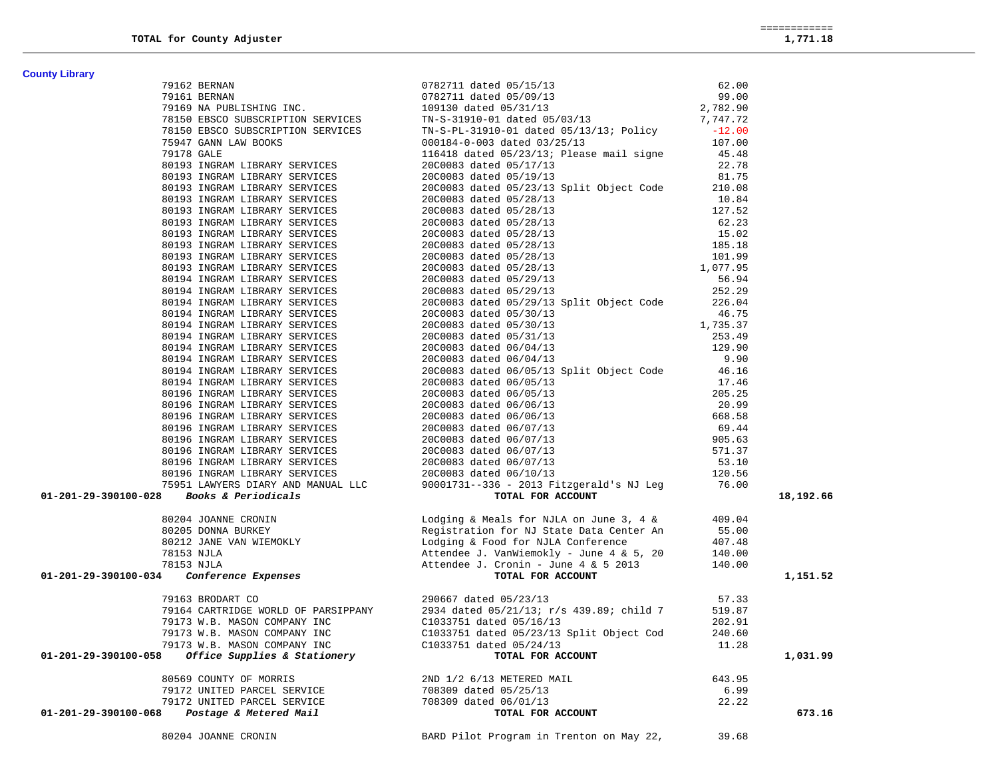| <b>County Library</b>                                                                                                                                                                                                                             |                                                                                                                                                                                                                                           |        |           |
|---------------------------------------------------------------------------------------------------------------------------------------------------------------------------------------------------------------------------------------------------|-------------------------------------------------------------------------------------------------------------------------------------------------------------------------------------------------------------------------------------------|--------|-----------|
|                                                                                                                                                                                                                                                   |                                                                                                                                                                                                                                           |        |           |
|                                                                                                                                                                                                                                                   |                                                                                                                                                                                                                                           |        |           |
|                                                                                                                                                                                                                                                   |                                                                                                                                                                                                                                           |        |           |
|                                                                                                                                                                                                                                                   |                                                                                                                                                                                                                                           |        |           |
|                                                                                                                                                                                                                                                   |                                                                                                                                                                                                                                           |        |           |
|                                                                                                                                                                                                                                                   |                                                                                                                                                                                                                                           |        |           |
|                                                                                                                                                                                                                                                   |                                                                                                                                                                                                                                           |        |           |
|                                                                                                                                                                                                                                                   |                                                                                                                                                                                                                                           |        |           |
|                                                                                                                                                                                                                                                   |                                                                                                                                                                                                                                           |        |           |
|                                                                                                                                                                                                                                                   |                                                                                                                                                                                                                                           |        |           |
|                                                                                                                                                                                                                                                   |                                                                                                                                                                                                                                           |        |           |
|                                                                                                                                                                                                                                                   |                                                                                                                                                                                                                                           |        |           |
|                                                                                                                                                                                                                                                   |                                                                                                                                                                                                                                           |        |           |
|                                                                                                                                                                                                                                                   |                                                                                                                                                                                                                                           |        |           |
|                                                                                                                                                                                                                                                   |                                                                                                                                                                                                                                           |        |           |
|                                                                                                                                                                                                                                                   |                                                                                                                                                                                                                                           |        |           |
|                                                                                                                                                                                                                                                   |                                                                                                                                                                                                                                           |        |           |
|                                                                                                                                                                                                                                                   |                                                                                                                                                                                                                                           |        |           |
|                                                                                                                                                                                                                                                   |                                                                                                                                                                                                                                           |        |           |
|                                                                                                                                                                                                                                                   |                                                                                                                                                                                                                                           |        |           |
|                                                                                                                                                                                                                                                   |                                                                                                                                                                                                                                           |        |           |
|                                                                                                                                                                                                                                                   |                                                                                                                                                                                                                                           |        |           |
|                                                                                                                                                                                                                                                   |                                                                                                                                                                                                                                           |        |           |
|                                                                                                                                                                                                                                                   |                                                                                                                                                                                                                                           |        |           |
|                                                                                                                                                                                                                                                   |                                                                                                                                                                                                                                           |        |           |
|                                                                                                                                                                                                                                                   |                                                                                                                                                                                                                                           |        |           |
|                                                                                                                                                                                                                                                   |                                                                                                                                                                                                                                           |        |           |
|                                                                                                                                                                                                                                                   |                                                                                                                                                                                                                                           |        |           |
|                                                                                                                                                                                                                                                   |                                                                                                                                                                                                                                           |        |           |
|                                                                                                                                                                                                                                                   |                                                                                                                                                                                                                                           |        |           |
|                                                                                                                                                                                                                                                   |                                                                                                                                                                                                                                           |        |           |
|                                                                                                                                                                                                                                                   |                                                                                                                                                                                                                                           |        |           |
|                                                                                                                                                                                                                                                   |                                                                                                                                                                                                                                           |        |           |
|                                                                                                                                                                                                                                                   |                                                                                                                                                                                                                                           |        |           |
|                                                                                                                                                                                                                                                   |                                                                                                                                                                                                                                           |        |           |
| 01-201-29-390100-028                                                                                                                                                                                                                              | 79162 NHWDAN<br>79162 NHWDAN<br>79261 NEWSIGETING INC. 0782711 dated 05/15/13<br>79260 NA POELIGEING INC. 0782711 dated 05/19/11<br>79260 NA POELIGEING INC. 078271 dated 05/19/11<br>79260 NA POELIGEING INC. 078271 dated 05/19/11<br>7 |        | 18,192.66 |
|                                                                                                                                                                                                                                                   |                                                                                                                                                                                                                                           |        |           |
|                                                                                                                                                                                                                                                   |                                                                                                                                                                                                                                           |        |           |
|                                                                                                                                                                                                                                                   |                                                                                                                                                                                                                                           |        |           |
|                                                                                                                                                                                                                                                   |                                                                                                                                                                                                                                           |        |           |
|                                                                                                                                                                                                                                                   |                                                                                                                                                                                                                                           |        |           |
|                                                                                                                                                                                                                                                   |                                                                                                                                                                                                                                           |        | 1,151.52  |
| 80204 JOANNE CRONIN<br>80205 DONNA BURKEY<br>80215 DONNA BURKEY<br>80212 JANE VAN WIEMOKLY<br>80212 JANE VAN WIEMOKLY<br>78153 NJLA<br>78153 NJLA<br>78153 NJLA<br>79163 BRODART CO<br>79164 COPTPIDE WOFD OF PAPSIDRANY<br>79164 COPTPIDE WOFD O |                                                                                                                                                                                                                                           |        |           |
|                                                                                                                                                                                                                                                   |                                                                                                                                                                                                                                           |        |           |
|                                                                                                                                                                                                                                                   | 79164 CARTRIDGE WORLD OF PARSIPPANY 2934 dated $05/21/13$ ; $r/s$ 439.89; child 7                                                                                                                                                         | 519.87 |           |
| 79173 W.B. MASON COMPANY INC                                                                                                                                                                                                                      | C1033751 dated 05/16/13                                                                                                                                                                                                                   | 202.91 |           |
| 79173 W.B. MASON COMPANY INC                                                                                                                                                                                                                      | C1033751 dated 05/23/13 Split Object Cod                                                                                                                                                                                                  | 240.60 |           |
| 79173 W.B. MASON COMPANY INC<br>01-201-29-390100-058<br>Office Supplies & Stationery                                                                                                                                                              | C1033751 dated 05/24/13<br>TOTAL FOR ACCOUNT                                                                                                                                                                                              | 11.28  | 1,031.99  |
|                                                                                                                                                                                                                                                   |                                                                                                                                                                                                                                           |        |           |
| 80569 COUNTY OF MORRIS                                                                                                                                                                                                                            | 2ND 1/2 6/13 METERED MAIL                                                                                                                                                                                                                 | 643.95 |           |
| 79172 UNITED PARCEL SERVICE                                                                                                                                                                                                                       | 708309 dated 05/25/13                                                                                                                                                                                                                     | 6.99   |           |
| 79172 UNITED PARCEL SERVICE                                                                                                                                                                                                                       | 708309 dated 06/01/13                                                                                                                                                                                                                     | 22.22  |           |
| Postage & Metered Mail<br>01-201-29-390100-068                                                                                                                                                                                                    | TOTAL FOR ACCOUNT                                                                                                                                                                                                                         |        | 673.16    |
|                                                                                                                                                                                                                                                   |                                                                                                                                                                                                                                           |        |           |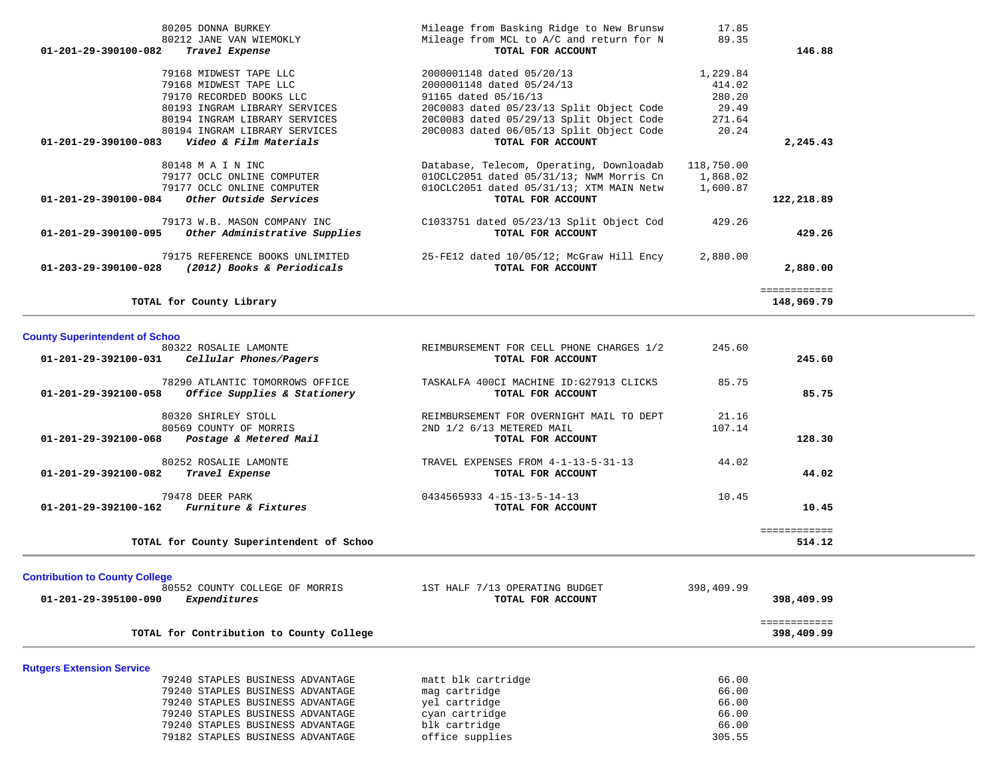| 80205 DONNA BURKEY                                       | Mileage from Basking Ridge to New Brunsw | 17.85      |              |
|----------------------------------------------------------|------------------------------------------|------------|--------------|
| 80212 JANE VAN WIEMOKLY                                  | Mileage from MCL to A/C and return for N | 89.35      |              |
| Travel Expense<br>$01 - 201 - 29 - 390100 - 082$         | TOTAL FOR ACCOUNT                        |            | 146.88       |
| 79168 MIDWEST TAPE LLC                                   | 2000001148 dated 05/20/13                | 1,229.84   |              |
| 79168 MIDWEST TAPE LLC                                   | 2000001148 dated 05/24/13                | 414.02     |              |
| 79170 RECORDED BOOKS LLC                                 | 91165 dated 05/16/13                     | 280.20     |              |
| 80193 INGRAM LIBRARY SERVICES                            | 20C0083 dated 05/23/13 Split Object Code | 29.49      |              |
| 80194 INGRAM LIBRARY SERVICES                            | 20C0083 dated 05/29/13 Split Object Code | 271.64     |              |
| 80194 INGRAM LIBRARY SERVICES                            | 20C0083 dated 06/05/13 Split Object Code | 20.24      |              |
| Video & Film Materials<br>$01 - 201 - 29 - 390100 - 083$ | TOTAL FOR ACCOUNT                        |            | 2,245.43     |
| 80148 M A I N INC                                        | Database, Telecom, Operating, Downloadab | 118,750.00 |              |
| 79177 OCLC ONLINE COMPUTER                               | 010CLC2051 dated 05/31/13; NWM Morris Cn | 1,868.02   |              |
| 79177 OCLC ONLINE COMPUTER                               | 010CLC2051 dated 05/31/13; XTM MAIN Netw | 1,600.87   |              |
| 01-201-29-390100-084<br>Other Outside Services           | TOTAL FOR ACCOUNT                        |            | 122,218.89   |
| 79173 W.B. MASON COMPANY INC                             | C1033751 dated 05/23/13 Split Object Cod | 429.26     |              |
| 01-201-29-390100-095<br>Other Administrative Supplies    | TOTAL FOR ACCOUNT                        |            | 429.26       |
| 79175 REFERENCE BOOKS UNLIMITED                          | 25-FE12 dated 10/05/12; McGraw Hill Ency | 2,880.00   |              |
| 01-203-29-390100-028<br>(2012) Books & Periodicals       | TOTAL FOR ACCOUNT                        |            | 2,880.00     |
|                                                          |                                          |            | ============ |
| TOTAL for County Library                                 |                                          |            | 148,969.79   |

| 80322 ROSALIE LAMONTE                    | REIMBURSEMENT FOR CELL PHONE CHARGES 1/2 | 245.60 |              |
|------------------------------------------|------------------------------------------|--------|--------------|
| Cellular Phones/Pagers                   | TOTAL FOR ACCOUNT                        |        | 245.60       |
| 78290 ATLANTIC TOMORROWS OFFICE          | TASKALFA 400CI MACHINE ID:G27913 CLICKS  | 85.75  |              |
| Office Supplies & Stationery             | TOTAL FOR ACCOUNT                        |        | 85.75        |
| 80320 SHIRLEY STOLL                      | REIMBURSEMENT FOR OVERNIGHT MAIL TO DEPT | 21.16  |              |
| 80569 COUNTY OF MORRIS                   | 2ND 1/2 6/13 METERED MAIL                | 107.14 |              |
| Postage & Metered Mail                   | TOTAL FOR ACCOUNT                        |        | 128.30       |
| 80252 ROSALIE LAMONTE                    | TRAVEL EXPENSES FROM 4-1-13-5-31-13      | 44.02  |              |
|                                          | TOTAL FOR ACCOUNT                        |        | 44.02        |
|                                          | 0434565933 4-15-13-5-14-13               | 10.45  |              |
| <i>Furniture &amp; Fixtures</i>          | TOTAL FOR ACCOUNT                        |        | 10.45        |
|                                          |                                          |        | ============ |
| TOTAL for County Superintendent of Schoo |                                          |        | 514.12       |
|                                          |                                          |        |              |

## **Contribution to County College**

| 80552 COUNTY COLLEGE OF MORRIS<br>01-201-29-395100-090<br>Expenditures | 1ST HALF 7/13 OPERATING BUDGET<br>TOTAL FOR ACCOUNT | 398,409.99<br>398,409.99   |  |
|------------------------------------------------------------------------|-----------------------------------------------------|----------------------------|--|
| TOTAL for Contribution to County College                               |                                                     | ------------<br>398,409.99 |  |
| <b>Rutgers Extension Service</b>                                       |                                                     |                            |  |
| 79240 STAPLES BUSINESS ADVANTAGE                                       | matt blk cartridge                                  | 66.00                      |  |
| 79240 STAPLES BUSINESS ADVANTAGE                                       | mag cartridge                                       | 66.00                      |  |
| 79240 STAPLES BUSINESS ADVANTAGE                                       | yel cartridge                                       | 66.00                      |  |
| 79240 STAPLES BUSINESS ADVANTAGE                                       | cyan cartridge                                      | 66.00                      |  |
| 79240 STAPLES BUSINESS ADVANTAGE                                       | blk cartridge                                       | 66.00                      |  |
| 79182 STAPLES BUSINESS ADVANTAGE                                       | office supplies                                     | 305.55                     |  |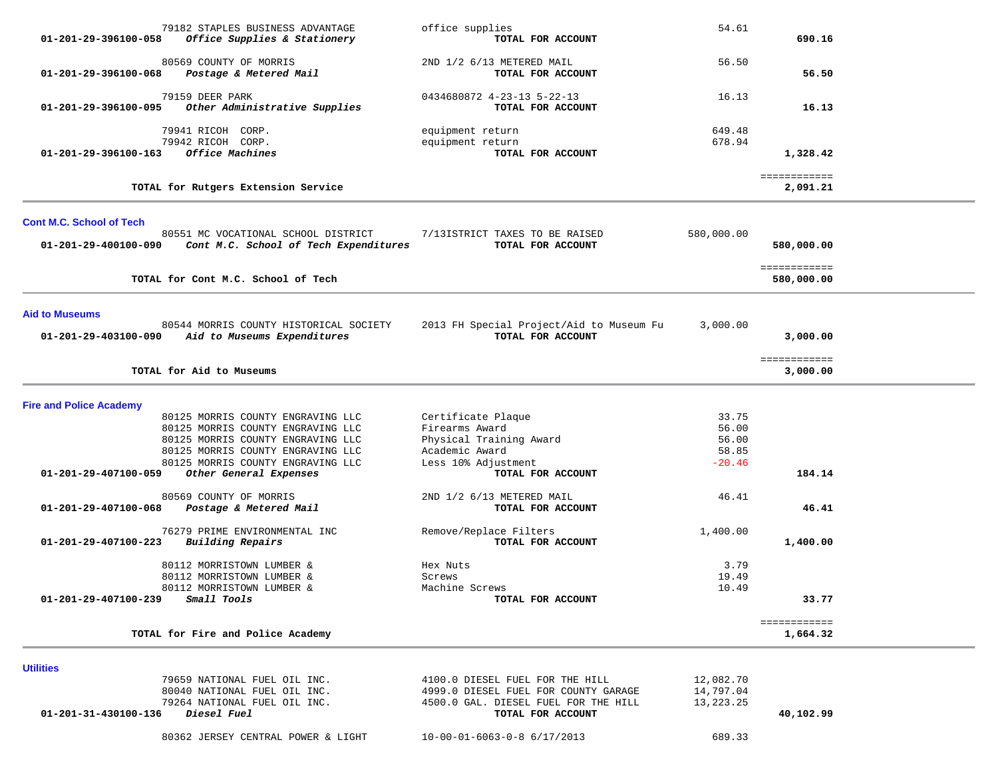| 01-201-29-396100-058                          | 79182 STAPLES BUSINESS ADVANTAGE<br>Office Supplies & Stationery                                                                                                                      | office supplies<br>TOTAL FOR ACCOUNT                                                                     | 54.61                                        | 690.16                     |  |
|-----------------------------------------------|---------------------------------------------------------------------------------------------------------------------------------------------------------------------------------------|----------------------------------------------------------------------------------------------------------|----------------------------------------------|----------------------------|--|
| 01-201-29-396100-068                          | 80569 COUNTY OF MORRIS<br>Postage & Metered Mail                                                                                                                                      | 2ND 1/2 6/13 METERED MAIL<br>TOTAL FOR ACCOUNT                                                           | 56.50                                        | 56.50                      |  |
| 01-201-29-396100-095                          | 79159 DEER PARK<br>Other Administrative Supplies                                                                                                                                      | 0434680872 4-23-13 5-22-13<br>TOTAL FOR ACCOUNT                                                          | 16.13                                        | 16.13                      |  |
| 01-201-29-396100-163                          | 79941 RICOH CORP.<br>79942 RICOH CORP.<br>Office Machines                                                                                                                             | equipment return<br>equipment return<br>TOTAL FOR ACCOUNT                                                | 649.48<br>678.94                             | 1,328.42                   |  |
|                                               | TOTAL for Rutgers Extension Service                                                                                                                                                   |                                                                                                          |                                              | ============<br>2,091.21   |  |
| <b>Cont M.C. School of Tech</b>               |                                                                                                                                                                                       |                                                                                                          |                                              |                            |  |
| 01-201-29-400100-090                          | 80551 MC VOCATIONAL SCHOOL DISTRICT<br>Cont M.C. School of Tech Expenditures                                                                                                          | 7/13ISTRICT TAXES TO BE RAISED<br>TOTAL FOR ACCOUNT                                                      | 580,000.00                                   | 580,000.00                 |  |
|                                               | TOTAL for Cont M.C. School of Tech                                                                                                                                                    |                                                                                                          |                                              | ============<br>580,000.00 |  |
| <b>Aid to Museums</b><br>01-201-29-403100-090 | 80544 MORRIS COUNTY HISTORICAL SOCIETY<br>Aid to Museums Expenditures                                                                                                                 | 2013 FH Special Project/Aid to Museum Fu<br>TOTAL FOR ACCOUNT                                            | 3,000.00                                     | 3,000.00                   |  |
|                                               | TOTAL for Aid to Museums                                                                                                                                                              |                                                                                                          |                                              | ============<br>3,000.00   |  |
| <b>Fire and Police Academy</b>                |                                                                                                                                                                                       |                                                                                                          |                                              |                            |  |
|                                               | 80125 MORRIS COUNTY ENGRAVING LLC<br>80125 MORRIS COUNTY ENGRAVING LLC<br>80125 MORRIS COUNTY ENGRAVING LLC<br>80125 MORRIS COUNTY ENGRAVING LLC<br>80125 MORRIS COUNTY ENGRAVING LLC | Certificate Plaque<br>Firearms Award<br>Physical Training Award<br>Academic Award<br>Less 10% Adjustment | 33.75<br>56.00<br>56.00<br>58.85<br>$-20.46$ |                            |  |
| 01-201-29-407100-059                          | Other General Expenses<br>80569 COUNTY OF MORRIS                                                                                                                                      | TOTAL FOR ACCOUNT<br>2ND 1/2 6/13 METERED MAIL                                                           | 46.41                                        | 184.14                     |  |
| 01-201-29-407100-068                          | Postage & Metered Mail                                                                                                                                                                | TOTAL FOR ACCOUNT                                                                                        |                                              | 46.41                      |  |
| 01-201-29-407100-223                          | 76279 PRIME ENVIRONMENTAL INC<br>Building Repairs                                                                                                                                     | Remove/Replace Filters<br>TOTAL FOR ACCOUNT                                                              | 1,400.00                                     | 1,400.00                   |  |
| 01-201-29-407100-239                          | 80112 MORRISTOWN LUMBER &<br>80112 MORRISTOWN LUMBER &<br>80112 MORRISTOWN LUMBER &<br>Small Tools                                                                                    | Hex Nuts<br>Screws<br>Machine Screws<br>TOTAL FOR ACCOUNT                                                | 3.79<br>19.49<br>10.49                       | 33.77                      |  |
|                                               | TOTAL for Fire and Police Academy                                                                                                                                                     |                                                                                                          |                                              | ============<br>1,664.32   |  |
| <b>Utilities</b>                              | 79659 NATIONAL FUEL OIL INC.                                                                                                                                                          | 4100.0 DIESEL FUEL FOR THE HILL                                                                          | 12,082.70                                    |                            |  |

 80040 NATIONAL FUEL OIL INC. 4999.0 DIESEL FUEL FOR COUNTY GARAGE 14,797.04 79264 NATIONAL FUEL OIL INC. 4500.0 GAL. DIESEL FUEL FOR THE HILL 13,223.25  **01-201-31-430100-136** *Diesel Fuel* **TOTAL FOR ACCOUNT 40,102.99**

80362 JERSEY CENTRAL POWER & LIGHT 10-00-01-6063-0-8 6/17/2013 689.33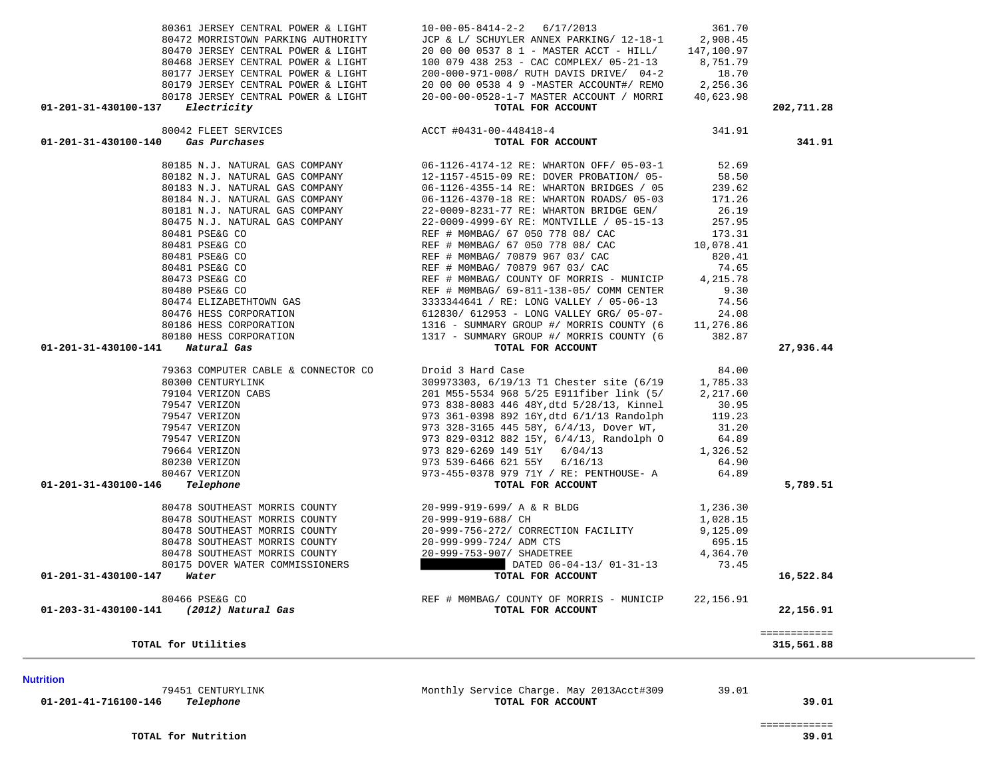39.01

**Nutrition** 

 79451 CENTURYLINK Monthly Service Charge. May 2013Acct#309 39.01  **01-201-41-716100-146** *Telephone* **TOTAL FOR ACCOUNT 39.01**

| TOTAL for Utilities                                       |                                                                                      |                   | 315,561.88                |
|-----------------------------------------------------------|--------------------------------------------------------------------------------------|-------------------|---------------------------|
| 80466 PSE&G CO<br>01-203-31-430100-141 (2012) Natural Gas | REF # MOMBAG/ COUNTY OF MORRIS - MUNICIP<br>TOTAL FOR ACCOUNT                        | 22,156.91         | 22,156.91<br>============ |
| 01-201-31-430100-147<br>Water                             | TOTAL FOR ACCOUNT                                                                    |                   | 16,522.84                 |
| 80175 DOVER WATER COMMISSIONERS                           | DATED 06-04-13/ 01-31-13                                                             | 73.45             |                           |
| 80478 SOUTHEAST MORRIS COUNTY                             | 20-999-753-907/ SHADETREE                                                            | 4,364.70          |                           |
| 80478 SOUTHEAST MORRIS COUNTY                             | 20-999-999-724/ ADM CTS                                                              | 695.15            |                           |
| 80478 SOUTHEAST MORRIS COUNTY                             | 20-999-756-272/ CORRECTION FACILITY                                                  | 9,125.09          |                           |
| 80478 SOUTHEAST MORRIS COUNTY                             | 20-999-919-688/ CH                                                                   | 1,028.15          |                           |
| 80478 SOUTHEAST MORRIS COUNTY                             | 20-999-919-699/ A & R BLDG                                                           | 1,236.30          |                           |
| Telephone<br>01-201-31-430100-146                         | TOTAL FOR ACCOUNT                                                                    |                   | 5,789.51                  |
| 80467 VERIZON                                             | 973-455-0378 979 71Y / RE: PENTHOUSE- A                                              | 64.89             |                           |
| 80230 VERIZON                                             | 973 539-6466 621 55Y 6/16/13                                                         | 64.90             |                           |
| 79664 VERIZON                                             | 973 829-6269 149 51Y 6/04/13                                                         | 1,326.52          |                           |
| 79547 VERIZON                                             | 973 829-0312 882 15Y, 6/4/13, Randolph O                                             | 64.89             |                           |
| 79547 VERIZON                                             | 973 328-3165 445 58Y, 6/4/13, Dover WT,                                              | 31.20             |                           |
| 79547 VERIZON                                             | 973 361-0398 892 16Y, dtd 6/1/13 Randolph                                            | 119.23            |                           |
| 79547 VERIZON                                             | 973 838-8083 446 48Y, dtd 5/28/13, Kinnel                                            | 2,217.60<br>30.95 |                           |
| 80300 CENTURYLINK<br>79104 VERIZON CABS                   | 309973303, 6/19/13 T1 Chester site (6/19<br>201 M55-5534 968 5/25 E911fiber link (5/ | 1,785.33          |                           |
| 79363 COMPUTER CABLE & CONNECTOR CO                       | Droid 3 Hard Case                                                                    | 84.00             |                           |
| 01-201-31-430100-141<br>Natural Gas                       | TOTAL FOR ACCOUNT                                                                    |                   | 27,936.44                 |
| 80180 HESS CORPORATION                                    | 1317 - SUMMARY GROUP #/ MORRIS COUNTY (6                                             | 382.87            |                           |
| 80186 HESS CORPORATION                                    | 1316 - SUMMARY GROUP #/ MORRIS COUNTY (6                                             | 11,276.86         |                           |
| 80476 HESS CORPORATION                                    | 612830/ 612953 - LONG VALLEY GRG/ 05-07-                                             | 24.08             |                           |
| 80474 ELIZABETHTOWN GAS                                   | 3333344641 / RE: LONG VALLEY / 05-06-13                                              | 74.56             |                           |
| 80480 PSE&G CO                                            | REF # MOMBAG/ 69-811-138-05/ COMM CENTER                                             | 9.30              |                           |
| 80473 PSE&G CO                                            | REF # MOMBAG/ COUNTY OF MORRIS - MUNICIP                                             | 4,215.78          |                           |
| 80481 PSE&G CO                                            | REF # MOMBAG/ 70879 967 03/ CAC                                                      | 74.65             |                           |
|                                                           |                                                                                      |                   |                           |

|  |                |                         | 80185 N.J. NATURAL GAS COMPANY | $06 -$  |
|--|----------------|-------------------------|--------------------------------|---------|
|  |                |                         | 80182 N.J. NATURAL GAS COMPANY | $12 -$  |
|  |                |                         | 80183 N.J. NATURAL GAS COMPANY | $06 -$  |
|  |                |                         | 80184 N.J. NATURAL GAS COMPANY | $06 -$  |
|  |                |                         | 80181 N.J. NATURAL GAS COMPANY | $22 -$  |
|  |                |                         | 80475 N.J. NATURAL GAS COMPANY | $2.2 -$ |
|  | 80481 PSE&G CO |                         |                                | REF     |
|  | 80481 PSE&G CO |                         |                                | REF     |
|  | 80481 PSE&G CO |                         |                                | REF     |
|  | 80481 PSE&G CO |                         |                                | REF     |
|  | 80473 PSE&G CO |                         |                                | REF     |
|  | 80480 PSE&G CO |                         |                                | REF     |
|  |                | 80474 ELIZABETHTOWN GAS |                                | 333     |
|  |                | 80476 HESS CORPORATION  |                                | 612     |
|  |                | 80186 HESS CORPORATION  |                                | 131     |
|  |                | 80180 HESS CORPORATION  |                                | 131     |
|  |                |                         |                                |         |

# 01-201-31-430100-140 *Gas Purchases*

|  | 80042 FLEET SERVICES |
|--|----------------------|
|  |                      |

|                                            | 80361 JERSEY CENTRAL POWER & LIGHT |  |  |
|--------------------------------------------|------------------------------------|--|--|
|                                            | 80472 MORRISTOWN PARKING AUTHORITY |  |  |
|                                            | 80470 JERSEY CENTRAL POWER & LIGHT |  |  |
|                                            | 80468 JERSEY CENTRAL POWER & LIGHT |  |  |
|                                            | 80177 JERSEY CENTRAL POWER & LIGHT |  |  |
|                                            | 80179 JERSEY CENTRAL POWER & LIGHT |  |  |
|                                            | 80178 JERSEY CENTRAL POWER & LIGHT |  |  |
| $01 - 201 - 31 - 430100 - 137$ Electricity |                                    |  |  |

|                                                                                                                                                                                 | 80177 JERSEY CENTRAL POWER & LIGHT 200-000-971-008/ RUTH DAVIS DRIVE/ 04-2 18.70                                                                                                                                                                       |       |            |
|---------------------------------------------------------------------------------------------------------------------------------------------------------------------------------|--------------------------------------------------------------------------------------------------------------------------------------------------------------------------------------------------------------------------------------------------------|-------|------------|
|                                                                                                                                                                                 | 80179 JERSEY CENTRAL POWER & LIGHT<br>80179 JERSEY CENTRAL POWER & LIGHT 20 00 00 0538 4 9 -MASTER ACCOUNT#/ REMO 2,256.36<br>20-00-0528-1-7 MASTER ACCOUNT / MORRI 40,623.98                                                                          |       |            |
|                                                                                                                                                                                 |                                                                                                                                                                                                                                                        |       |            |
| 01-201-31-430100-137 Electricity                                                                                                                                                | TOTAL FOR ACCOUNT                                                                                                                                                                                                                                      |       | 202,711.28 |
|                                                                                                                                                                                 |                                                                                                                                                                                                                                                        |       |            |
| 01-201-31-430100-140 Gas Purchases                                                                                                                                              | 80042 FLEET SERVICES $ACCT #0431-00-448418-4$<br><b>Gas Purchases</b> 341.91                                                                                                                                                                           |       | 341.91     |
|                                                                                                                                                                                 | 80185 N.J. NATURAL GAS COMPANY 06-1126-4174-12 RE: WHARTON OFF/ 05-03-1 52.69                                                                                                                                                                          |       |            |
|                                                                                                                                                                                 |                                                                                                                                                                                                                                                        |       |            |
|                                                                                                                                                                                 |                                                                                                                                                                                                                                                        |       |            |
|                                                                                                                                                                                 | 80182 N.J. NATURAL GAS COMPANY<br>80182 N.J. NATURAL GAS COMPANY<br>80183 N.J. NATURAL GAS COMPANY<br>80184 N.J. NATURAL GAS COMPANY<br>80184 N.J. NATURAL GAS COMPANY<br>80184 N.J. NATURAL GAS COMPANY<br>80184 N.J. NATURAL GAS COMPANY             |       |            |
|                                                                                                                                                                                 |                                                                                                                                                                                                                                                        |       |            |
|                                                                                                                                                                                 | 80475 N.J. NATURAL GAS COMPANY 22-0009-4999-6Y RE: MONTVILLE / 05-15-13 257.95<br>80481 PSE&G CO REF # MOMBAG/ 67 050 778 08/ CAC 173.31                                                                                                               |       |            |
|                                                                                                                                                                                 |                                                                                                                                                                                                                                                        |       |            |
|                                                                                                                                                                                 | 80481 PSE&G CO<br>80481 PSE&G CO<br>80481 PSE&G CO<br>80481 PSE&G CO<br>80481 PSE&G CO<br>80481 PSE&G CO<br>80481 PSE&G CO<br>80481 PSE&G CO<br>80473 PSE&G CO<br>80473 PSE&G CO<br>80473 PSE&G CO<br>REF # MOMBAG/ 70879 967 03/ CAC<br>REF # MOMBAG/ |       |            |
|                                                                                                                                                                                 |                                                                                                                                                                                                                                                        |       |            |
|                                                                                                                                                                                 |                                                                                                                                                                                                                                                        |       |            |
|                                                                                                                                                                                 |                                                                                                                                                                                                                                                        |       |            |
|                                                                                                                                                                                 |                                                                                                                                                                                                                                                        |       |            |
|                                                                                                                                                                                 |                                                                                                                                                                                                                                                        |       |            |
|                                                                                                                                                                                 |                                                                                                                                                                                                                                                        |       |            |
|                                                                                                                                                                                 |                                                                                                                                                                                                                                                        |       |            |
|                                                                                                                                                                                 |                                                                                                                                                                                                                                                        |       |            |
| 01-201-31-430100-141 Natural Gas                                                                                                                                                | TOTAL FOR ACCOUNT                                                                                                                                                                                                                                      |       | 27,936.44  |
| 79363 COMPUTER CABLE & CONNECTOR CO Droid 3 Hard Case                                                                                                                           |                                                                                                                                                                                                                                                        | 84.00 |            |
|                                                                                                                                                                                 | 309973303, 6/19/13 T1 Chester site (6/19 1,785.33                                                                                                                                                                                                      |       |            |
|                                                                                                                                                                                 | 201 M55-5534 968 5/25 E911fiber link (5/ 2,217.60                                                                                                                                                                                                      |       |            |
|                                                                                                                                                                                 | 973 838-8083 446 48Y, dtd 5/28/13, Kinnel 30.95                                                                                                                                                                                                        |       |            |
|                                                                                                                                                                                 | 973 361-0398 892 16Y, dtd 6/1/13 Randolph 119.23                                                                                                                                                                                                       |       |            |
| 80300 CENTURYLINK<br>79547 VERIZON CABS<br>79547 VERIZON<br>79547 VERIZON<br>79547 VERIZON<br>79547 VERIZON<br>79664 VERIZON<br>80230 VERIZON<br>80230 VERIZON<br>80467 VERIZON | 973 328-3165 445 58Y, 6/4/13, Dover WT, 31.20<br>973 829-0312 882 15Y, 6/4/13, Randolph 0 64.89<br>973 829-6269 149 51Y 6/04/13 1,326.52                                                                                                               |       |            |
|                                                                                                                                                                                 |                                                                                                                                                                                                                                                        |       |            |
|                                                                                                                                                                                 |                                                                                                                                                                                                                                                        |       |            |
|                                                                                                                                                                                 | 973 539-6466 621 55Y 6/16/13                                                                                                                                                                                                                           | 64.90 |            |
|                                                                                                                                                                                 | 973-455-0378 979 71Y / RE: PENTHOUSE- A                                                                                                                                                                                                                | 64.89 |            |

 80361 JERSEY CENTRAL POWER & LIGHT 10-00-05-8414-2-2 6/17/2013 361.70 JCP & L/ SCHUYLER ANNEX PARKING/ 12-18-1 2,908.45 20 00 00 0537 8 1 - MASTER ACCT - HILL/ 147,100.97 100 079 438 253 - CAC COMPLEX/ 05-21-13 8,751.79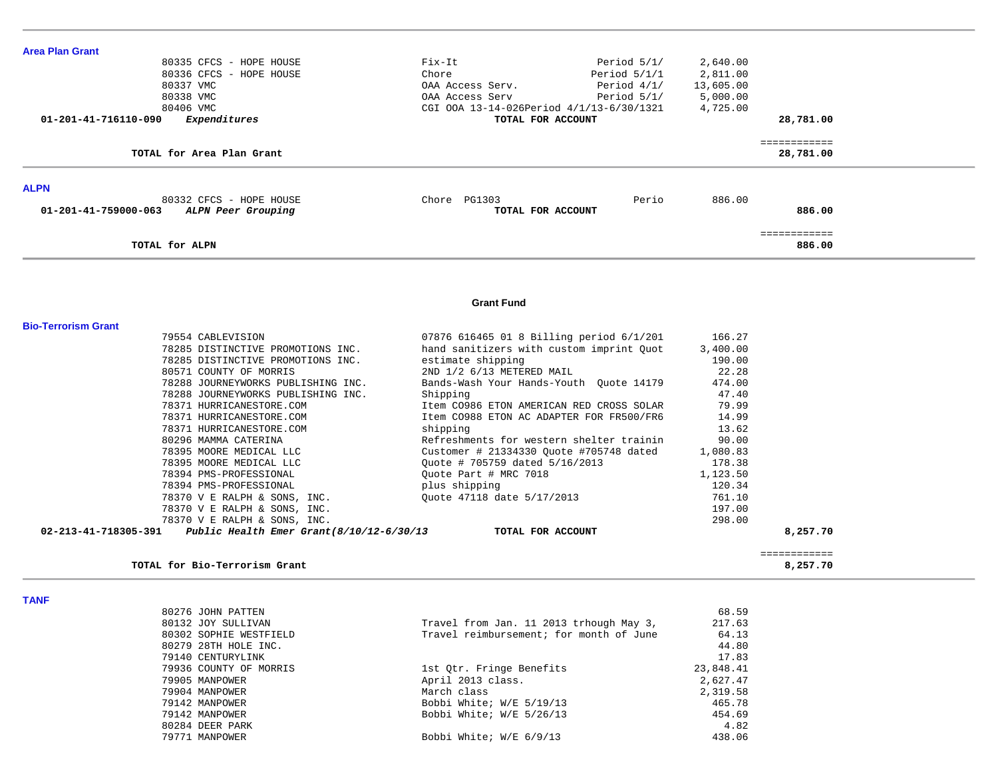| <b>Area Plan Grant</b>                                            |                                          |                 |                           |  |
|-------------------------------------------------------------------|------------------------------------------|-----------------|---------------------------|--|
| 80335 CFCS - HOPE HOUSE                                           | Fix-It<br>Period 5/1/                    | 2,640.00        |                           |  |
| 80336 CFCS - HOPE HOUSE                                           | Chore<br>Period $5/1/1$                  | 2,811.00        |                           |  |
| 80337 VMC                                                         | Period $4/1/$<br>OAA Access Serv.        | 13,605.00       |                           |  |
| 80338 VMC                                                         | OAA Access Serv<br>Period 5/1/           | 5,000.00        |                           |  |
| 80406 VMC                                                         | CGI 00A 13-14-026Period 4/1/13-6/30/1321 | 4,725.00        |                           |  |
| 01-201-41-716110-090<br>Expenditures                              | TOTAL FOR ACCOUNT                        |                 | 28,781.00                 |  |
|                                                                   |                                          |                 |                           |  |
| TOTAL for Area Plan Grant                                         |                                          |                 | ============<br>28,781.00 |  |
| <b>ALPN</b>                                                       |                                          |                 |                           |  |
| 80332 CFCS - HOPE HOUSE                                           | Chore PG1303                             | 886.00<br>Perio |                           |  |
| 01-201-41-759000-063<br>ALPN Peer Grouping                        | TOTAL FOR ACCOUNT                        |                 | 886.00                    |  |
|                                                                   |                                          |                 | ============              |  |
| TOTAL for ALPN                                                    |                                          |                 | 886.00                    |  |
|                                                                   | <b>Grant Fund</b>                        |                 |                           |  |
| <b>Bio-Terrorism Grant</b>                                        |                                          |                 |                           |  |
| 79554 CABLEVISION                                                 | 07876 616465 01 8 Billing period 6/1/201 | 166.27          |                           |  |
| 78285 DISTINCTIVE PROMOTIONS INC.                                 | hand sanitizers with custom imprint Quot | 3,400.00        |                           |  |
| 78285 DISTINCTIVE PROMOTIONS INC.                                 | estimate shipping                        | 190.00          |                           |  |
| 80571 COUNTY OF MORRIS                                            | 2ND 1/2 6/13 METERED MAIL                | 22.28           |                           |  |
| 78288 JOURNEYWORKS PUBLISHING INC.                                | Bands-Wash Your Hands-Youth Quote 14179  | 474.00          |                           |  |
| 78288 JOURNEYWORKS PUBLISHING INC.                                | Shipping                                 | 47.40           |                           |  |
| 78371 HURRICANESTORE.COM                                          | Item CO986 ETON AMERICAN RED CROSS SOLAR | 79.99           |                           |  |
| 78371 HURRICANESTORE.COM                                          | Item CO988 ETON AC ADAPTER FOR FR500/FR6 | 14.99           |                           |  |
| 78371 HURRICANESTORE.COM                                          | shipping                                 | 13.62           |                           |  |
| 80296 MAMMA CATERINA                                              | Refreshments for western shelter trainin | 90.00           |                           |  |
| 78395 MOORE MEDICAL LLC                                           | Customer # 21334330 Quote #705748 dated  | 1,080.83        |                           |  |
| 78395 MOORE MEDICAL LLC                                           | Quote # 705759 dated 5/16/2013           | 178.38          |                           |  |
| 78394 PMS-PROFESSIONAL                                            | Quote Part # MRC 7018                    | 1,123.50        |                           |  |
| 78394 PMS-PROFESSIONAL                                            | plus shipping                            | 120.34          |                           |  |
| 78370 V E RALPH & SONS, INC.                                      | Quote 47118 date 5/17/2013               | 761.10          |                           |  |
| 78370 V E RALPH & SONS, INC.                                      |                                          | 197.00          |                           |  |
| 78370 V E RALPH & SONS, INC.                                      |                                          | 298.00          |                           |  |
| 02-213-41-718305-391<br>Public Health Emer Grant (8/10/12-6/30/13 | TOTAL FOR ACCOUNT                        |                 | 8,257.70                  |  |
|                                                                   |                                          |                 | ============              |  |
| TOTAL for Bio-Terrorism Grant                                     |                                          |                 | 8,257.70                  |  |

#### **TANF**

| 80276 JOHN PATTEN      |                                         | 68.59     |
|------------------------|-----------------------------------------|-----------|
| 80132 JOY SULLIVAN     | Travel from Jan. 11 2013 trhough May 3, | 217.63    |
| 80302 SOPHIE WESTFIELD | Travel reimbursement; for month of June | 64.13     |
| 80279 28TH HOLE INC.   |                                         | 44.80     |
| 79140 CENTURYLINK      |                                         | 17.83     |
| 79936 COUNTY OF MORRIS | 1st Otr. Fringe Benefits                | 23,848.41 |
| 79905 MANPOWER         | April 2013 class.                       | 2,627.47  |
| 79904 MANPOWER         | March class                             | 2,319.58  |
| 79142 MANPOWER         | Bobbi White; $W/E = 5/19/13$            | 465.78    |
| 79142 MANPOWER         | Bobbi White; $W/E = 5/26/13$            | 454.69    |
| 80284 DEER PARK        |                                         | 4.82      |
| 79771 MANPOWER         | Bobbi White; W/E 6/9/13                 | 438.06    |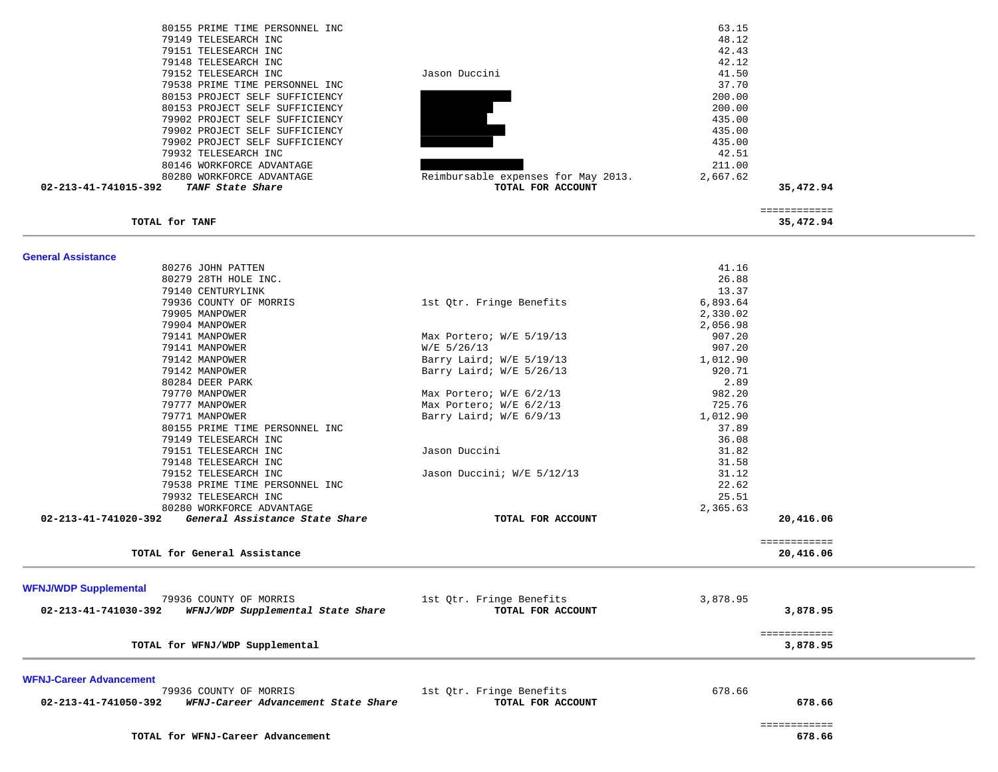| 80155 PRIME TIME PERSONNEL INC                              |                                     | 63.15    |                           |  |
|-------------------------------------------------------------|-------------------------------------|----------|---------------------------|--|
| 79149 TELESEARCH INC                                        |                                     | 48.12    |                           |  |
| 79151 TELESEARCH INC                                        |                                     | 42.43    |                           |  |
| 79148 TELESEARCH INC                                        |                                     | 42.12    |                           |  |
| 79152 TELESEARCH INC                                        | Jason Duccini                       | 41.50    |                           |  |
| 79538 PRIME TIME PERSONNEL INC                              |                                     | 37.70    |                           |  |
| 80153 PROJECT SELF SUFFICIENCY                              |                                     | 200.00   |                           |  |
| 80153 PROJECT SELF SUFFICIENCY                              |                                     | 200.00   |                           |  |
| 79902 PROJECT SELF SUFFICIENCY                              |                                     | 435.00   |                           |  |
|                                                             |                                     |          |                           |  |
| 79902 PROJECT SELF SUFFICIENCY                              |                                     | 435.00   |                           |  |
| 79902 PROJECT SELF SUFFICIENCY                              |                                     | 435.00   |                           |  |
| 79932 TELESEARCH INC                                        |                                     | 42.51    |                           |  |
| 80146 WORKFORCE ADVANTAGE                                   |                                     | 211.00   |                           |  |
| 80280 WORKFORCE ADVANTAGE                                   | Reimbursable expenses for May 2013. | 2,667.62 |                           |  |
| 02-213-41-741015-392<br>TANF State Share                    | TOTAL FOR ACCOUNT                   |          | 35,472.94                 |  |
|                                                             |                                     |          | ============              |  |
| TOTAL for TANF                                              |                                     |          | 35,472.94                 |  |
| <b>General Assistance</b>                                   |                                     |          |                           |  |
| 80276 JOHN PATTEN                                           |                                     | 41.16    |                           |  |
| 80279 28TH HOLE INC.                                        |                                     | 26.88    |                           |  |
| 79140 CENTURYLINK                                           |                                     | 13.37    |                           |  |
| 79936 COUNTY OF MORRIS                                      | 1st Qtr. Fringe Benefits            | 6,893.64 |                           |  |
| 79905 MANPOWER                                              |                                     | 2,330.02 |                           |  |
| 79904 MANPOWER                                              |                                     | 2,056.98 |                           |  |
| 79141 MANPOWER                                              |                                     |          |                           |  |
|                                                             | Max Portero; W/E 5/19/13            | 907.20   |                           |  |
| 79141 MANPOWER                                              | $W/E$ 5/26/13                       | 907.20   |                           |  |
| 79142 MANPOWER                                              | Barry Laird; W/E 5/19/13            | 1,012.90 |                           |  |
| 79142 MANPOWER                                              | Barry Laird; W/E 5/26/13            | 920.71   |                           |  |
| 80284 DEER PARK                                             |                                     | 2.89     |                           |  |
| 79770 MANPOWER                                              | Max Portero; W/E 6/2/13             | 982.20   |                           |  |
| 79777 MANPOWER                                              | Max Portero; W/E 6/2/13             | 725.76   |                           |  |
| 79771 MANPOWER                                              | Barry Laird; W/E 6/9/13             | 1,012.90 |                           |  |
| 80155 PRIME TIME PERSONNEL INC                              |                                     | 37.89    |                           |  |
| 79149 TELESEARCH INC                                        |                                     | 36.08    |                           |  |
| 79151 TELESEARCH INC                                        | Jason Duccini                       | 31.82    |                           |  |
| 79148 TELESEARCH INC                                        |                                     | 31.58    |                           |  |
| 79152 TELESEARCH INC                                        | Jason Duccini; W/E 5/12/13          | 31.12    |                           |  |
| 79538 PRIME TIME PERSONNEL INC                              |                                     | 22.62    |                           |  |
| 79932 TELESEARCH INC                                        |                                     | 25.51    |                           |  |
| 80280 WORKFORCE ADVANTAGE                                   |                                     | 2,365.63 |                           |  |
| 02-213-41-741020-392<br>General Assistance State Share      | TOTAL FOR ACCOUNT                   |          | 20,416.06                 |  |
|                                                             |                                     |          |                           |  |
| TOTAL for General Assistance                                |                                     |          | ============<br>20,416.06 |  |
|                                                             |                                     |          |                           |  |
| <b>WFNJ/WDP Supplemental</b>                                |                                     |          |                           |  |
| 79936 COUNTY OF MORRIS                                      | 1st Qtr. Fringe Benefits            | 3,878.95 |                           |  |
| WFNJ/WDP Supplemental State Share<br>02-213-41-741030-392   | TOTAL FOR ACCOUNT                   |          | 3,878.95                  |  |
| TOTAL for WFNJ/WDP Supplemental                             |                                     |          | ============<br>3,878.95  |  |
|                                                             |                                     |          |                           |  |
| <b>WFNJ-Career Advancement</b>                              |                                     |          |                           |  |
| 79936 COUNTY OF MORRIS                                      | 1st Qtr. Fringe Benefits            | 678.66   |                           |  |
| 02-213-41-741050-392<br>WFNJ-Career Advancement State Share | TOTAL FOR ACCOUNT                   |          | 678.66                    |  |
|                                                             |                                     |          |                           |  |
|                                                             |                                     |          | ============              |  |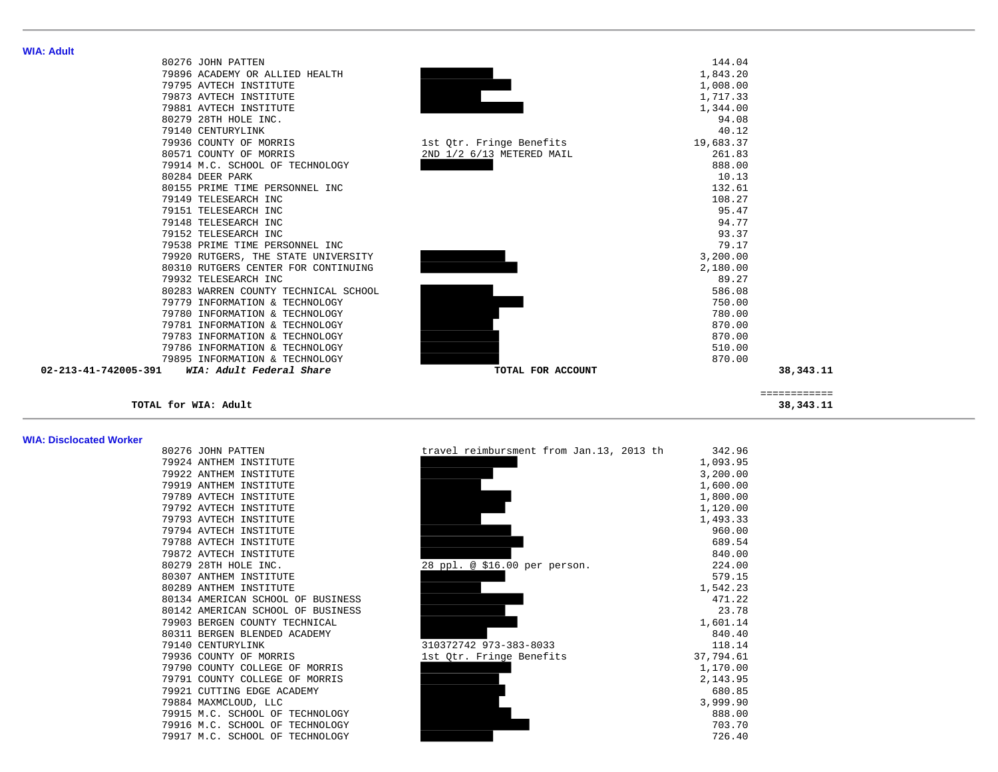| 80276 JOHN PATTEN                    |                           | 144.04    |
|--------------------------------------|---------------------------|-----------|
| 79896 ACADEMY OR ALLIED HEALTH       |                           | 1,843.20  |
| 79795 AVTECH INSTITUTE               |                           | 1,008.00  |
| 79873 AVTECH INSTITUTE               |                           | 1,717.33  |
| 79881 AVTECH INSTITUTE               |                           | 1,344.00  |
| 80279 28TH HOLE INC.                 |                           | 94.08     |
| 79140 CENTURYLINK                    |                           | 40.12     |
| 79936 COUNTY OF MORRIS               | 1st Otr. Fringe Benefits  | 19,683.37 |
| 80571 COUNTY OF MORRIS               | 2ND 1/2 6/13 METERED MAIL | 261.83    |
| 79914 M.C. SCHOOL OF TECHNOLOGY      |                           | 888.00    |
| 80284 DEER PARK                      |                           | 10.13     |
| 80155 PRIME TIME PERSONNEL INC       |                           | 132.61    |
| 79149 TELESEARCH INC                 |                           | 108.27    |
| 79151 TELESEARCH INC                 |                           | 95.47     |
| 79148 TELESEARCH INC                 |                           | 94.77     |
| 79152 TELESEARCH INC                 |                           | 93.37     |
| 79538 PRIME TIME PERSONNEL INC       |                           | 79.17     |
| 79920 RUTGERS, THE STATE UNIVERSITY  |                           | 3,200.00  |
| 80310 RUTGERS CENTER FOR CONTINUING  |                           | 2,180.00  |
| 79932 TELESEARCH INC                 |                           | 89.27     |
| 80283 WARREN COUNTY TECHNICAL SCHOOL |                           | 586.08    |
| 79779 INFORMATION & TECHNOLOGY       |                           | 750.00    |
| 79780 INFORMATION & TECHNOLOGY       |                           | 780.00    |
| 79781 INFORMATION & TECHNOLOGY       |                           | 870.00    |
| 79783 INFORMATION & TECHNOLOGY       |                           | 870.00    |
| 79786 INFORMATION & TECHNOLOGY       |                           | 510.00    |
| 79895 INFORMATION & TECHNOLOGY       |                           | 870.00    |

#### **WIA: Disclocated Worker**

| 80276 JOHN PATTEN                 | travel reimbursment from Jan.13, 2013 th | 342.96    |
|-----------------------------------|------------------------------------------|-----------|
| 79924 ANTHEM INSTITUTE            |                                          | 1,093.95  |
| 79922 ANTHEM INSTITUTE            |                                          | 3,200.00  |
| 79919 ANTHEM INSTITUTE            |                                          | 1,600.00  |
| 79789 AVTECH INSTITUTE            |                                          | 1,800.00  |
| 79792 AVTECH INSTITUTE            |                                          | 1,120.00  |
| 79793 AVTECH INSTITUTE            |                                          | 1,493.33  |
| 79794 AVTECH INSTITUTE            |                                          | 960.00    |
| 79788 AVTECH INSTITUTE            |                                          | 689.54    |
| 79872 AVTECH INSTITUTE            |                                          | 840.00    |
| 80279 28TH HOLE INC.              | 28 ppl. @ \$16.00 per person.            | 224.00    |
| 80307 ANTHEM INSTITUTE            |                                          | 579.15    |
| 80289 ANTHEM INSTITUTE            |                                          | 1,542.23  |
| 80134 AMERICAN SCHOOL OF BUSINESS |                                          | 471.22    |
| 80142 AMERICAN SCHOOL OF BUSINESS |                                          | 23.78     |
| 79903 BERGEN COUNTY TECHNICAL     |                                          | 1,601.14  |
| 80311 BERGEN BLENDED ACADEMY      |                                          | 840.40    |
| 79140 CENTURYLINK                 | 310372742 973-383-8033                   | 118.14    |
| 79936 COUNTY OF MORRIS            | 1st Qtr. Fringe Benefits                 | 37,794.61 |
| 79790 COUNTY COLLEGE OF MORRIS    |                                          | 1,170.00  |
| 79791 COUNTY COLLEGE OF MORRIS    |                                          | 2,143.95  |
| 79921 CUTTING EDGE ACADEMY        |                                          | 680.85    |
| 79884 MAXMCLOUD, LLC              |                                          | 3,999.90  |
| 79915 M.C. SCHOOL OF TECHNOLOGY   |                                          | 888.00    |
| 79916 M.C. SCHOOL OF TECHNOLOGY   |                                          | 703.70    |
| 79917 M.C. SCHOOL OF TECHNOLOGY   |                                          | 726.40    |

| 79914 M.C. SCHOOL OF TECHNOLOGY                                    |                                          | 888.00           |              |
|--------------------------------------------------------------------|------------------------------------------|------------------|--------------|
| 80284 DEER PARK                                                    |                                          | 10.13            |              |
| 80155 PRIME TIME PERSONNEL INC                                     |                                          | 132.61           |              |
| 79149 TELESEARCH INC                                               |                                          | 108.27           |              |
| 79151 TELESEARCH INC                                               |                                          | 95.47            |              |
| 79148 TELESEARCH INC                                               |                                          | 94.77            |              |
| 79152 TELESEARCH INC                                               |                                          | 93.37            |              |
| 79538 PRIME TIME PERSONNEL INC                                     |                                          | 79.17            |              |
| 79920 RUTGERS, THE STATE UNIVERSITY                                |                                          | 3,200.00         |              |
| 80310 RUTGERS CENTER FOR CONTINUING                                |                                          | 2,180.00         |              |
| 79932 TELESEARCH INC                                               |                                          | 89.27            |              |
| 80283 WARREN COUNTY TECHNICAL SCHOOL                               |                                          | 586.08           |              |
| 79779 INFORMATION & TECHNOLOGY                                     |                                          | 750.00           |              |
| 79780 INFORMATION & TECHNOLOGY                                     |                                          | 780.00           |              |
| 79781 INFORMATION & TECHNOLOGY                                     |                                          | 870.00           |              |
| 79783 INFORMATION & TECHNOLOGY                                     |                                          | 870.00           |              |
| 79786 INFORMATION & TECHNOLOGY                                     |                                          | 510.00           |              |
| 79895 INFORMATION & TECHNOLOGY                                     |                                          | 870.00           |              |
| WIA: Adult Federal Share<br>02-213-41-742005-391                   | TOTAL FOR ACCOUNT                        |                  | 38,343.11    |
|                                                                    |                                          |                  | ============ |
| TOTAL for WIA: Adult                                               |                                          |                  | 38, 343. 11  |
|                                                                    |                                          |                  |              |
| <b>WIA: Disclocated Worker</b><br>80276 JOHN PATTEN                | travel reimbursment from Jan.13, 2013 th | 342.96           |              |
| 79924 ANTHEM INSTITUTE                                             |                                          | 1,093.95         |              |
| 79922 ANTHEM INSTITUTE                                             |                                          | 3,200.00         |              |
| 79919 ANTHEM INSTITUTE                                             |                                          | 1,600.00         |              |
| 79789 AVTECH INSTITUTE                                             |                                          | 1,800.00         |              |
| 79792 AVTECH INSTITUTE                                             |                                          | 1,120.00         |              |
| 79793 AVTECH INSTITUTE                                             |                                          | 1,493.33         |              |
| 79794 AVTECH INSTITUTE                                             |                                          | 960.00           |              |
| 79788 AVTECH INSTITUTE                                             |                                          | 689.54           |              |
| 79872 AVTECH INSTITUTE                                             |                                          | 840.00           |              |
| 80279 28TH HOLE INC.                                               | 28 ppl. @ \$16.00 per person.            | 224.00           |              |
| 80307 ANTHEM INSTITUTE                                             |                                          | 579.15           |              |
| 80289 ANTHEM INSTITUTE                                             |                                          | 1,542.23         |              |
| 80134 AMERICAN SCHOOL OF BUSINESS                                  |                                          | 471.22           |              |
| 80142 AMERICAN SCHOOL OF BUSINESS                                  |                                          |                  |              |
| 79903 BERGEN COUNTY TECHNICAL                                      |                                          | 23.78            |              |
| 80311 BERGEN BLENDED ACADEMY                                       |                                          | 1,601.14         |              |
| 79140 CENTURYLINK                                                  |                                          | 840.40           |              |
|                                                                    | 310372742 973-383-8033                   | 118.14           |              |
| 79936 COUNTY OF MORRIS                                             | 1st Qtr. Fringe Benefits                 | 37,794.61        |              |
| 79790 COUNTY COLLEGE OF MORRIS                                     |                                          | 1,170.00         |              |
| 79791 COUNTY COLLEGE OF MORRIS                                     |                                          | 2,143.95         |              |
| 79921 CUTTING EDGE ACADEMY                                         |                                          | 680.85           |              |
| 79884 MAXMCLOUD, LLC                                               |                                          | 3,999.90         |              |
| 79915 M.C. SCHOOL OF TECHNOLOGY                                    |                                          | 888.00           |              |
| 79916 M.C. SCHOOL OF TECHNOLOGY<br>79917 M.C. SCHOOL OF TECHNOLOGY |                                          | 703.70<br>726.40 |              |

**WIA: Adult**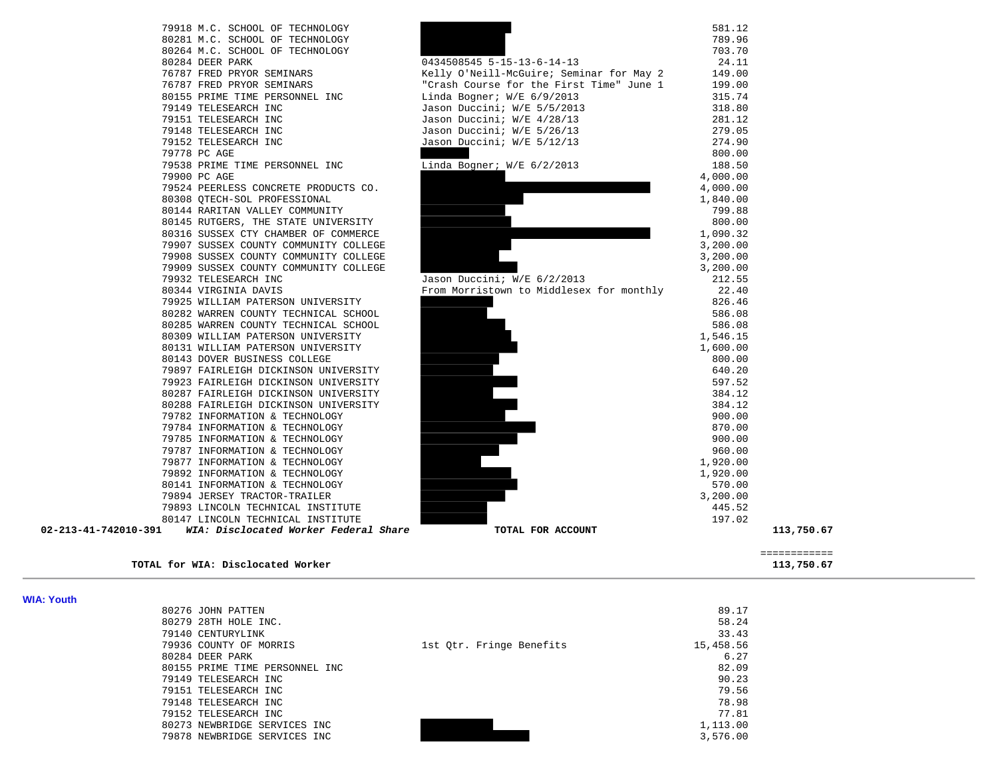

#### **TOTAL for WIA: Disclocated Worker 113,750.67**

|                                   | _____________<br>_____________ |
|-----------------------------------|--------------------------------|
| TOTAL for WIA: Disclocated Worker | 113,750.67                     |

| . |                                |                          |           |
|---|--------------------------------|--------------------------|-----------|
|   | 80276 JOHN PATTEN              |                          | 89.17     |
|   | 80279 28TH HOLE INC.           |                          | 58.24     |
|   | 79140 CENTURYLINK              |                          | 33.43     |
|   | 79936 COUNTY OF MORRIS         | 1st Otr. Fringe Benefits | 15,458.56 |
|   | 80284 DEER PARK                |                          | 6.27      |
|   | 80155 PRIME TIME PERSONNEL INC |                          | 82.09     |
|   | 79149 TELESEARCH INC           |                          | 90.23     |
|   | 79151 TELESEARCH INC           |                          | 79.56     |
|   | 79148 TELESEARCH INC           |                          | 78.98     |
|   | 79152 TELESEARCH INC           |                          | 77.81     |
|   | 80273 NEWBRIDGE SERVICES INC   |                          | 1,113.00  |
|   | 79878 NEWBRIDGE SERVICES INC   |                          | 3,576.00  |

**WIA: Youth**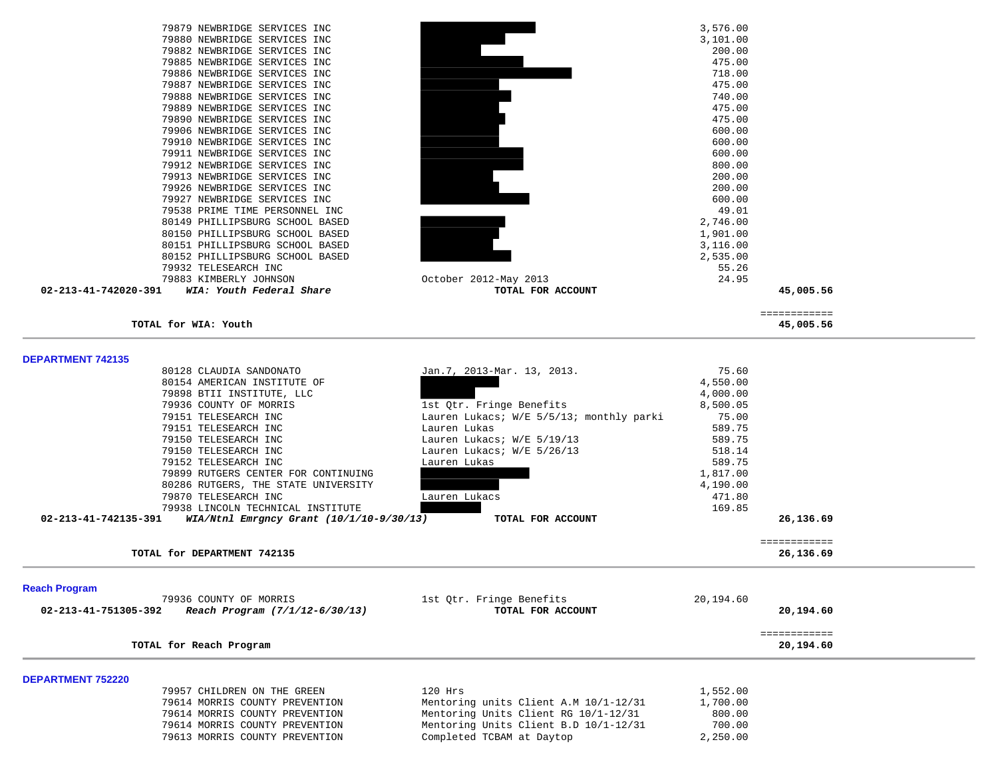|                          | 79879 NEWBRIDGE SERVICES INC                 |                                          | 3,576.00  |              |  |
|--------------------------|----------------------------------------------|------------------------------------------|-----------|--------------|--|
|                          | 79880 NEWBRIDGE SERVICES INC                 |                                          | 3,101.00  |              |  |
|                          | 79882 NEWBRIDGE SERVICES INC                 |                                          | 200.00    |              |  |
|                          |                                              |                                          |           |              |  |
|                          | 79885 NEWBRIDGE SERVICES INC                 |                                          | 475.00    |              |  |
|                          | 79886 NEWBRIDGE SERVICES INC                 |                                          | 718.00    |              |  |
|                          | 79887 NEWBRIDGE SERVICES INC                 |                                          | 475.00    |              |  |
|                          | 79888 NEWBRIDGE SERVICES INC                 |                                          | 740.00    |              |  |
|                          | 79889 NEWBRIDGE SERVICES INC                 |                                          | 475.00    |              |  |
|                          | 79890 NEWBRIDGE SERVICES INC                 |                                          | 475.00    |              |  |
|                          | 79906 NEWBRIDGE SERVICES INC                 |                                          | 600.00    |              |  |
|                          |                                              |                                          |           |              |  |
|                          | 79910 NEWBRIDGE SERVICES INC                 |                                          | 600.00    |              |  |
|                          | 79911 NEWBRIDGE SERVICES INC                 |                                          | 600.00    |              |  |
|                          | 79912 NEWBRIDGE SERVICES INC                 |                                          | 800.00    |              |  |
|                          | 79913 NEWBRIDGE SERVICES INC                 |                                          | 200.00    |              |  |
|                          | 79926 NEWBRIDGE SERVICES INC                 |                                          | 200.00    |              |  |
|                          | 79927 NEWBRIDGE SERVICES INC                 |                                          | 600.00    |              |  |
|                          | 79538 PRIME TIME PERSONNEL INC               |                                          | 49.01     |              |  |
|                          |                                              |                                          |           |              |  |
|                          | 80149 PHILLIPSBURG SCHOOL BASED              |                                          | 2,746.00  |              |  |
|                          | 80150 PHILLIPSBURG SCHOOL BASED              |                                          | 1,901.00  |              |  |
|                          | 80151 PHILLIPSBURG SCHOOL BASED              |                                          | 3,116.00  |              |  |
|                          | 80152 PHILLIPSBURG SCHOOL BASED              |                                          | 2,535.00  |              |  |
|                          | 79932 TELESEARCH INC                         |                                          | 55.26     |              |  |
|                          | 79883 KIMBERLY JOHNSON                       | October 2012-May 2013                    | 24.95     |              |  |
| 02-213-41-742020-391     | WIA: Youth Federal Share                     | TOTAL FOR ACCOUNT                        |           | 45,005.56    |  |
|                          |                                              |                                          |           |              |  |
|                          |                                              |                                          |           | ============ |  |
|                          | TOTAL for WIA: Youth                         |                                          |           | 45,005.56    |  |
|                          |                                              |                                          |           |              |  |
|                          |                                              |                                          |           |              |  |
| <b>DEPARTMENT 742135</b> |                                              |                                          |           |              |  |
|                          | 80128 CLAUDIA SANDONATO                      | Jan.7, 2013-Mar. 13, 2013.               | 75.60     |              |  |
|                          | 80154 AMERICAN INSTITUTE OF                  |                                          | 4,550.00  |              |  |
|                          | 79898 BTII INSTITUTE, LLC                    |                                          | 4,000.00  |              |  |
|                          | 79936 COUNTY OF MORRIS                       | 1st Qtr. Fringe Benefits                 | 8,500.05  |              |  |
|                          | 79151 TELESEARCH INC                         | Lauren Lukacs; W/E 5/5/13; monthly parki | 75.00     |              |  |
|                          |                                              |                                          |           |              |  |
|                          | 79151 TELESEARCH INC                         | Lauren Lukas                             | 589.75    |              |  |
|                          | 79150 TELESEARCH INC                         | Lauren Lukacs; W/E 5/19/13               | 589.75    |              |  |
|                          | 79150 TELESEARCH INC                         | Lauren Lukacs; W/E 5/26/13               | 518.14    |              |  |
|                          | 79152 TELESEARCH INC                         | Lauren Lukas                             | 589.75    |              |  |
|                          | 79899 RUTGERS CENTER FOR CONTINUING          |                                          | 1,817.00  |              |  |
|                          | 80286 RUTGERS, THE STATE UNIVERSITY          |                                          | 4,190.00  |              |  |
|                          | 79870 TELESEARCH INC                         | Lauren Lukacs                            | 471.80    |              |  |
|                          |                                              |                                          |           |              |  |
|                          | 79938 LINCOLN TECHNICAL INSTITUTE            |                                          | 169.85    |              |  |
| 02-213-41-742135-391     | $WIA/Ntn1$ Emrgncy Grant $(10/1/10-9/30/13)$ | TOTAL FOR ACCOUNT                        |           | 26,136.69    |  |
|                          |                                              |                                          |           | ============ |  |
|                          | TOTAL for DEPARTMENT 742135                  |                                          |           | 26,136.69    |  |
|                          |                                              |                                          |           |              |  |
| <b>Reach Program</b>     |                                              |                                          |           |              |  |
|                          | 79936 COUNTY OF MORRIS                       | 1st Qtr. Fringe Benefits                 | 20,194.60 |              |  |
| 02-213-41-751305-392     | Reach Program (7/1/12-6/30/13)               | TOTAL FOR ACCOUNT                        |           | 20,194.60    |  |
|                          |                                              |                                          |           |              |  |
|                          |                                              |                                          |           | ============ |  |
|                          | TOTAL for Reach Program                      |                                          |           | 20,194.60    |  |
|                          |                                              |                                          |           |              |  |
| <b>DEPARTMENT 752220</b> |                                              |                                          |           |              |  |
|                          | 79957 CHILDREN ON THE GREEN                  | $120$ Hrs                                | 1,552.00  |              |  |
|                          | 79614 MORRIS COUNTY PREVENTION               | Mentoring units Client A.M 10/1-12/31    | 1,700.00  |              |  |
|                          | 79614 MORRIS COUNTY PREVENTION               | Mentoring Units Client RG 10/1-12/31     | 800.00    |              |  |
|                          | 79614 MORRIS COUNTY PREVENTION               | Mentoring Units Client B.D 10/1-12/31    | 700.00    |              |  |
|                          | 79613 MORRIS COUNTY PREVENTION               |                                          | 2,250.00  |              |  |
|                          |                                              | Completed TCBAM at Daytop                |           |              |  |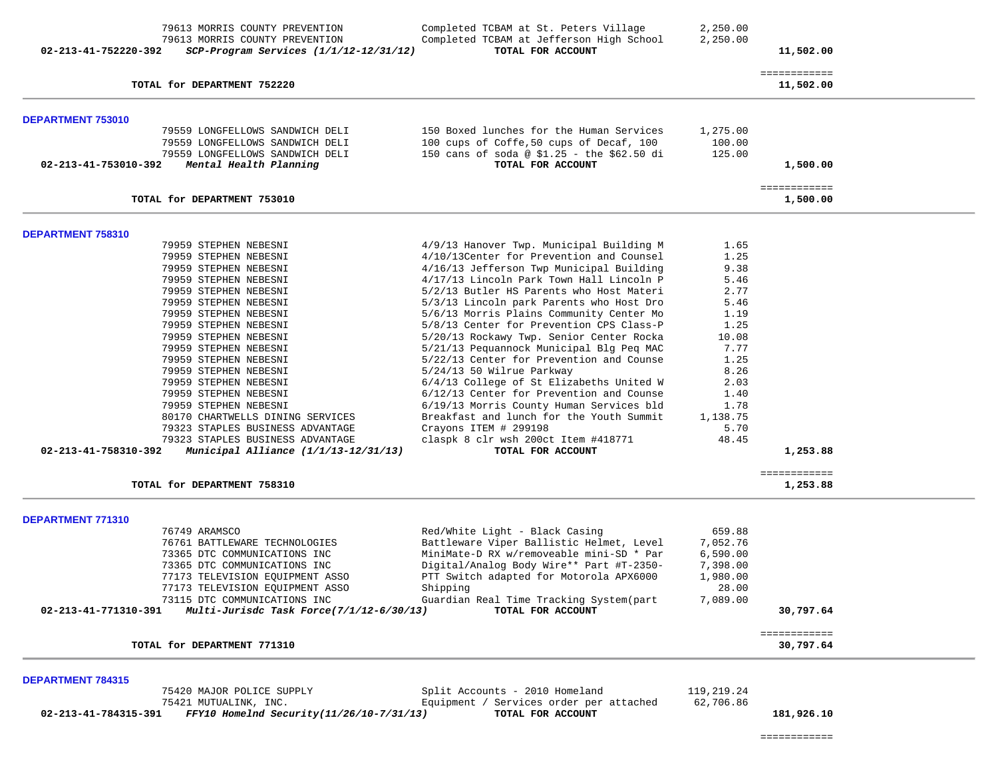| 79613 MORRIS COUNTY PREVENTION                                     | Completed TCBAM at St. Peters Village                                      | 2,250.00     |                           |
|--------------------------------------------------------------------|----------------------------------------------------------------------------|--------------|---------------------------|
| 79613 MORRIS COUNTY PREVENTION                                     | Completed TCBAM at Jefferson High School                                   | 2,250.00     |                           |
| 02-213-41-752220-392<br>$SCP-Program$ Services $(1/1/12-12/31/12)$ | TOTAL FOR ACCOUNT                                                          |              | 11,502.00                 |
|                                                                    |                                                                            |              | ============              |
| TOTAL for DEPARTMENT 752220                                        |                                                                            |              | 11,502.00                 |
| DEPARTMENT 753010                                                  |                                                                            |              |                           |
| 79559 LONGFELLOWS SANDWICH DELI                                    | 150 Boxed lunches for the Human Services                                   | 1,275.00     |                           |
| 79559 LONGFELLOWS SANDWICH DELI                                    | 100 cups of Coffe, 50 cups of Decaf, 100                                   | 100.00       |                           |
| 79559 LONGFELLOWS SANDWICH DELI                                    | 150 cans of soda @ \$1.25 - the \$62.50 di                                 | 125.00       |                           |
| Mental Health Planning<br>02-213-41-753010-392                     | TOTAL FOR ACCOUNT                                                          |              | 1,500.00                  |
| TOTAL for DEPARTMENT 753010                                        |                                                                            |              | ============<br>1,500.00  |
| DEPARTMENT 758310                                                  |                                                                            |              |                           |
| 79959 STEPHEN NEBESNI                                              | 4/9/13 Hanover Twp. Municipal Building M                                   | 1.65         |                           |
| 79959 STEPHEN NEBESNI                                              | 4/10/13Center for Prevention and Counsel                                   | 1.25         |                           |
| 79959 STEPHEN NEBESNI                                              | 4/16/13 Jefferson Twp Municipal Building                                   | 9.38         |                           |
| 79959 STEPHEN NEBESNI                                              | 4/17/13 Lincoln Park Town Hall Lincoln P                                   | 5.46         |                           |
| 79959 STEPHEN NEBESNI                                              | 5/2/13 Butler HS Parents who Host Materi                                   | 2.77         |                           |
| 79959 STEPHEN NEBESNI                                              | 5/3/13 Lincoln park Parents who Host Dro                                   | 5.46         |                           |
| 79959 STEPHEN NEBESNI                                              | 5/6/13 Morris Plains Community Center Mo                                   | 1.19         |                           |
| 79959 STEPHEN NEBESNI                                              | 5/8/13 Center for Prevention CPS Class-P                                   | 1.25         |                           |
| 79959 STEPHEN NEBESNI                                              | 5/20/13 Rockawy Twp. Senior Center Rocka                                   | 10.08        |                           |
| 79959 STEPHEN NEBESNI                                              | 5/21/13 Pequannock Municipal Blg Peq MAC                                   | 7.77<br>1.25 |                           |
| 79959 STEPHEN NEBESNI<br>79959 STEPHEN NEBESNI                     | 5/22/13 Center for Prevention and Counse<br>5/24/13 50 Wilrue Parkway      | 8.26         |                           |
| 79959 STEPHEN NEBESNI                                              | 6/4/13 College of St Elizabeths United W                                   | 2.03         |                           |
| 79959 STEPHEN NEBESNI                                              | 6/12/13 Center for Prevention and Counse                                   | 1.40         |                           |
| 79959 STEPHEN NEBESNI                                              | 6/19/13 Morris County Human Services bld                                   | 1.78         |                           |
| 80170 CHARTWELLS DINING SERVICES                                   | Breakfast and lunch for the Youth Summit                                   | 1,138.75     |                           |
| 79323 STAPLES BUSINESS ADVANTAGE                                   | Crayons ITEM # 299198                                                      | 5.70         |                           |
| 79323 STAPLES BUSINESS ADVANTAGE                                   | claspk 8 clr wsh 200ct Item #418771                                        | 48.45        |                           |
| 02-213-41-758310-392<br>Municipal Alliance (1/1/13-12/31/13)       | TOTAL FOR ACCOUNT                                                          |              | 1,253.88                  |
| TOTAL for DEPARTMENT 758310                                        |                                                                            |              | ============<br>1,253.88  |
|                                                                    |                                                                            |              |                           |
| <b>DEPARTMENT 771310</b><br>76749 ARAMSCO                          |                                                                            | 659.88       |                           |
| 76761 BATTLEWARE TECHNOLOGIES                                      | Red/White Light - Black Casing<br>Battleware Viper Ballistic Helmet, Level | 7,052.76     |                           |
| 73365 DTC COMMUNICATIONS INC                                       | MiniMate-D RX w/removeable mini-SD * Par                                   | 6,590.00     |                           |
| 73365 DTC COMMUNICATIONS INC                                       | Digital/Analog Body Wire** Part #T-2350-                                   | 7,398.00     |                           |
| 77173 TELEVISION EQUIPMENT ASSO                                    | PTT Switch adapted for Motorola APX6000                                    | 1,980.00     |                           |
| 77173 TELEVISION EQUIPMENT ASSO                                    | Shipping                                                                   | 28.00        |                           |
| 73115 DTC COMMUNICATIONS INC                                       | Guardian Real Time Tracking System (part                                   | 7,089.00     |                           |
| 02-213-41-771310-391<br>Multi-Jurisdc Task Force(7/1/12-6/30/13)   | TOTAL FOR ACCOUNT                                                          |              | 30,797.64                 |
| TOTAL for DEPARTMENT 771310                                        |                                                                            |              | ============<br>30,797.64 |
|                                                                    |                                                                            |              |                           |
| <b>DEPARTMENT 784315</b>                                           |                                                                            |              |                           |
| 75420 MAJOR POLICE SUPPLY                                          | Split Accounts - 2010 Homeland                                             | 119,219.24   |                           |
| 75421 MUTUALINK, INC.                                              | Equipment / Services order per attached                                    | 62,706.86    |                           |
| FFY10 Homelnd Security(11/26/10-7/31/13)<br>02-213-41-784315-391   | TOTAL FOR ACCOUNT                                                          |              | 181,926.10                |
|                                                                    |                                                                            |              | ============              |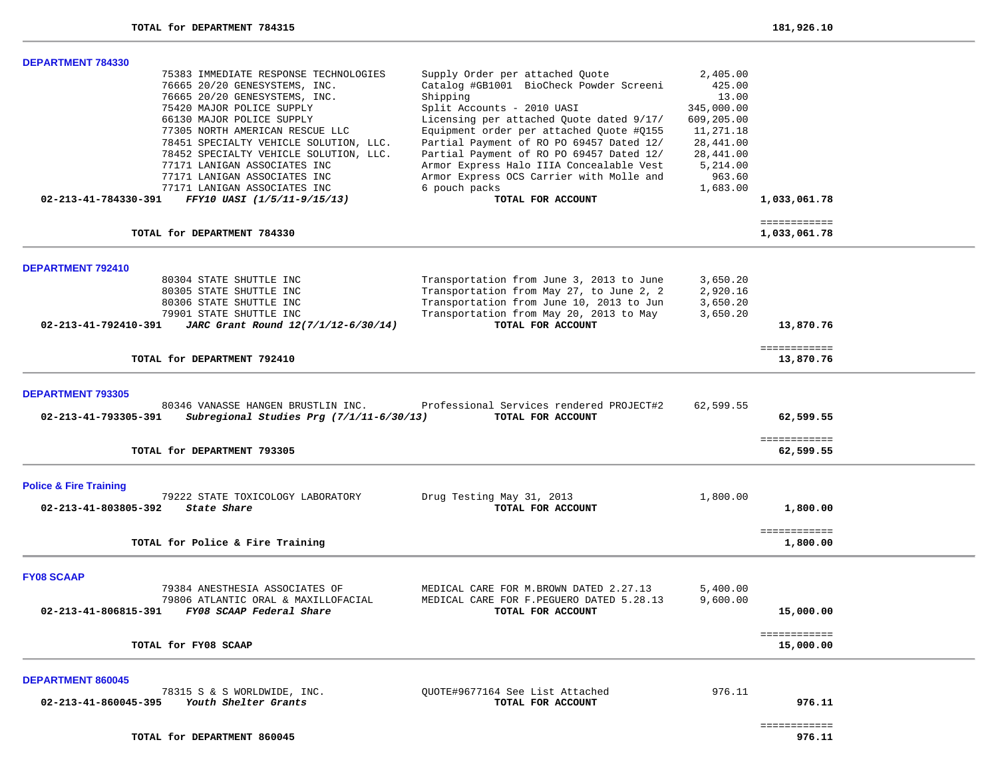| <b>DEPARTMENT 784330</b>          |                                          |                                          |            |                           |  |
|-----------------------------------|------------------------------------------|------------------------------------------|------------|---------------------------|--|
|                                   | 75383 IMMEDIATE RESPONSE TECHNOLOGIES    | Supply Order per attached Quote          | 2,405.00   |                           |  |
|                                   | 76665 20/20 GENESYSTEMS, INC.            | Catalog #GB1001 BioCheck Powder Screeni  | 425.00     |                           |  |
|                                   | 76665 20/20 GENESYSTEMS, INC.            | Shipping                                 | 13.00      |                           |  |
|                                   | 75420 MAJOR POLICE SUPPLY                | Split Accounts - 2010 UASI               | 345,000.00 |                           |  |
|                                   | 66130 MAJOR POLICE SUPPLY                | Licensing per attached Quote dated 9/17/ | 609,205.00 |                           |  |
|                                   | 77305 NORTH AMERICAN RESCUE LLC          | Equipment order per attached Quote #Q155 | 11,271.18  |                           |  |
|                                   |                                          | Partial Payment of RO PO 69457 Dated 12/ | 28,441.00  |                           |  |
|                                   | 78451 SPECIALTY VEHICLE SOLUTION, LLC.   |                                          |            |                           |  |
|                                   | 78452 SPECIALTY VEHICLE SOLUTION, LLC.   | Partial Payment of RO PO 69457 Dated 12/ | 28,441.00  |                           |  |
|                                   | 77171 LANIGAN ASSOCIATES INC             | Armor Express Halo IIIA Concealable Vest | 5,214.00   |                           |  |
|                                   | 77171 LANIGAN ASSOCIATES INC             | Armor Express OCS Carrier with Molle and | 963.60     |                           |  |
|                                   | 77171 LANIGAN ASSOCIATES INC             | 6 pouch packs                            | 1,683.00   |                           |  |
| 02-213-41-784330-391              | FFY10 UASI (1/5/11-9/15/13)              | TOTAL FOR ACCOUNT                        |            | 1,033,061.78              |  |
|                                   |                                          |                                          |            | ============              |  |
|                                   | TOTAL for DEPARTMENT 784330              |                                          |            | 1,033,061.78              |  |
| <b>DEPARTMENT 792410</b>          |                                          |                                          |            |                           |  |
|                                   | 80304 STATE SHUTTLE INC                  | Transportation from June 3, 2013 to June | 3,650.20   |                           |  |
|                                   | 80305 STATE SHUTTLE INC                  | Transportation from May 27, to June 2, 2 | 2,920.16   |                           |  |
|                                   | 80306 STATE SHUTTLE INC                  | Transportation from June 10, 2013 to Jun | 3,650.20   |                           |  |
|                                   | 79901 STATE SHUTTLE INC                  | Transportation from May 20, 2013 to May  | 3,650.20   |                           |  |
| 02-213-41-792410-391              | JARC Grant Round 12(7/1/12-6/30/14)      | TOTAL FOR ACCOUNT                        |            | 13,870.76                 |  |
|                                   |                                          |                                          |            |                           |  |
|                                   | TOTAL for DEPARTMENT 792410              |                                          |            | ============<br>13,870.76 |  |
|                                   |                                          |                                          |            |                           |  |
| <b>DEPARTMENT 793305</b>          |                                          |                                          |            |                           |  |
|                                   | 80346 VANASSE HANGEN BRUSTLIN INC.       | Professional Services rendered PROJECT#2 | 62,599.55  |                           |  |
| 02-213-41-793305-391              | Subregional Studies Prg (7/1/11-6/30/13) | TOTAL FOR ACCOUNT                        |            | 62,599.55                 |  |
|                                   |                                          |                                          |            |                           |  |
|                                   | TOTAL for DEPARTMENT 793305              |                                          |            | ============<br>62,599.55 |  |
|                                   |                                          |                                          |            |                           |  |
| <b>Police &amp; Fire Training</b> |                                          |                                          |            |                           |  |
|                                   | 79222 STATE TOXICOLOGY LABORATORY        | Drug Testing May 31, 2013                | 1,800.00   |                           |  |
| 02-213-41-803805-392              | State Share                              | TOTAL FOR ACCOUNT                        |            | 1,800.00                  |  |
|                                   |                                          |                                          |            |                           |  |
|                                   | TOTAL for Police & Fire Training         |                                          |            | ============<br>1,800.00  |  |
|                                   |                                          |                                          |            |                           |  |
| <b>FY08 SCAAP</b>                 |                                          |                                          |            |                           |  |
|                                   | 79384 ANESTHESIA ASSOCIATES OF           | MEDICAL CARE FOR M.BROWN DATED 2.27.13   | 5,400.00   |                           |  |
|                                   | 79806 ATLANTIC ORAL & MAXILLOFACIAL      | MEDICAL CARE FOR F.PEGUERO DATED 5.28.13 | 9,600.00   |                           |  |
| 02-213-41-806815-391              | FY08 SCAAP Federal Share                 | TOTAL FOR ACCOUNT                        |            | 15,000.00                 |  |
|                                   |                                          |                                          |            |                           |  |
|                                   |                                          |                                          |            | ============              |  |
|                                   | TOTAL for FY08 SCAAP                     |                                          |            | 15,000.00                 |  |
| <b>DEPARTMENT 860045</b>          |                                          |                                          |            |                           |  |
|                                   | 78315 S & S WORLDWIDE, INC.              | OUOTE#9677164 See List Attached          | 976.11     |                           |  |
| 02-213-41-860045-395              | Youth Shelter Grants                     | TOTAL FOR ACCOUNT                        |            | 976.11                    |  |
|                                   |                                          |                                          |            |                           |  |
|                                   |                                          |                                          |            |                           |  |

============

976.11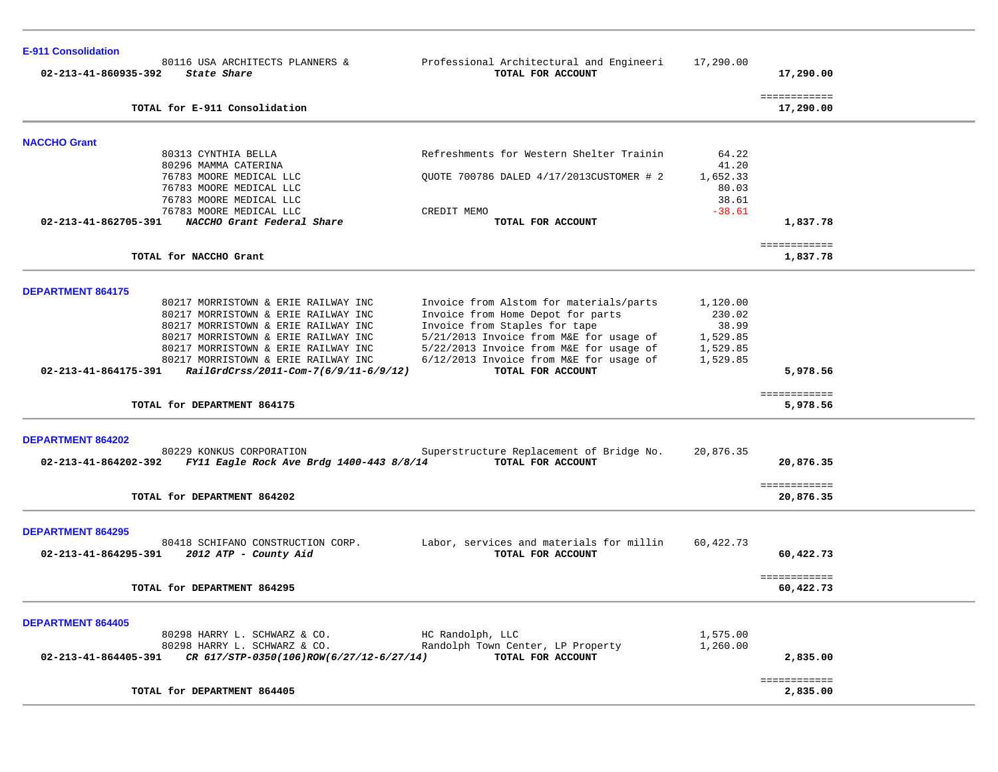| <b>E-911 Consolidation</b> |                                                                            |                                                                          |                   |                           |  |
|----------------------------|----------------------------------------------------------------------------|--------------------------------------------------------------------------|-------------------|---------------------------|--|
| 02-213-41-860935-392       | 80116 USA ARCHITECTS PLANNERS &<br>State Share                             | Professional Architectural and Engineeri<br>TOTAL FOR ACCOUNT            | 17,290.00         | 17,290.00                 |  |
|                            | TOTAL for E-911 Consolidation                                              |                                                                          |                   | ============<br>17,290.00 |  |
| <b>NACCHO Grant</b>        |                                                                            |                                                                          |                   |                           |  |
|                            | 80313 CYNTHIA BELLA<br>80296 MAMMA CATERINA                                | Refreshments for Western Shelter Trainin                                 | 64.22<br>41.20    |                           |  |
|                            | 76783 MOORE MEDICAL LLC                                                    | OUOTE 700786 DALED 4/17/2013CUSTOMER # 2                                 | 1,652.33          |                           |  |
|                            | 76783 MOORE MEDICAL LLC                                                    |                                                                          | 80.03             |                           |  |
|                            | 76783 MOORE MEDICAL LLC<br>76783 MOORE MEDICAL LLC                         | CREDIT MEMO                                                              | 38.61<br>$-38.61$ |                           |  |
| 02-213-41-862705-391       | NACCHO Grant Federal Share                                                 | TOTAL FOR ACCOUNT                                                        |                   | 1,837.78                  |  |
|                            | TOTAL for NACCHO Grant                                                     |                                                                          |                   | ============<br>1,837.78  |  |
| <b>DEPARTMENT 864175</b>   |                                                                            |                                                                          |                   |                           |  |
|                            | 80217 MORRISTOWN & ERIE RAILWAY INC                                        | Invoice from Alstom for materials/parts                                  | 1,120.00          |                           |  |
|                            | 80217 MORRISTOWN & ERIE RAILWAY INC                                        | Invoice from Home Depot for parts                                        | 230.02            |                           |  |
|                            | 80217 MORRISTOWN & ERIE RAILWAY INC<br>80217 MORRISTOWN & ERIE RAILWAY INC | Invoice from Staples for tape<br>5/21/2013 Invoice from M&E for usage of | 38.99<br>1,529.85 |                           |  |
|                            | 80217 MORRISTOWN & ERIE RAILWAY INC                                        | 5/22/2013 Invoice from M&E for usage of                                  | 1,529.85          |                           |  |
|                            | 80217 MORRISTOWN & ERIE RAILWAY INC                                        | 6/12/2013 Invoice from M&E for usage of                                  | 1,529.85          |                           |  |
| 02-213-41-864175-391       | RailGrdCrss/2011-Com-7(6/9/11-6/9/12)                                      | TOTAL FOR ACCOUNT                                                        |                   | 5,978.56                  |  |
|                            | TOTAL for DEPARTMENT 864175                                                |                                                                          |                   | ============<br>5,978.56  |  |
| DEPARTMENT 864202          |                                                                            |                                                                          |                   |                           |  |
|                            | 80229 KONKUS CORPORATION                                                   | Superstructure Replacement of Bridge No.                                 | 20,876.35         |                           |  |
| 02-213-41-864202-392       | FY11 Eagle Rock Ave Brdg 1400-443 8/8/14                                   | TOTAL FOR ACCOUNT                                                        |                   | 20,876.35                 |  |
|                            | TOTAL for DEPARTMENT 864202                                                |                                                                          |                   | ============<br>20,876.35 |  |
| <b>DEPARTMENT 864295</b>   |                                                                            |                                                                          |                   |                           |  |
|                            | 80418 SCHIFANO CONSTRUCTION CORP.                                          | Labor, services and materials for millin                                 | 60,422.73         |                           |  |
| 02-213-41-864295-391       | 2012 ATP - County Aid                                                      | TOTAL FOR ACCOUNT                                                        |                   | 60,422.73                 |  |
|                            | TOTAL for DEPARTMENT 864295                                                |                                                                          |                   | ============<br>60,422.73 |  |
|                            |                                                                            |                                                                          |                   |                           |  |
| <b>DEPARTMENT 864405</b>   |                                                                            |                                                                          |                   |                           |  |
|                            | 80298 HARRY L. SCHWARZ & CO.                                               | HC Randolph, LLC                                                         | 1,575.00          |                           |  |
|                            | 80298 HARRY L. SCHWARZ & CO.                                               | Randolph Town Center, LP Property<br>TOTAL FOR ACCOUNT                   | 1,260.00          |                           |  |
| 02-213-41-864405-391       | CR 617/STP-0350(106)ROW(6/27/12-6/27/14)                                   |                                                                          |                   | 2,835.00                  |  |
|                            | TOTAL for DEPARTMENT 864405                                                |                                                                          |                   | ============<br>2,835.00  |  |
|                            |                                                                            |                                                                          |                   |                           |  |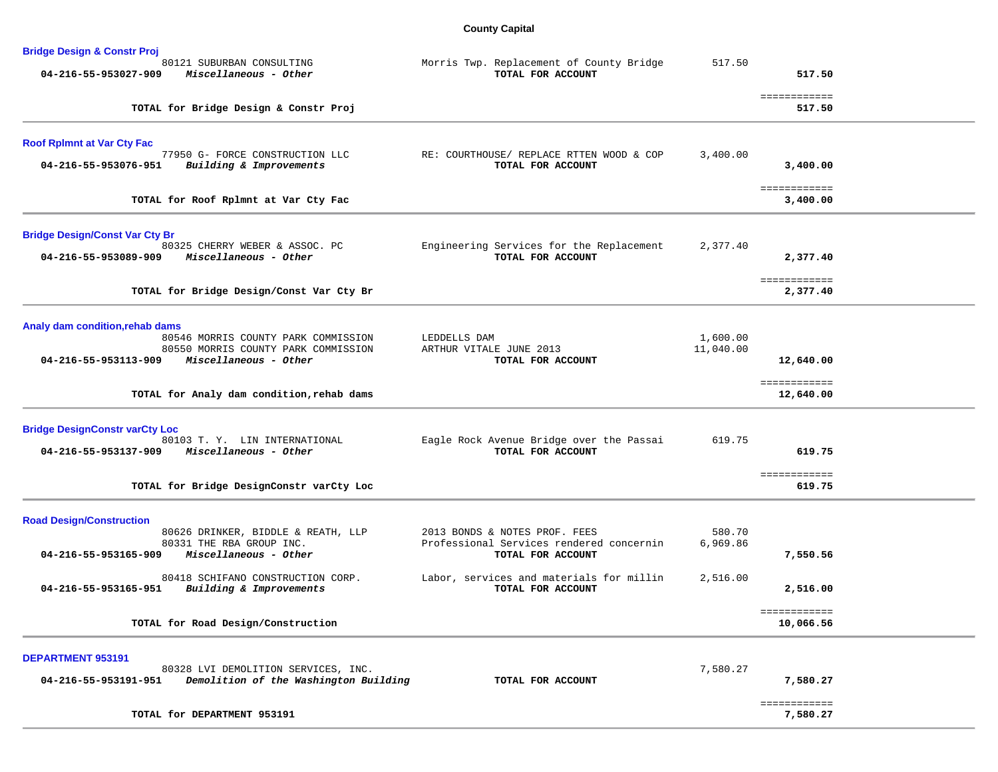## **County Capital**

| <b>Bridge Design &amp; Constr Proj</b>                                                                                   |                                                                                                |                    |                           |  |
|--------------------------------------------------------------------------------------------------------------------------|------------------------------------------------------------------------------------------------|--------------------|---------------------------|--|
| 80121 SUBURBAN CONSULTING<br>04-216-55-953027-909<br>Miscellaneous - Other                                               | Morris Twp. Replacement of County Bridge<br>TOTAL FOR ACCOUNT                                  | 517.50             | 517.50                    |  |
| TOTAL for Bridge Design & Constr Proj                                                                                    |                                                                                                |                    | ============<br>517.50    |  |
| <b>Roof RpImnt at Var Cty Fac</b>                                                                                        |                                                                                                |                    |                           |  |
| 77950 G- FORCE CONSTRUCTION LLC<br>04-216-55-953076-951<br>Building & Improvements                                       | RE: COURTHOUSE/ REPLACE RTTEN WOOD & COP<br>TOTAL FOR ACCOUNT                                  | 3,400.00           | 3,400.00                  |  |
| TOTAL for Roof Rplmnt at Var Cty Fac                                                                                     |                                                                                                |                    | ============<br>3,400.00  |  |
| <b>Bridge Design/Const Var Cty Br</b><br>80325 CHERRY WEBER & ASSOC. PC<br>04-216-55-953089-909<br>Miscellaneous - Other | Engineering Services for the Replacement<br>TOTAL FOR ACCOUNT                                  | 2,377.40           | 2,377.40                  |  |
| TOTAL for Bridge Design/Const Var Cty Br                                                                                 |                                                                                                |                    | ============<br>2,377.40  |  |
| Analy dam condition, rehab dams<br>80546 MORRIS COUNTY PARK COMMISSION                                                   | LEDDELLS DAM                                                                                   | 1,600.00           |                           |  |
| 80550 MORRIS COUNTY PARK COMMISSION<br>04-216-55-953113-909<br>Miscellaneous - Other                                     | ARTHUR VITALE JUNE 2013<br>TOTAL FOR ACCOUNT                                                   | 11,040.00          | 12,640.00                 |  |
| TOTAL for Analy dam condition, rehab dams                                                                                |                                                                                                |                    | ============<br>12,640.00 |  |
| <b>Bridge DesignConstr varCty Loc</b><br>80103 T.Y. LIN INTERNATIONAL<br>04-216-55-953137-909 Miscellaneous - Other      | Eagle Rock Avenue Bridge over the Passai<br>TOTAL FOR ACCOUNT                                  | 619.75             | 619.75                    |  |
| TOTAL for Bridge DesignConstr varCty Loc                                                                                 |                                                                                                |                    | ============<br>619.75    |  |
| <b>Road Design/Construction</b>                                                                                          |                                                                                                |                    |                           |  |
| 80626 DRINKER, BIDDLE & REATH, LLP<br>80331 THE RBA GROUP INC.<br>Miscellaneous - Other<br>04-216-55-953165-909          | 2013 BONDS & NOTES PROF. FEES<br>Professional Services rendered concernin<br>TOTAL FOR ACCOUNT | 580.70<br>6,969.86 | 7,550.56                  |  |
| 80418 SCHIFANO CONSTRUCTION CORP.<br>04-216-55-953165-951<br>Building & Improvements                                     | Labor, services and materials for millin<br>TOTAL FOR ACCOUNT                                  | 2,516.00           | 2,516.00                  |  |
| TOTAL for Road Design/Construction                                                                                       |                                                                                                |                    | ============<br>10,066.56 |  |
| <b>DEPARTMENT 953191</b><br>80328 LVI DEMOLITION SERVICES, INC.                                                          |                                                                                                | 7,580.27           |                           |  |
| 04-216-55-953191-951<br>Demolition of the Washington Building                                                            | TOTAL FOR ACCOUNT                                                                              |                    | 7,580.27<br>============  |  |
| TOTAL for DEPARTMENT 953191                                                                                              |                                                                                                |                    | 7,580.27                  |  |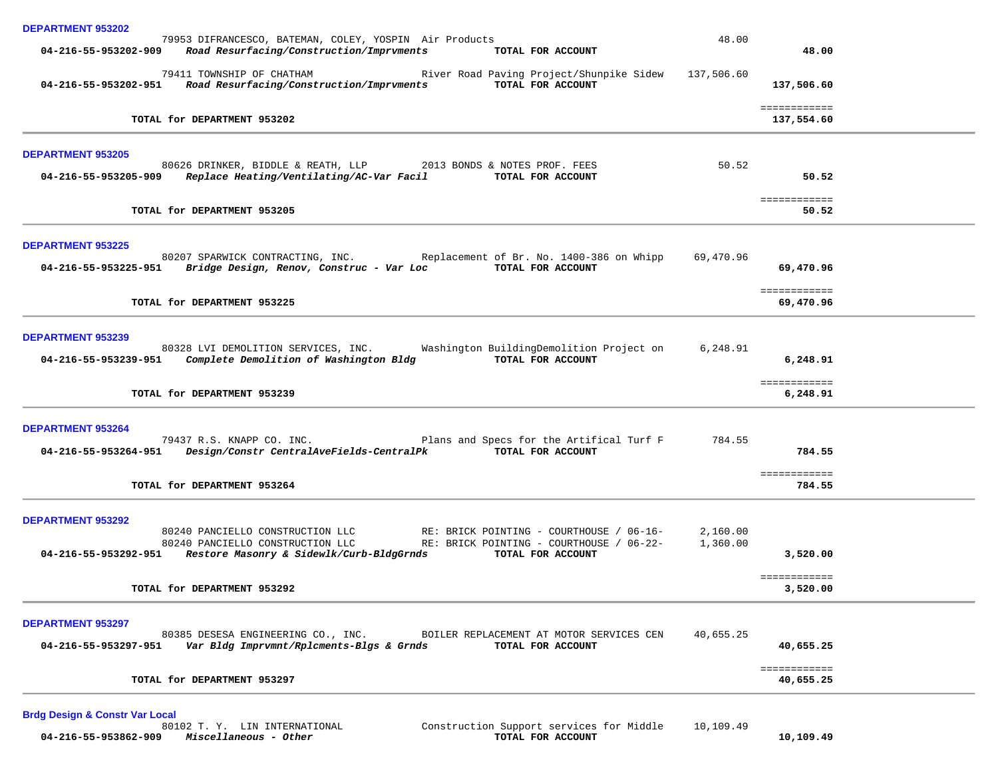| <b>DEPARTMENT 953202</b>                                                                                                                                                                                                                                                       |                      |                                      |  |
|--------------------------------------------------------------------------------------------------------------------------------------------------------------------------------------------------------------------------------------------------------------------------------|----------------------|--------------------------------------|--|
| 79953 DIFRANCESCO, BATEMAN, COLEY, YOSPIN Air Products<br>04-216-55-953202-909 Road Resurfacing/Construction/Imprvments<br>TOTAL FOR ACCOUNT                                                                                                                                   | 48.00                | 48.00                                |  |
| 79411 TOWNSHIP OF CHATHAM<br>River Road Paving Project/Shunpike Sidew 137,506.60<br>Road Resurfacing/Construction/Imprvments<br>TOTAL FOR ACCOUNT<br>04-216-55-953202-951                                                                                                      |                      | 137,506.60                           |  |
| TOTAL for DEPARTMENT 953202                                                                                                                                                                                                                                                    |                      | ============<br>137,554.60           |  |
| <b>DEPARTMENT 953205</b><br>80626 DRINKER, BIDDLE & REATH, LLP 2013 BONDS & NOTES PROF. FEES<br>Replace Heating/Ventilating/AC-Var Facil<br>04-216-55-953205-909<br>TOTAL FOR ACCOUNT                                                                                          | 50.52                | 50.52                                |  |
| TOTAL for DEPARTMENT 953205                                                                                                                                                                                                                                                    |                      | ============<br>50.52                |  |
| <b>DEPARTMENT 953225</b><br>80207 SPARWICK CONTRACTING, INC. Replacement of Br. No. 1400-386 on Whipp<br>04-216-55-953225-951 Bridge Design, Renov, Construc - Var Loc TOTAL FOR ACCOUNT                                                                                       | 69,470.96            | 69,470.96<br>============            |  |
| TOTAL for DEPARTMENT 953225                                                                                                                                                                                                                                                    |                      | 69,470.96                            |  |
| <b>DEPARTMENT 953239</b><br>80328 LVI DEMOLITION SERVICES, INC.<br>Washington BuildingDemolition Project on<br>04-216-55-953239-951 Complete Demolition of Washington Bldg<br>TOTAL FOR ACCOUNT<br>TOTAL for DEPARTMENT 953239                                                 | 6,248.91             | 6,248.91<br>============<br>6,248.91 |  |
| <b>DEPARTMENT 953264</b><br>Plans and Specs for the Artifical Turf F<br>79437 R.S. KNAPP CO. INC.<br>TOTAL FOR ACCOUNT<br>04-216-55-953264-951    Design/Constr CentralAveFields-CentralPk<br>TOTAL for DEPARTMENT 953264                                                      | 784.55               | 784.55<br>============<br>784.55     |  |
| <b>DEPARTMENT 953292</b><br>80240 PANCIELLO CONSTRUCTION LLC<br>RE: BRICK POINTING - COURTHOUSE / 06-16-<br>80240 PANCIELLO CONSTRUCTION LLC<br>RE: BRICK POINTING - COURTHOUSE / 06-22-<br>04-216-55-953292-951 Restore Masonry & Sidewlk/Curb-BldgGrnds<br>TOTAL FOR ACCOUNT | 2,160.00<br>1,360.00 | 3,520.00<br>============             |  |
| TOTAL for DEPARTMENT 953292                                                                                                                                                                                                                                                    |                      | 3,520.00                             |  |
| <b>DEPARTMENT 953297</b><br>80385 DESESA ENGINEERING CO., INC.<br>BOILER REPLACEMENT AT MOTOR SERVICES CEN<br>Var Bldg Imprvmnt/Rplcments-Blgs & Grnds<br>TOTAL FOR ACCOUNT<br>04-216-55-953297-951                                                                            | 40,655.25            | 40,655.25                            |  |
| TOTAL for DEPARTMENT 953297                                                                                                                                                                                                                                                    |                      | ============<br>40,655.25            |  |
|                                                                                                                                                                                                                                                                                |                      |                                      |  |

**Brdg Design & Constr Var Local 04-216-55-953862-909** *Miscellaneous - Other* **TOTAL FOR ACCOUNT 10,109.49**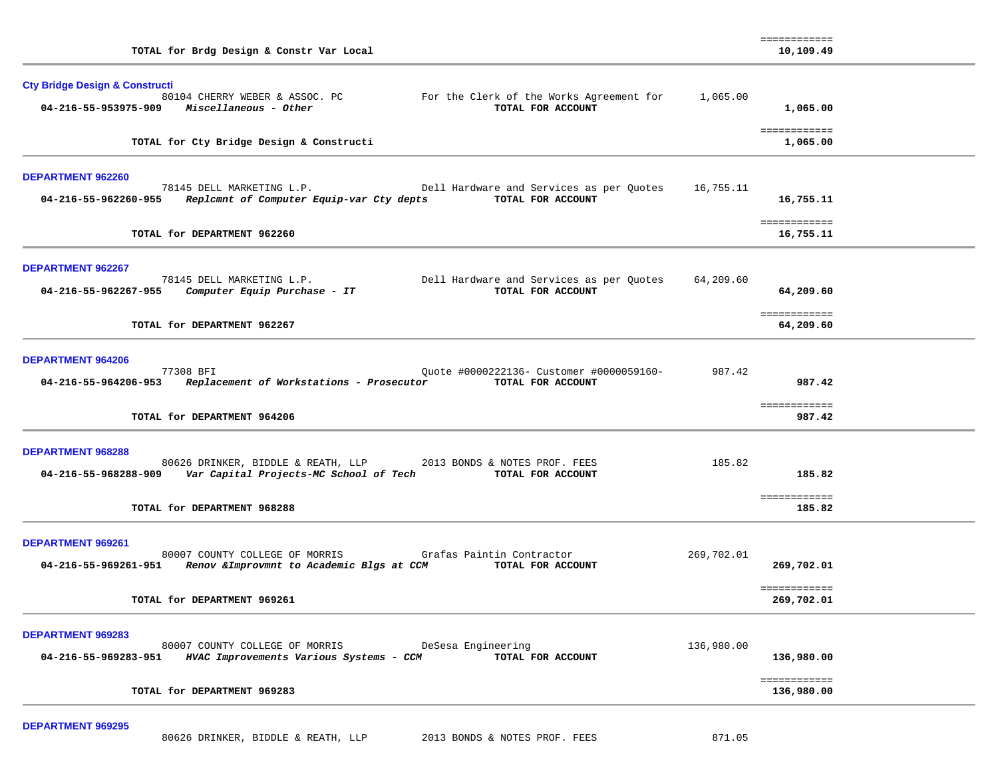| TOTAL for Brdg Design & Constr Var Local                                                                                                                                                                     |            | ============<br>10,109.49        |  |
|--------------------------------------------------------------------------------------------------------------------------------------------------------------------------------------------------------------|------------|----------------------------------|--|
| <b>Cty Bridge Design &amp; Constructi</b><br>80104 CHERRY WEBER & ASSOC. PC For the Clerk of the Works Agreement for 1,065.00<br>TOTAL FOR ACCOUNT                                                           |            | 1,065.00                         |  |
| TOTAL for Cty Bridge Design & Constructi                                                                                                                                                                     |            | ============<br>1,065.00         |  |
| DEPARTMENT 962260<br>78145 DELL MARKETING L.P. Dell Hardware and Services as per Quotes 16,755.11<br>04-216-55-962260-955 Replamnt of Computer Equip-var Cty depts TOTAL FOR ACCOUNT                         |            | 16,755.11                        |  |
| TOTAL for DEPARTMENT 962260                                                                                                                                                                                  |            | ============<br>16,755.11        |  |
| <b>DEPARTMENT 962267</b><br>78145 DELL MARKETING L.P.<br>199.60 Dell Hardware and Services as per Quotes 54,209.60 Purchase - IT                                                                             |            | 64,209.60                        |  |
| TOTAL for DEPARTMENT 962267                                                                                                                                                                                  |            | ============<br>64,209.60        |  |
| <b>DEPARTMENT 964206</b><br>77308 BFI<br>Quote #0000222136- Customer #0000059160-<br>04-216-55-964206-953 Replacement of Workstations - Prosecutor TOTAL FOR ACCOUNT                                         | 987.42     | 987.42<br>============           |  |
| TOTAL for DEPARTMENT 964206                                                                                                                                                                                  |            | 987.42                           |  |
| <b>DEPARTMENT 968288</b><br>80626 DRINKER, BIDDLE & REATH, LLP 2013 BONDS & NOTES PROF. FEES<br>04-216-55-968288-909 Var Capital Projects-MC School of Tech TOTAL FOR ACCOUNT<br>TOTAL for DEPARTMENT 968288 | 185.82     | 185.82<br>============<br>185.82 |  |
| <b>DEPARTMENT 969261</b><br>80007 COUNTY COLLEGE OF MORRIS Grafas Paintin Contractor<br>04-216-55-969261-951 Renov & Improvmnt to Academic Blgs at CCM TOTAL FOR ACCOUNT                                     | 269,702.01 | 269,702.01                       |  |
| TOTAL for DEPARTMENT 969261                                                                                                                                                                                  |            | ============<br>269,702.01       |  |
| <b>DEPARTMENT 969283</b><br>DeSesa Engineering<br>80007 COUNTY COLLEGE OF MORRIS<br>04-216-55-969283-951<br>HVAC Improvements Various Systems - CCM<br>TOTAL FOR ACCOUNT                                     | 136,980.00 | 136,980.00                       |  |
| TOTAL for DEPARTMENT 969283                                                                                                                                                                                  |            | ============<br>136,980.00       |  |

**DEPARTMENT 969295**